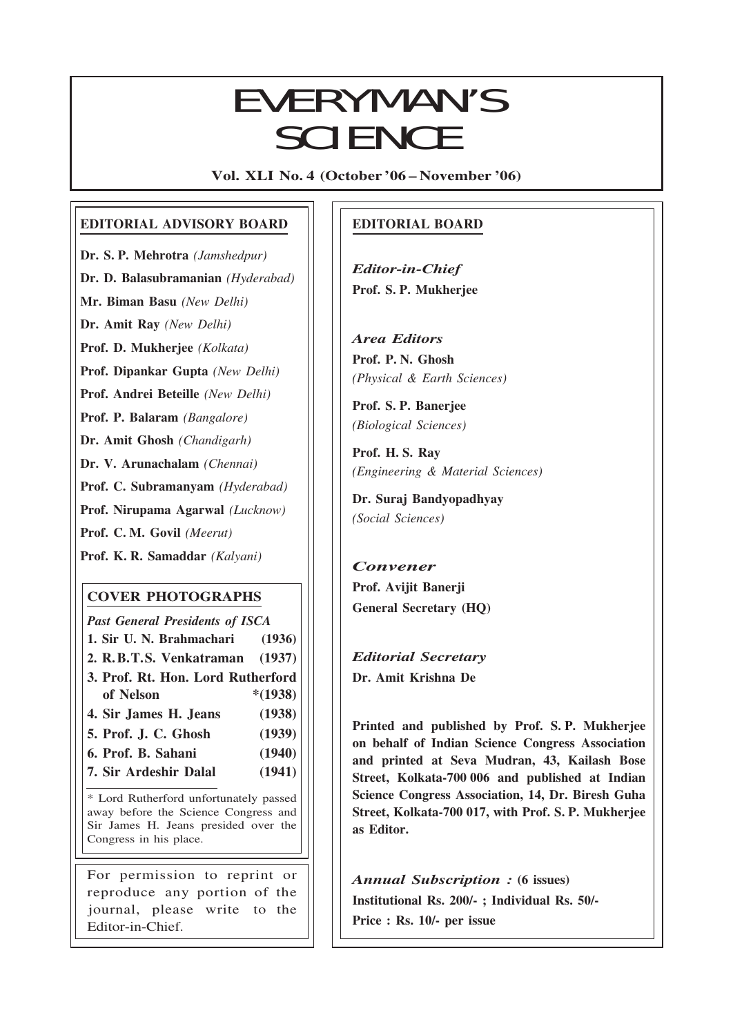## Everyman's Science VOL. XLI NO. 4, Oct. '06 —Nov. '06 EVERYMAN'S **SCIENCE**

Vol. XLI No. 4 (October '06 – November '06)

### EDITORIAL ADVISORY BOARD

Dr. S. P. Mehrotra (Jamshedpur)

Dr. D. Balasubramanian (Hyderabad)

Mr. Biman Basu (New Delhi)

Dr. Amit Ray (New Delhi)

Prof. D. Mukherjee (Kolkata)

Prof. Dipankar Gupta (New Delhi)

Prof. Andrei Beteille (New Delhi)

Prof. P. Balaram (Bangalore)

Dr. Amit Ghosh (Chandigarh)

Dr. V. Arunachalam (Chennai)

Prof. C. Subramanyam (Hyderabad)

Prof. Nirupama Agarwal (Lucknow)

Prof. C. M. Govil (Meerut)

Prof. K. R. Samaddar (Kalyani)

## COVER PHOTOGRAPHS

Past General Presidents of ISCA 1. Sir U. N. Brahmachari (1936) 2. R.B.T.S. Venkatraman (1937) 3. Prof. Rt. Hon. Lord Rutherford of Nelson \*(1938) 4. Sir James H. Jeans (1938) 5. Prof. J. C. Ghosh (1939) 6. Prof. B. Sahani (1940)

- 
- 7. Sir Ardeshir Dalal (1941)

\* Lord Rutherford unfortunately passed away before the Science Congress and Sir James H. Jeans presided over the Congress in his place.

For permission to reprint or reproduce any portion of the journal, please write to the Editor-in-Chief.

## EDITORIAL BOARD

Editor-in-Chief Prof. S. P. Mukherjee

Area Editors Prof. P. N. Ghosh (Physical & Earth Sciences)

Prof. S. P. Banerjee (Biological Sciences)

Prof. H. S. Ray (Engineering & Material Sciences)

Dr. Suraj Bandyopadhyay (Social Sciences)

## Convener Prof. Avijit Banerji General Secretary (HQ)

Editorial Secretary Dr. Amit Krishna De

209

Printed and published by Prof. S. P. Mukherjee on behalf of Indian Science Congress Association and printed at Seva Mudran, 43, Kailash Bose Street, Kolkata-700 006 and published at Indian Science Congress Association, 14, Dr. Biresh Guha Street, Kolkata-700 017, with Prof. S. P. Mukherjee as Editor.

Annual Subscription : (6 issues) Institutional Rs. 200/- ; Individual Rs. 50/- Price : Rs. 10/- per issue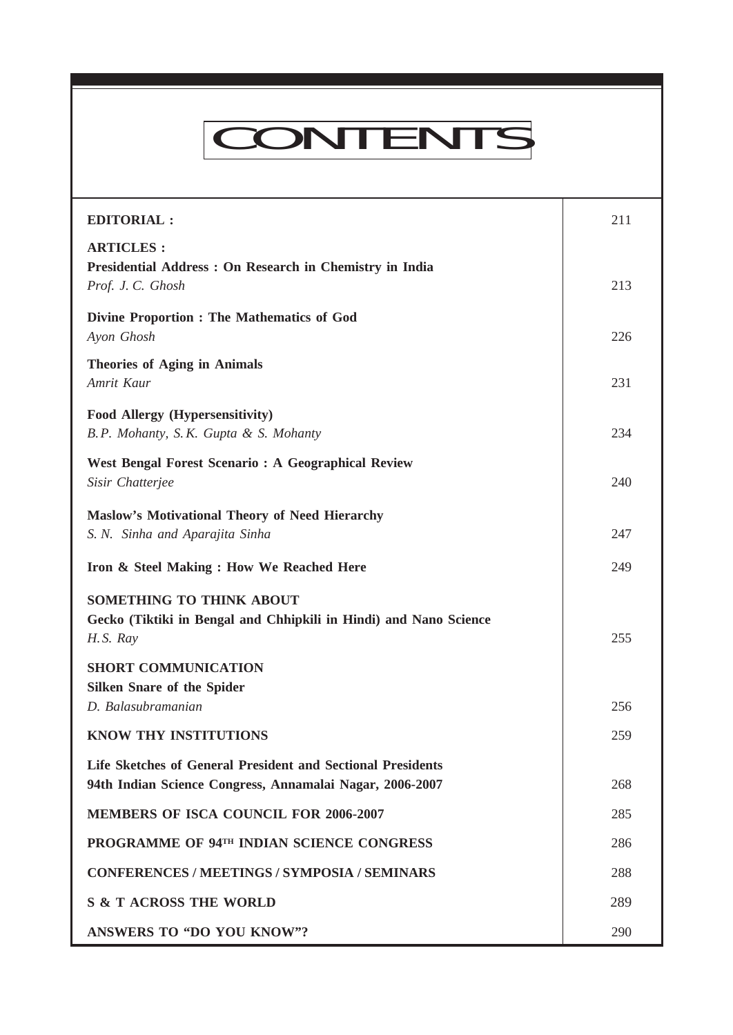# CONTENTS

Everyman's Science VOL. XLI NO. 4, Oct. '06 —Nov. '06

| <b>EDITORIAL:</b>                                                                                                              | 211 |
|--------------------------------------------------------------------------------------------------------------------------------|-----|
| <b>ARTICLES:</b><br>Presidential Address : On Research in Chemistry in India<br>Prof. J. C. Ghosh                              | 213 |
| <b>Divine Proportion : The Mathematics of God</b><br>Ayon Ghosh                                                                | 226 |
| <b>Theories of Aging in Animals</b><br>Amrit Kaur                                                                              | 231 |
| Food Allergy (Hypersensitivity)<br>B.P. Mohanty, S.K. Gupta & S. Mohanty                                                       | 234 |
| <b>West Bengal Forest Scenario: A Geographical Review</b><br>Sisir Chatterjee                                                  | 240 |
| <b>Maslow's Motivational Theory of Need Hierarchy</b><br>S. N. Sinha and Aparajita Sinha                                       | 247 |
| Iron & Steel Making: How We Reached Here                                                                                       | 249 |
| <b>SOMETHING TO THINK ABOUT</b><br>Gecko (Tiktiki in Bengal and Chhipkili in Hindi) and Nano Science<br>H.S. Ray               | 255 |
| <b>SHORT COMMUNICATION</b><br><b>Silken Snare of the Spider</b><br>D. Balasubramanian                                          | 256 |
| <b>KNOW THY INSTITUTIONS</b>                                                                                                   | 259 |
| <b>Life Sketches of General President and Sectional Presidents</b><br>94th Indian Science Congress, Annamalai Nagar, 2006-2007 | 268 |
| <b>MEMBERS OF ISCA COUNCIL FOR 2006-2007</b>                                                                                   | 285 |
| PROGRAMME OF 94TH INDIAN SCIENCE CONGRESS                                                                                      | 286 |
| <b>CONFERENCES / MEETINGS / SYMPOSIA / SEMINARS</b>                                                                            | 288 |
| <b>S &amp; T ACROSS THE WORLD</b>                                                                                              | 289 |
| <b>ANSWERS TO "DO YOU KNOW"?</b>                                                                                               | 290 |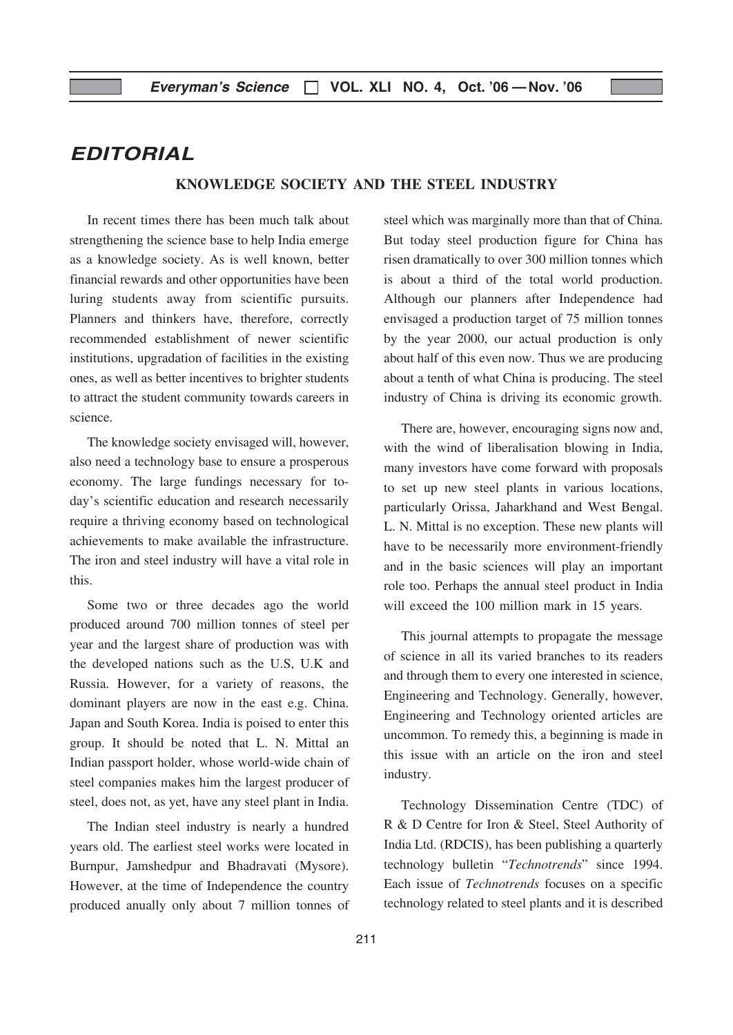## EDITORIAL

#### KNOWLEDGE SOCIETY AND THE STEEL INDUSTRY

In recent times there has been much talk about strengthening the science base to help India emerge as a knowledge society. As is well known, better financial rewards and other opportunities have been luring students away from scientific pursuits. Planners and thinkers have, therefore, correctly recommended establishment of newer scientific institutions, upgradation of facilities in the existing ones, as well as better incentives to brighter students to attract the student community towards careers in science.

The knowledge society envisaged will, however, also need a technology base to ensure a prosperous economy. The large fundings necessary for today's scientific education and research necessarily require a thriving economy based on technological achievements to make available the infrastructure. The iron and steel industry will have a vital role in this.

Some two or three decades ago the world produced around 700 million tonnes of steel per year and the largest share of production was with the developed nations such as the U.S, U.K and Russia. However, for a variety of reasons, the dominant players are now in the east e.g. China. Japan and South Korea. India is poised to enter this group. It should be noted that L. N. Mittal an Indian passport holder, whose world-wide chain of steel companies makes him the largest producer of steel, does not, as yet, have any steel plant in India.

The Indian steel industry is nearly a hundred years old. The earliest steel works were located in Burnpur, Jamshedpur and Bhadravati (Mysore). However, at the time of Independence the country produced anually only about 7 million tonnes of steel which was marginally more than that of China. But today steel production figure for China has risen dramatically to over 300 million tonnes which is about a third of the total world production. Although our planners after Independence had envisaged a production target of 75 million tonnes by the year 2000, our actual production is only about half of this even now. Thus we are producing about a tenth of what China is producing. The steel industry of China is driving its economic growth.

There are, however, encouraging signs now and, with the wind of liberalisation blowing in India, many investors have come forward with proposals to set up new steel plants in various locations, particularly Orissa, Jaharkhand and West Bengal. L. N. Mittal is no exception. These new plants will have to be necessarily more environment-friendly and in the basic sciences will play an important role too. Perhaps the annual steel product in India will exceed the 100 million mark in 15 years.

This journal attempts to propagate the message of science in all its varied branches to its readers and through them to every one interested in science, Engineering and Technology. Generally, however, Engineering and Technology oriented articles are uncommon. To remedy this, a beginning is made in this issue with an article on the iron and steel industry.

Technology Dissemination Centre (TDC) of R & D Centre for Iron & Steel, Steel Authority of India Ltd. (RDCIS), has been publishing a quarterly technology bulletin "Technotrends" since 1994. Each issue of Technotrends focuses on a specific technology related to steel plants and it is described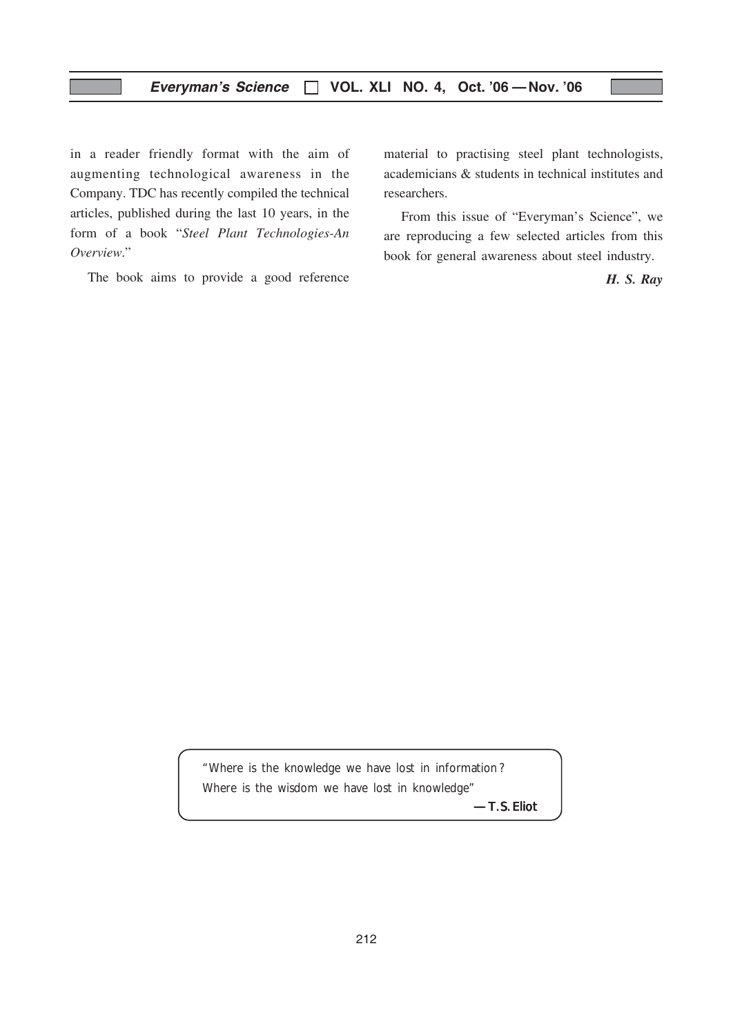in a reader friendly format with the aim of augmenting technological awareness in the Company. TDC has recently compiled the technical articles, published during the last 10 years, in the form of a book "Steel Plant Technologies-An Overview."

The book aims to provide a good reference

material to practising steel plant technologists, academicians & students in technical institutes and researchers.

From this issue of "Everyman's Science", we are reproducing a few selected articles from this book for general awareness about steel industry.

H. S. Ray

*"Where is the knowledge we have lost in information ? Where is the wisdom we have lost in knowledge"*

*—T.S. Eliot*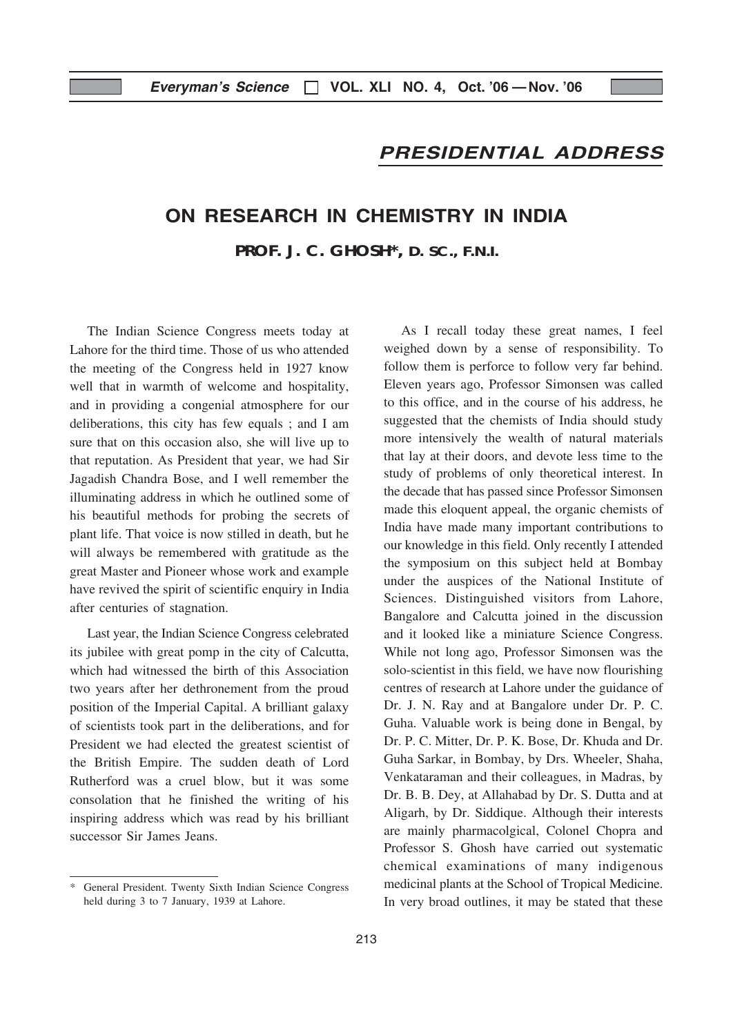## PRESIDENTIAL ADDRESS

## ON RESEARCH IN CHEMISTRY IN INDIA

**PROF. J. C. GHOSH\*, D. SC., F.N.I.**

The Indian Science Congress meets today at Lahore for the third time. Those of us who attended the meeting of the Congress held in 1927 know well that in warmth of welcome and hospitality, and in providing a congenial atmosphere for our deliberations, this city has few equals ; and I am sure that on this occasion also, she will live up to that reputation. As President that year, we had Sir Jagadish Chandra Bose, and I well remember the illuminating address in which he outlined some of his beautiful methods for probing the secrets of plant life. That voice is now stilled in death, but he will always be remembered with gratitude as the great Master and Pioneer whose work and example have revived the spirit of scientific enquiry in India after centuries of stagnation.

Last year, the Indian Science Congress celebrated its jubilee with great pomp in the city of Calcutta, which had witnessed the birth of this Association two years after her dethronement from the proud position of the Imperial Capital. A brilliant galaxy of scientists took part in the deliberations, and for President we had elected the greatest scientist of the British Empire. The sudden death of Lord Rutherford was a cruel blow, but it was some consolation that he finished the writing of his inspiring address which was read by his brilliant successor Sir James Jeans.

As I recall today these great names, I feel weighed down by a sense of responsibility. To follow them is perforce to follow very far behind. Eleven years ago, Professor Simonsen was called to this office, and in the course of his address, he suggested that the chemists of India should study more intensively the wealth of natural materials that lay at their doors, and devote less time to the study of problems of only theoretical interest. In the decade that has passed since Professor Simonsen made this eloquent appeal, the organic chemists of India have made many important contributions to our knowledge in this field. Only recently I attended the symposium on this subject held at Bombay under the auspices of the National Institute of Sciences. Distinguished visitors from Lahore, Bangalore and Calcutta joined in the discussion and it looked like a miniature Science Congress. While not long ago, Professor Simonsen was the solo-scientist in this field, we have now flourishing centres of research at Lahore under the guidance of Dr. J. N. Ray and at Bangalore under Dr. P. C. Guha. Valuable work is being done in Bengal, by Dr. P. C. Mitter, Dr. P. K. Bose, Dr. Khuda and Dr. Guha Sarkar, in Bombay, by Drs. Wheeler, Shaha, Venkataraman and their colleagues, in Madras, by Dr. B. B. Dey, at Allahabad by Dr. S. Dutta and at Aligarh, by Dr. Siddique. Although their interests are mainly pharmacolgical, Colonel Chopra and Professor S. Ghosh have carried out systematic chemical examinations of many indigenous medicinal plants at the School of Tropical Medicine. In very broad outlines, it may be stated that these

<sup>\*</sup> General President. Twenty Sixth Indian Science Congress held during 3 to 7 January, 1939 at Lahore.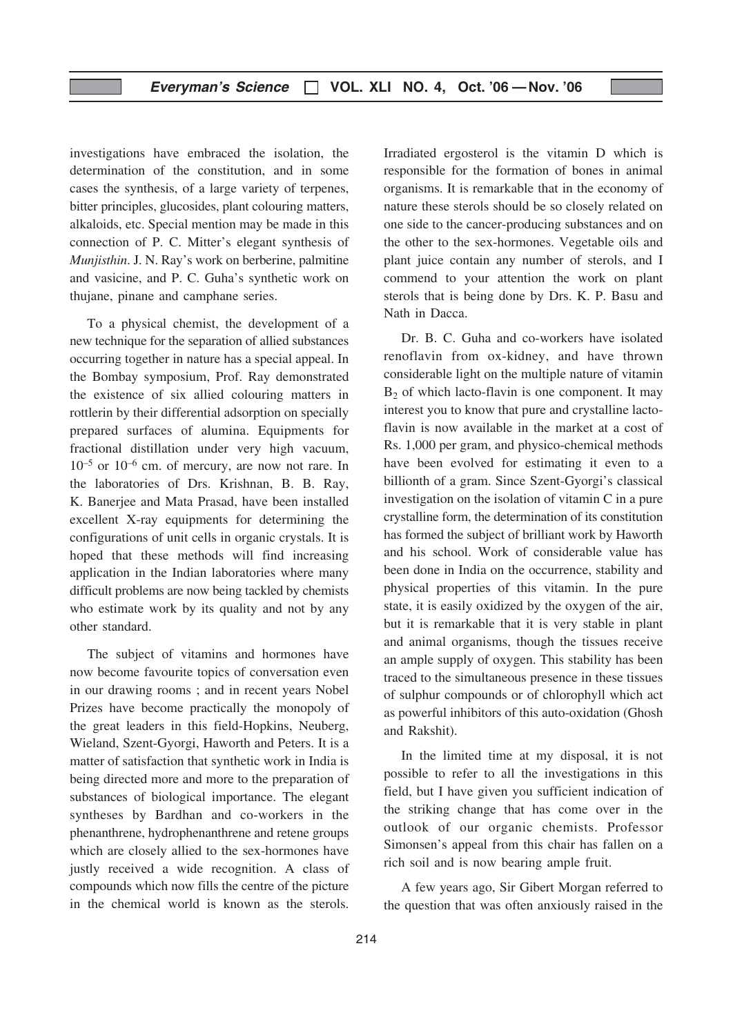investigations have embraced the isolation, the determination of the constitution, and in some cases the synthesis, of a large variety of terpenes, bitter principles, glucosides, plant colouring matters, alkaloids, etc. Special mention may be made in this connection of P. C. Mitter's elegant synthesis of Munjisthin. J. N. Ray's work on berberine, palmitine and vasicine, and P. C. Guha's synthetic work on thujane, pinane and camphane series.

To a physical chemist, the development of a new technique for the separation of allied substances occurring together in nature has a special appeal. In the Bombay symposium, Prof. Ray demonstrated the existence of six allied colouring matters in rottlerin by their differential adsorption on specially prepared surfaces of alumina. Equipments for fractional distillation under very high vacuum, 10–5 or 10–6 cm. of mercury, are now not rare. In the laboratories of Drs. Krishnan, B. B. Ray, K. Banerjee and Mata Prasad, have been installed excellent X-ray equipments for determining the configurations of unit cells in organic crystals. It is hoped that these methods will find increasing application in the Indian laboratories where many difficult problems are now being tackled by chemists who estimate work by its quality and not by any other standard.

The subject of vitamins and hormones have now become favourite topics of conversation even in our drawing rooms ; and in recent years Nobel Prizes have become practically the monopoly of the great leaders in this field-Hopkins, Neuberg, Wieland, Szent-Gyorgi, Haworth and Peters. It is a matter of satisfaction that synthetic work in India is being directed more and more to the preparation of substances of biological importance. The elegant syntheses by Bardhan and co-workers in the phenanthrene, hydrophenanthrene and retene groups which are closely allied to the sex-hormones have justly received a wide recognition. A class of compounds which now fills the centre of the picture in the chemical world is known as the sterols.

Irradiated ergosterol is the vitamin D which is responsible for the formation of bones in animal organisms. It is remarkable that in the economy of nature these sterols should be so closely related on one side to the cancer-producing substances and on the other to the sex-hormones. Vegetable oils and plant juice contain any number of sterols, and I commend to your attention the work on plant sterols that is being done by Drs. K. P. Basu and Nath in Dacca.

Dr. B. C. Guha and co-workers have isolated renoflavin from ox-kidney, and have thrown considerable light on the multiple nature of vitamin  $B<sub>2</sub>$  of which lacto-flavin is one component. It may interest you to know that pure and crystalline lactoflavin is now available in the market at a cost of Rs. 1,000 per gram, and physico-chemical methods have been evolved for estimating it even to a billionth of a gram. Since Szent-Gyorgi's classical investigation on the isolation of vitamin C in a pure crystalline form, the determination of its constitution has formed the subject of brilliant work by Haworth and his school. Work of considerable value has been done in India on the occurrence, stability and physical properties of this vitamin. In the pure state, it is easily oxidized by the oxygen of the air, but it is remarkable that it is very stable in plant and animal organisms, though the tissues receive an ample supply of oxygen. This stability has been traced to the simultaneous presence in these tissues of sulphur compounds or of chlorophyll which act as powerful inhibitors of this auto-oxidation (Ghosh and Rakshit).

In the limited time at my disposal, it is not possible to refer to all the investigations in this field, but I have given you sufficient indication of the striking change that has come over in the outlook of our organic chemists. Professor Simonsen's appeal from this chair has fallen on a rich soil and is now bearing ample fruit.

A few years ago, Sir Gibert Morgan referred to the question that was often anxiously raised in the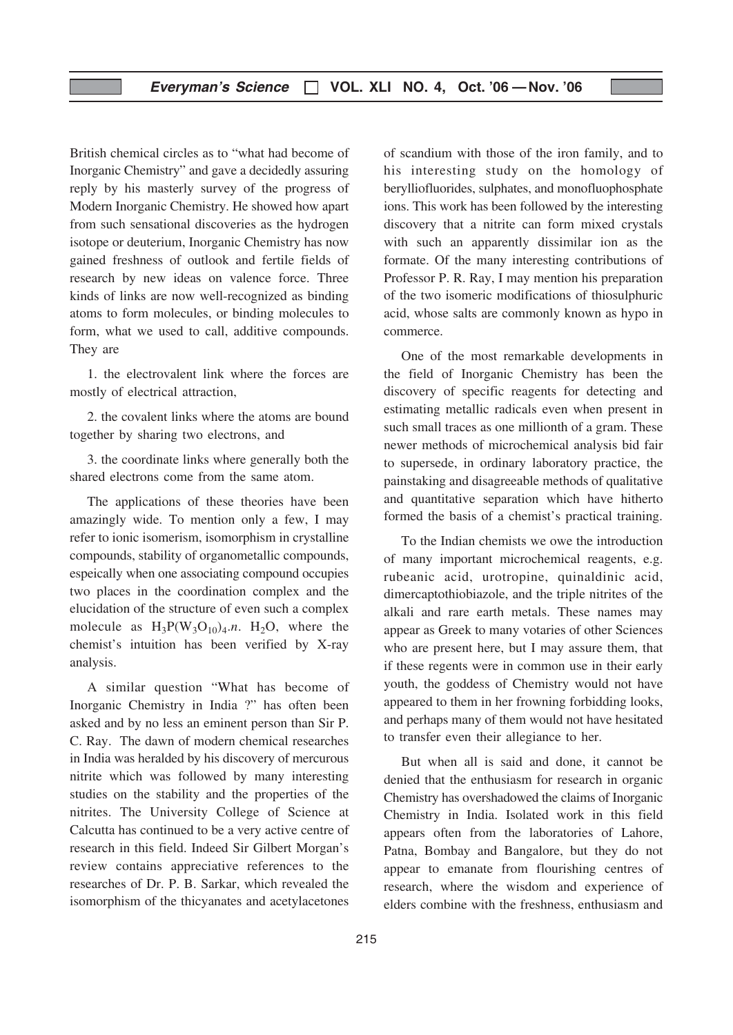British chemical circles as to "what had become of Inorganic Chemistry" and gave a decidedly assuring reply by his masterly survey of the progress of Modern Inorganic Chemistry. He showed how apart from such sensational discoveries as the hydrogen isotope or deuterium, Inorganic Chemistry has now gained freshness of outlook and fertile fields of research by new ideas on valence force. Three kinds of links are now well-recognized as binding atoms to form molecules, or binding molecules to form, what we used to call, additive compounds. They are

1. the electrovalent link where the forces are mostly of electrical attraction,

2. the covalent links where the atoms are bound together by sharing two electrons, and

3. the coordinate links where generally both the shared electrons come from the same atom.

The applications of these theories have been amazingly wide. To mention only a few, I may refer to ionic isomerism, isomorphism in crystalline compounds, stability of organometallic compounds, espeically when one associating compound occupies two places in the coordination complex and the elucidation of the structure of even such a complex molecule as  $H_3P(W_3O_{10})_4.n. H_2O$ , where the chemist's intuition has been verified by X-ray analysis.

A similar question "What has become of Inorganic Chemistry in India ?" has often been asked and by no less an eminent person than Sir P. C. Ray. The dawn of modern chemical researches in India was heralded by his discovery of mercurous nitrite which was followed by many interesting studies on the stability and the properties of the nitrites. The University College of Science at Calcutta has continued to be a very active centre of research in this field. Indeed Sir Gilbert Morgan's review contains appreciative references to the researches of Dr. P. B. Sarkar, which revealed the isomorphism of the thicyanates and acetylacetones

of scandium with those of the iron family, and to his interesting study on the homology of berylliofluorides, sulphates, and monofluophosphate ions. This work has been followed by the interesting discovery that a nitrite can form mixed crystals with such an apparently dissimilar ion as the formate. Of the many interesting contributions of Professor P. R. Ray, I may mention his preparation of the two isomeric modifications of thiosulphuric acid, whose salts are commonly known as hypo in commerce.

One of the most remarkable developments in the field of Inorganic Chemistry has been the discovery of specific reagents for detecting and estimating metallic radicals even when present in such small traces as one millionth of a gram. These newer methods of microchemical analysis bid fair to supersede, in ordinary laboratory practice, the painstaking and disagreeable methods of qualitative and quantitative separation which have hitherto formed the basis of a chemist's practical training.

To the Indian chemists we owe the introduction of many important microchemical reagents, e.g. rubeanic acid, urotropine, quinaldinic acid, dimercaptothiobiazole, and the triple nitrites of the alkali and rare earth metals. These names may appear as Greek to many votaries of other Sciences who are present here, but I may assure them, that if these regents were in common use in their early youth, the goddess of Chemistry would not have appeared to them in her frowning forbidding looks, and perhaps many of them would not have hesitated to transfer even their allegiance to her.

But when all is said and done, it cannot be denied that the enthusiasm for research in organic Chemistry has overshadowed the claims of Inorganic Chemistry in India. Isolated work in this field appears often from the laboratories of Lahore, Patna, Bombay and Bangalore, but they do not appear to emanate from flourishing centres of research, where the wisdom and experience of elders combine with the freshness, enthusiasm and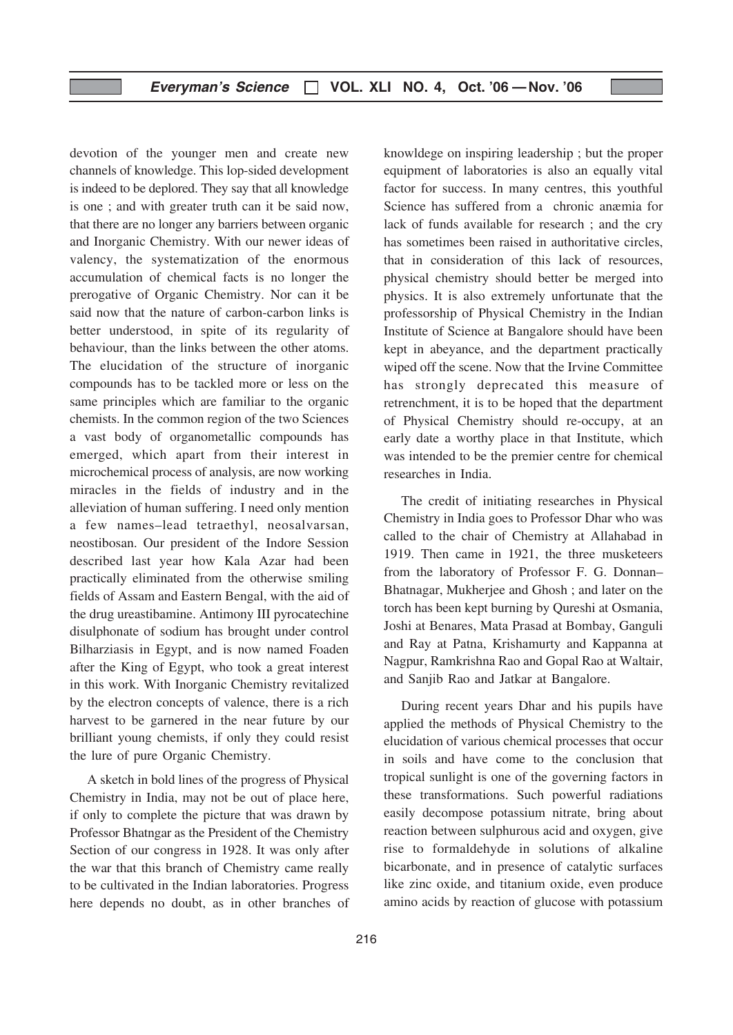devotion of the younger men and create new channels of knowledge. This lop-sided development is indeed to be deplored. They say that all knowledge is one ; and with greater truth can it be said now, that there are no longer any barriers between organic and Inorganic Chemistry. With our newer ideas of valency, the systematization of the enormous accumulation of chemical facts is no longer the prerogative of Organic Chemistry. Nor can it be said now that the nature of carbon-carbon links is better understood, in spite of its regularity of behaviour, than the links between the other atoms. The elucidation of the structure of inorganic compounds has to be tackled more or less on the same principles which are familiar to the organic chemists. In the common region of the two Sciences a vast body of organometallic compounds has emerged, which apart from their interest in microchemical process of analysis, are now working miracles in the fields of industry and in the alleviation of human suffering. I need only mention a few names–lead tetraethyl, neosalvarsan, neostibosan. Our president of the Indore Session described last year how Kala Azar had been practically eliminated from the otherwise smiling fields of Assam and Eastern Bengal, with the aid of the drug ureastibamine. Antimony III pyrocatechine disulphonate of sodium has brought under control Bilharziasis in Egypt, and is now named Foaden after the King of Egypt, who took a great interest in this work. With Inorganic Chemistry revitalized by the electron concepts of valence, there is a rich harvest to be garnered in the near future by our brilliant young chemists, if only they could resist the lure of pure Organic Chemistry.

A sketch in bold lines of the progress of Physical Chemistry in India, may not be out of place here, if only to complete the picture that was drawn by Professor Bhatngar as the President of the Chemistry Section of our congress in 1928. It was only after the war that this branch of Chemistry came really to be cultivated in the Indian laboratories. Progress here depends no doubt, as in other branches of

216

knowldege on inspiring leadership ; but the proper equipment of laboratories is also an equally vital factor for success. In many centres, this youthful Science has suffered from a chronic anæmia for lack of funds available for research ; and the cry has sometimes been raised in authoritative circles, that in consideration of this lack of resources, physical chemistry should better be merged into physics. It is also extremely unfortunate that the professorship of Physical Chemistry in the Indian Institute of Science at Bangalore should have been kept in abeyance, and the department practically wiped off the scene. Now that the Irvine Committee has strongly deprecated this measure of retrenchment, it is to be hoped that the department of Physical Chemistry should re-occupy, at an early date a worthy place in that Institute, which was intended to be the premier centre for chemical researches in India.

The credit of initiating researches in Physical Chemistry in India goes to Professor Dhar who was called to the chair of Chemistry at Allahabad in 1919. Then came in 1921, the three musketeers from the laboratory of Professor F. G. Donnan– Bhatnagar, Mukherjee and Ghosh ; and later on the torch has been kept burning by Qureshi at Osmania, Joshi at Benares, Mata Prasad at Bombay, Ganguli and Ray at Patna, Krishamurty and Kappanna at Nagpur, Ramkrishna Rao and Gopal Rao at Waltair, and Sanjib Rao and Jatkar at Bangalore.

During recent years Dhar and his pupils have applied the methods of Physical Chemistry to the elucidation of various chemical processes that occur in soils and have come to the conclusion that tropical sunlight is one of the governing factors in these transformations. Such powerful radiations easily decompose potassium nitrate, bring about reaction between sulphurous acid and oxygen, give rise to formaldehyde in solutions of alkaline bicarbonate, and in presence of catalytic surfaces like zinc oxide, and titanium oxide, even produce amino acids by reaction of glucose with potassium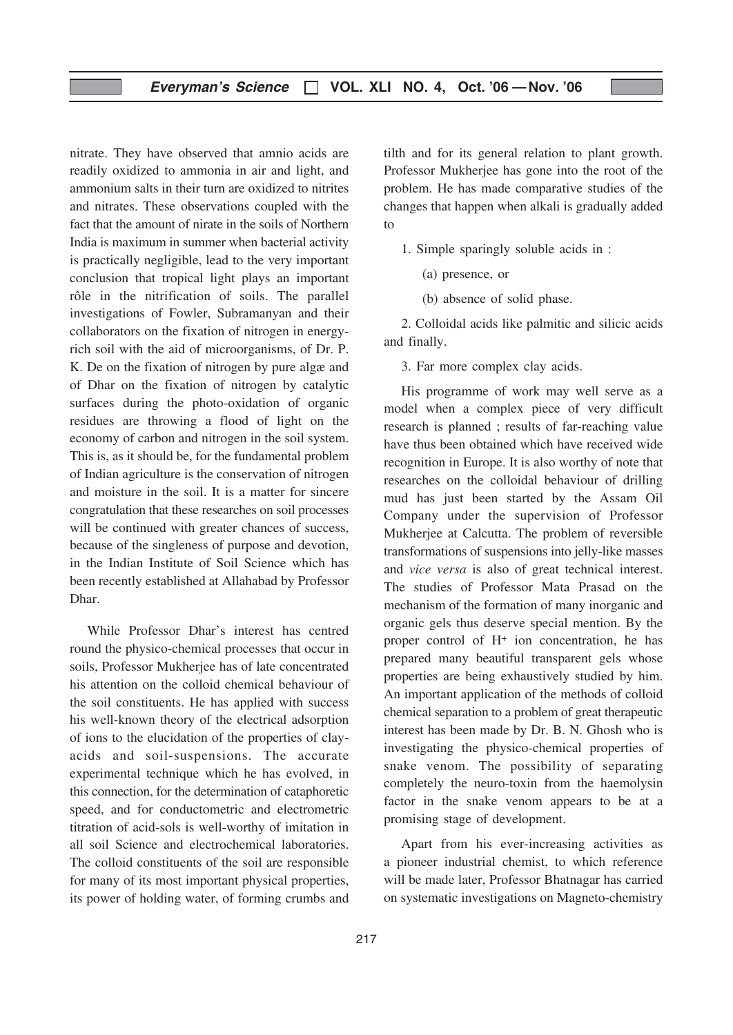nitrate. They have observed that amnio acids are readily oxidized to ammonia in air and light, and ammonium salts in their turn are oxidized to nitrites and nitrates. These observations coupled with the fact that the amount of nirate in the soils of Northern India is maximum in summer when bacterial activity is practically negligible, lead to the very important conclusion that tropical light plays an important rôle in the nitrification of soils. The parallel investigations of Fowler, Subramanyan and their collaborators on the fixation of nitrogen in energyrich soil with the aid of microorganisms, of Dr. P. K. De on the fixation of nitrogen by pure algæ and of Dhar on the fixation of nitrogen by catalytic surfaces during the photo-oxidation of organic residues are throwing a flood of light on the economy of carbon and nitrogen in the soil system. This is, as it should be, for the fundamental problem of Indian agriculture is the conservation of nitrogen and moisture in the soil. It is a matter for sincere congratulation that these researches on soil processes will be continued with greater chances of success, because of the singleness of purpose and devotion, in the Indian Institute of Soil Science which has been recently established at Allahabad by Professor Dhar.

While Professor Dhar's interest has centred round the physico-chemical processes that occur in soils, Professor Mukherjee has of late concentrated his attention on the colloid chemical behaviour of the soil constituents. He has applied with success his well-known theory of the electrical adsorption of ions to the elucidation of the properties of clayacids and soil-suspensions. The accurate experimental technique which he has evolved, in this connection, for the determination of cataphoretic speed, and for conductometric and electrometric titration of acid-sols is well-worthy of imitation in all soil Science and electrochemical laboratories. The colloid constituents of the soil are responsible for many of its most important physical properties, its power of holding water, of forming crumbs and

tilth and for its general relation to plant growth. Professor Mukherjee has gone into the root of the problem. He has made comparative studies of the changes that happen when alkali is gradually added to

1. Simple sparingly soluble acids in :

- (a) presence, or
- (b) absence of solid phase.

2. Colloidal acids like palmitic and silicic acids and finally.

3. Far more complex clay acids.

His programme of work may well serve as a model when a complex piece of very difficult research is planned ; results of far-reaching value have thus been obtained which have received wide recognition in Europe. It is also worthy of note that researches on the colloidal behaviour of drilling mud has just been started by the Assam Oil Company under the supervision of Professor Mukherjee at Calcutta. The problem of reversible transformations of suspensions into jelly-like masses and vice versa is also of great technical interest. The studies of Professor Mata Prasad on the mechanism of the formation of many inorganic and organic gels thus deserve special mention. By the proper control of H+ ion concentration, he has prepared many beautiful transparent gels whose properties are being exhaustively studied by him. An important application of the methods of colloid chemical separation to a problem of great therapeutic interest has been made by Dr. B. N. Ghosh who is investigating the physico-chemical properties of snake venom. The possibility of separating completely the neuro-toxin from the haemolysin factor in the snake venom appears to be at a promising stage of development.

Apart from his ever-increasing activities as a pioneer industrial chemist, to which reference will be made later, Professor Bhatnagar has carried on systematic investigations on Magneto-chemistry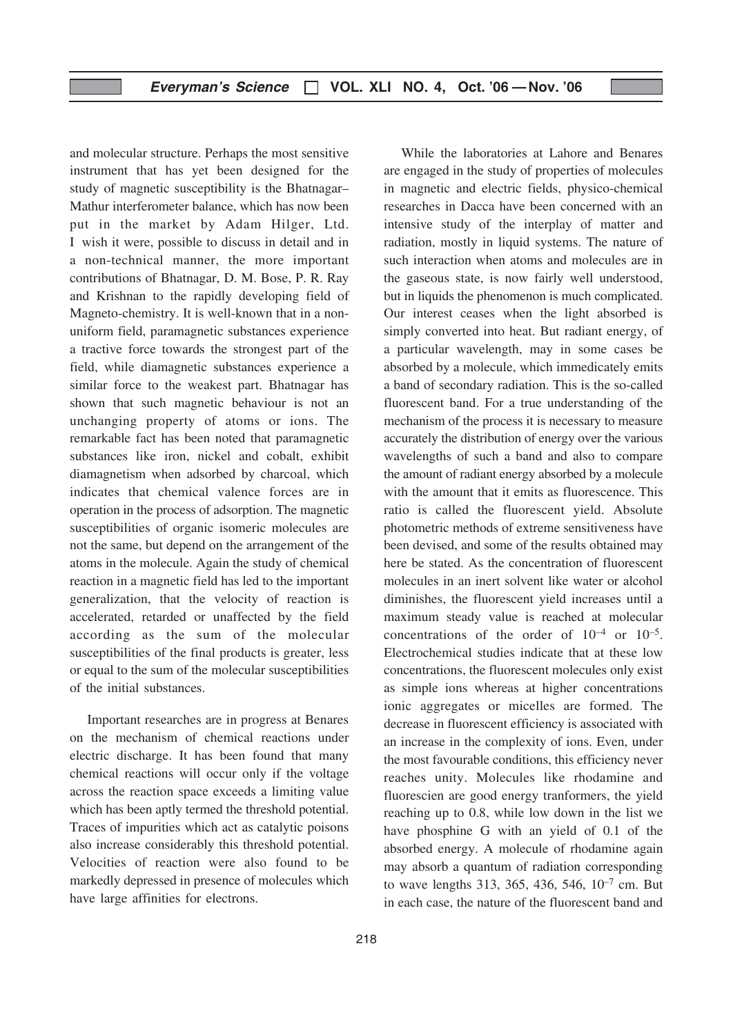and molecular structure. Perhaps the most sensitive instrument that has yet been designed for the study of magnetic susceptibility is the Bhatnagar– Mathur interferometer balance, which has now been put in the market by Adam Hilger, Ltd. I wish it were, possible to discuss in detail and in a non-technical manner, the more important contributions of Bhatnagar, D. M. Bose, P. R. Ray and Krishnan to the rapidly developing field of Magneto-chemistry. It is well-known that in a nonuniform field, paramagnetic substances experience a tractive force towards the strongest part of the field, while diamagnetic substances experience a similar force to the weakest part. Bhatnagar has shown that such magnetic behaviour is not an unchanging property of atoms or ions. The remarkable fact has been noted that paramagnetic substances like iron, nickel and cobalt, exhibit diamagnetism when adsorbed by charcoal, which indicates that chemical valence forces are in operation in the process of adsorption. The magnetic susceptibilities of organic isomeric molecules are not the same, but depend on the arrangement of the atoms in the molecule. Again the study of chemical reaction in a magnetic field has led to the important generalization, that the velocity of reaction is accelerated, retarded or unaffected by the field according as the sum of the molecular susceptibilities of the final products is greater, less or equal to the sum of the molecular susceptibilities of the initial substances.

Important researches are in progress at Benares on the mechanism of chemical reactions under electric discharge. It has been found that many chemical reactions will occur only if the voltage across the reaction space exceeds a limiting value which has been aptly termed the threshold potential. Traces of impurities which act as catalytic poisons also increase considerably this threshold potential. Velocities of reaction were also found to be markedly depressed in presence of molecules which have large affinities for electrons.

218

While the laboratories at Lahore and Benares are engaged in the study of properties of molecules in magnetic and electric fields, physico-chemical researches in Dacca have been concerned with an intensive study of the interplay of matter and radiation, mostly in liquid systems. The nature of such interaction when atoms and molecules are in the gaseous state, is now fairly well understood, but in liquids the phenomenon is much complicated. Our interest ceases when the light absorbed is simply converted into heat. But radiant energy, of a particular wavelength, may in some cases be absorbed by a molecule, which immedicately emits a band of secondary radiation. This is the so-called fluorescent band. For a true understanding of the mechanism of the process it is necessary to measure accurately the distribution of energy over the various wavelengths of such a band and also to compare the amount of radiant energy absorbed by a molecule with the amount that it emits as fluorescence. This ratio is called the fluorescent yield. Absolute photometric methods of extreme sensitiveness have been devised, and some of the results obtained may here be stated. As the concentration of fluorescent molecules in an inert solvent like water or alcohol diminishes, the fluorescent yield increases until a maximum steady value is reached at molecular concentrations of the order of  $10^{-4}$  or  $10^{-5}$ . Electrochemical studies indicate that at these low concentrations, the fluorescent molecules only exist as simple ions whereas at higher concentrations ionic aggregates or micelles are formed. The decrease in fluorescent efficiency is associated with an increase in the complexity of ions. Even, under the most favourable conditions, this efficiency never reaches unity. Molecules like rhodamine and fluorescien are good energy tranformers, the yield reaching up to 0.8, while low down in the list we have phosphine G with an yield of 0.1 of the absorbed energy. A molecule of rhodamine again may absorb a quantum of radiation corresponding to wave lengths 313, 365, 436, 546, 10–7 cm. But in each case, the nature of the fluorescent band and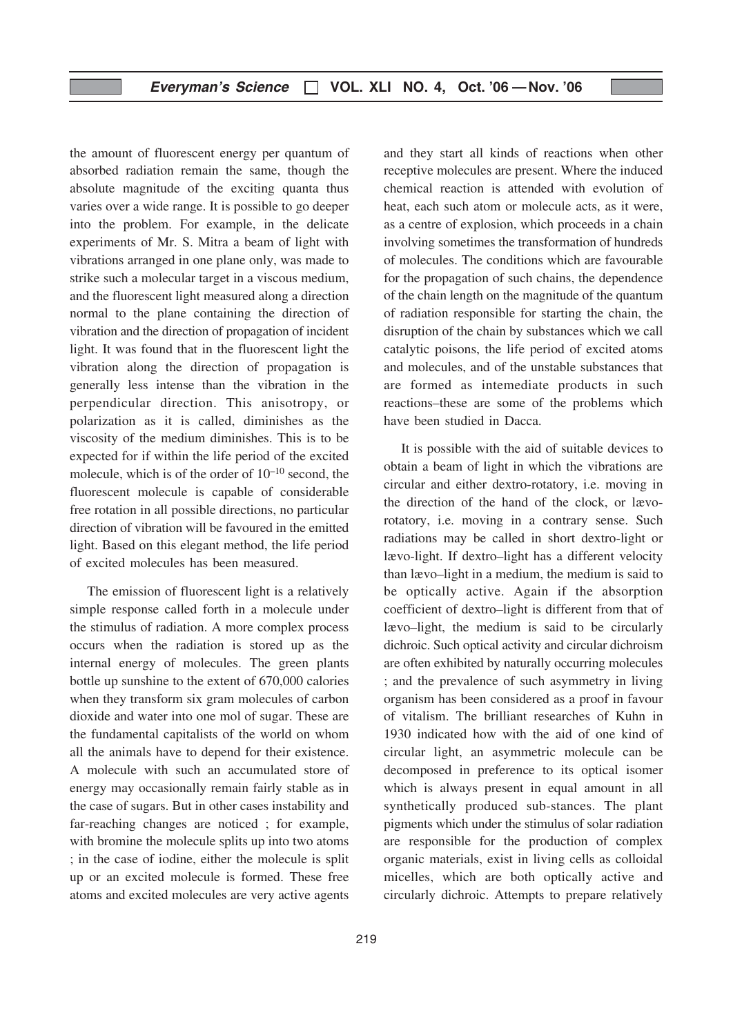the amount of fluorescent energy per quantum of absorbed radiation remain the same, though the absolute magnitude of the exciting quanta thus varies over a wide range. It is possible to go deeper into the problem. For example, in the delicate experiments of Mr. S. Mitra a beam of light with vibrations arranged in one plane only, was made to strike such a molecular target in a viscous medium, and the fluorescent light measured along a direction normal to the plane containing the direction of vibration and the direction of propagation of incident light. It was found that in the fluorescent light the vibration along the direction of propagation is generally less intense than the vibration in the perpendicular direction. This anisotropy, or polarization as it is called, diminishes as the viscosity of the medium diminishes. This is to be expected for if within the life period of the excited molecule, which is of the order of  $10^{-10}$  second, the fluorescent molecule is capable of considerable free rotation in all possible directions, no particular direction of vibration will be favoured in the emitted light. Based on this elegant method, the life period of excited molecules has been measured.

The emission of fluorescent light is a relatively simple response called forth in a molecule under the stimulus of radiation. A more complex process occurs when the radiation is stored up as the internal energy of molecules. The green plants bottle up sunshine to the extent of 670,000 calories when they transform six gram molecules of carbon dioxide and water into one mol of sugar. These are the fundamental capitalists of the world on whom all the animals have to depend for their existence. A molecule with such an accumulated store of energy may occasionally remain fairly stable as in the case of sugars. But in other cases instability and far-reaching changes are noticed ; for example, with bromine the molecule splits up into two atoms ; in the case of iodine, either the molecule is split up or an excited molecule is formed. These free atoms and excited molecules are very active agents

receptive molecules are present. Where the induced chemical reaction is attended with evolution of heat, each such atom or molecule acts, as it were, as a centre of explosion, which proceeds in a chain involving sometimes the transformation of hundreds of molecules. The conditions which are favourable for the propagation of such chains, the dependence of the chain length on the magnitude of the quantum of radiation responsible for starting the chain, the disruption of the chain by substances which we call catalytic poisons, the life period of excited atoms and molecules, and of the unstable substances that are formed as intemediate products in such reactions–these are some of the problems which have been studied in Dacca. It is possible with the aid of suitable devices to

and they start all kinds of reactions when other

obtain a beam of light in which the vibrations are circular and either dextro-rotatory, i.e. moving in the direction of the hand of the clock, or lævorotatory, i.e. moving in a contrary sense. Such radiations may be called in short dextro-light or lævo-light. If dextro–light has a different velocity than lævo–light in a medium, the medium is said to be optically active. Again if the absorption coefficient of dextro–light is different from that of lævo–light, the medium is said to be circularly dichroic. Such optical activity and circular dichroism are often exhibited by naturally occurring molecules ; and the prevalence of such asymmetry in living organism has been considered as a proof in favour of vitalism. The brilliant researches of Kuhn in 1930 indicated how with the aid of one kind of circular light, an asymmetric molecule can be decomposed in preference to its optical isomer which is always present in equal amount in all synthetically produced sub-stances. The plant pigments which under the stimulus of solar radiation are responsible for the production of complex organic materials, exist in living cells as colloidal micelles, which are both optically active and circularly dichroic. Attempts to prepare relatively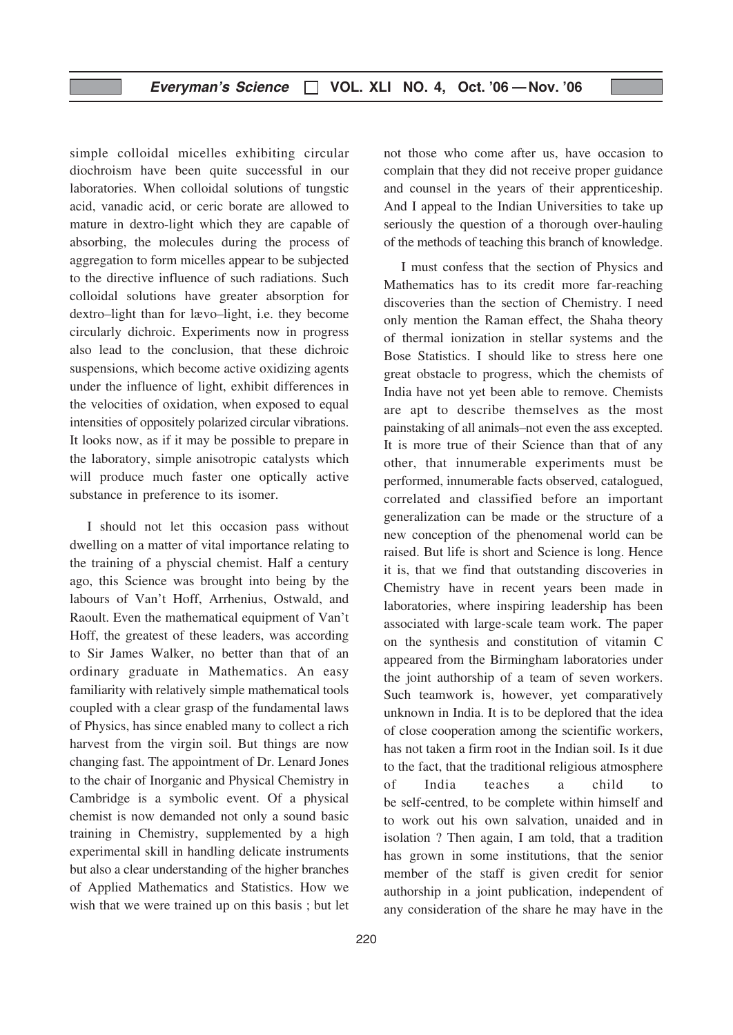simple colloidal micelles exhibiting circular diochroism have been quite successful in our laboratories. When colloidal solutions of tungstic acid, vanadic acid, or ceric borate are allowed to mature in dextro-light which they are capable of absorbing, the molecules during the process of aggregation to form micelles appear to be subjected to the directive influence of such radiations. Such colloidal solutions have greater absorption for dextro–light than for lævo–light, i.e. they become circularly dichroic. Experiments now in progress also lead to the conclusion, that these dichroic suspensions, which become active oxidizing agents under the influence of light, exhibit differences in the velocities of oxidation, when exposed to equal intensities of oppositely polarized circular vibrations. It looks now, as if it may be possible to prepare in the laboratory, simple anisotropic catalysts which will produce much faster one optically active substance in preference to its isomer.

I should not let this occasion pass without dwelling on a matter of vital importance relating to the training of a physcial chemist. Half a century ago, this Science was brought into being by the labours of Van't Hoff, Arrhenius, Ostwald, and Raoult. Even the mathematical equipment of Van't Hoff, the greatest of these leaders, was according to Sir James Walker, no better than that of an ordinary graduate in Mathematics. An easy familiarity with relatively simple mathematical tools coupled with a clear grasp of the fundamental laws of Physics, has since enabled many to collect a rich harvest from the virgin soil. But things are now changing fast. The appointment of Dr. Lenard Jones to the chair of Inorganic and Physical Chemistry in Cambridge is a symbolic event. Of a physical chemist is now demanded not only a sound basic training in Chemistry, supplemented by a high experimental skill in handling delicate instruments but also a clear understanding of the higher branches of Applied Mathematics and Statistics. How we wish that we were trained up on this basis ; but let not those who come after us, have occasion to complain that they did not receive proper guidance and counsel in the years of their apprenticeship. And I appeal to the Indian Universities to take up seriously the question of a thorough over-hauling of the methods of teaching this branch of knowledge.

I must confess that the section of Physics and Mathematics has to its credit more far-reaching discoveries than the section of Chemistry. I need only mention the Raman effect, the Shaha theory of thermal ionization in stellar systems and the Bose Statistics. I should like to stress here one great obstacle to progress, which the chemists of India have not yet been able to remove. Chemists are apt to describe themselves as the most painstaking of all animals–not even the ass excepted. It is more true of their Science than that of any other, that innumerable experiments must be performed, innumerable facts observed, catalogued, correlated and classified before an important generalization can be made or the structure of a new conception of the phenomenal world can be raised. But life is short and Science is long. Hence it is, that we find that outstanding discoveries in Chemistry have in recent years been made in laboratories, where inspiring leadership has been associated with large-scale team work. The paper on the synthesis and constitution of vitamin C appeared from the Birmingham laboratories under the joint authorship of a team of seven workers. Such teamwork is, however, yet comparatively unknown in India. It is to be deplored that the idea of close cooperation among the scientific workers, has not taken a firm root in the Indian soil. Is it due to the fact, that the traditional religious atmosphere of India teaches a child to be self-centred, to be complete within himself and to work out his own salvation, unaided and in isolation ? Then again, I am told, that a tradition has grown in some institutions, that the senior member of the staff is given credit for senior authorship in a joint publication, independent of any consideration of the share he may have in the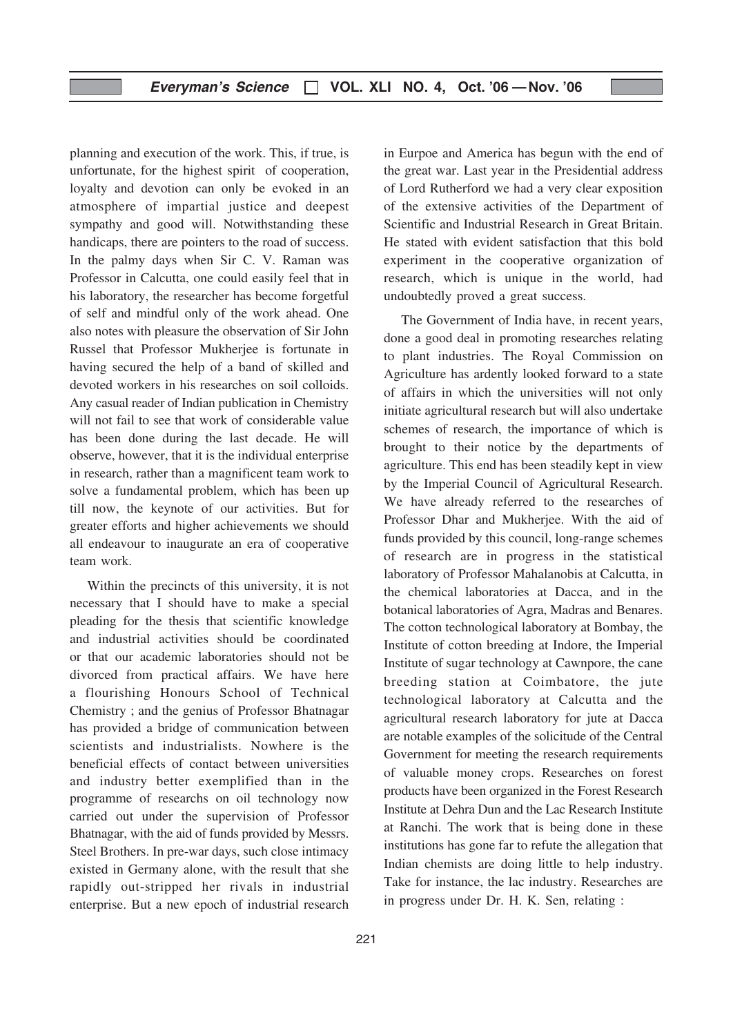planning and execution of the work. This, if true, is unfortunate, for the highest spirit of cooperation, loyalty and devotion can only be evoked in an atmosphere of impartial justice and deepest sympathy and good will. Notwithstanding these handicaps, there are pointers to the road of success. In the palmy days when Sir C. V. Raman was Professor in Calcutta, one could easily feel that in his laboratory, the researcher has become forgetful of self and mindful only of the work ahead. One also notes with pleasure the observation of Sir John Russel that Professor Mukherjee is fortunate in having secured the help of a band of skilled and devoted workers in his researches on soil colloids. Any casual reader of Indian publication in Chemistry will not fail to see that work of considerable value has been done during the last decade. He will observe, however, that it is the individual enterprise in research, rather than a magnificent team work to solve a fundamental problem, which has been up till now, the keynote of our activities. But for greater efforts and higher achievements we should all endeavour to inaugurate an era of cooperative team work.

Within the precincts of this university, it is not necessary that I should have to make a special pleading for the thesis that scientific knowledge and industrial activities should be coordinated or that our academic laboratories should not be divorced from practical affairs. We have here a flourishing Honours School of Technical Chemistry ; and the genius of Professor Bhatnagar has provided a bridge of communication between scientists and industrialists. Nowhere is the beneficial effects of contact between universities and industry better exemplified than in the programme of researchs on oil technology now carried out under the supervision of Professor Bhatnagar, with the aid of funds provided by Messrs. Steel Brothers. In pre-war days, such close intimacy existed in Germany alone, with the result that she rapidly out-stripped her rivals in industrial enterprise. But a new epoch of industrial research

in Eurpoe and America has begun with the end of the great war. Last year in the Presidential address of Lord Rutherford we had a very clear exposition of the extensive activities of the Department of Scientific and Industrial Research in Great Britain. He stated with evident satisfaction that this bold experiment in the cooperative organization of research, which is unique in the world, had undoubtedly proved a great success.

The Government of India have, in recent years, done a good deal in promoting researches relating to plant industries. The Royal Commission on Agriculture has ardently looked forward to a state of affairs in which the universities will not only initiate agricultural research but will also undertake schemes of research, the importance of which is brought to their notice by the departments of agriculture. This end has been steadily kept in view by the Imperial Council of Agricultural Research. We have already referred to the researches of Professor Dhar and Mukherjee. With the aid of funds provided by this council, long-range schemes of research are in progress in the statistical laboratory of Professor Mahalanobis at Calcutta, in the chemical laboratories at Dacca, and in the botanical laboratories of Agra, Madras and Benares. The cotton technological laboratory at Bombay, the Institute of cotton breeding at Indore, the Imperial Institute of sugar technology at Cawnpore, the cane breeding station at Coimbatore, the jute technological laboratory at Calcutta and the agricultural research laboratory for jute at Dacca are notable examples of the solicitude of the Central Government for meeting the research requirements of valuable money crops. Researches on forest products have been organized in the Forest Research Institute at Dehra Dun and the Lac Research Institute at Ranchi. The work that is being done in these institutions has gone far to refute the allegation that Indian chemists are doing little to help industry. Take for instance, the lac industry. Researches are in progress under Dr. H. K. Sen, relating :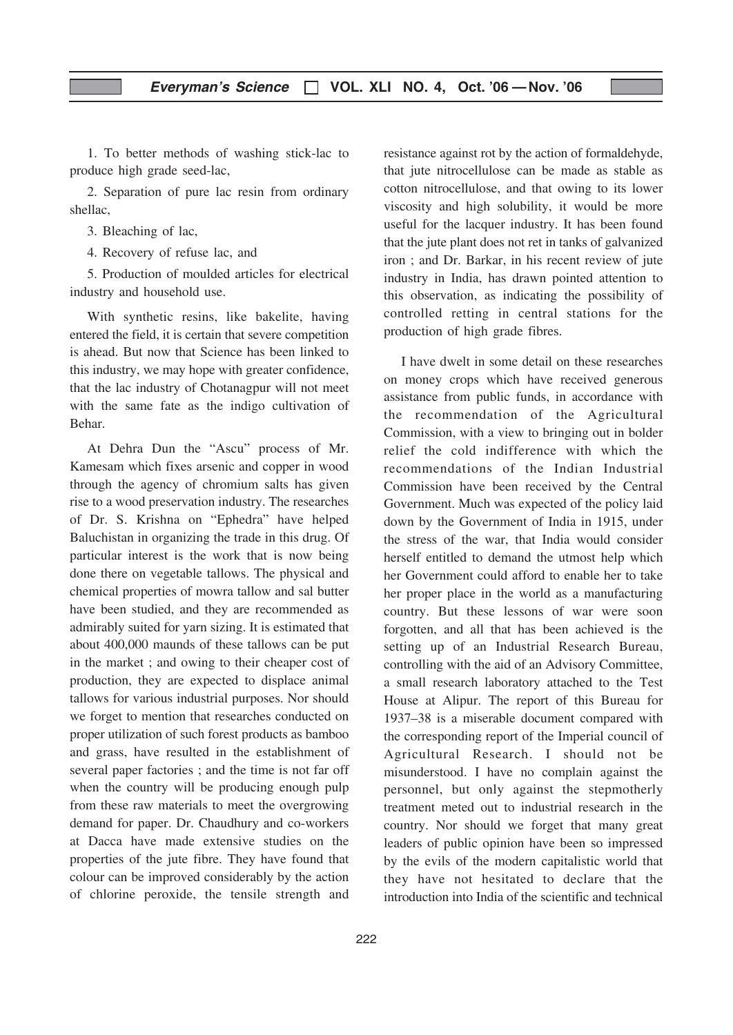1. To better methods of washing stick-lac to produce high grade seed-lac,

2. Separation of pure lac resin from ordinary shellac,

3. Bleaching of lac,

4. Recovery of refuse lac, and

5. Production of moulded articles for electrical industry and household use.

With synthetic resins, like bakelite, having entered the field, it is certain that severe competition is ahead. But now that Science has been linked to this industry, we may hope with greater confidence, that the lac industry of Chotanagpur will not meet with the same fate as the indigo cultivation of Behar.

At Dehra Dun the "Ascu" process of Mr. Kamesam which fixes arsenic and copper in wood through the agency of chromium salts has given rise to a wood preservation industry. The researches of Dr. S. Krishna on "Ephedra" have helped Baluchistan in organizing the trade in this drug. Of particular interest is the work that is now being done there on vegetable tallows. The physical and chemical properties of mowra tallow and sal butter have been studied, and they are recommended as admirably suited for yarn sizing. It is estimated that about 400,000 maunds of these tallows can be put in the market ; and owing to their cheaper cost of production, they are expected to displace animal tallows for various industrial purposes. Nor should we forget to mention that researches conducted on proper utilization of such forest products as bamboo and grass, have resulted in the establishment of several paper factories ; and the time is not far off when the country will be producing enough pulp from these raw materials to meet the overgrowing demand for paper. Dr. Chaudhury and co-workers at Dacca have made extensive studies on the properties of the jute fibre. They have found that colour can be improved considerably by the action of chlorine peroxide, the tensile strength and

resistance against rot by the action of formaldehyde, that jute nitrocellulose can be made as stable as cotton nitrocellulose, and that owing to its lower viscosity and high solubility, it would be more useful for the lacquer industry. It has been found that the jute plant does not ret in tanks of galvanized iron ; and Dr. Barkar, in his recent review of jute industry in India, has drawn pointed attention to this observation, as indicating the possibility of controlled retting in central stations for the production of high grade fibres.

I have dwelt in some detail on these researches on money crops which have received generous assistance from public funds, in accordance with the recommendation of the Agricultural Commission, with a view to bringing out in bolder relief the cold indifference with which the recommendations of the Indian Industrial Commission have been received by the Central Government. Much was expected of the policy laid down by the Government of India in 1915, under the stress of the war, that India would consider herself entitled to demand the utmost help which her Government could afford to enable her to take her proper place in the world as a manufacturing country. But these lessons of war were soon forgotten, and all that has been achieved is the setting up of an Industrial Research Bureau, controlling with the aid of an Advisory Committee, a small research laboratory attached to the Test House at Alipur. The report of this Bureau for 1937–38 is a miserable document compared with the corresponding report of the Imperial council of Agricultural Research. I should not be misunderstood. I have no complain against the personnel, but only against the stepmotherly treatment meted out to industrial research in the country. Nor should we forget that many great leaders of public opinion have been so impressed by the evils of the modern capitalistic world that they have not hesitated to declare that the introduction into India of the scientific and technical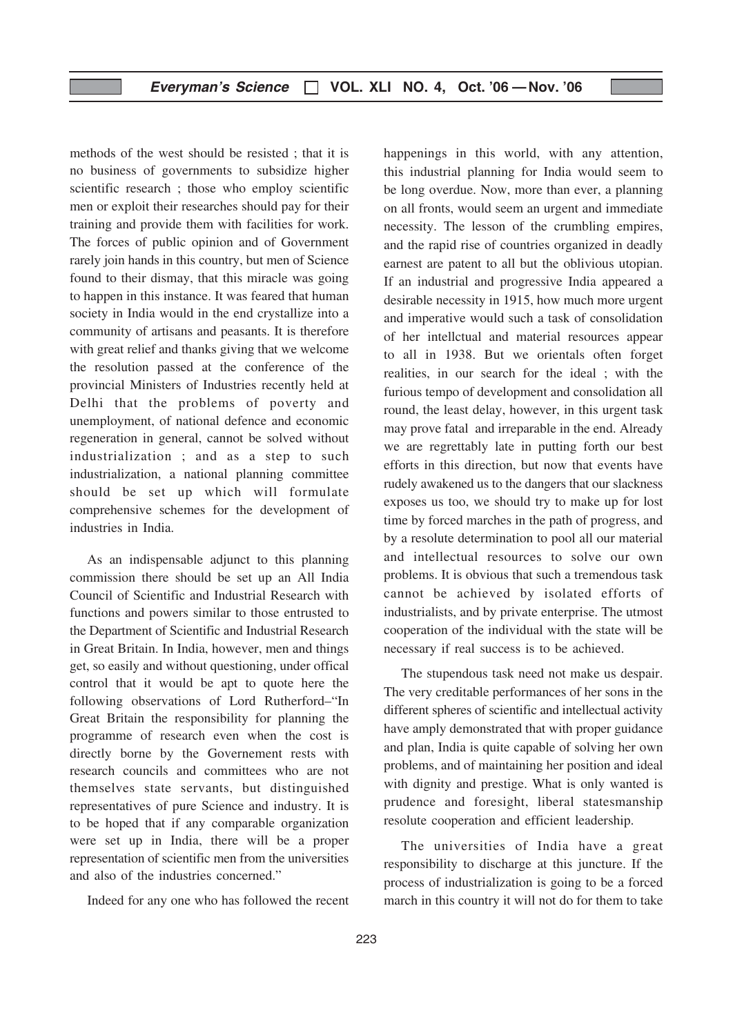methods of the west should be resisted ; that it is no business of governments to subsidize higher scientific research ; those who employ scientific men or exploit their researches should pay for their training and provide them with facilities for work. The forces of public opinion and of Government rarely join hands in this country, but men of Science found to their dismay, that this miracle was going to happen in this instance. It was feared that human society in India would in the end crystallize into a community of artisans and peasants. It is therefore with great relief and thanks giving that we welcome the resolution passed at the conference of the provincial Ministers of Industries recently held at Delhi that the problems of poverty and unemployment, of national defence and economic regeneration in general, cannot be solved without industrialization ; and as a step to such industrialization, a national planning committee should be set up which will formulate comprehensive schemes for the development of industries in India.

As an indispensable adjunct to this planning commission there should be set up an All India Council of Scientific and Industrial Research with functions and powers similar to those entrusted to the Department of Scientific and Industrial Research in Great Britain. In India, however, men and things get, so easily and without questioning, under offical control that it would be apt to quote here the following observations of Lord Rutherford–"In Great Britain the responsibility for planning the programme of research even when the cost is directly borne by the Governement rests with research councils and committees who are not themselves state servants, but distinguished representatives of pure Science and industry. It is to be hoped that if any comparable organization were set up in India, there will be a proper representation of scientific men from the universities and also of the industries concerned."

Indeed for any one who has followed the recent

happenings in this world, with any attention, this industrial planning for India would seem to be long overdue. Now, more than ever, a planning on all fronts, would seem an urgent and immediate necessity. The lesson of the crumbling empires, and the rapid rise of countries organized in deadly earnest are patent to all but the oblivious utopian. If an industrial and progressive India appeared a desirable necessity in 1915, how much more urgent and imperative would such a task of consolidation of her intellctual and material resources appear to all in 1938. But we orientals often forget realities, in our search for the ideal ; with the furious tempo of development and consolidation all round, the least delay, however, in this urgent task may prove fatal and irreparable in the end. Already we are regrettably late in putting forth our best efforts in this direction, but now that events have rudely awakened us to the dangers that our slackness exposes us too, we should try to make up for lost time by forced marches in the path of progress, and by a resolute determination to pool all our material and intellectual resources to solve our own problems. It is obvious that such a tremendous task cannot be achieved by isolated efforts of industrialists, and by private enterprise. The utmost cooperation of the individual with the state will be necessary if real success is to be achieved.

The stupendous task need not make us despair. The very creditable performances of her sons in the different spheres of scientific and intellectual activity have amply demonstrated that with proper guidance and plan, India is quite capable of solving her own problems, and of maintaining her position and ideal with dignity and prestige. What is only wanted is prudence and foresight, liberal statesmanship resolute cooperation and efficient leadership.

The universities of India have a great responsibility to discharge at this juncture. If the process of industrialization is going to be a forced march in this country it will not do for them to take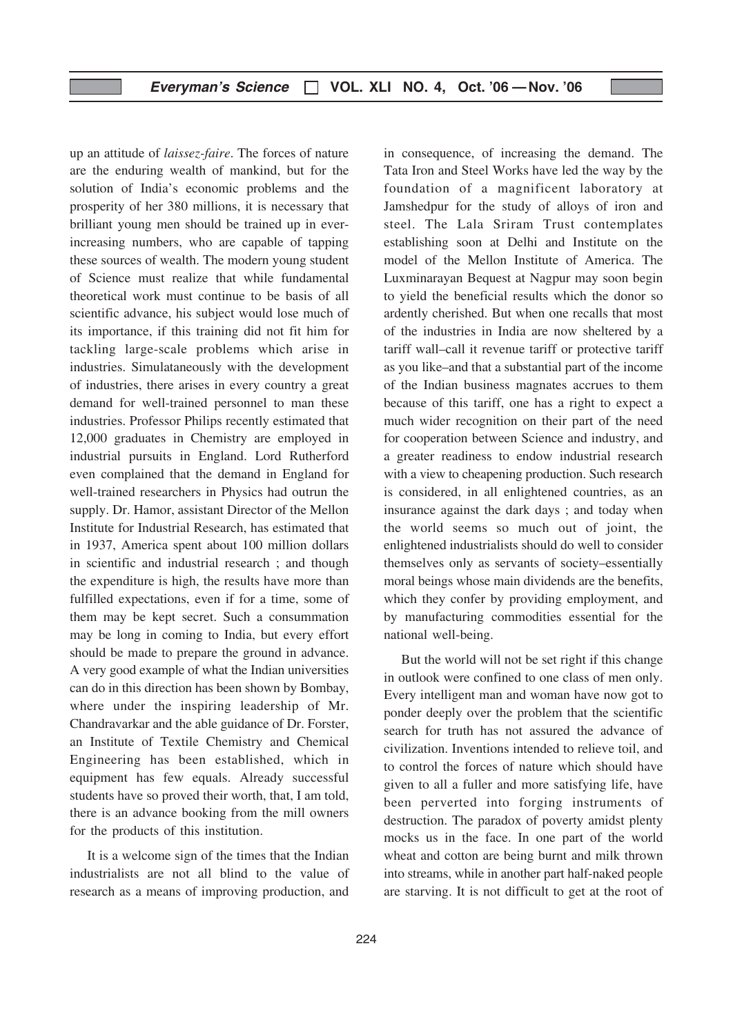up an attitude of laissez-faire. The forces of nature are the enduring wealth of mankind, but for the solution of India's economic problems and the prosperity of her 380 millions, it is necessary that brilliant young men should be trained up in everincreasing numbers, who are capable of tapping these sources of wealth. The modern young student of Science must realize that while fundamental theoretical work must continue to be basis of all scientific advance, his subject would lose much of its importance, if this training did not fit him for tackling large-scale problems which arise in industries. Simulataneously with the development of industries, there arises in every country a great demand for well-trained personnel to man these industries. Professor Philips recently estimated that 12,000 graduates in Chemistry are employed in industrial pursuits in England. Lord Rutherford even complained that the demand in England for well-trained researchers in Physics had outrun the supply. Dr. Hamor, assistant Director of the Mellon Institute for Industrial Research, has estimated that in 1937, America spent about 100 million dollars in scientific and industrial research ; and though the expenditure is high, the results have more than fulfilled expectations, even if for a time, some of them may be kept secret. Such a consummation may be long in coming to India, but every effort should be made to prepare the ground in advance. A very good example of what the Indian universities can do in this direction has been shown by Bombay, where under the inspiring leadership of Mr. Chandravarkar and the able guidance of Dr. Forster, an Institute of Textile Chemistry and Chemical Engineering has been established, which in equipment has few equals. Already successful students have so proved their worth, that, I am told, there is an advance booking from the mill owners for the products of this institution.

It is a welcome sign of the times that the Indian industrialists are not all blind to the value of research as a means of improving production, and

in consequence, of increasing the demand. The Tata Iron and Steel Works have led the way by the foundation of a magnificent laboratory at Jamshedpur for the study of alloys of iron and steel. The Lala Sriram Trust contemplates establishing soon at Delhi and Institute on the model of the Mellon Institute of America. The Luxminarayan Bequest at Nagpur may soon begin to yield the beneficial results which the donor so ardently cherished. But when one recalls that most of the industries in India are now sheltered by a tariff wall–call it revenue tariff or protective tariff as you like–and that a substantial part of the income of the Indian business magnates accrues to them because of this tariff, one has a right to expect a much wider recognition on their part of the need for cooperation between Science and industry, and a greater readiness to endow industrial research with a view to cheapening production. Such research is considered, in all enlightened countries, as an insurance against the dark days ; and today when the world seems so much out of joint, the enlightened industrialists should do well to consider themselves only as servants of society–essentially moral beings whose main dividends are the benefits, which they confer by providing employment, and by manufacturing commodities essential for the national well-being.

But the world will not be set right if this change in outlook were confined to one class of men only. Every intelligent man and woman have now got to ponder deeply over the problem that the scientific search for truth has not assured the advance of civilization. Inventions intended to relieve toil, and to control the forces of nature which should have given to all a fuller and more satisfying life, have been perverted into forging instruments of destruction. The paradox of poverty amidst plenty mocks us in the face. In one part of the world wheat and cotton are being burnt and milk thrown into streams, while in another part half-naked people are starving. It is not difficult to get at the root of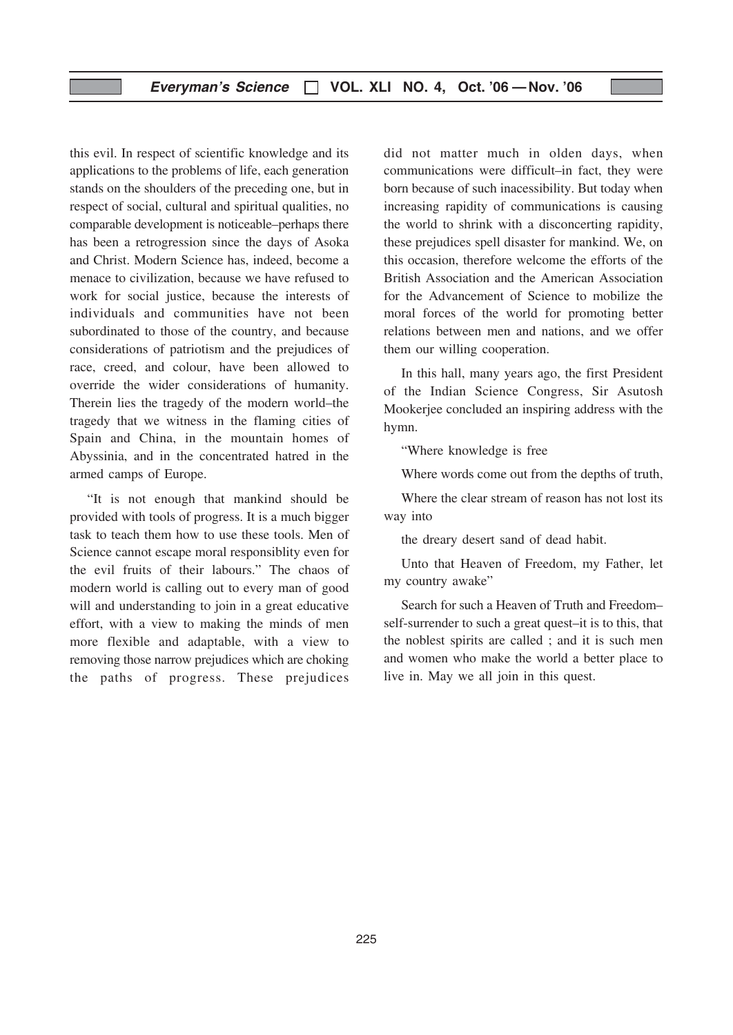this evil. In respect of scientific knowledge and its applications to the problems of life, each generation stands on the shoulders of the preceding one, but in respect of social, cultural and spiritual qualities, no comparable development is noticeable–perhaps there has been a retrogression since the days of Asoka and Christ. Modern Science has, indeed, become a menace to civilization, because we have refused to work for social justice, because the interests of individuals and communities have not been subordinated to those of the country, and because considerations of patriotism and the prejudices of race, creed, and colour, have been allowed to override the wider considerations of humanity. Therein lies the tragedy of the modern world–the tragedy that we witness in the flaming cities of Spain and China, in the mountain homes of Abyssinia, and in the concentrated hatred in the armed camps of Europe.

"It is not enough that mankind should be provided with tools of progress. It is a much bigger task to teach them how to use these tools. Men of Science cannot escape moral responsiblity even for the evil fruits of their labours." The chaos of modern world is calling out to every man of good will and understanding to join in a great educative effort, with a view to making the minds of men more flexible and adaptable, with a view to removing those narrow prejudices which are choking the paths of progress. These prejudices

did not matter much in olden days, when communications were difficult–in fact, they were born because of such inacessibility. But today when increasing rapidity of communications is causing the world to shrink with a disconcerting rapidity, these prejudices spell disaster for mankind. We, on this occasion, therefore welcome the efforts of the British Association and the American Association for the Advancement of Science to mobilize the moral forces of the world for promoting better relations between men and nations, and we offer them our willing cooperation.

In this hall, many years ago, the first President of the Indian Science Congress, Sir Asutosh Mookerjee concluded an inspiring address with the hymn.

"Where knowledge is free

Where words come out from the depths of truth,

Where the clear stream of reason has not lost its way into

the dreary desert sand of dead habit.

Unto that Heaven of Freedom, my Father, let my country awake"

Search for such a Heaven of Truth and Freedom– self-surrender to such a great quest–it is to this, that the noblest spirits are called ; and it is such men and women who make the world a better place to live in. May we all join in this quest.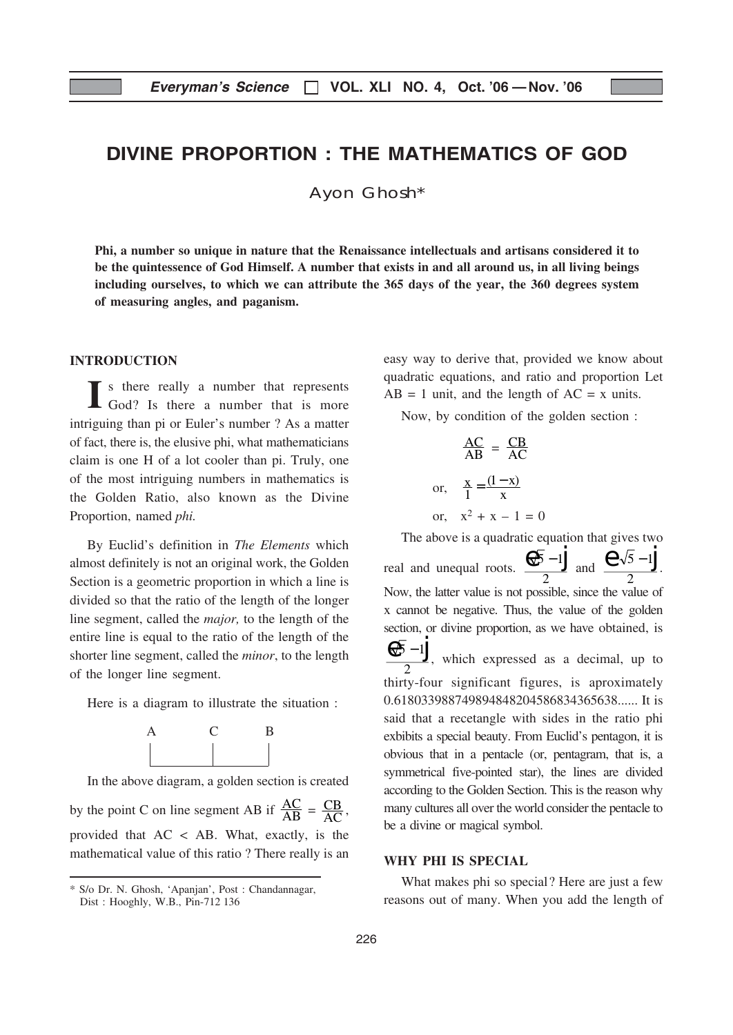## DIVINE PROPORTION : THE MATHEMATICS OF GOD

Ayon Ghosh\*

Phi, a number so unique in nature that the Renaissance intellectuals and artisans considered it to be the quintessence of God Himself. A number that exists in and all around us, in all living beings including ourselves, to which we can attribute the 365 days of the year, the 360 degrees system of measuring angles, and paganism.

#### INTRODUCTION

I s there really a number that represents God? Is there a number that is more intriguing than pi or Euler's number ? As a matter of fact, there is, the elusive phi, what mathematicians claim is one H of a lot cooler than pi. Truly, one of the most intriguing numbers in mathematics is the Golden Ratio, also known as the Divine Proportion, named phi.

By Euclid's definition in The Elements which almost definitely is not an original work, the Golden Section is a geometric proportion in which a line is divided so that the ratio of the length of the longer line segment, called the major, to the length of the entire line is equal to the ratio of the length of the shorter line segment, called the minor, to the length of the longer line segment.

Here is a diagram to illustrate the situation :



In the above diagram, a golden section is created by the point C on line segment AB if  $\frac{AC}{AB} = \frac{CB}{AC}$  $\frac{CB}{AC}$ , provided that AC < AB. What, exactly, is the

mathematical value of this ratio ? There really is an

easy way to derive that, provided we know about quadratic equations, and ratio and proportion Let  $AB = 1$  unit, and the length of  $AC = x$  units.

Now, by condition of the golden section :

$$
\frac{AC}{AB} = \frac{CB}{AC}
$$
  
or, 
$$
\frac{x}{1} = \frac{(1-x)}{x}
$$
  
or, 
$$
x^2 + x - 1 = 0
$$

The above is a quadratic equation that gives two real and unequal roots.  $\frac{R\sqrt{5}-1}{2}$  $\overline{\mathbf{c}}$  $\frac{\theta}{\sqrt{5}-1}$  and  $\frac{\theta}{\sqrt{5}-1}$  $\overline{\mathbf{c}}$  $\frac{1}{2}$   $\sqrt{5}$  - 1 Now, the latter value is not possible, since the value of x cannot be negative. Thus, the value of the golden section, or divine proportion, as we have obtained, is  $5 - 1$  $\overline{\mathbf{c}}$  $\frac{\theta \sqrt{5} - 1}{\theta}$ , which expressed as a decimal, up to thirty-four significant figures, is aproximately 0.618033988749894848204586834365638...... It is said that a recetangle with sides in the ratio phi exbibits a special beauty. From Euclid's pentagon, it is obvious that in a pentacle (or, pentagram, that is, a symmetrical five-pointed star), the lines are divided according to the Golden Section. This is the reason why many cultures all over the world consider the pentacle to be a divine or magical symbol.

#### WHY PHI IS SPECIAL

What makes phi so special? Here are just a few reasons out of many. When you add the length of

<sup>\*</sup> S/o Dr. N. Ghosh, 'Apanjan', Post : Chandannagar, Dist : Hooghly, W.B., Pin-712 136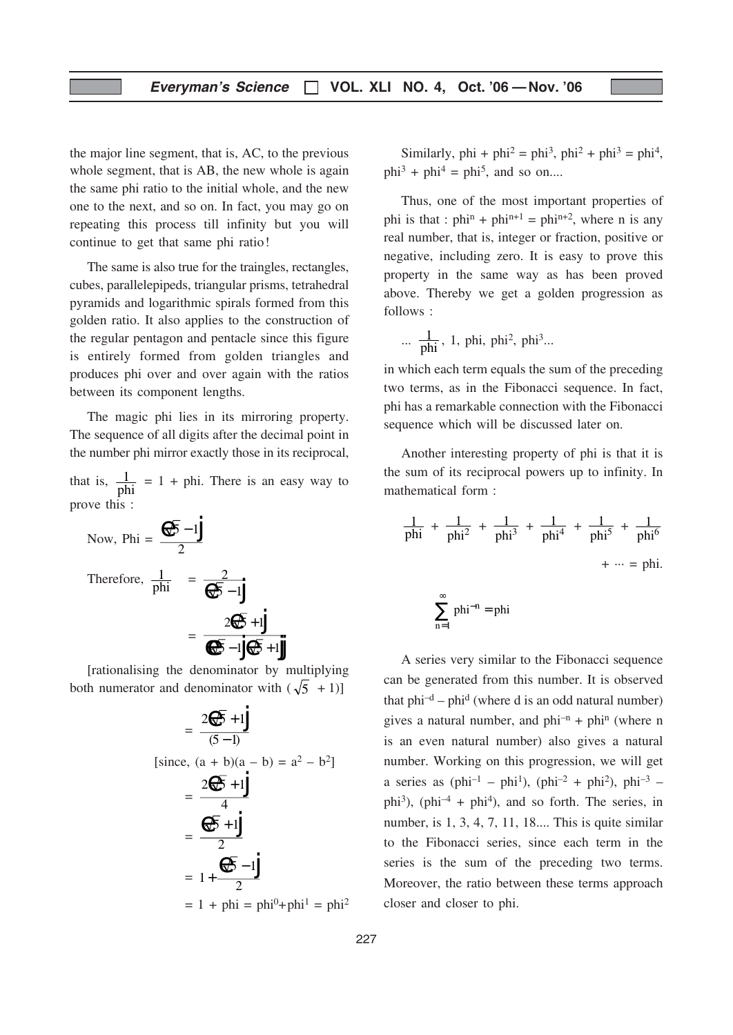the major line segment, that is, AC, to the previous whole segment, that is AB, the new whole is again the same phi ratio to the initial whole, and the new one to the next, and so on. In fact, you may go on repeating this process till infinity but you will continue to get that same phi ratio!

The same is also true for the traingles, rectangles, cubes, parallelepipeds, triangular prisms, tetrahedral pyramids and logarithmic spirals formed from this golden ratio. It also applies to the construction of the regular pentagon and pentacle since this figure is entirely formed from golden triangles and produces phi over and over again with the ratios between its component lengths.

The magic phi lies in its mirroring property. The sequence of all digits after the decimal point in the number phi mirror exactly those in its reciprocal,

that is,  $\frac{1}{\text{phi}} = 1 + \text{phi}$ . There is an easy way to prove this :

Now, Phi = 
$$
\frac{\theta\sqrt{5} - 1}{2}
$$
  
Therefore,  $\frac{1}{\text{phi}} = \frac{2}{\theta\sqrt{5} - 1}$   
=  $\frac{2\theta\sqrt{5} + 1}{\theta\sqrt{5} - 1}\theta\sqrt{5} + 1$ 

[rationalising the denominator by multiplying both numerator and denominator with  $(\sqrt{5} + 1)$ ]

$$
= \frac{2\sqrt[4]{5} + 1}{(5-1)}
$$
  
\n[since, (a + b)(a - b) = a<sup>2</sup> - b<sup>2</sup>]  
\n
$$
= \frac{2\sqrt[4]{5} + 1}{4}
$$
  
\n
$$
= \frac{\sqrt[4]{5} + 1}{2}
$$
  
\n
$$
= 1 + \frac{\sqrt[4]{5} - 1}{2}
$$
  
\n
$$
= 1 + \text{phi} = \text{phi}^0 + \text{phi}^1 = \text{phi}^2
$$

Similarly, phi + phi<sup>2</sup> = phi<sup>3</sup>, phi<sup>2</sup> + phi<sup>3</sup> = phi<sup>4</sup>,  $phi<sup>3</sup> + phi<sup>4</sup> = phi<sup>5</sup>$ , and so on....

Thus, one of the most important properties of phi is that :  $phi^n + phi^{n+1} = phi^{n+2}$ , where n is any real number, that is, integer or fraction, positive or negative, including zero. It is easy to prove this property in the same way as has been proved above. Thereby we get a golden progression as follows :

$$
\cdots \frac{1}{phi}, 1, phi, phi^2, phi^3...
$$

in which each term equals the sum of the preceding two terms, as in the Fibonacci sequence. In fact, phi has a remarkable connection with the Fibonacci sequence which will be discussed later on.

Another interesting property of phi is that it is the sum of its reciprocal powers up to infinity. In mathematical form :

$$
\frac{1}{\text{phi}} + \frac{1}{\text{phi}^2} + \frac{1}{\text{phi}^3} + \frac{1}{\text{phi}^4} + \frac{1}{\text{phi}^5} + \frac{1}{\text{phi}^6} + \dots = \text{phi}.
$$

$$
\sum_{n=1}^\infty \,phi^{-n} = \text{phi}
$$

A series very similar to the Fibonacci sequence can be generated from this number. It is observed that  $phi^{-d}$  –  $phi^{d}$  (where d is an odd natural number) gives a natural number, and  $phi^{-n}$  +  $phi^{n}$  (where n is an even natural number) also gives a natural number. Working on this progression, we will get a series as (phi<sup>-1</sup> – phi<sup>1</sup>), (phi<sup>-2</sup> + phi<sup>2</sup>), phi<sup>-3</sup> – phi<sup>3</sup>), (phi<sup>-4</sup> + phi<sup>4</sup>), and so forth. The series, in number, is 1, 3, 4, 7, 11, 18.... This is quite similar to the Fibonacci series, since each term in the series is the sum of the preceding two terms. Moreover, the ratio between these terms approach closer and closer to phi.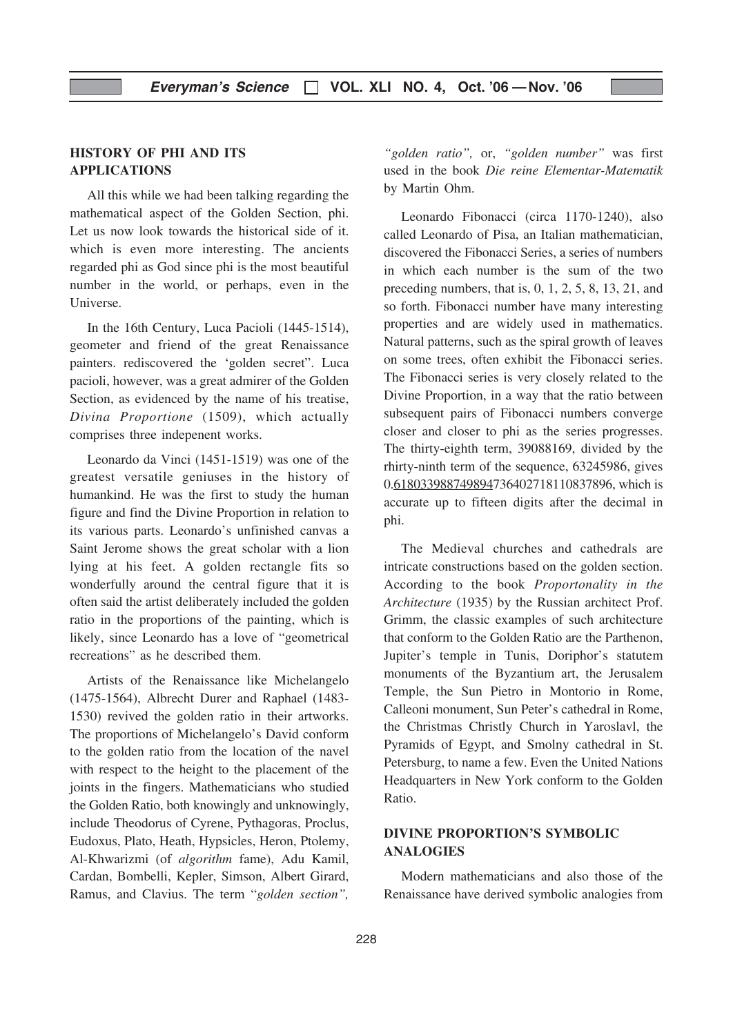#### HISTORY OF PHI AND ITS APPLICATIONS

All this while we had been talking regarding the mathematical aspect of the Golden Section, phi. Let us now look towards the historical side of it. which is even more interesting. The ancients regarded phi as God since phi is the most beautiful number in the world, or perhaps, even in the Universe.

In the 16th Century, Luca Pacioli (1445-1514), geometer and friend of the great Renaissance painters. rediscovered the 'golden secret". Luca pacioli, however, was a great admirer of the Golden Section, as evidenced by the name of his treatise, Divina Proportione (1509), which actually comprises three indepenent works.

Leonardo da Vinci (1451-1519) was one of the greatest versatile geniuses in the history of humankind. He was the first to study the human figure and find the Divine Proportion in relation to its various parts. Leonardo's unfinished canvas a Saint Jerome shows the great scholar with a lion lying at his feet. A golden rectangle fits so wonderfully around the central figure that it is often said the artist deliberately included the golden ratio in the proportions of the painting, which is likely, since Leonardo has a love of "geometrical recreations" as he described them.

Artists of the Renaissance like Michelangelo (1475-1564), Albrecht Durer and Raphael (1483- 1530) revived the golden ratio in their artworks. The proportions of Michelangelo's David conform to the golden ratio from the location of the navel with respect to the height to the placement of the joints in the fingers. Mathematicians who studied the Golden Ratio, both knowingly and unknowingly, include Theodorus of Cyrene, Pythagoras, Proclus, Eudoxus, Plato, Heath, Hypsicles, Heron, Ptolemy, Al-Khwarizmi (of algorithm fame), Adu Kamil, Cardan, Bombelli, Kepler, Simson, Albert Girard, Ramus, and Clavius. The term "golden section",

"golden ratio", or, "golden number" was first used in the book Die reine Elementar-Matematik by Martin Ohm.

Leonardo Fibonacci (circa 1170-1240), also called Leonardo of Pisa, an Italian mathematician, discovered the Fibonacci Series, a series of numbers in which each number is the sum of the two preceding numbers, that is, 0, 1, 2, 5, 8, 13, 21, and so forth. Fibonacci number have many interesting properties and are widely used in mathematics. Natural patterns, such as the spiral growth of leaves on some trees, often exhibit the Fibonacci series. The Fibonacci series is very closely related to the Divine Proportion, in a way that the ratio between subsequent pairs of Fibonacci numbers converge closer and closer to phi as the series progresses. The thirty-eighth term, 39088169, divided by the rhirty-ninth term of the sequence, 63245986, gives 0.618033988749894736402718110837896, which is accurate up to fifteen digits after the decimal in phi.

The Medieval churches and cathedrals are intricate constructions based on the golden section. According to the book Proportonality in the Architecture (1935) by the Russian architect Prof. Grimm, the classic examples of such architecture that conform to the Golden Ratio are the Parthenon, Jupiter's temple in Tunis, Doriphor's statutem monuments of the Byzantium art, the Jerusalem Temple, the Sun Pietro in Montorio in Rome, Calleoni monument, Sun Peter's cathedral in Rome, the Christmas Christly Church in Yaroslavl, the Pyramids of Egypt, and Smolny cathedral in St. Petersburg, to name a few. Even the United Nations Headquarters in New York conform to the Golden Ratio.

#### DIVINE PROPORTION'S SYMBOLIC ANALOGIES

Modern mathematicians and also those of the Renaissance have derived symbolic analogies from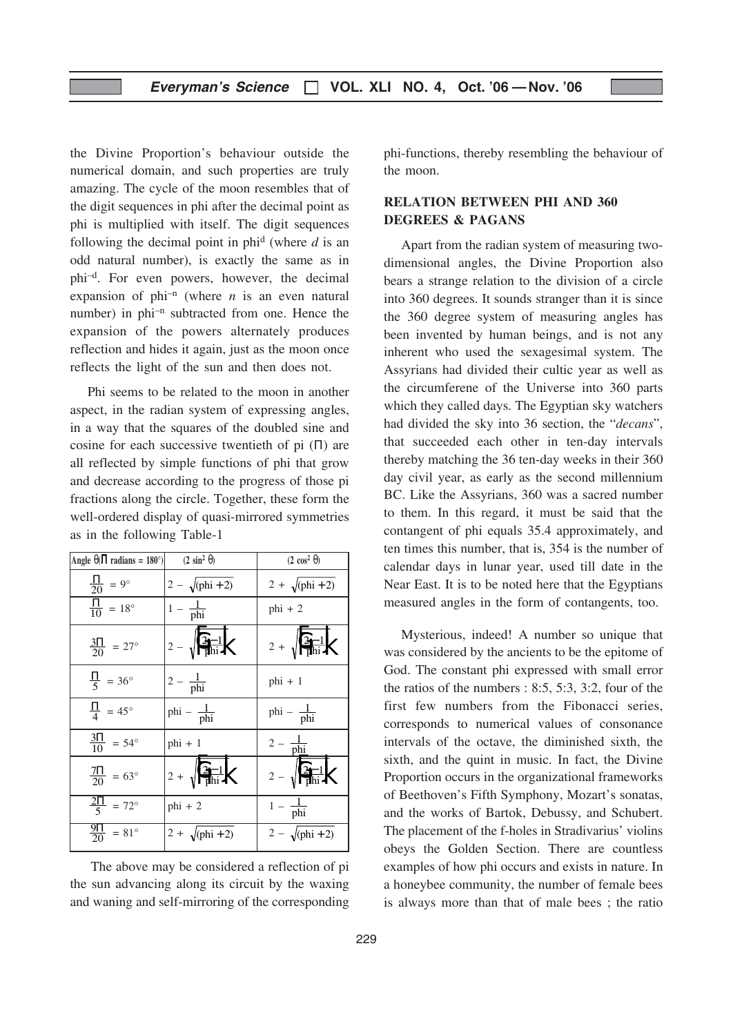the Divine Proportion's behaviour outside the numerical domain, and such properties are truly amazing. The cycle of the moon resembles that of the digit sequences in phi after the decimal point as phi is multiplied with itself. The digit sequences following the decimal point in phi<sup>d</sup> (where  $d$  is an odd natural number), is exactly the same as in phi–d. For even powers, however, the decimal expansion of phi-n (where  $n$  is an even natural number) in phi<sup>-n</sup> subtracted from one. Hence the expansion of the powers alternately produces reflection and hides it again, just as the moon once reflects the light of the sun and then does not.

Phi seems to be related to the moon in another aspect, in the radian system of expressing angles, in a way that the squares of the doubled sine and cosine for each successive twentieth of pi  $(II)$  are all reflected by simple functions of phi that grow and decrease according to the progress of those pi fractions along the circle. Together, these form the well-ordered display of quasi-mirrored symmetries as in the following Table-1

| Angle $\theta$ ( $\Pi$ radians = 180°) | $(2 \sin^2 \theta)$                 | $(2 \cos^2 \theta)$                 |
|----------------------------------------|-------------------------------------|-------------------------------------|
| $\frac{11}{20}$ = 9°                   | $2 - \sqrt{\frac{phi + 2}}$         | $2 + \sqrt{\frac{1}{2}}$            |
| $\frac{\Pi}{10}$ = 18°                 | $1 - \frac{1}{phi}$                 | $phi + 2$                           |
| $\frac{311}{20}$ = 27°                 | $2 - \sqrt{\frac{2-1}{\text{phi}}}$ | $2 + \sqrt{\frac{2-1}{\text{phi}}}$ |
| $\frac{\Pi}{5}$ = 36°                  | $2-\frac{1}{\text{phi}}$            | $phi + 1$                           |
| $\frac{\Pi}{4}$ = 45°                  | phi – $\frac{1}{phi}$               | phi – $\frac{1}{phi}$               |
| $\frac{311}{10}$ = 54°                 | $phi + 1$                           | $2 - \frac{1}{phi}$                 |
| $\frac{711}{20}$ = 63°                 | $2 + \sqrt{\frac{2-1}{\pi}}$        | $2 - \sqrt{\frac{2-1}{\pi}}$        |
| $\frac{2\Pi}{5}$ = 72°                 | $phi + 2$                           | $1 - \frac{1}{\text{phi}}$          |
| $\frac{911}{20}$ = 81°                 | $2 + \sqrt{\frac{1}{2}}$            | $2 - \sqrt{\frac{phi + 2}}$         |

The above may be considered a reflection of pi the sun advancing along its circuit by the waxing and waning and self-mirroring of the corresponding phi-functions, thereby resembling the behaviour of the moon.

#### RELATION BETWEEN PHI AND 360 DEGREES & PAGANS

Apart from the radian system of measuring twodimensional angles, the Divine Proportion also bears a strange relation to the division of a circle into 360 degrees. It sounds stranger than it is since the 360 degree system of measuring angles has been invented by human beings, and is not any inherent who used the sexagesimal system. The Assyrians had divided their cultic year as well as the circumferene of the Universe into 360 parts which they called days. The Egyptian sky watchers had divided the sky into 36 section, the "*decans*", that succeeded each other in ten-day intervals thereby matching the 36 ten-day weeks in their 360 day civil year, as early as the second millennium BC. Like the Assyrians, 360 was a sacred number to them. In this regard, it must be said that the contangent of phi equals 35.4 approximately, and ten times this number, that is, 354 is the number of calendar days in lunar year, used till date in the Near East. It is to be noted here that the Egyptians measured angles in the form of contangents, too.

Mysterious, indeed! A number so unique that was considered by the ancients to be the epitome of God. The constant phi expressed with small error the ratios of the numbers : 8:5, 5:3, 3:2, four of the first few numbers from the Fibonacci series, corresponds to numerical values of consonance intervals of the octave, the diminished sixth, the sixth, and the quint in music. In fact, the Divine Proportion occurs in the organizational frameworks of Beethoven's Fifth Symphony, Mozart's sonatas, and the works of Bartok, Debussy, and Schubert. The placement of the f-holes in Stradivarius' violins obeys the Golden Section. There are countless examples of how phi occurs and exists in nature. In a honeybee community, the number of female bees is always more than that of male bees ; the ratio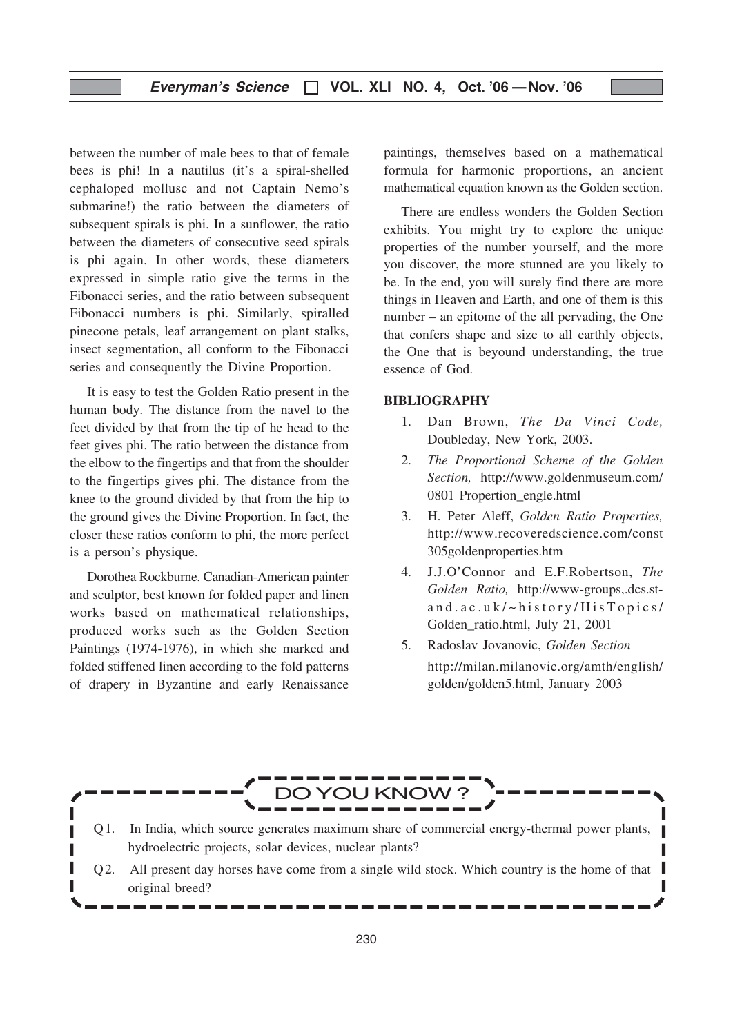between the number of male bees to that of female bees is phi! In a nautilus (it's a spiral-shelled cephaloped mollusc and not Captain Nemo's submarine!) the ratio between the diameters of subsequent spirals is phi. In a sunflower, the ratio between the diameters of consecutive seed spirals is phi again. In other words, these diameters expressed in simple ratio give the terms in the Fibonacci series, and the ratio between subsequent Fibonacci numbers is phi. Similarly, spiralled pinecone petals, leaf arrangement on plant stalks, insect segmentation, all conform to the Fibonacci series and consequently the Divine Proportion.

It is easy to test the Golden Ratio present in the human body. The distance from the navel to the feet divided by that from the tip of he head to the feet gives phi. The ratio between the distance from the elbow to the fingertips and that from the shoulder to the fingertips gives phi. The distance from the knee to the ground divided by that from the hip to the ground gives the Divine Proportion. In fact, the closer these ratios conform to phi, the more perfect is a person's physique.

Dorothea Rockburne. Canadian-American painter and sculptor, best known for folded paper and linen works based on mathematical relationships, produced works such as the Golden Section Paintings (1974-1976), in which she marked and folded stiffened linen according to the fold patterns of drapery in Byzantine and early Renaissance

paintings, themselves based on a mathematical formula for harmonic proportions, an ancient mathematical equation known as the Golden section.

There are endless wonders the Golden Section exhibits. You might try to explore the unique properties of the number yourself, and the more you discover, the more stunned are you likely to be. In the end, you will surely find there are more things in Heaven and Earth, and one of them is this number – an epitome of the all pervading, the One that confers shape and size to all earthly objects, the One that is beyound understanding, the true essence of God.

#### BIBLIOGRAPHY

- 1. Dan Brown, The Da Vinci Code, Doubleday, New York, 2003.
- 2. The Proportional Scheme of the Golden Section, http://www.goldenmuseum.com/ 0801 Propertion\_engle.html
- 3. H. Peter Aleff, Golden Ratio Properties, http://www.recoveredscience.com/const 305goldenproperties.htm
- 4. J.J.O'Connor and E.F.Robertson, The Golden Ratio, http://www-groups,.dcs.stand.ac.uk/~history/HisTopics/ Golden\_ratio.html, July 21, 2001
- 5. Radoslav Jovanovic, Golden Section http://milan.milanovic.org/amth/english/ golden/golden5.html, January 2003

## DO YOU KNOW ?

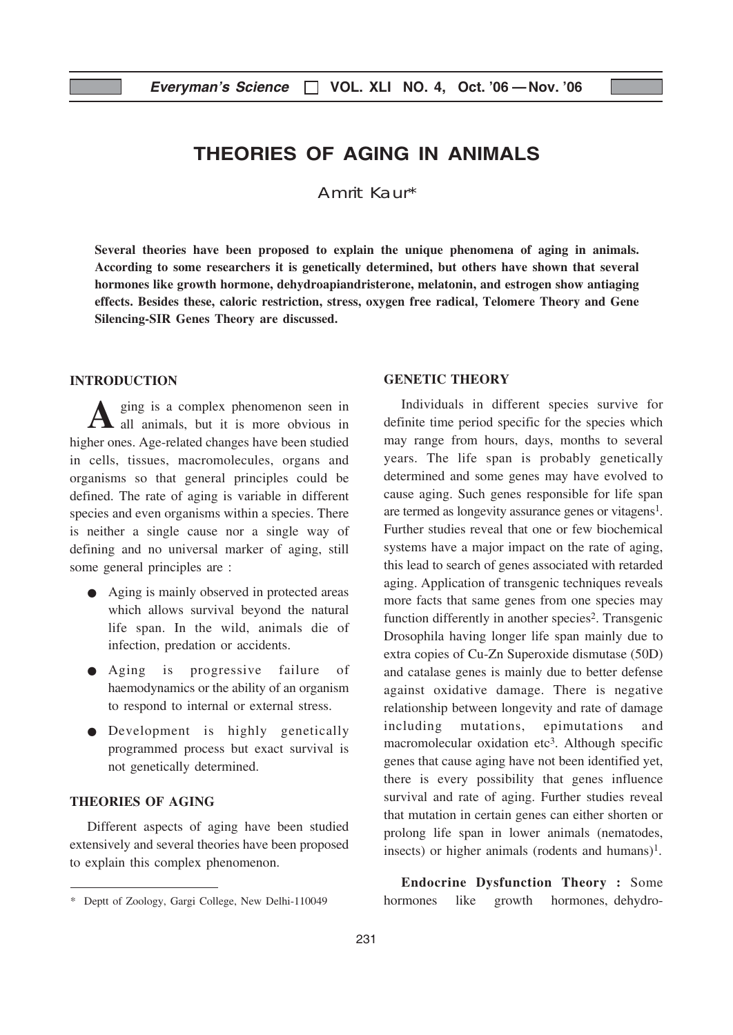## THEORIES OF AGING IN ANIMALS

Amrit Kaur\*

Several theories have been proposed to explain the unique phenomena of aging in animals. According to some researchers it is genetically determined, but others have shown that several hormones like growth hormone, dehydroapiandristerone, melatonin, and estrogen show antiaging effects. Besides these, caloric restriction, stress, oxygen free radical, Telomere Theory and Gene Silencing-SIR Genes Theory are discussed.

#### INTRODUCTION

ging is a complex phenomenon seen in all animals, but it is more obvious in higher ones. Age-related changes have been studied in cells, tissues, macromolecules, organs and organisms so that general principles could be defined. The rate of aging is variable in different species and even organisms within a species. There is neither a single cause nor a single way of defining and no universal marker of aging, still some general principles are :

- Aging is mainly observed in protected areas which allows survival beyond the natural life span. In the wild, animals die of infection, predation or accidents.
- Aging is progressive failure of haemodynamics or the ability of an organism to respond to internal or external stress.
- Development is highly genetically programmed process but exact survival is not genetically determined.

#### THEORIES OF AGING

Different aspects of aging have been studied extensively and several theories have been proposed to explain this complex phenomenon.

#### GENETIC THEORY

Individuals in different species survive for definite time period specific for the species which may range from hours, days, months to several years. The life span is probably genetically determined and some genes may have evolved to cause aging. Such genes responsible for life span are termed as longevity assurance genes or vitagens<sup>1</sup>. Further studies reveal that one or few biochemical systems have a major impact on the rate of aging, this lead to search of genes associated with retarded aging. Application of transgenic techniques reveals more facts that same genes from one species may function differently in another species<sup>2</sup>. Transgenic Drosophila having longer life span mainly due to extra copies of Cu-Zn Superoxide dismutase (50D) and catalase genes is mainly due to better defense against oxidative damage. There is negative relationship between longevity and rate of damage including mutations, epimutations and macromolecular oxidation etc<sup>3</sup>. Although specific genes that cause aging have not been identified yet, there is every possibility that genes influence survival and rate of aging. Further studies reveal that mutation in certain genes can either shorten or prolong life span in lower animals (nematodes, insects) or higher animals (rodents and humans)<sup>1</sup>.

Endocrine Dysfunction Theory : Some hormones like growth hormones, dehydro-

<sup>\*</sup> Deptt of Zoology, Gargi College, New Delhi-110049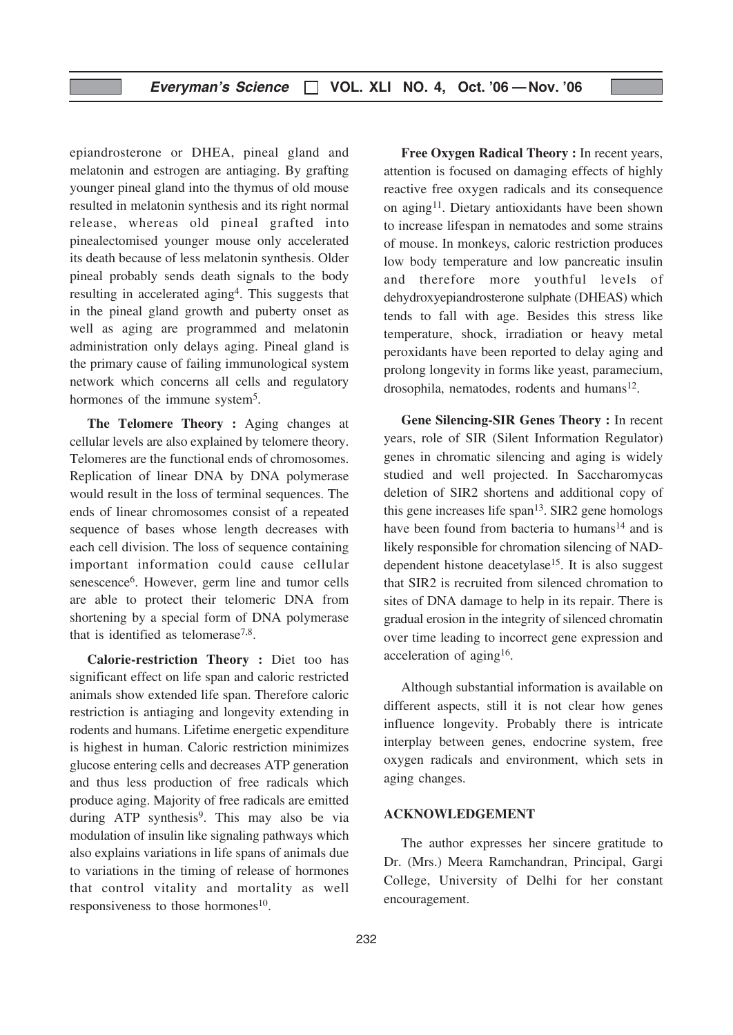epiandrosterone or DHEA, pineal gland and melatonin and estrogen are antiaging. By grafting younger pineal gland into the thymus of old mouse resulted in melatonin synthesis and its right normal release, whereas old pineal grafted into pinealectomised younger mouse only accelerated its death because of less melatonin synthesis. Older pineal probably sends death signals to the body resulting in accelerated aging4. This suggests that in the pineal gland growth and puberty onset as well as aging are programmed and melatonin administration only delays aging. Pineal gland is the primary cause of failing immunological system network which concerns all cells and regulatory hormones of the immune system<sup>5</sup>.

The Telomere Theory : Aging changes at cellular levels are also explained by telomere theory. Telomeres are the functional ends of chromosomes. Replication of linear DNA by DNA polymerase would result in the loss of terminal sequences. The ends of linear chromosomes consist of a repeated sequence of bases whose length decreases with each cell division. The loss of sequence containing important information could cause cellular senescence6. However, germ line and tumor cells are able to protect their telomeric DNA from shortening by a special form of DNA polymerase that is identified as telomerase<sup>7,8</sup>.

Calorie-restriction Theory : Diet too has significant effect on life span and caloric restricted animals show extended life span. Therefore caloric restriction is antiaging and longevity extending in rodents and humans. Lifetime energetic expenditure is highest in human. Caloric restriction minimizes glucose entering cells and decreases ATP generation and thus less production of free radicals which produce aging. Majority of free radicals are emitted during ATP synthesis<sup>9</sup>. This may also be via modulation of insulin like signaling pathways which also explains variations in life spans of animals due to variations in the timing of release of hormones that control vitality and mortality as well responsiveness to those hormones $10$ .

Free Oxygen Radical Theory : In recent years, attention is focused on damaging effects of highly reactive free oxygen radicals and its consequence on aging<sup>11</sup>. Dietary antioxidants have been shown to increase lifespan in nematodes and some strains of mouse. In monkeys, caloric restriction produces low body temperature and low pancreatic insulin and therefore more youthful levels of dehydroxyepiandrosterone sulphate (DHEAS) which tends to fall with age. Besides this stress like temperature, shock, irradiation or heavy metal peroxidants have been reported to delay aging and prolong longevity in forms like yeast, paramecium, drosophila, nematodes, rodents and humans $12$ .

Gene Silencing-SIR Genes Theory : In recent years, role of SIR (Silent Information Regulator) genes in chromatic silencing and aging is widely studied and well projected. In Saccharomycas deletion of SIR2 shortens and additional copy of this gene increases life span13. SIR2 gene homologs have been found from bacteria to humans<sup>14</sup> and is likely responsible for chromation silencing of NADdependent histone deacetylase15. It is also suggest that SIR2 is recruited from silenced chromation to sites of DNA damage to help in its repair. There is gradual erosion in the integrity of silenced chromatin over time leading to incorrect gene expression and acceleration of aging<sup>16</sup>.

Although substantial information is available on different aspects, still it is not clear how genes influence longevity. Probably there is intricate interplay between genes, endocrine system, free oxygen radicals and environment, which sets in aging changes.

#### ACKNOWLEDGEMENT

The author expresses her sincere gratitude to Dr. (Mrs.) Meera Ramchandran, Principal, Gargi College, University of Delhi for her constant encouragement.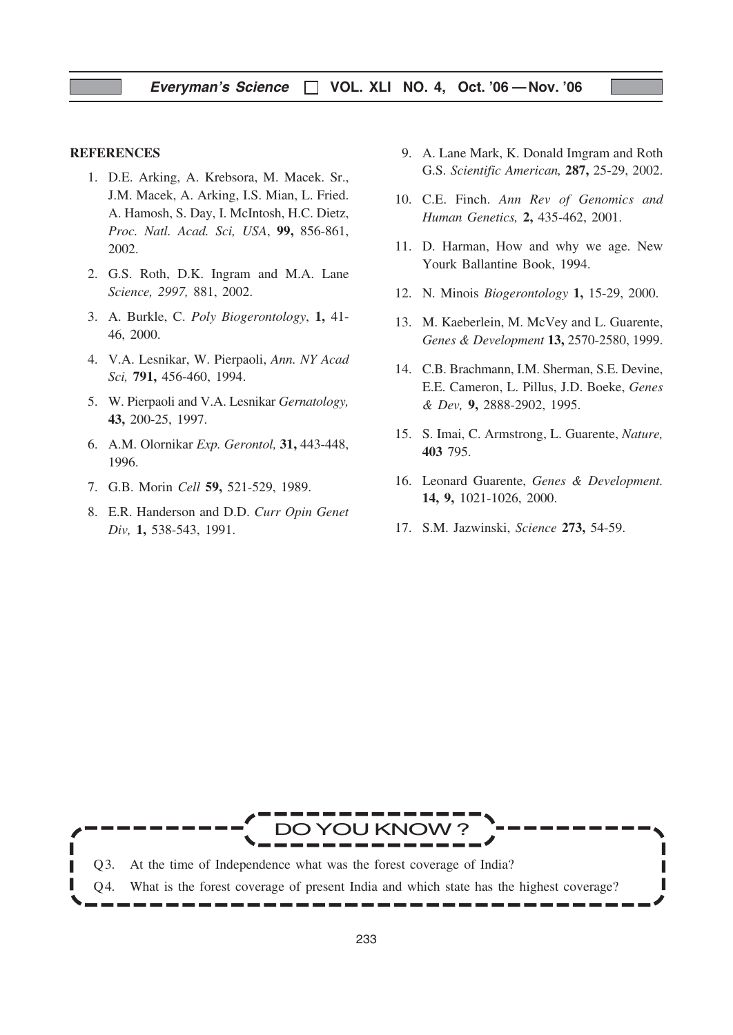#### **REFERENCES**

- 1. D.E. Arking, A. Krebsora, M. Macek. Sr., J.M. Macek, A. Arking, I.S. Mian, L. Fried. A. Hamosh, S. Day, I. McIntosh, H.C. Dietz, Proc. Natl. Acad. Sci, USA, 99, 856-861, 2002.
- 2. G.S. Roth, D.K. Ingram and M.A. Lane Science, 2997, 881, 2002.
- 3. A. Burkle, C. Poly Biogerontology, 1, 41- 46, 2000.
- 4. V.A. Lesnikar, W. Pierpaoli, Ann. NY Acad Sci, 791, 456-460, 1994.
- 5. W. Pierpaoli and V.A. Lesnikar Gernatology, 43, 200-25, 1997.
- 6. A.M. Olornikar Exp. Gerontol, 31, 443-448, 1996.
- 7. G.B. Morin Cell 59, 521-529, 1989.
- 8. E.R. Handerson and D.D. Curr Opin Genet Div, 1, 538-543, 1991.
- 9. A. Lane Mark, K. Donald Imgram and Roth G.S. Scientific American, 287, 25-29, 2002.
- 10. C.E. Finch. Ann Rev of Genomics and Human Genetics, 2, 435-462, 2001.
- 11. D. Harman, How and why we age. New Yourk Ballantine Book, 1994.
- 12. N. Minois Biogerontology 1, 15-29, 2000.
- 13. M. Kaeberlein, M. McVey and L. Guarente, Genes & Development 13, 2570-2580, 1999.
- 14. C.B. Brachmann, I.M. Sherman, S.E. Devine, E.E. Cameron, L. Pillus, J.D. Boeke, Genes & Dev, 9, 2888-2902, 1995.
- 15. S. Imai, C. Armstrong, L. Guarente, Nature, 403 795.
- 16. Leonard Guarente, Genes & Development. 14, 9, 1021-1026, 2000.
- 17. S.M. Jazwinski, Science 273, 54-59.

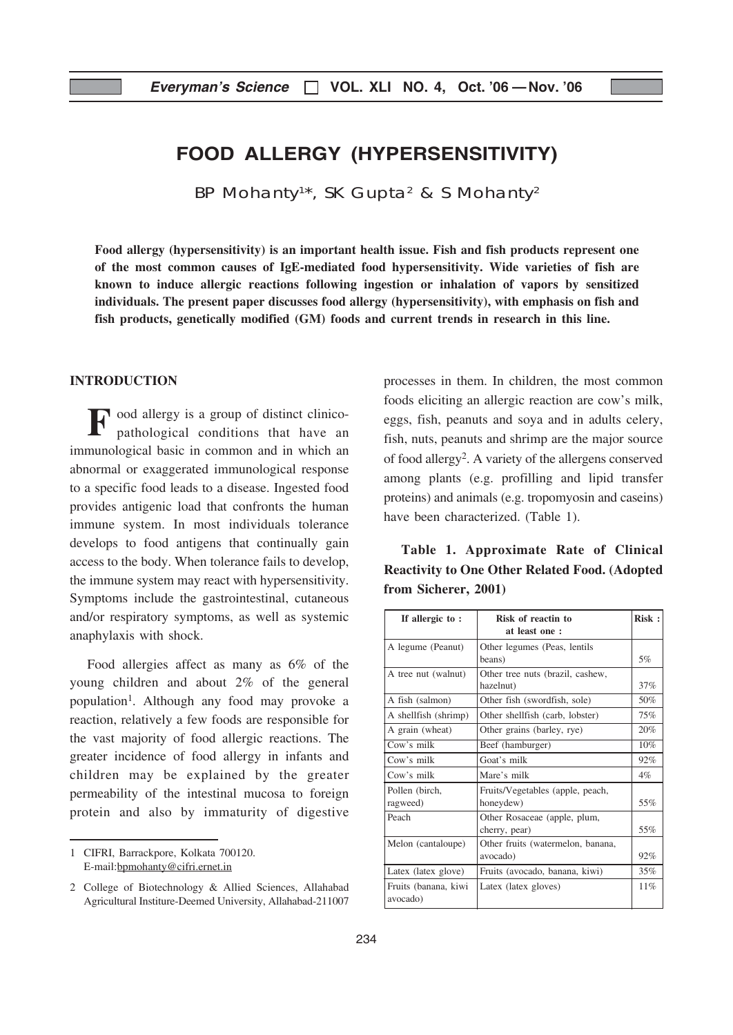## FOOD ALLERGY (HYPERSENSITIVITY)

BP Mohanty<sup>1\*</sup>, SK Gupta<sup>2</sup> & S Mohanty<sup>2</sup>

Food allergy (hypersensitivity) is an important health issue. Fish and fish products represent one of the most common causes of IgE-mediated food hypersensitivity. Wide varieties of fish are known to induce allergic reactions following ingestion or inhalation of vapors by sensitized individuals. The present paper discusses food allergy (hypersensitivity), with emphasis on fish and fish products, genetically modified (GM) foods and current trends in research in this line.

#### INTRODUCTION

Food allergy is a group of distinct clinicopathological conditions that have an immunological basic in common and in which an abnormal or exaggerated immunological response to a specific food leads to a disease. Ingested food provides antigenic load that confronts the human immune system. In most individuals tolerance develops to food antigens that continually gain access to the body. When tolerance fails to develop, the immune system may react with hypersensitivity. Symptoms include the gastrointestinal, cutaneous and/or respiratory symptoms, as well as systemic anaphylaxis with shock.

Food allergies affect as many as 6% of the young children and about 2% of the general population<sup>1</sup>. Although any food may provoke a reaction, relatively a few foods are responsible for the vast majority of food allergic reactions. The greater incidence of food allergy in infants and children may be explained by the greater permeability of the intestinal mucosa to foreign protein and also by immaturity of digestive

1 CIFRI, Barrackpore, Kolkata 700120. E-mail:bpmohanty@cifri.ernet.in

processes in them. In children, the most common foods eliciting an allergic reaction are cow's milk, eggs, fish, peanuts and soya and in adults celery, fish, nuts, peanuts and shrimp are the major source of food allergy2. A variety of the allergens conserved among plants (e.g. profilling and lipid transfer proteins) and animals (e.g. tropomyosin and caseins) have been characterized. (Table 1).

Table 1. Approximate Rate of Clinical Reactivity to One Other Related Food. (Adopted from Sicherer, 2001)

| If allergic to:                  | Risk of reactin to<br>at least one :          | Risk: |
|----------------------------------|-----------------------------------------------|-------|
| A legume (Peanut)                | Other legumes (Peas, lentils                  |       |
|                                  | beans)                                        | 5%    |
| A tree nut (walnut)              | Other tree nuts (brazil, cashew,              |       |
|                                  | hazelnut)                                     | 37%   |
| A fish (salmon)                  | Other fish (swordfish, sole)                  | 50%   |
| A shellfish (shrimp)             | Other shellfish (carb, lobster)               | 75%   |
| A grain (wheat)                  | Other grains (barley, rye)                    | 20%   |
| Cow's milk                       | Beef (hamburger)                              | 10%   |
| Cow's milk                       | Goat's milk                                   | 92%   |
| Cow's milk                       | Mare's milk                                   | $4\%$ |
| Pollen (birch,<br>ragweed)       | Fruits/Vegetables (apple, peach,<br>honeydew) | 55%   |
| Peach                            | Other Rosaceae (apple, plum,<br>cherry, pear) | 55%   |
| Melon (cantaloupe)               | Other fruits (watermelon, banana,<br>avocado) | 92%   |
| Latex (latex glove)              | Fruits (avocado, banana, kiwi)                | 35%   |
| Fruits (banana, kiwi<br>avocado) | Latex (latex gloves)                          | 11%   |

<sup>2</sup> College of Biotechnology & Allied Sciences, Allahabad Agricultural Institure-Deemed University, Allahabad-211007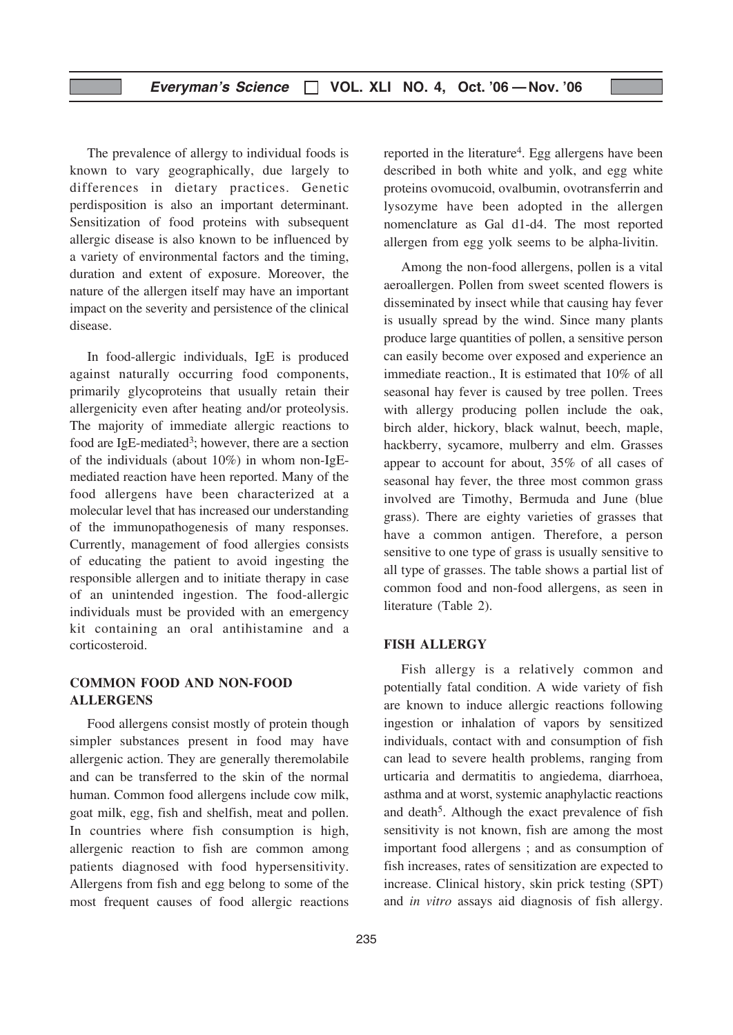The prevalence of allergy to individual foods is known to vary geographically, due largely to differences in dietary practices. Genetic perdisposition is also an important determinant. Sensitization of food proteins with subsequent allergic disease is also known to be influenced by a variety of environmental factors and the timing, duration and extent of exposure. Moreover, the nature of the allergen itself may have an important impact on the severity and persistence of the clinical disease.

In food-allergic individuals, IgE is produced against naturally occurring food components, primarily glycoproteins that usually retain their allergenicity even after heating and/or proteolysis. The majority of immediate allergic reactions to food are IgE-mediated<sup>3</sup>; however, there are a section of the individuals (about 10%) in whom non-IgEmediated reaction have heen reported. Many of the food allergens have been characterized at a molecular level that has increased our understanding of the immunopathogenesis of many responses. Currently, management of food allergies consists of educating the patient to avoid ingesting the responsible allergen and to initiate therapy in case of an unintended ingestion. The food-allergic individuals must be provided with an emergency kit containing an oral antihistamine and a corticosteroid.

#### COMMON FOOD AND NON-FOOD ALLERGENS

Food allergens consist mostly of protein though simpler substances present in food may have allergenic action. They are generally theremolabile and can be transferred to the skin of the normal human. Common food allergens include cow milk, goat milk, egg, fish and shelfish, meat and pollen. In countries where fish consumption is high, allergenic reaction to fish are common among patients diagnosed with food hypersensitivity. Allergens from fish and egg belong to some of the most frequent causes of food allergic reactions reported in the literature<sup>4</sup>. Egg allergens have been described in both white and yolk, and egg white proteins ovomucoid, ovalbumin, ovotransferrin and lysozyme have been adopted in the allergen nomenclature as Gal d1-d4. The most reported allergen from egg yolk seems to be alpha-livitin.

Among the non-food allergens, pollen is a vital aeroallergen. Pollen from sweet scented flowers is disseminated by insect while that causing hay fever is usually spread by the wind. Since many plants produce large quantities of pollen, a sensitive person can easily become over exposed and experience an immediate reaction., It is estimated that 10% of all seasonal hay fever is caused by tree pollen. Trees with allergy producing pollen include the oak, birch alder, hickory, black walnut, beech, maple, hackberry, sycamore, mulberry and elm. Grasses appear to account for about, 35% of all cases of seasonal hay fever, the three most common grass involved are Timothy, Bermuda and June (blue grass). There are eighty varieties of grasses that have a common antigen. Therefore, a person sensitive to one type of grass is usually sensitive to all type of grasses. The table shows a partial list of common food and non-food allergens, as seen in literature (Table 2).

#### FISH ALLERGY

Fish allergy is a relatively common and potentially fatal condition. A wide variety of fish are known to induce allergic reactions following ingestion or inhalation of vapors by sensitized individuals, contact with and consumption of fish can lead to severe health problems, ranging from urticaria and dermatitis to angiedema, diarrhoea, asthma and at worst, systemic anaphylactic reactions and death<sup>5</sup>. Although the exact prevalence of fish sensitivity is not known, fish are among the most important food allergens ; and as consumption of fish increases, rates of sensitization are expected to increase. Clinical history, skin prick testing (SPT) and in vitro assays aid diagnosis of fish allergy.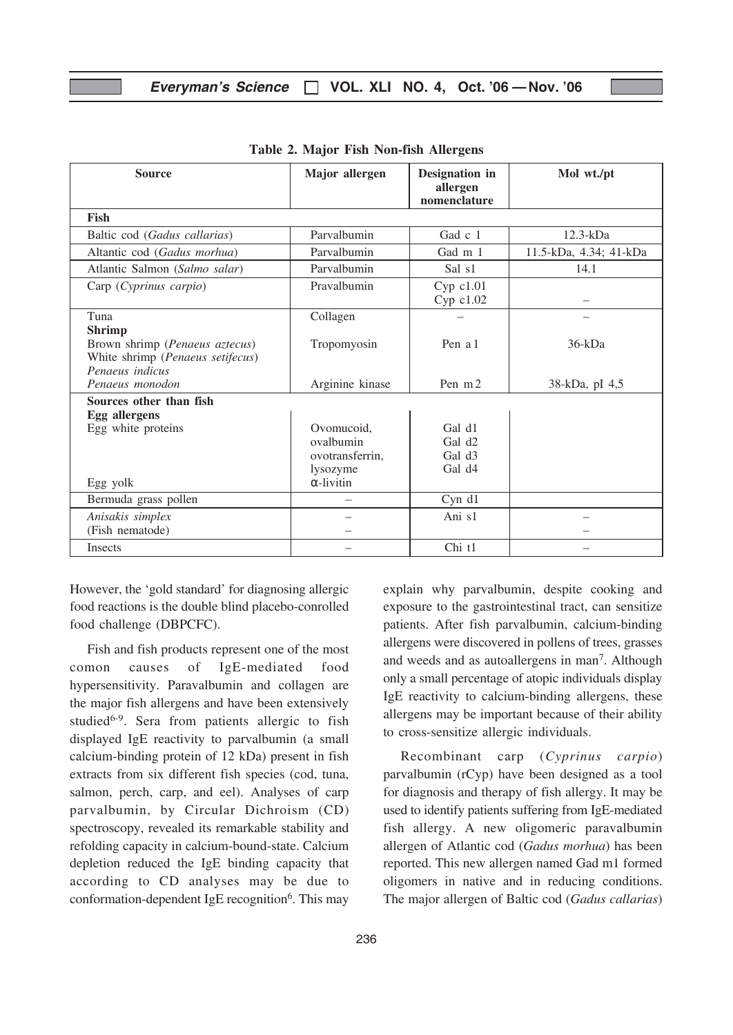#### Everyman's Science  $\Box$  VOL. XLI NO. 4, Oct. '06 - Nov. '06

| <b>Source</b>                                                                         | Major allergen                                         | Designation in                                                           | Mol wt./pt             |
|---------------------------------------------------------------------------------------|--------------------------------------------------------|--------------------------------------------------------------------------|------------------------|
|                                                                                       |                                                        | allergen<br>nomenclature                                                 |                        |
| Fish                                                                                  |                                                        |                                                                          |                        |
| Baltic cod (Gadus callarias)                                                          | Parvalbumin                                            | Gad $c1$                                                                 | $12.3-kDa$             |
| Altantic cod (Gadus morhua)                                                           | Parvalbumin                                            | Gad m 1                                                                  | 11.5-kDa, 4.34; 41-kDa |
| Atlantic Salmon (Salmo salar)                                                         | Parvalbumin                                            | Sal s1                                                                   | 14.1                   |
| Carp (Cyprinus carpio)                                                                | Pravalbumin                                            | $Cyp$ $c1.01$<br>Cyp c1.02                                               |                        |
| Tuna<br><b>Shrimp</b>                                                                 | Collagen                                               |                                                                          |                        |
| Brown shrimp (Penaeus aztecus)<br>White shrimp (Penaeus setifecus)<br>Penaeus indicus | Tropomyosin                                            | Pen a 1                                                                  | $36-kDa$               |
| Penaeus monodon                                                                       | Arginine kinase                                        | Pen m 2                                                                  | 38-kDa, pI 4,5         |
| Sources other than fish<br><b>Egg</b> allergens                                       |                                                        |                                                                          |                        |
| Egg white proteins                                                                    | Ovomucoid.<br>ovalbumin<br>ovotransferrin,<br>lysozyme | Gal d1<br>Gal d <sub>2</sub><br>Gal d <sub>3</sub><br>Gal d <sub>4</sub> |                        |
| Egg yolk                                                                              | $\alpha$ -livitin                                      |                                                                          |                        |
| Bermuda grass pollen                                                                  |                                                        | Cyn d1                                                                   |                        |
| Anisakis simplex<br>(Fish nematode)                                                   |                                                        | Ani s1                                                                   |                        |
| <b>Insects</b>                                                                        |                                                        | Chi t1                                                                   |                        |

Table 2. Major Fish Non-fish Allergens

However, the 'gold standard' for diagnosing allergic food reactions is the double blind placebo-conrolled food challenge (DBPCFC).

Fish and fish products represent one of the most comon causes of IgE-mediated food hypersensitivity. Paravalbumin and collagen are the major fish allergens and have been extensively studied<sup>6-9</sup>. Sera from patients allergic to fish displayed IgE reactivity to parvalbumin (a small calcium-binding protein of 12 kDa) present in fish extracts from six different fish species (cod, tuna, salmon, perch, carp, and eel). Analyses of carp parvalbumin, by Circular Dichroism (CD) spectroscopy, revealed its remarkable stability and refolding capacity in calcium-bound-state. Calcium depletion reduced the IgE binding capacity that according to CD analyses may be due to conformation-dependent IgE recognition $6$ . This may

explain why parvalbumin, despite cooking and exposure to the gastrointestinal tract, can sensitize patients. After fish parvalbumin, calcium-binding allergens were discovered in pollens of trees, grasses and weeds and as autoallergens in man7. Although only a small percentage of atopic individuals display IgE reactivity to calcium-binding allergens, these allergens may be important because of their ability to cross-sensitize allergic individuals.

Recombinant carp (Cyprinus carpio) parvalbumin (rCyp) have been designed as a tool for diagnosis and therapy of fish allergy. It may be used to identify patients suffering from IgE-mediated fish allergy. A new oligomeric paravalbumin allergen of Atlantic cod (Gadus morhua) has been reported. This new allergen named Gad m1 formed oligomers in native and in reducing conditions. The major allergen of Baltic cod (Gadus callarias)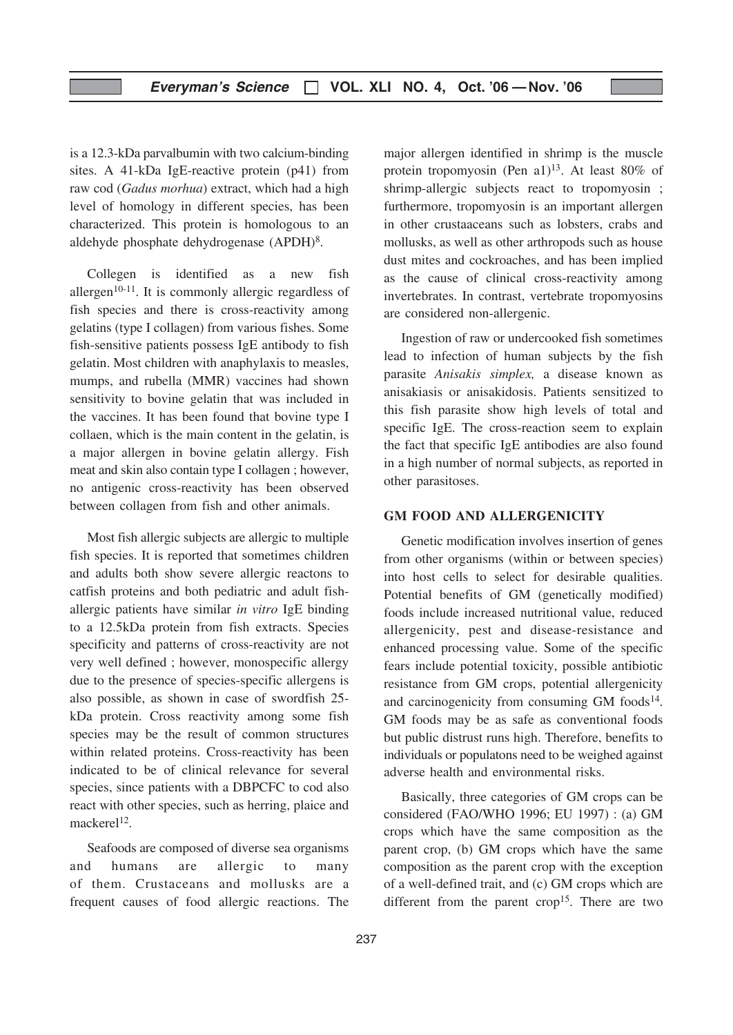is a 12.3-kDa parvalbumin with two calcium-binding sites. A 41-kDa IgE-reactive protein (p41) from raw cod (Gadus morhua) extract, which had a high level of homology in different species, has been characterized. This protein is homologous to an aldehyde phosphate dehydrogenase (APDH)8.

Collegen is identified as a new fish allergen<sup>10-11</sup>. It is commonly allergic regardless of fish species and there is cross-reactivity among gelatins (type I collagen) from various fishes. Some fish-sensitive patients possess IgE antibody to fish gelatin. Most children with anaphylaxis to measles, mumps, and rubella (MMR) vaccines had shown sensitivity to bovine gelatin that was included in the vaccines. It has been found that bovine type I collaen, which is the main content in the gelatin, is a major allergen in bovine gelatin allergy. Fish meat and skin also contain type I collagen ; however, no antigenic cross-reactivity has been observed between collagen from fish and other animals.

Most fish allergic subjects are allergic to multiple fish species. It is reported that sometimes children and adults both show severe allergic reactons to catfish proteins and both pediatric and adult fishallergic patients have similar in vitro IgE binding to a 12.5kDa protein from fish extracts. Species specificity and patterns of cross-reactivity are not very well defined ; however, monospecific allergy due to the presence of species-specific allergens is also possible, as shown in case of swordfish 25 kDa protein. Cross reactivity among some fish species may be the result of common structures within related proteins. Cross-reactivity has been indicated to be of clinical relevance for several species, since patients with a DBPCFC to cod also react with other species, such as herring, plaice and mackerel $12$ .

Seafoods are composed of diverse sea organisms and humans are allergic to many of them. Crustaceans and mollusks are a frequent causes of food allergic reactions. The major allergen identified in shrimp is the muscle protein tropomyosin (Pen a1)<sup>13</sup>. At least 80% of shrimp-allergic subjects react to tropomyosin ; furthermore, tropomyosin is an important allergen in other crustaaceans such as lobsters, crabs and mollusks, as well as other arthropods such as house dust mites and cockroaches, and has been implied as the cause of clinical cross-reactivity among invertebrates. In contrast, vertebrate tropomyosins are considered non-allergenic.

Ingestion of raw or undercooked fish sometimes lead to infection of human subjects by the fish parasite Anisakis simplex, a disease known as anisakiasis or anisakidosis. Patients sensitized to this fish parasite show high levels of total and specific IgE. The cross-reaction seem to explain the fact that specific IgE antibodies are also found in a high number of normal subjects, as reported in other parasitoses.

#### GM FOOD AND ALLERGENICITY

Genetic modification involves insertion of genes from other organisms (within or between species) into host cells to select for desirable qualities. Potential benefits of GM (genetically modified) foods include increased nutritional value, reduced allergenicity, pest and disease-resistance and enhanced processing value. Some of the specific fears include potential toxicity, possible antibiotic resistance from GM crops, potential allergenicity and carcinogenicity from consuming GM foods<sup>14</sup>. GM foods may be as safe as conventional foods but public distrust runs high. Therefore, benefits to individuals or populatons need to be weighed against adverse health and environmental risks.

Basically, three categories of GM crops can be considered (FAO/WHO 1996; EU 1997) : (a) GM crops which have the same composition as the parent crop, (b) GM crops which have the same composition as the parent crop with the exception of a well-defined trait, and (c) GM crops which are different from the parent  $\text{crop}^{15}$ . There are two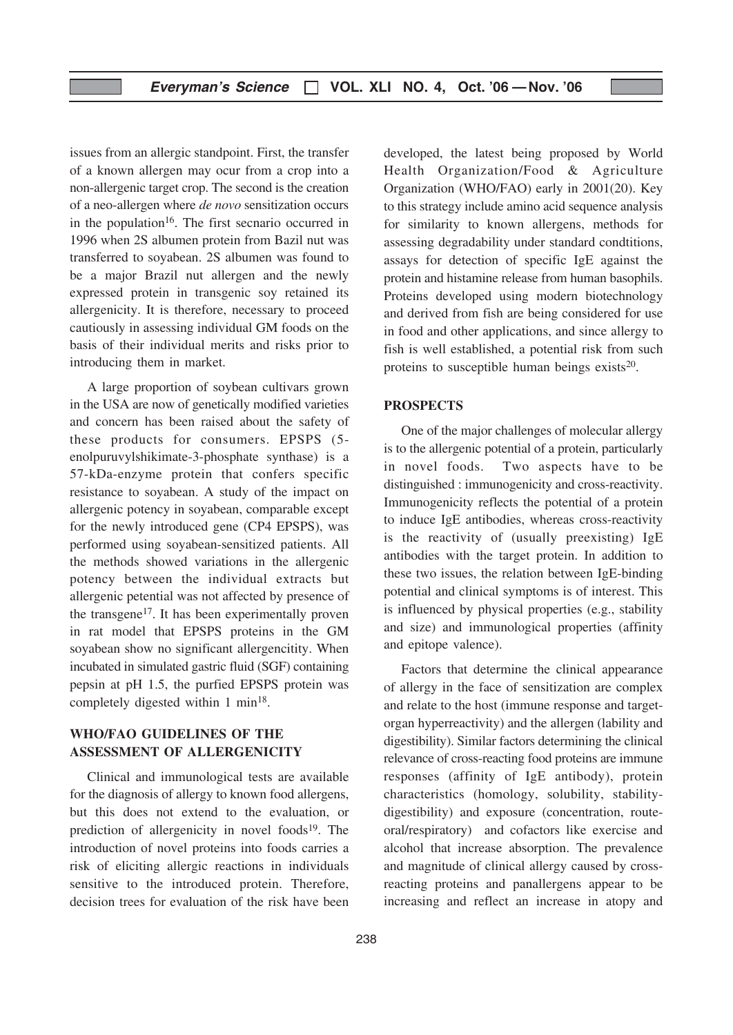issues from an allergic standpoint. First, the transfer of a known allergen may ocur from a crop into a non-allergenic target crop. The second is the creation of a neo-allergen where de novo sensitization occurs in the population<sup>16</sup>. The first secnario occurred in 1996 when 2S albumen protein from Bazil nut was transferred to soyabean. 2S albumen was found to be a major Brazil nut allergen and the newly expressed protein in transgenic soy retained its allergenicity. It is therefore, necessary to proceed cautiously in assessing individual GM foods on the basis of their individual merits and risks prior to introducing them in market.

A large proportion of soybean cultivars grown in the USA are now of genetically modified varieties and concern has been raised about the safety of these products for consumers. EPSPS (5 enolpuruvylshikimate-3-phosphate synthase) is a 57-kDa-enzyme protein that confers specific resistance to soyabean. A study of the impact on allergenic potency in soyabean, comparable except for the newly introduced gene (CP4 EPSPS), was performed using soyabean-sensitized patients. All the methods showed variations in the allergenic potency between the individual extracts but allergenic petential was not affected by presence of the transgene<sup>17</sup>. It has been experimentally proven in rat model that EPSPS proteins in the GM soyabean show no significant allergencitity. When incubated in simulated gastric fluid (SGF) containing pepsin at pH 1.5, the purfied EPSPS protein was completely digested within 1 min<sup>18</sup>.

#### WHO/FAO GUIDELINES OF THE ASSESSMENT OF ALLERGENICITY

Clinical and immunological tests are available for the diagnosis of allergy to known food allergens, but this does not extend to the evaluation, or prediction of allergenicity in novel foods $19$ . The introduction of novel proteins into foods carries a risk of eliciting allergic reactions in individuals sensitive to the introduced protein. Therefore, decision trees for evaluation of the risk have been

developed, the latest being proposed by World Health Organization/Food & Agriculture Organization (WHO/FAO) early in 2001(20). Key to this strategy include amino acid sequence analysis for similarity to known allergens, methods for assessing degradability under standard condtitions, assays for detection of specific IgE against the protein and histamine release from human basophils. Proteins developed using modern biotechnology and derived from fish are being considered for use in food and other applications, and since allergy to fish is well established, a potential risk from such proteins to susceptible human beings exists $20$ .

#### **PROSPECTS**

One of the major challenges of molecular allergy is to the allergenic potential of a protein, particularly in novel foods. Two aspects have to be distinguished : immunogenicity and cross-reactivity. Immunogenicity reflects the potential of a protein to induce IgE antibodies, whereas cross-reactivity is the reactivity of (usually preexisting) IgE antibodies with the target protein. In addition to these two issues, the relation between IgE-binding potential and clinical symptoms is of interest. This is influenced by physical properties (e.g., stability and size) and immunological properties (affinity and epitope valence).

Factors that determine the clinical appearance of allergy in the face of sensitization are complex and relate to the host (immune response and targetorgan hyperreactivity) and the allergen (lability and digestibility). Similar factors determining the clinical relevance of cross-reacting food proteins are immune responses (affinity of IgE antibody), protein characteristics (homology, solubility, stabilitydigestibility) and exposure (concentration, routeoral/respiratory) and cofactors like exercise and alcohol that increase absorption. The prevalence and magnitude of clinical allergy caused by crossreacting proteins and panallergens appear to be increasing and reflect an increase in atopy and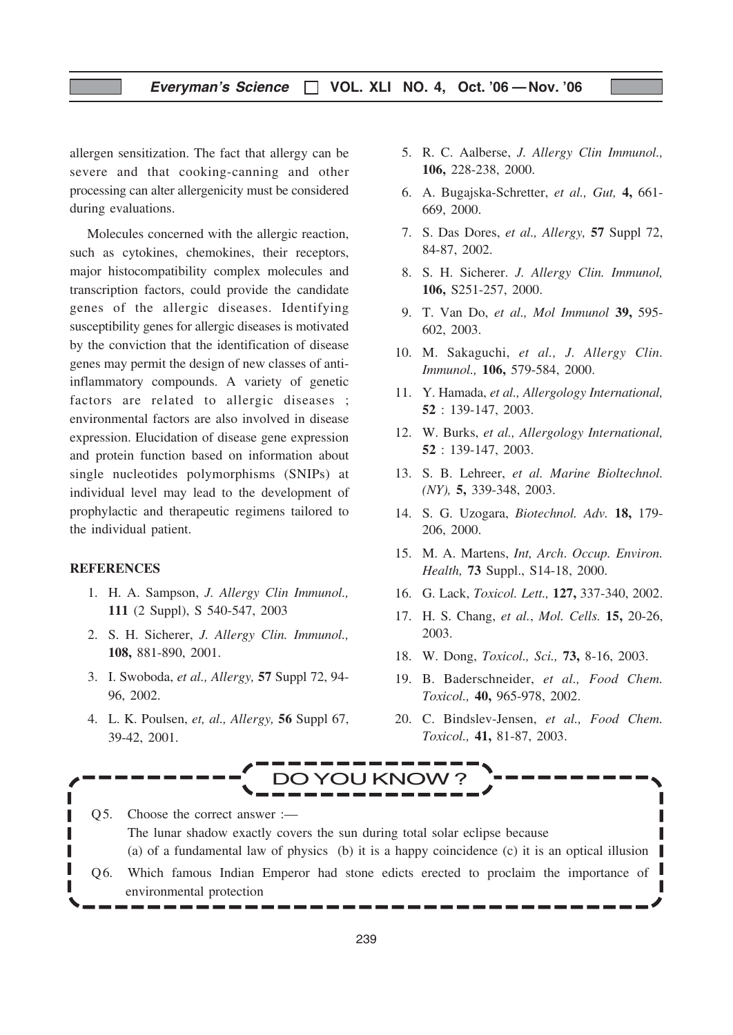allergen sensitization. The fact that allergy can be severe and that cooking-canning and other processing can alter allergenicity must be considered during evaluations.

Molecules concerned with the allergic reaction, such as cytokines, chemokines, their receptors, major histocompatibility complex molecules and transcription factors, could provide the candidate genes of the allergic diseases. Identifying susceptibility genes for allergic diseases is motivated by the conviction that the identification of disease genes may permit the design of new classes of antiinflammatory compounds. A variety of genetic factors are related to allergic diseases ; environmental factors are also involved in disease expression. Elucidation of disease gene expression and protein function based on information about single nucleotides polymorphisms (SNIPs) at individual level may lead to the development of prophylactic and therapeutic regimens tailored to the individual patient.

#### **REFERENCES**

- 1. H. A. Sampson, J. Allergy Clin Immunol., 111 (2 Suppl), S 540-547, 2003
- 2. S. H. Sicherer, J. Allergy Clin. Immunol., 108, 881-890, 2001.
- 3. I. Swoboda, et al., Allergy, 57 Suppl 72, 94- 96, 2002.
- 4. L. K. Poulsen, et, al., Allergy, 56 Suppl 67, 39-42, 2001.
- 5. R. C. Aalberse, J. Allergy Clin Immunol., 106, 228-238, 2000.
- 6. A. Bugajska-Schretter, et al., Gut, 4, 661- 669, 2000.
- 7. S. Das Dores, et al., Allergy, 57 Suppl 72, 84-87, 2002.
- 8. S. H. Sicherer. J. Allergy Clin. Immunol, 106, S251-257, 2000.
- 9. T. Van Do, et al., Mol Immunol 39, 595- 602, 2003.
- 10. M. Sakaguchi, et al., J. Allergy Clin. Immunol., 106, 579-584, 2000.
- 11. Y. Hamada, et al., Allergology International, 52 : 139-147, 2003.
- 12. W. Burks, et al., Allergology International, 52 : 139-147, 2003.
- 13. S. B. Lehreer, et al. Marine Bioltechnol. (NY), 5, 339-348, 2003.
- 14. S. G. Uzogara, Biotechnol. Adv. 18, 179- 206, 2000.
- 15. M. A. Martens, Int, Arch. Occup. Environ. Health, 73 Suppl., S14-18, 2000.
- 16. G. Lack, Toxicol. Lett., 127, 337-340, 2002.
- 17. H. S. Chang, et al., Mol. Cells. 15, 20-26, 2003.
- 18. W. Dong, Toxicol., Sci., 73, 8-16, 2003.
- 19. B. Baderschneider, et al., Food Chem. Toxicol., 40, 965-978, 2002.
- 20. C. Bindslev-Jensen, et al., Food Chem. Toxicol., 41, 81-87, 2003.



Q5. Choose the correct answer :-The lunar shadow exactly covers the sun during total solar eclipse because (a) of a fundamental law of physics (b) it is a happy coincidence (c) it is an optical illusion Q6. Which famous Indian Emperor had stone edicts erected to proclaim the importance of environmental protection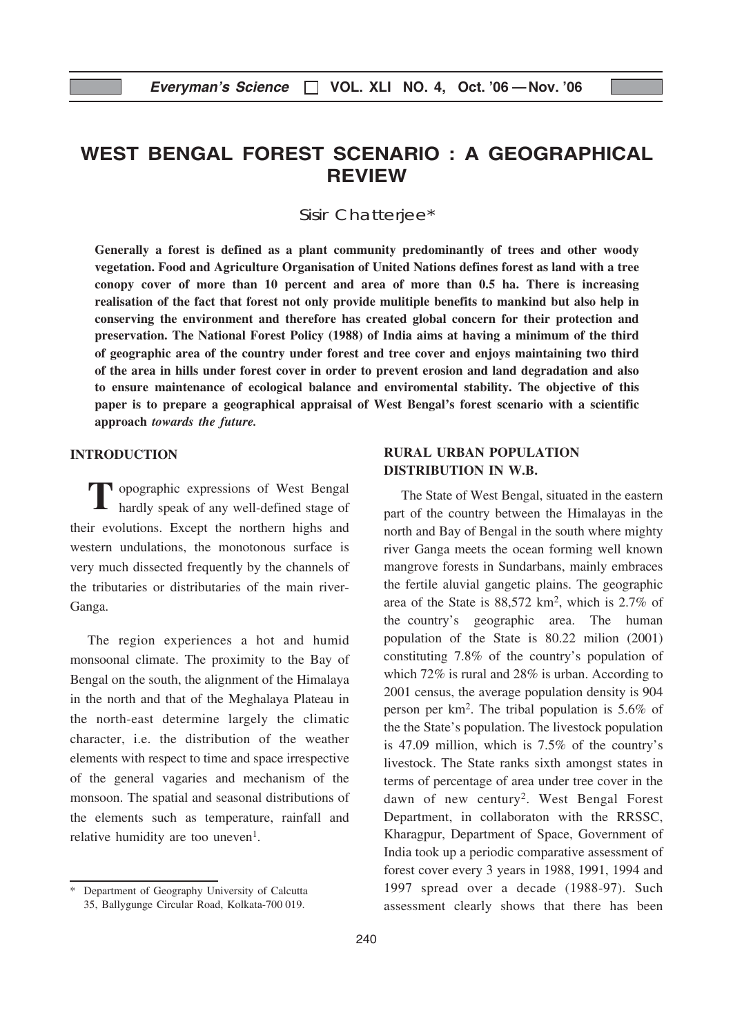## WEST BENGAL FOREST SCENARIO : A GEOGRAPHICAL REVIEW

Sisir Chatterjee\*

Generally a forest is defined as a plant community predominantly of trees and other woody vegetation. Food and Agriculture Organisation of United Nations defines forest as land with a tree conopy cover of more than 10 percent and area of more than 0.5 ha. There is increasing realisation of the fact that forest not only provide mulitiple benefits to mankind but also help in conserving the environment and therefore has created global concern for their protection and preservation. The National Forest Policy (1988) of India aims at having a minimum of the third of geographic area of the country under forest and tree cover and enjoys maintaining two third of the area in hills under forest cover in order to prevent erosion and land degradation and also to ensure maintenance of ecological balance and enviromental stability. The objective of this paper is to prepare a geographical appraisal of West Bengal's forest scenario with a scientific approach towards the future.

#### INTRODUCTION

Topographic expressions of West Bengal hardly speak of any well-defined stage of their evolutions. Except the northern highs and western undulations, the monotonous surface is very much dissected frequently by the channels of the tributaries or distributaries of the main river-Ganga.

The region experiences a hot and humid monsoonal climate. The proximity to the Bay of Bengal on the south, the alignment of the Himalaya in the north and that of the Meghalaya Plateau in the north-east determine largely the climatic character, i.e. the distribution of the weather elements with respect to time and space irrespective of the general vagaries and mechanism of the monsoon. The spatial and seasonal distributions of the elements such as temperature, rainfall and relative humidity are too uneven<sup>1</sup>.

#### RURAL URBAN POPULATION DISTRIBUTION IN W.B.

The State of West Bengal, situated in the eastern part of the country between the Himalayas in the north and Bay of Bengal in the south where mighty river Ganga meets the ocean forming well known mangrove forests in Sundarbans, mainly embraces the fertile aluvial gangetic plains. The geographic area of the State is 88,572 km2, which is 2.7% of the country's geographic area. The human population of the State is 80.22 milion (2001) constituting 7.8% of the country's population of which 72% is rural and 28% is urban. According to 2001 census, the average population density is 904 person per km2. The tribal population is 5.6% of the the State's population. The livestock population is 47.09 million, which is 7.5% of the country's livestock. The State ranks sixth amongst states in terms of percentage of area under tree cover in the dawn of new century2. West Bengal Forest Department, in collaboraton with the RRSSC, Kharagpur, Department of Space, Government of India took up a periodic comparative assessment of forest cover every 3 years in 1988, 1991, 1994 and 1997 spread over a decade (1988-97). Such assessment clearly shows that there has been

Department of Geography University of Calcutta 35, Ballygunge Circular Road, Kolkata-700 019.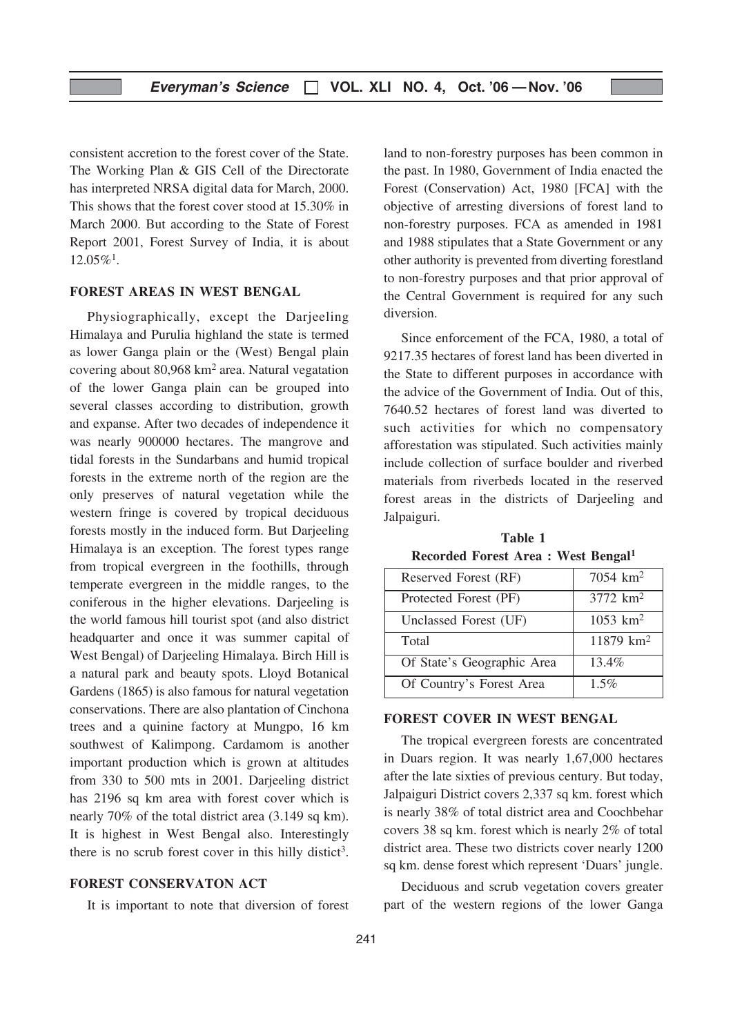consistent accretion to the forest cover of the State. The Working Plan & GIS Cell of the Directorate has interpreted NRSA digital data for March, 2000. This shows that the forest cover stood at 15.30% in March 2000. But according to the State of Forest Report 2001, Forest Survey of India, it is about  $12.05\%$ <sup>1</sup>.

#### FOREST AREAS IN WEST BENGAL

Physiographically, except the Darjeeling Himalaya and Purulia highland the state is termed as lower Ganga plain or the (West) Bengal plain covering about 80,968 km2 area. Natural vegatation of the lower Ganga plain can be grouped into several classes according to distribution, growth and expanse. After two decades of independence it was nearly 900000 hectares. The mangrove and tidal forests in the Sundarbans and humid tropical forests in the extreme north of the region are the only preserves of natural vegetation while the western fringe is covered by tropical deciduous forests mostly in the induced form. But Darjeeling Himalaya is an exception. The forest types range from tropical evergreen in the foothills, through temperate evergreen in the middle ranges, to the coniferous in the higher elevations. Darjeeling is the world famous hill tourist spot (and also district headquarter and once it was summer capital of West Bengal) of Darjeeling Himalaya. Birch Hill is a natural park and beauty spots. Lloyd Botanical Gardens (1865) is also famous for natural vegetation conservations. There are also plantation of Cinchona trees and a quinine factory at Mungpo, 16 km southwest of Kalimpong. Cardamom is another important production which is grown at altitudes from 330 to 500 mts in 2001. Darjeeling district has 2196 sq km area with forest cover which is nearly 70% of the total district area (3.149 sq km). It is highest in West Bengal also. Interestingly there is no scrub forest cover in this hilly distict<sup>3</sup>.

#### FOREST CONSERVATON ACT

It is important to note that diversion of forest

land to non-forestry purposes has been common in the past. In 1980, Government of India enacted the Forest (Conservation) Act, 1980 [FCA] with the objective of arresting diversions of forest land to non-forestry purposes. FCA as amended in 1981 and 1988 stipulates that a State Government or any other authority is prevented from diverting forestland to non-forestry purposes and that prior approval of the Central Government is required for any such diversion.

Since enforcement of the FCA, 1980, a total of 9217.35 hectares of forest land has been diverted in the State to different purposes in accordance with the advice of the Government of India. Out of this, 7640.52 hectares of forest land was diverted to such activities for which no compensatory afforestation was stipulated. Such activities mainly include collection of surface boulder and riverbed materials from riverbeds located in the reserved forest areas in the districts of Darjeeling and Jalpaiguri.

Table 1 Recorded Forest Area : West Bengal1

| Reserved Forest (RF)       | $7054 \text{ km}^2$   |
|----------------------------|-----------------------|
| Protected Forest (PF)      | $3772 \text{ km}^2$   |
| Unclassed Forest (UF)      | $1053 \text{ km}^2$   |
| Total                      | 11879 km <sup>2</sup> |
| Of State's Geographic Area | 13.4%                 |
| Of Country's Forest Area   | $1.5\%$               |

#### FOREST COVER IN WEST BENGAL

The tropical evergreen forests are concentrated in Duars region. It was nearly 1,67,000 hectares after the late sixties of previous century. But today, Jalpaiguri District covers 2,337 sq km. forest which is nearly 38% of total district area and Coochbehar covers 38 sq km. forest which is nearly 2% of total district area. These two districts cover nearly 1200 sq km. dense forest which represent 'Duars' jungle.

Deciduous and scrub vegetation covers greater part of the western regions of the lower Ganga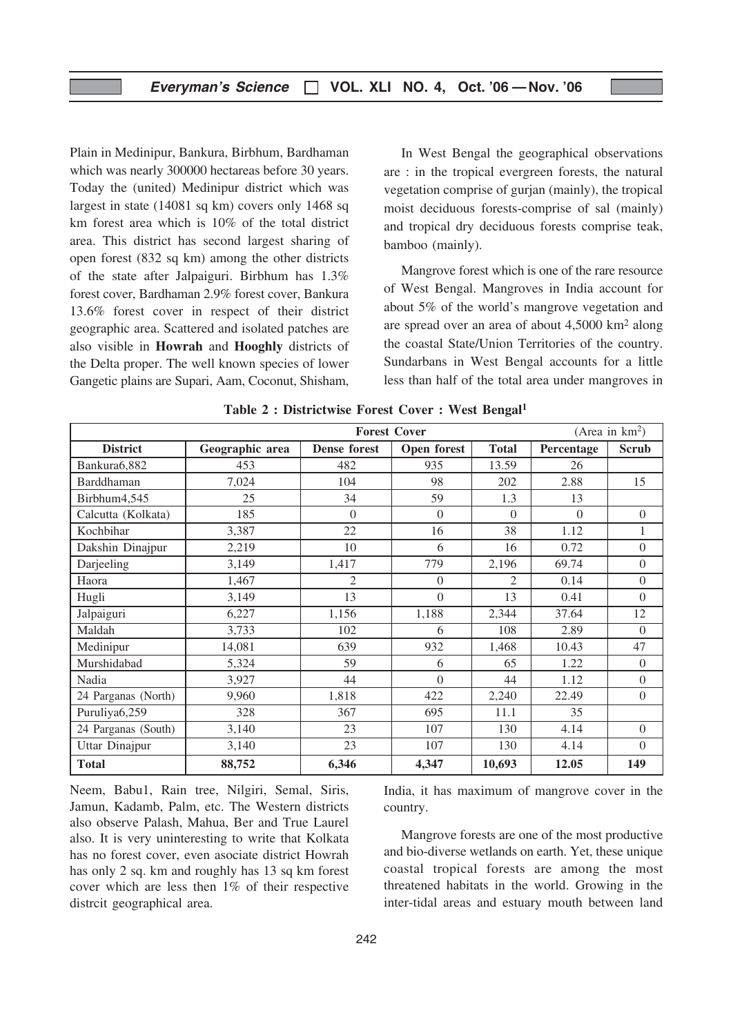Plain in Medinipur, Bankura, Birbhum, Bardhaman which was nearly 300000 hectareas before 30 years. Today the (united) Medinipur district which was largest in state (14081 sq km) covers only 1468 sq km forest area which is 10% of the total district area. This district has second largest sharing of open forest (832 sq km) among the other districts of the state after Jalpaiguri. Birbhum has 1.3% forest cover, Bardhaman 2.9% forest cover, Bankura 13.6% forest cover in respect of their district geographic area. Scattered and isolated patches are also visible in Howrah and Hooghly districts of the Delta proper. The well known species of lower Gangetic plains are Supari, Aam, Coconut, Shisham,

In West Bengal the geographical observations are : in the tropical evergreen forests, the natural vegetation comprise of gurjan (mainly), the tropical moist deciduous forests-comprise of sal (mainly) and tropical dry deciduous forests comprise teak, bamboo (mainly).

Mangrove forest which is one of the rare resource of West Bengal. Mangroves in India account for about 5% of the world's mangrove vegetation and are spread over an area of about 4,5000 km2 along the coastal State/Union Territories of the country. Sundarbans in West Bengal accounts for a little less than half of the total area under mangroves in

|                     | <b>Forest Cover</b> |                |             |                |            | (Area in $km^2$ ) |
|---------------------|---------------------|----------------|-------------|----------------|------------|-------------------|
| <b>District</b>     | Geographic area     | Dense forest   | Open forest | <b>Total</b>   | Percentage | <b>Scrub</b>      |
| Bankura6,882        | 453                 | 482            | 935         | 13.59          | 26         |                   |
| Barddhaman          | 7,024               | 104            | 98          | 202            | 2.88       | 15                |
| Birbhum4,545        | 25                  | 34             | 59          | 1.3            | 13         |                   |
| Calcutta (Kolkata)  | 185                 | $\Omega$       | $\Omega$    | $\Omega$       | $\Omega$   | $\Omega$          |
| Kochbihar           | 3,387               | 22             | 16          | 38             | 1.12       | 1                 |
| Dakshin Dinajpur    | 2,219               | 10             | 6           | 16             | 0.72       | $\Omega$          |
| Darjeeling          | 3,149               | 1,417          | 779         | 2,196          | 69.74      | $\Omega$          |
| Haora               | 1,467               | $\overline{2}$ | $\Omega$    | $\overline{2}$ | 0.14       | $\Omega$          |
| Hugli               | 3,149               | 13             | $\theta$    | 13             | 0.41       | $\boldsymbol{0}$  |
| Jalpaiguri          | 6,227               | 1,156          | 1,188       | 2,344          | 37.64      | 12                |
| Maldah              | 3,733               | 102            | 6           | 108            | 2.89       | $\Omega$          |
| Medinipur           | 14,081              | 639            | 932         | 1,468          | 10.43      | 47                |
| Murshidabad         | 5,324               | 59             | 6           | 65             | 1.22       | $\boldsymbol{0}$  |
| Nadia               | 3,927               | 44             | $\Omega$    | 44             | 1.12       | $\boldsymbol{0}$  |
| 24 Parganas (North) | 9,960               | 1,818          | 422         | 2,240          | 22.49      | $\Omega$          |
| Puruliya6,259       | 328                 | 367            | 695         | 11.1           | 35         |                   |
| 24 Parganas (South) | 3,140               | 23             | 107         | 130            | 4.14       | $\Omega$          |
| Uttar Dinajpur      | 3,140               | 23             | 107         | 130            | 4.14       | $\Omega$          |
| <b>Total</b>        | 88,752              | 6,346          | 4,347       | 10,693         | 12.05      | 149               |

|  |  | Table 2 : Districtwise Forest Cover : West Bengal <sup>1</sup> |  |  |  |  |  |
|--|--|----------------------------------------------------------------|--|--|--|--|--|
|--|--|----------------------------------------------------------------|--|--|--|--|--|

Neem, Babu1, Rain tree, Nilgiri, Semal, Siris, Jamun, Kadamb, Palm, etc. The Western districts also observe Palash, Mahua, Ber and True Laurel also. It is very uninteresting to write that Kolkata has no forest cover, even asociate district Howrah has only 2 sq. km and roughly has 13 sq km forest cover which are less then 1% of their respective distrcit geographical area.

India, it has maximum of mangrove cover in the country.

Mangrove forests are one of the most productive and bio-diverse wetlands on earth. Yet, these unique coastal tropical forests are among the most threatened habitats in the world. Growing in the inter-tidal areas and estuary mouth between land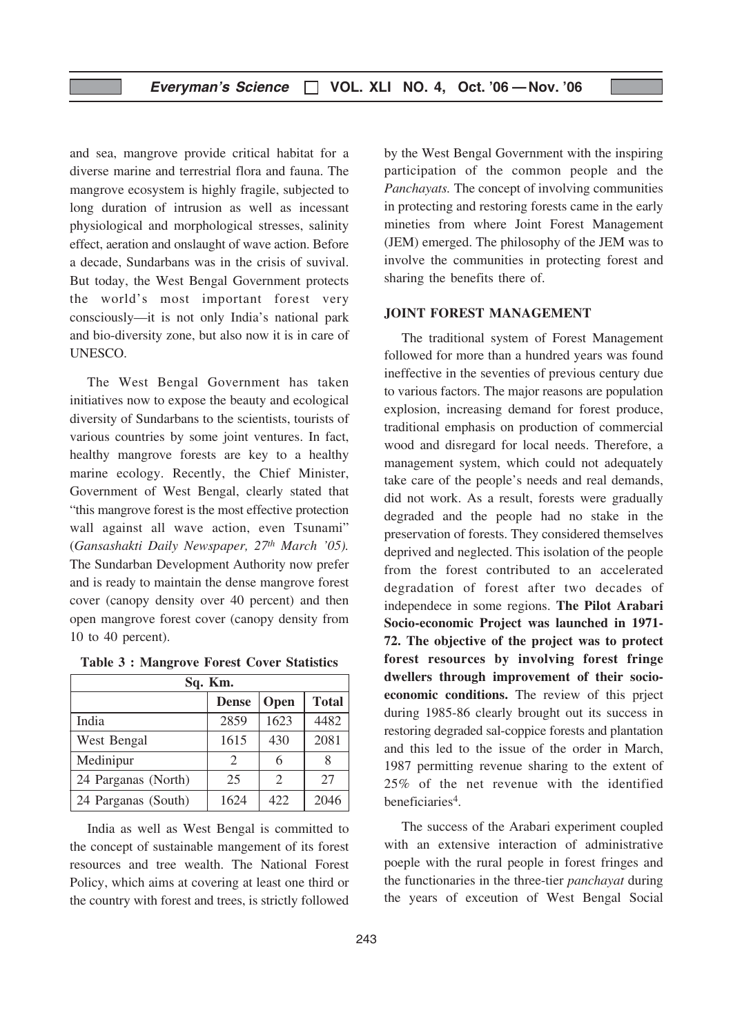and sea, mangrove provide critical habitat for a diverse marine and terrestrial flora and fauna. The mangrove ecosystem is highly fragile, subjected to long duration of intrusion as well as incessant physiological and morphological stresses, salinity effect, aeration and onslaught of wave action. Before a decade, Sundarbans was in the crisis of suvival. But today, the West Bengal Government protects the world's most important forest very consciously—it is not only India's national park and bio-diversity zone, but also now it is in care of UNESCO.

The West Bengal Government has taken initiatives now to expose the beauty and ecological diversity of Sundarbans to the scientists, tourists of various countries by some joint ventures. In fact, healthy mangrove forests are key to a healthy marine ecology. Recently, the Chief Minister, Government of West Bengal, clearly stated that "this mangrove forest is the most effective protection wall against all wave action, even Tsunami" (Gansashakti Daily Newspaper, 27<sup>th</sup> March '05). The Sundarban Development Authority now prefer and is ready to maintain the dense mangrove forest cover (canopy density over 40 percent) and then open mangrove forest cover (canopy density from 10 to 40 percent).

| <b>Table 3: Mangrove Forest Cover Statistics</b> |  |  |  |
|--------------------------------------------------|--|--|--|
|--------------------------------------------------|--|--|--|

| Sq. Km.                              |                             |      |      |  |  |  |  |
|--------------------------------------|-----------------------------|------|------|--|--|--|--|
| <b>Total</b><br>Open<br><b>Dense</b> |                             |      |      |  |  |  |  |
| India                                | 2859                        | 1623 | 4482 |  |  |  |  |
| West Bengal                          | 1615                        | 430  | 2081 |  |  |  |  |
| Medinipur                            | $\mathcal{D}_{\mathcal{L}}$ | 6    |      |  |  |  |  |
| 24 Parganas (North)                  | 25                          | 2    | 27   |  |  |  |  |
| 24 Parganas (South)                  | 1624                        | 422  | 2046 |  |  |  |  |

India as well as West Bengal is committed to the concept of sustainable mangement of its forest resources and tree wealth. The National Forest Policy, which aims at covering at least one third or the country with forest and trees, is strictly followed

by the West Bengal Government with the inspiring participation of the common people and the Panchayats. The concept of involving communities in protecting and restoring forests came in the early mineties from where Joint Forest Management (JEM) emerged. The philosophy of the JEM was to involve the communities in protecting forest and sharing the benefits there of.

#### JOINT FOREST MANAGEMENT

The traditional system of Forest Management followed for more than a hundred years was found ineffective in the seventies of previous century due to various factors. The major reasons are population explosion, increasing demand for forest produce, traditional emphasis on production of commercial wood and disregard for local needs. Therefore, a management system, which could not adequately take care of the people's needs and real demands, did not work. As a result, forests were gradually degraded and the people had no stake in the preservation of forests. They considered themselves deprived and neglected. This isolation of the people from the forest contributed to an accelerated degradation of forest after two decades of independece in some regions. The Pilot Arabari Socio-economic Project was launched in 1971- 72. The objective of the project was to protect forest resources by involving forest fringe dwellers through improvement of their socioeconomic conditions. The review of this prject during 1985-86 clearly brought out its success in restoring degraded sal-coppice forests and plantation and this led to the issue of the order in March, 1987 permitting revenue sharing to the extent of 25% of the net revenue with the identified beneficiaries4.

The success of the Arabari experiment coupled with an extensive interaction of administrative poeple with the rural people in forest fringes and the functionaries in the three-tier panchayat during the years of exceution of West Bengal Social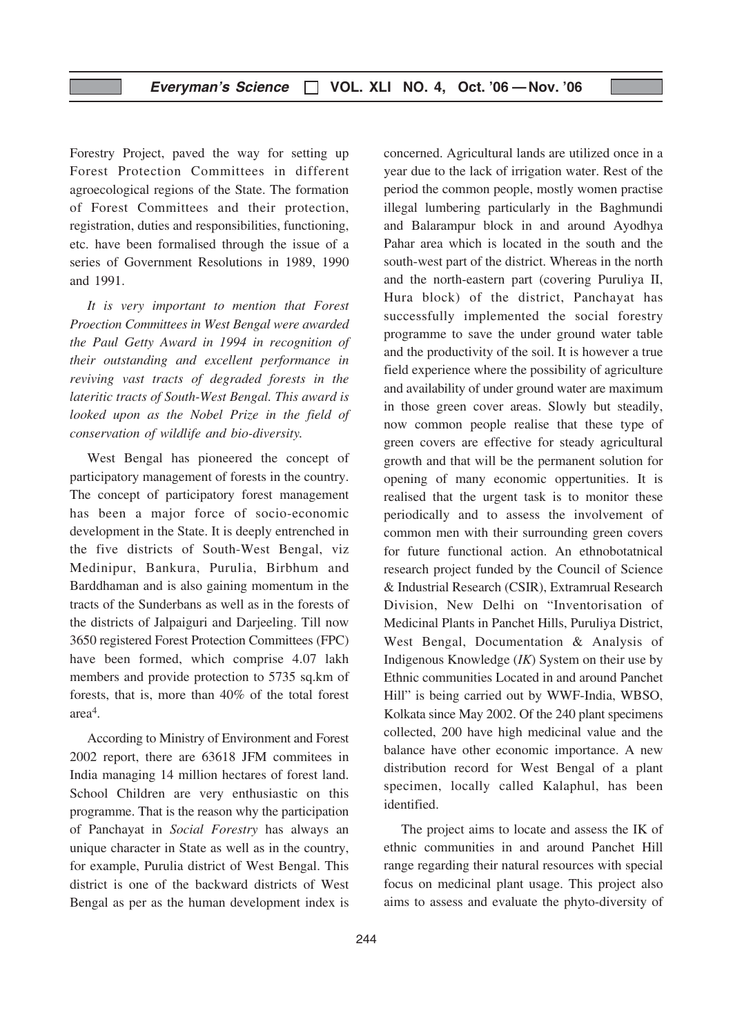Forestry Project, paved the way for setting up Forest Protection Committees in different agroecological regions of the State. The formation of Forest Committees and their protection, registration, duties and responsibilities, functioning, etc. have been formalised through the issue of a series of Government Resolutions in 1989, 1990 and 1991.

It is very important to mention that Forest Proection Committees in West Bengal were awarded the Paul Getty Award in 1994 in recognition of their outstanding and excellent performance in reviving vast tracts of degraded forests in the lateritic tracts of South-West Bengal. This award is looked upon as the Nobel Prize in the field of conservation of wildlife and bio-diversity.

West Bengal has pioneered the concept of participatory management of forests in the country. The concept of participatory forest management has been a major force of socio-economic development in the State. It is deeply entrenched in the five districts of South-West Bengal, viz Medinipur, Bankura, Purulia, Birbhum and Barddhaman and is also gaining momentum in the tracts of the Sunderbans as well as in the forests of the districts of Jalpaiguri and Darjeeling. Till now 3650 registered Forest Protection Committees (FPC) have been formed, which comprise 4.07 lakh members and provide protection to 5735 sq.km of forests, that is, more than 40% of the total forest area4.

According to Ministry of Environment and Forest 2002 report, there are 63618 JFM commitees in India managing 14 million hectares of forest land. School Children are very enthusiastic on this programme. That is the reason why the participation of Panchayat in Social Forestry has always an unique character in State as well as in the country, for example, Purulia district of West Bengal. This district is one of the backward districts of West Bengal as per as the human development index is

concerned. Agricultural lands are utilized once in a year due to the lack of irrigation water. Rest of the period the common people, mostly women practise illegal lumbering particularly in the Baghmundi and Balarampur block in and around Ayodhya Pahar area which is located in the south and the south-west part of the district. Whereas in the north and the north-eastern part (covering Puruliya II, Hura block) of the district, Panchayat has successfully implemented the social forestry programme to save the under ground water table and the productivity of the soil. It is however a true field experience where the possibility of agriculture and availability of under ground water are maximum in those green cover areas. Slowly but steadily, now common people realise that these type of green covers are effective for steady agricultural growth and that will be the permanent solution for opening of many economic oppertunities. It is realised that the urgent task is to monitor these periodically and to assess the involvement of common men with their surrounding green covers for future functional action. An ethnobotatnical research project funded by the Council of Science & Industrial Research (CSIR), Extramrual Research Division, New Delhi on "Inventorisation of Medicinal Plants in Panchet Hills, Puruliya District, West Bengal, Documentation & Analysis of Indigenous Knowledge  $(IK)$  System on their use by Ethnic communities Located in and around Panchet Hill" is being carried out by WWF-India, WBSO, Kolkata since May 2002. Of the 240 plant specimens collected, 200 have high medicinal value and the balance have other economic importance. A new distribution record for West Bengal of a plant specimen, locally called Kalaphul, has been identified.

The project aims to locate and assess the IK of ethnic communities in and around Panchet Hill range regarding their natural resources with special focus on medicinal plant usage. This project also aims to assess and evaluate the phyto-diversity of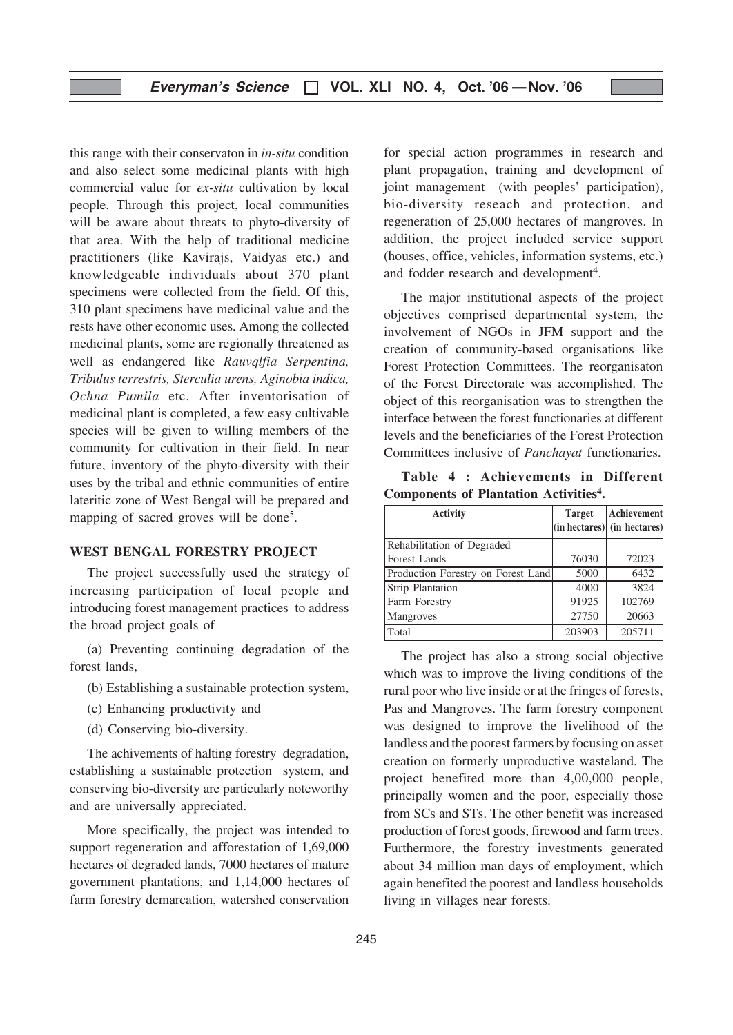this range with their conservaton in in-situ condition and also select some medicinal plants with high commercial value for ex-situ cultivation by local people. Through this project, local communities will be aware about threats to phyto-diversity of that area. With the help of traditional medicine practitioners (like Kavirajs, Vaidyas etc.) and knowledgeable individuals about 370 plant specimens were collected from the field. Of this, 310 plant specimens have medicinal value and the rests have other economic uses. Among the collected medicinal plants, some are regionally threatened as well as endangered like Rauvqlfia Serpentina, Tribulus terrestris, Sterculia urens, Aginobia indica, Ochna Pumila etc. After inventorisation of medicinal plant is completed, a few easy cultivable species will be given to willing members of the community for cultivation in their field. In near future, inventory of the phyto-diversity with their uses by the tribal and ethnic communities of entire lateritic zone of West Bengal will be prepared and mapping of sacred groves will be done<sup>5</sup>.

#### WEST BENGAL FORESTRY PROJECT

The project successfully used the strategy of increasing participation of local people and introducing forest management practices to address the broad project goals of

(a) Preventing continuing degradation of the forest lands,

- (b) Establishing a sustainable protection system,
- (c) Enhancing productivity and
- (d) Conserving bio-diversity.

The achivements of halting forestry degradation, establishing a sustainable protection system, and conserving bio-diversity are particularly noteworthy and are universally appreciated.

More specifically, the project was intended to support regeneration and afforestation of 1,69,000 hectares of degraded lands, 7000 hectares of mature government plantations, and 1,14,000 hectares of farm forestry demarcation, watershed conservation

for special action programmes in research and plant propagation, training and development of joint management (with peoples' participation), bio-diversity reseach and protection, and regeneration of 25,000 hectares of mangroves. In addition, the project included service support (houses, office, vehicles, information systems, etc.) and fodder research and development<sup>4</sup>.

The major institutional aspects of the project objectives comprised departmental system, the involvement of NGOs in JFM support and the creation of community-based organisations like Forest Protection Committees. The reorganisaton of the Forest Directorate was accomplished. The object of this reorganisation was to strengthen the interface between the forest functionaries at different levels and the beneficiaries of the Forest Protection Committees inclusive of Panchayat functionaries.

Table 4 : Achievements in Different Components of Plantation Activities4.

| <b>Activity</b>                    | <b>Target</b> | Achievement<br>$(in$ hectares $)$ (in hectares) |
|------------------------------------|---------------|-------------------------------------------------|
| Rehabilitation of Degraded         |               |                                                 |
| Forest Lands                       | 76030         | 72023                                           |
| Production Forestry on Forest Land | 5000          | 6432                                            |
| <b>Strip Plantation</b>            | 4000          | 3824                                            |
| Farm Forestry                      | 91925         | 102769                                          |
| Mangroves                          | 27750         | 20663                                           |
| Total                              | 203903        | 205711                                          |

The project has also a strong social objective which was to improve the living conditions of the rural poor who live inside or at the fringes of forests, Pas and Mangroves. The farm forestry component was designed to improve the livelihood of the landless and the poorest farmers by focusing on asset creation on formerly unproductive wasteland. The project benefited more than 4,00,000 people, principally women and the poor, especially those from SCs and STs. The other benefit was increased production of forest goods, firewood and farm trees. Furthermore, the forestry investments generated about 34 million man days of employment, which again benefited the poorest and landless households living in villages near forests.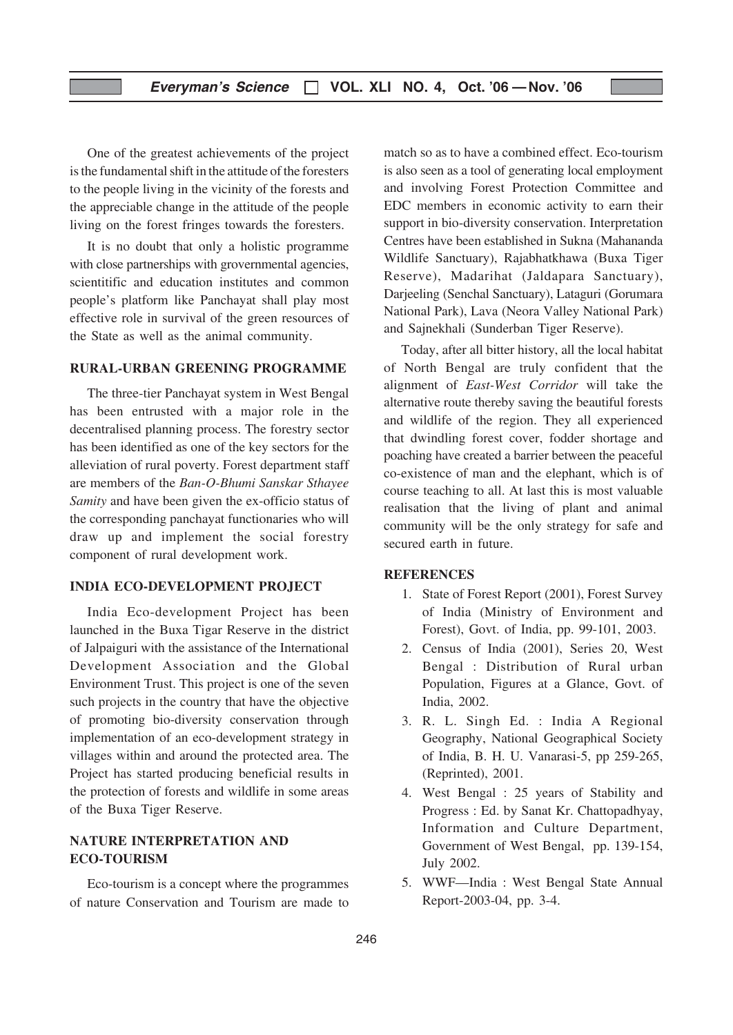One of the greatest achievements of the project is the fundamental shift in the attitude of the foresters to the people living in the vicinity of the forests and the appreciable change in the attitude of the people living on the forest fringes towards the foresters.

It is no doubt that only a holistic programme with close partnerships with grovernmental agencies, scientitific and education institutes and common people's platform like Panchayat shall play most effective role in survival of the green resources of the State as well as the animal community.

#### RURAL-URBAN GREENING PROGRAMME

The three-tier Panchayat system in West Bengal has been entrusted with a major role in the decentralised planning process. The forestry sector has been identified as one of the key sectors for the alleviation of rural poverty. Forest department staff are members of the Ban-O-Bhumi Sanskar Sthayee Samity and have been given the ex-officio status of the corresponding panchayat functionaries who will draw up and implement the social forestry component of rural development work.

#### INDIA ECO-DEVELOPMENT PROJECT

India Eco-development Project has been launched in the Buxa Tigar Reserve in the district of Jalpaiguri with the assistance of the International Development Association and the Global Environment Trust. This project is one of the seven such projects in the country that have the objective of promoting bio-diversity conservation through implementation of an eco-development strategy in villages within and around the protected area. The Project has started producing beneficial results in the protection of forests and wildlife in some areas of the Buxa Tiger Reserve.

# NATURE INTERPRETATION AND ECO-TOURISM

Eco-tourism is a concept where the programmes of nature Conservation and Tourism are made to match so as to have a combined effect. Eco-tourism is also seen as a tool of generating local employment and involving Forest Protection Committee and EDC members in economic activity to earn their support in bio-diversity conservation. Interpretation Centres have been established in Sukna (Mahananda Wildlife Sanctuary), Rajabhatkhawa (Buxa Tiger Reserve), Madarihat (Jaldapara Sanctuary), Darjeeling (Senchal Sanctuary), Lataguri (Gorumara National Park), Lava (Neora Valley National Park) and Sajnekhali (Sunderban Tiger Reserve).

Today, after all bitter history, all the local habitat of North Bengal are truly confident that the alignment of East-West Corridor will take the alternative route thereby saving the beautiful forests and wildlife of the region. They all experienced that dwindling forest cover, fodder shortage and poaching have created a barrier between the peaceful co-existence of man and the elephant, which is of course teaching to all. At last this is most valuable realisation that the living of plant and animal community will be the only strategy for safe and secured earth in future.

#### **REFERENCES**

- 1. State of Forest Report (2001), Forest Survey of India (Ministry of Environment and Forest), Govt. of India, pp. 99-101, 2003.
- 2. Census of India (2001), Series 20, West Bengal : Distribution of Rural urban Population, Figures at a Glance, Govt. of India, 2002.
- 3. R. L. Singh Ed. : India A Regional Geography, National Geographical Society of India, B. H. U. Vanarasi-5, pp 259-265, (Reprinted), 2001.
- 4. West Bengal : 25 years of Stability and Progress : Ed. by Sanat Kr. Chattopadhyay, Information and Culture Department, Government of West Bengal, pp. 139-154, July 2002.
- 5. WWF—India : West Bengal State Annual Report-2003-04, pp. 3-4.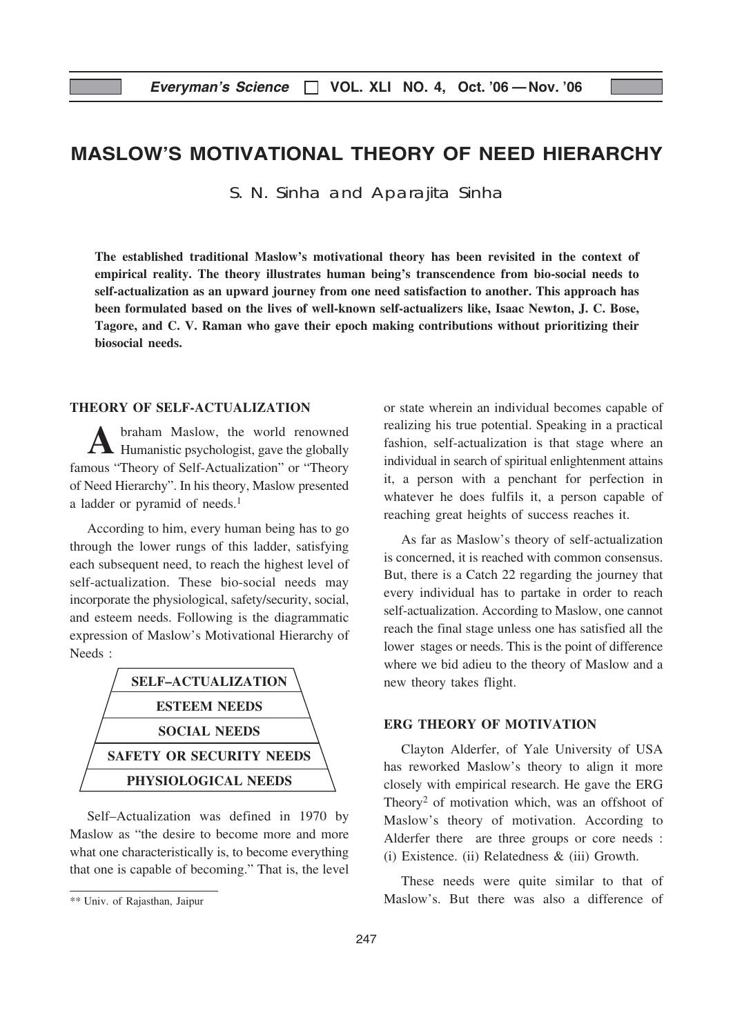# MASLOW'S MOTIVATIONAL THEORY OF NEED HIERARCHY

S. N. Sinha and Aparajita Sinha

The established traditional Maslow's motivational theory has been revisited in the context of empirical reality. The theory illustrates human being's transcendence from bio-social needs to self-actualization as an upward journey from one need satisfaction to another. This approach has been formulated based on the lives of well-known self-actualizers like, Isaac Newton, J. C. Bose, Tagore, and C. V. Raman who gave their epoch making contributions without prioritizing their biosocial needs.

# THEORY OF SELF-ACTUALIZATION

A braham Maslow, the world renowned<br>Humanistic psychologist, gave the globally famous "Theory of Self-Actualization" or "Theory of Need Hierarchy". In his theory, Maslow presented a ladder or pyramid of needs.<sup>1</sup>

According to him, every human being has to go through the lower rungs of this ladder, satisfying each subsequent need, to reach the highest level of self-actualization. These bio-social needs may incorporate the physiological, safety/security, social, and esteem needs. Following is the diagrammatic expression of Maslow's Motivational Hierarchy of Needs :



Self–Actualization was defined in 1970 by Maslow as "the desire to become more and more what one characteristically is, to become everything that one is capable of becoming." That is, the level or state wherein an individual becomes capable of realizing his true potential. Speaking in a practical fashion, self-actualization is that stage where an individual in search of spiritual enlightenment attains it, a person with a penchant for perfection in whatever he does fulfils it, a person capable of reaching great heights of success reaches it.

As far as Maslow's theory of self-actualization is concerned, it is reached with common consensus. But, there is a Catch 22 regarding the journey that every individual has to partake in order to reach self-actualization. According to Maslow, one cannot reach the final stage unless one has satisfied all the lower stages or needs. This is the point of difference where we bid adieu to the theory of Maslow and a new theory takes flight.

#### ERG THEORY OF MOTIVATION

Clayton Alderfer, of Yale University of USA has reworked Maslow's theory to align it more closely with empirical research. He gave the ERG Theory<sup>2</sup> of motivation which, was an offshoot of Maslow's theory of motivation. According to Alderfer there are three groups or core needs : (i) Existence. (ii) Relatedness & (iii) Growth.

These needs were quite similar to that of Maslow's. But there was also a difference of

<sup>\*\*</sup> Univ. of Rajasthan, Jaipur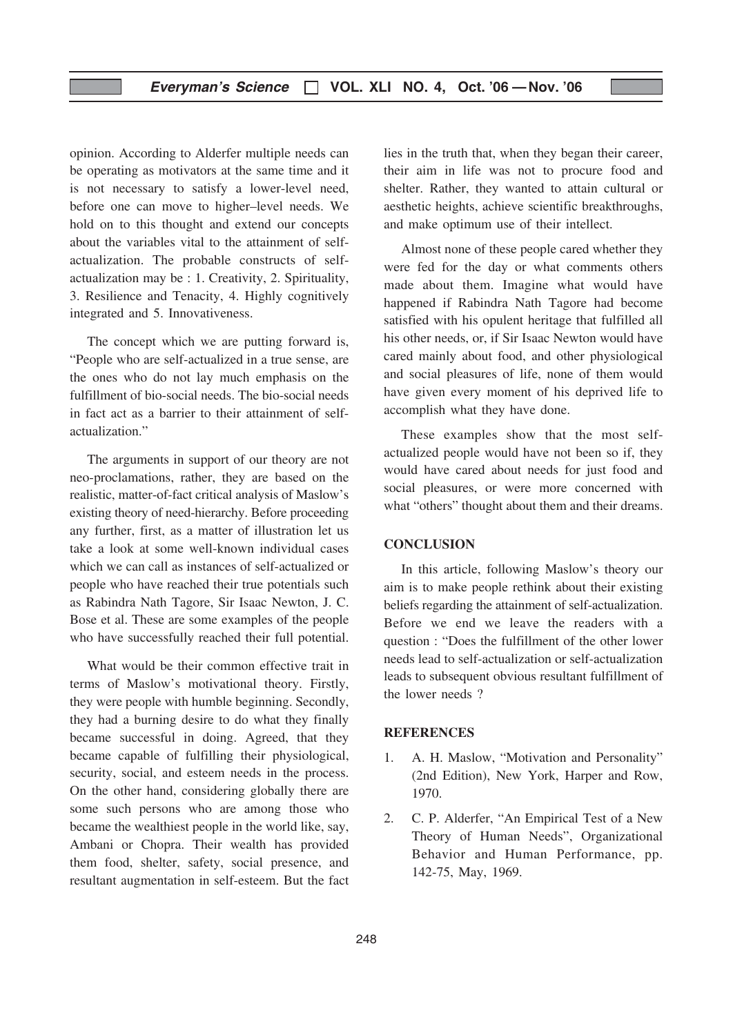opinion. According to Alderfer multiple needs can be operating as motivators at the same time and it is not necessary to satisfy a lower-level need, before one can move to higher–level needs. We hold on to this thought and extend our concepts about the variables vital to the attainment of selfactualization. The probable constructs of selfactualization may be : 1. Creativity, 2. Spirituality, 3. Resilience and Tenacity, 4. Highly cognitively integrated and 5. Innovativeness.

The concept which we are putting forward is, "People who are self-actualized in a true sense, are the ones who do not lay much emphasis on the fulfillment of bio-social needs. The bio-social needs in fact act as a barrier to their attainment of selfactualization."

The arguments in support of our theory are not neo-proclamations, rather, they are based on the realistic, matter-of-fact critical analysis of Maslow's existing theory of need-hierarchy. Before proceeding any further, first, as a matter of illustration let us take a look at some well-known individual cases which we can call as instances of self-actualized or people who have reached their true potentials such as Rabindra Nath Tagore, Sir Isaac Newton, J. C. Bose et al. These are some examples of the people who have successfully reached their full potential.

What would be their common effective trait in terms of Maslow's motivational theory. Firstly, they were people with humble beginning. Secondly, they had a burning desire to do what they finally became successful in doing. Agreed, that they became capable of fulfilling their physiological, security, social, and esteem needs in the process. On the other hand, considering globally there are some such persons who are among those who became the wealthiest people in the world like, say, Ambani or Chopra. Their wealth has provided them food, shelter, safety, social presence, and resultant augmentation in self-esteem. But the fact lies in the truth that, when they began their career, their aim in life was not to procure food and shelter. Rather, they wanted to attain cultural or aesthetic heights, achieve scientific breakthroughs, and make optimum use of their intellect.

Almost none of these people cared whether they were fed for the day or what comments others made about them. Imagine what would have happened if Rabindra Nath Tagore had become satisfied with his opulent heritage that fulfilled all his other needs, or, if Sir Isaac Newton would have cared mainly about food, and other physiological and social pleasures of life, none of them would have given every moment of his deprived life to accomplish what they have done.

These examples show that the most selfactualized people would have not been so if, they would have cared about needs for just food and social pleasures, or were more concerned with what "others" thought about them and their dreams.

#### **CONCLUSION**

In this article, following Maslow's theory our aim is to make people rethink about their existing beliefs regarding the attainment of self-actualization. Before we end we leave the readers with a question : "Does the fulfillment of the other lower needs lead to self-actualization or self-actualization leads to subsequent obvious resultant fulfillment of the lower needs ?

#### REFERENCES

- 1. A. H. Maslow, "Motivation and Personality" (2nd Edition), New York, Harper and Row, 1970.
- 2. C. P. Alderfer, "An Empirical Test of a New Theory of Human Needs", Organizational Behavior and Human Performance, pp. 142-75, May, 1969.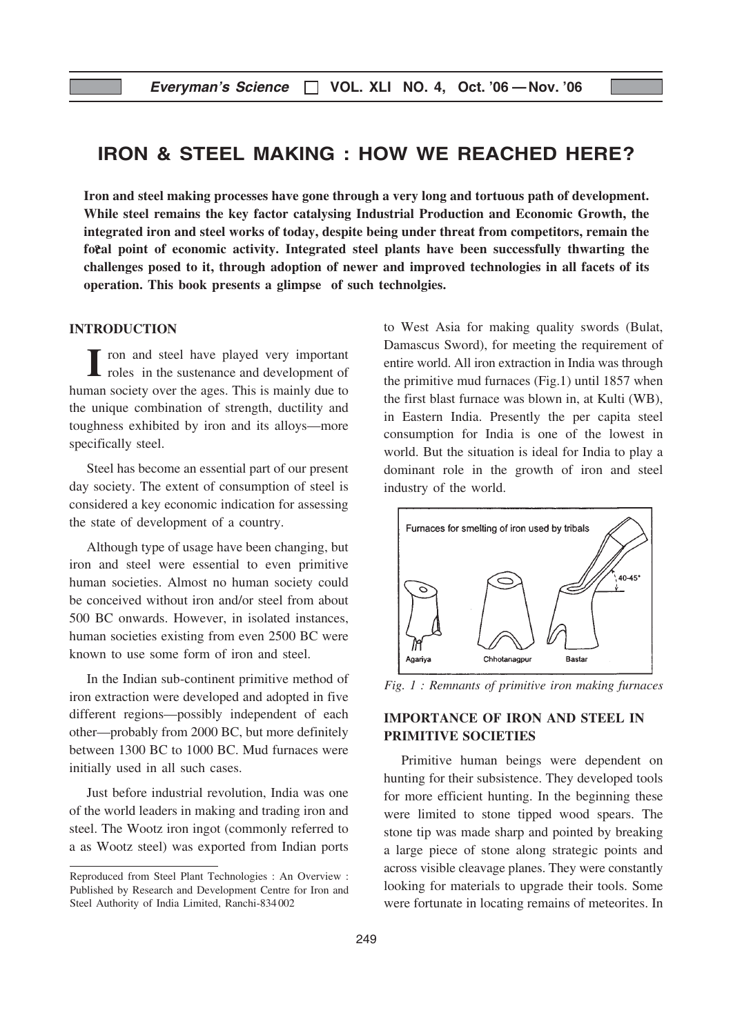# IRON & STEEL MAKING : HOW WE REACHED HERE?

focal point of economic activity. Integrated steel plants have been successfully thwarting the Iron and steel making processes have gone through a very long and tortuous path of development. While steel remains the key factor catalysing Industrial Production and Economic Growth, the integrated iron and steel works of today, despite being under threat from competitors, remain the challenges posed to it, through adoption of newer and improved technologies in all facets of its operation. This book presents a glimpse of such technolgies.

## INTRODUCTION

I roles in the sustenance and development of human society over the ages. This is mainly due to the unique combination of strength, ductility and toughness exhibited by iron and its alloys—more specifically steel.

Steel has become an essential part of our present day society. The extent of consumption of steel is considered a key economic indication for assessing the state of development of a country.

Although type of usage have been changing, but iron and steel were essential to even primitive human societies. Almost no human society could be conceived without iron and/or steel from about 500 BC onwards. However, in isolated instances, human societies existing from even 2500 BC were known to use some form of iron and steel.

In the Indian sub-continent primitive method of iron extraction were developed and adopted in five different regions—possibly independent of each other—probably from 2000 BC, but more definitely between 1300 BC to 1000 BC. Mud furnaces were initially used in all such cases.

Just before industrial revolution, India was one of the world leaders in making and trading iron and steel. The Wootz iron ingot (commonly referred to a as Wootz steel) was exported from Indian ports to West Asia for making quality swords (Bulat, Damascus Sword), for meeting the requirement of entire world. All iron extraction in India was through the primitive mud furnaces (Fig.1) until 1857 when the first blast furnace was blown in, at Kulti (WB), in Eastern India. Presently the per capita steel consumption for India is one of the lowest in world. But the situation is ideal for India to play a dominant role in the growth of iron and steel industry of the world.



Fig. 1 : Remnants of primitive iron making furnaces

# IMPORTANCE OF IRON AND STEEL IN PRIMITIVE SOCIETIES

Primitive human beings were dependent on hunting for their subsistence. They developed tools for more efficient hunting. In the beginning these were limited to stone tipped wood spears. The stone tip was made sharp and pointed by breaking a large piece of stone along strategic points and across visible cleavage planes. They were constantly looking for materials to upgrade their tools. Some were fortunate in locating remains of meteorites. In

Reproduced from Steel Plant Technologies : An Overview : Published by Research and Development Centre for Iron and Steel Authority of India Limited, Ranchi-834002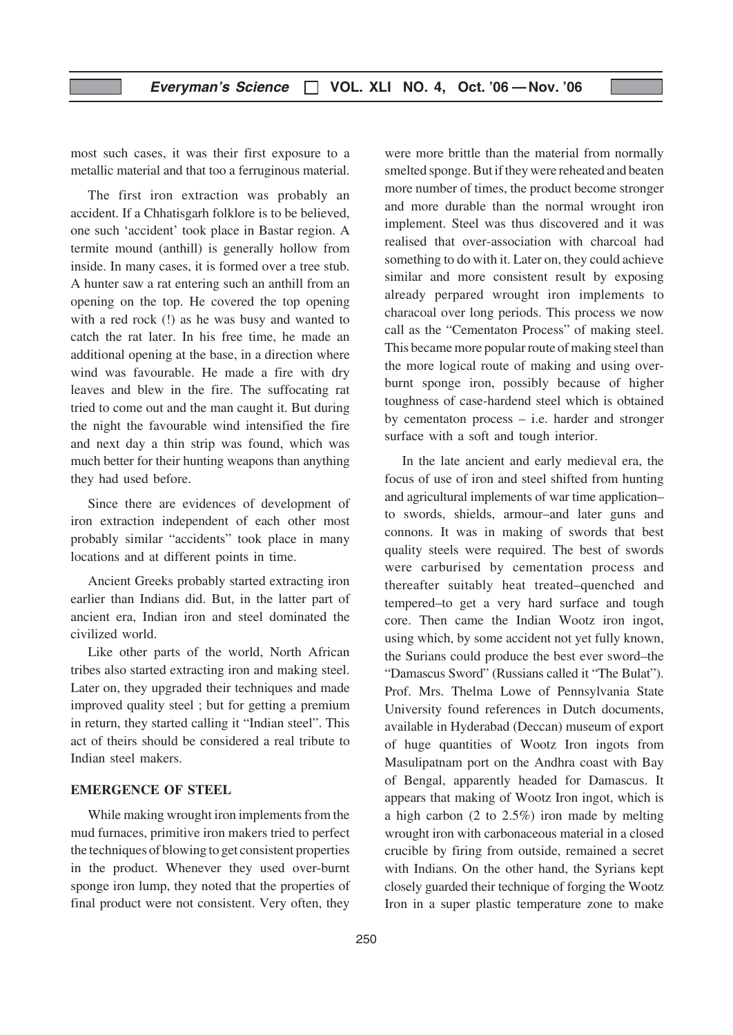most such cases, it was their first exposure to a metallic material and that too a ferruginous material.

The first iron extraction was probably an accident. If a Chhatisgarh folklore is to be believed, one such 'accident' took place in Bastar region. A termite mound (anthill) is generally hollow from inside. In many cases, it is formed over a tree stub. A hunter saw a rat entering such an anthill from an opening on the top. He covered the top opening with a red rock (!) as he was busy and wanted to catch the rat later. In his free time, he made an additional opening at the base, in a direction where wind was favourable. He made a fire with dry leaves and blew in the fire. The suffocating rat tried to come out and the man caught it. But during the night the favourable wind intensified the fire and next day a thin strip was found, which was much better for their hunting weapons than anything they had used before.

Since there are evidences of development of iron extraction independent of each other most probably similar "accidents" took place in many locations and at different points in time.

Ancient Greeks probably started extracting iron earlier than Indians did. But, in the latter part of ancient era, Indian iron and steel dominated the civilized world.

Like other parts of the world, North African tribes also started extracting iron and making steel. Later on, they upgraded their techniques and made improved quality steel ; but for getting a premium in return, they started calling it "Indian steel". This act of theirs should be considered a real tribute to Indian steel makers.

## EMERGENCE OF STEEL

While making wrought iron implements from the mud furnaces, primitive iron makers tried to perfect the techniques of blowing to get consistent properties in the product. Whenever they used over-burnt sponge iron lump, they noted that the properties of final product were not consistent. Very often, they

were more brittle than the material from normally smelted sponge. But if they were reheated and beaten more number of times, the product become stronger and more durable than the normal wrought iron implement. Steel was thus discovered and it was realised that over-association with charcoal had something to do with it. Later on, they could achieve similar and more consistent result by exposing already perpared wrought iron implements to characoal over long periods. This process we now call as the "Cementaton Process" of making steel. This became more popular route of making steel than the more logical route of making and using overburnt sponge iron, possibly because of higher toughness of case-hardend steel which is obtained by cementaton process – i.e. harder and stronger surface with a soft and tough interior.

In the late ancient and early medieval era, the focus of use of iron and steel shifted from hunting and agricultural implements of war time application– to swords, shields, armour–and later guns and connons. It was in making of swords that best quality steels were required. The best of swords were carburised by cementation process and thereafter suitably heat treated–quenched and tempered–to get a very hard surface and tough core. Then came the Indian Wootz iron ingot, using which, by some accident not yet fully known, the Surians could produce the best ever sword–the "Damascus Sword" (Russians called it "The Bulat"). Prof. Mrs. Thelma Lowe of Pennsylvania State University found references in Dutch documents, available in Hyderabad (Deccan) museum of export of huge quantities of Wootz Iron ingots from Masulipatnam port on the Andhra coast with Bay of Bengal, apparently headed for Damascus. It appears that making of Wootz Iron ingot, which is a high carbon (2 to 2.5%) iron made by melting wrought iron with carbonaceous material in a closed crucible by firing from outside, remained a secret with Indians. On the other hand, the Syrians kept closely guarded their technique of forging the Wootz Iron in a super plastic temperature zone to make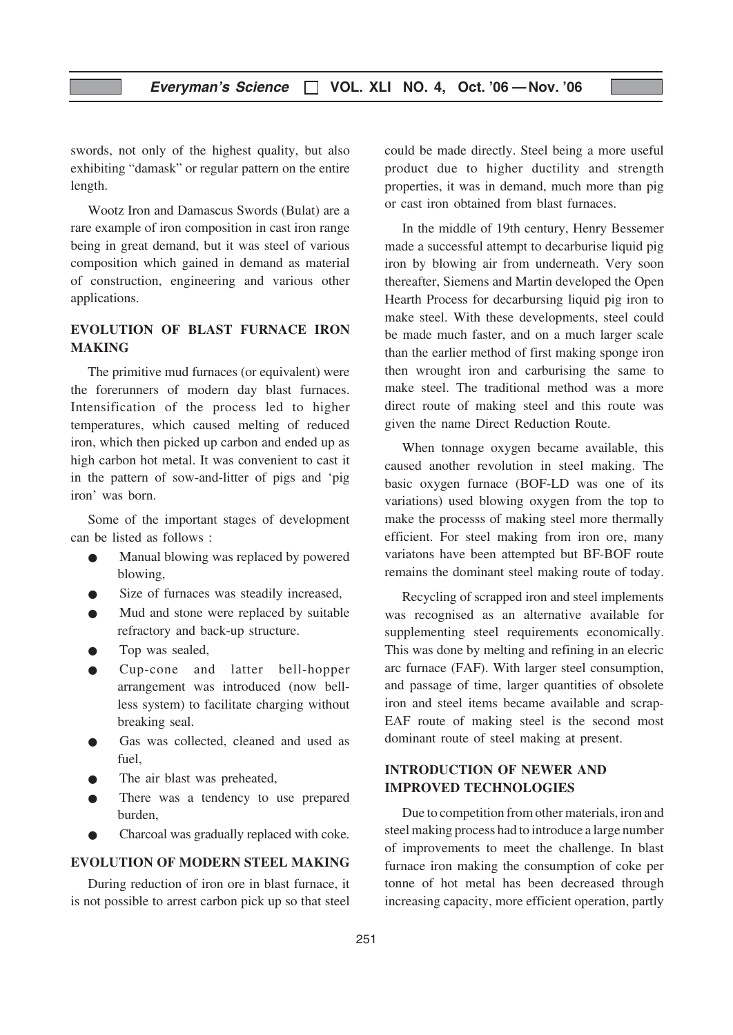swords, not only of the highest quality, but also exhibiting "damask" or regular pattern on the entire length.

Wootz Iron and Damascus Swords (Bulat) are a rare example of iron composition in cast iron range being in great demand, but it was steel of various composition which gained in demand as material of construction, engineering and various other applications.

# EVOLUTION OF BLAST FURNACE IRON MAKING

The primitive mud furnaces (or equivalent) were the forerunners of modern day blast furnaces. Intensification of the process led to higher temperatures, which caused melting of reduced iron, which then picked up carbon and ended up as high carbon hot metal. It was convenient to cast it in the pattern of sow-and-litter of pigs and 'pig iron' was born.

Some of the important stages of development can be listed as follows :

- Manual blowing was replaced by powered blowing,
- Size of furnaces was steadily increased,
- Mud and stone were replaced by suitable refractory and back-up structure.
- Top was sealed,
- Cup-cone and latter bell-hopper arrangement was introduced (now bellless system) to facilitate charging without breaking seal.
- Gas was collected, cleaned and used as fuel,
- The air blast was preheated,
- There was a tendency to use prepared burden,
- Charcoal was gradually replaced with coke.

#### EVOLUTION OF MODERN STEEL MAKING

During reduction of iron ore in blast furnace, it is not possible to arrest carbon pick up so that steel could be made directly. Steel being a more useful product due to higher ductility and strength properties, it was in demand, much more than pig or cast iron obtained from blast furnaces.

In the middle of 19th century, Henry Bessemer made a successful attempt to decarburise liquid pig iron by blowing air from underneath. Very soon thereafter, Siemens and Martin developed the Open Hearth Process for decarbursing liquid pig iron to make steel. With these developments, steel could be made much faster, and on a much larger scale than the earlier method of first making sponge iron then wrought iron and carburising the same to make steel. The traditional method was a more direct route of making steel and this route was given the name Direct Reduction Route.

When tonnage oxygen became available, this caused another revolution in steel making. The basic oxygen furnace (BOF-LD was one of its variations) used blowing oxygen from the top to make the processs of making steel more thermally efficient. For steel making from iron ore, many variatons have been attempted but BF-BOF route remains the dominant steel making route of today.

Recycling of scrapped iron and steel implements was recognised as an alternative available for supplementing steel requirements economically. This was done by melting and refining in an elecric arc furnace (FAF). With larger steel consumption, and passage of time, larger quantities of obsolete iron and steel items became available and scrap-EAF route of making steel is the second most dominant route of steel making at present.

# INTRODUCTION OF NEWER AND IMPROVED TECHNOLOGIES

Due to competition from other materials, iron and steel making process had to introduce a large number of improvements to meet the challenge. In blast furnace iron making the consumption of coke per tonne of hot metal has been decreased through increasing capacity, more efficient operation, partly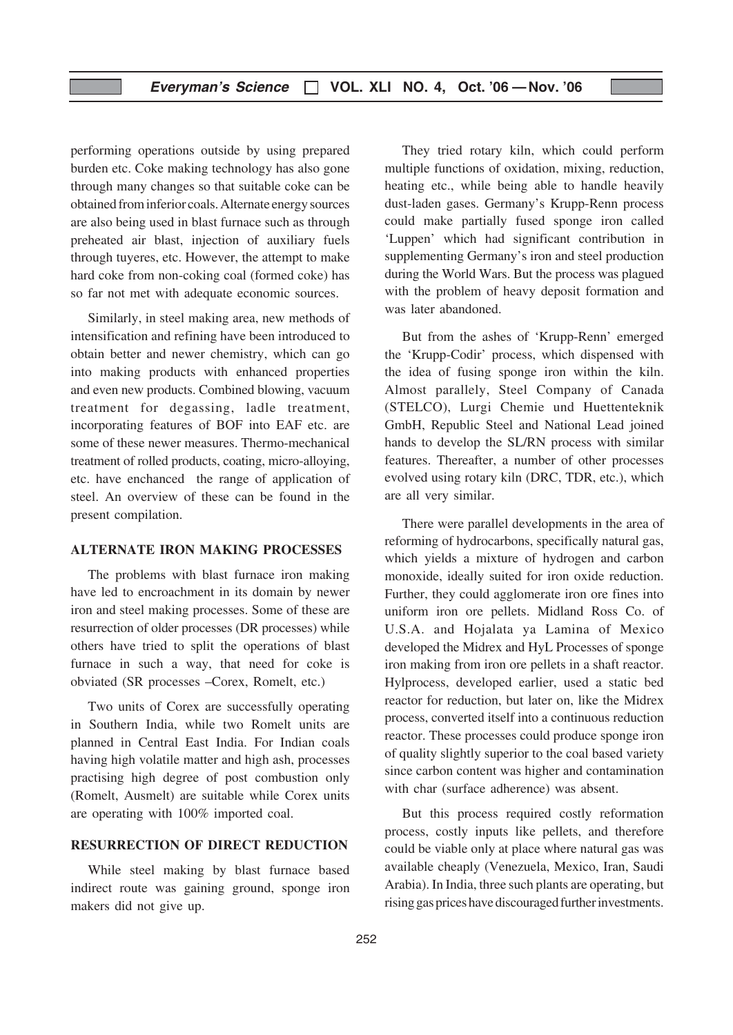performing operations outside by using prepared burden etc. Coke making technology has also gone through many changes so that suitable coke can be obtained from inferior coals. Alternate energy sources are also being used in blast furnace such as through preheated air blast, injection of auxiliary fuels through tuyeres, etc. However, the attempt to make hard coke from non-coking coal (formed coke) has so far not met with adequate economic sources.

Similarly, in steel making area, new methods of intensification and refining have been introduced to obtain better and newer chemistry, which can go into making products with enhanced properties and even new products. Combined blowing, vacuum treatment for degassing, ladle treatment, incorporating features of BOF into EAF etc. are some of these newer measures. Thermo-mechanical treatment of rolled products, coating, micro-alloying, etc. have enchanced the range of application of steel. An overview of these can be found in the present compilation.

## ALTERNATE IRON MAKING PROCESSES

The problems with blast furnace iron making have led to encroachment in its domain by newer iron and steel making processes. Some of these are resurrection of older processes (DR processes) while others have tried to split the operations of blast furnace in such a way, that need for coke is obviated (SR processes –Corex, Romelt, etc.)

Two units of Corex are successfully operating in Southern India, while two Romelt units are planned in Central East India. For Indian coals having high volatile matter and high ash, processes practising high degree of post combustion only (Romelt, Ausmelt) are suitable while Corex units are operating with 100% imported coal.

# RESURRECTION OF DIRECT REDUCTION

While steel making by blast furnace based indirect route was gaining ground, sponge iron makers did not give up.

They tried rotary kiln, which could perform multiple functions of oxidation, mixing, reduction, heating etc., while being able to handle heavily dust-laden gases. Germany's Krupp-Renn process could make partially fused sponge iron called 'Luppen' which had significant contribution in supplementing Germany's iron and steel production during the World Wars. But the process was plagued with the problem of heavy deposit formation and was later abandoned.

But from the ashes of 'Krupp-Renn' emerged the 'Krupp-Codir' process, which dispensed with the idea of fusing sponge iron within the kiln. Almost parallely, Steel Company of Canada (STELCO), Lurgi Chemie und Huettenteknik GmbH, Republic Steel and National Lead joined hands to develop the SL/RN process with similar features. Thereafter, a number of other processes evolved using rotary kiln (DRC, TDR, etc.), which are all very similar.

There were parallel developments in the area of reforming of hydrocarbons, specifically natural gas, which yields a mixture of hydrogen and carbon monoxide, ideally suited for iron oxide reduction. Further, they could agglomerate iron ore fines into uniform iron ore pellets. Midland Ross Co. of U.S.A. and Hojalata ya Lamina of Mexico developed the Midrex and HyL Processes of sponge iron making from iron ore pellets in a shaft reactor. Hylprocess, developed earlier, used a static bed reactor for reduction, but later on, like the Midrex process, converted itself into a continuous reduction reactor. These processes could produce sponge iron of quality slightly superior to the coal based variety since carbon content was higher and contamination with char (surface adherence) was absent.

But this process required costly reformation process, costly inputs like pellets, and therefore could be viable only at place where natural gas was available cheaply (Venezuela, Mexico, Iran, Saudi Arabia). In India, three such plants are operating, but rising gas prices have discouraged further investments.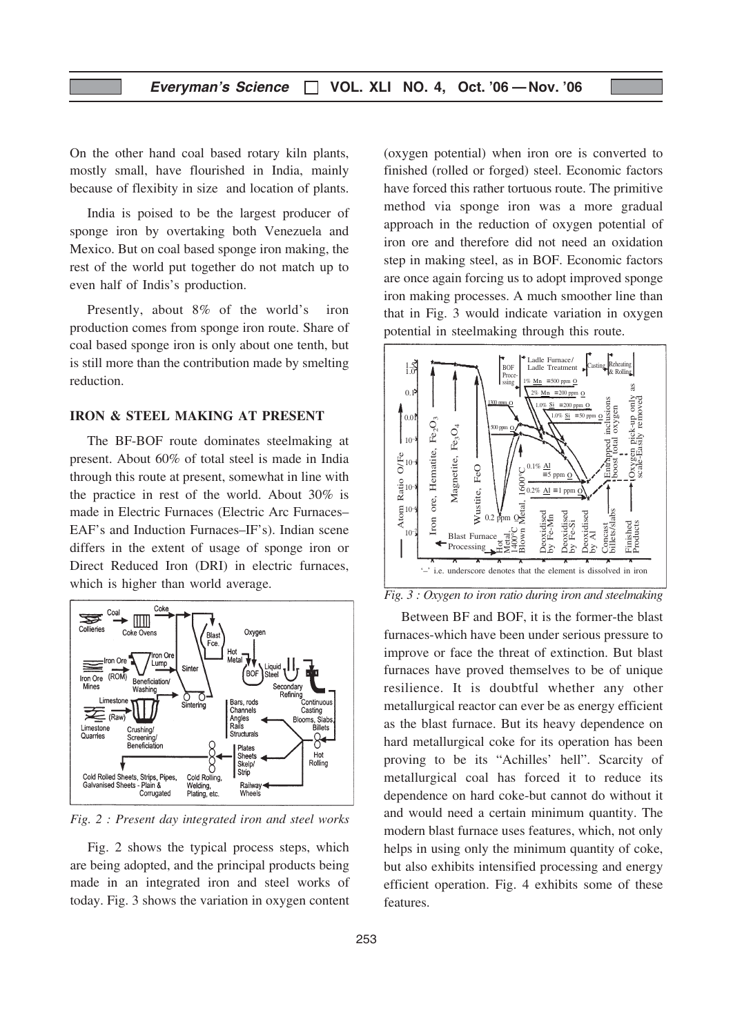On the other hand coal based rotary kiln plants, mostly small, have flourished in India, mainly because of flexibity in size and location of plants.

India is poised to be the largest producer of sponge iron by overtaking both Venezuela and Mexico. But on coal based sponge iron making, the rest of the world put together do not match up to even half of Indis's production.

Presently, about 8% of the world's iron production comes from sponge iron route. Share of coal based sponge iron is only about one tenth, but is still more than the contribution made by smelting reduction.

#### IRON & STEEL MAKING AT PRESENT

The BF-BOF route dominates steelmaking at present. About 60% of total steel is made in India through this route at present, somewhat in line with the practice in rest of the world. About 30% is made in Electric Furnaces (Electric Arc Furnaces– EAF's and Induction Furnaces–IF's). Indian scene differs in the extent of usage of sponge iron or Direct Reduced Iron (DRI) in electric furnaces, which is higher than world average.



Fig. 2 : Present day integrated iron and steel works

Fig. 2 shows the typical process steps, which are being adopted, and the principal products being made in an integrated iron and steel works of today. Fig. 3 shows the variation in oxygen content (oxygen potential) when iron ore is converted to finished (rolled or forged) steel. Economic factors have forced this rather tortuous route. The primitive method via sponge iron was a more gradual approach in the reduction of oxygen potential of iron ore and therefore did not need an oxidation step in making steel, as in BOF. Economic factors are once again forcing us to adopt improved sponge iron making processes. A much smoother line than that in Fig. 3 would indicate variation in oxygen potential in steelmaking through this route.



Fig. 3 : Oxygen to iron ratio during iron and steelmaking

Between BF and BOF, it is the former-the blast furnaces-which have been under serious pressure to improve or face the threat of extinction. But blast furnaces have proved themselves to be of unique resilience. It is doubtful whether any other metallurgical reactor can ever be as energy efficient as the blast furnace. But its heavy dependence on hard metallurgical coke for its operation has been proving to be its "Achilles' hell". Scarcity of metallurgical coal has forced it to reduce its dependence on hard coke-but cannot do without it and would need a certain minimum quantity. The modern blast furnace uses features, which, not only helps in using only the minimum quantity of coke, but also exhibits intensified processing and energy efficient operation. Fig. 4 exhibits some of these features.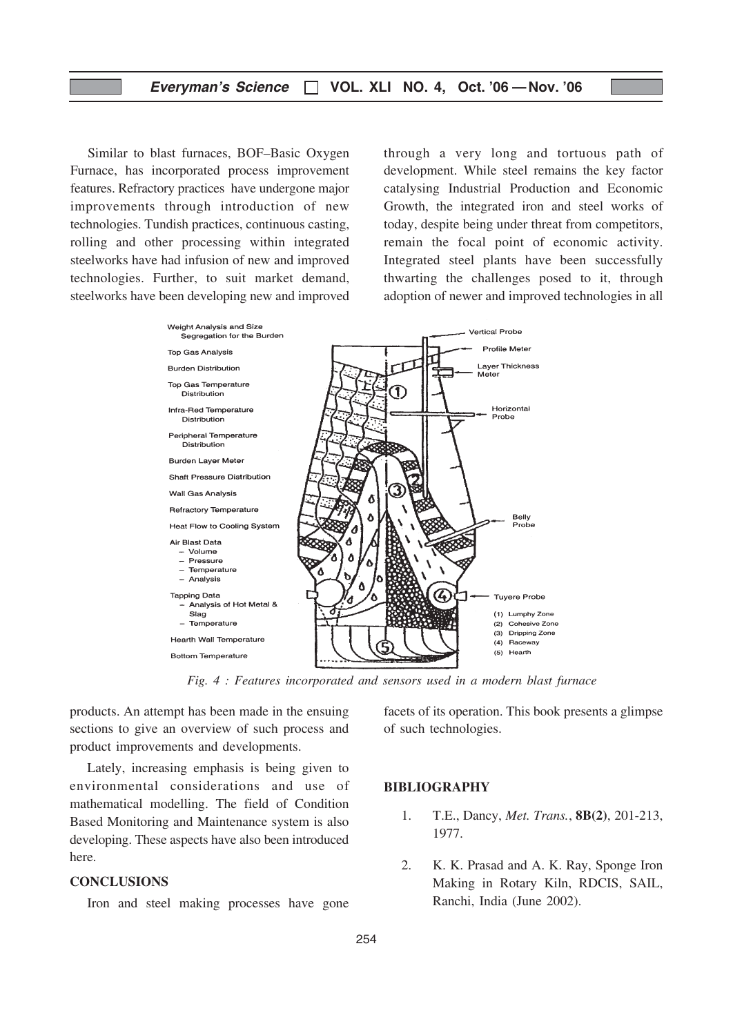Similar to blast furnaces, BOF–Basic Oxygen Furnace, has incorporated process improvement features. Refractory practices have undergone major improvements through introduction of new technologies. Tundish practices, continuous casting, rolling and other processing within integrated steelworks have had infusion of new and improved technologies. Further, to suit market demand, steelworks have been developing new and improved through a very long and tortuous path of development. While steel remains the key factor catalysing Industrial Production and Economic Growth, the integrated iron and steel works of today, despite being under threat from competitors, remain the focal point of economic activity. Integrated steel plants have been successfully thwarting the challenges posed to it, through adoption of newer and improved technologies in all



Fig. 4 : Features incorporated and sensors used in a modern blast furnace

products. An attempt has been made in the ensuing sections to give an overview of such process and product improvements and developments.

Lately, increasing emphasis is being given to environmental considerations and use of mathematical modelling. The field of Condition Based Monitoring and Maintenance system is also developing. These aspects have also been introduced here.

# **CONCLUSIONS**

Iron and steel making processes have gone

facets of its operation. This book presents a glimpse of such technologies.

#### BIBLIOGRAPHY

- 1. T.E., Dancy, Met. Trans., 8B(2), 201-213, 1977.
- 2. K. K. Prasad and A. K. Ray, Sponge Iron Making in Rotary Kiln, RDCIS, SAIL, Ranchi, India (June 2002).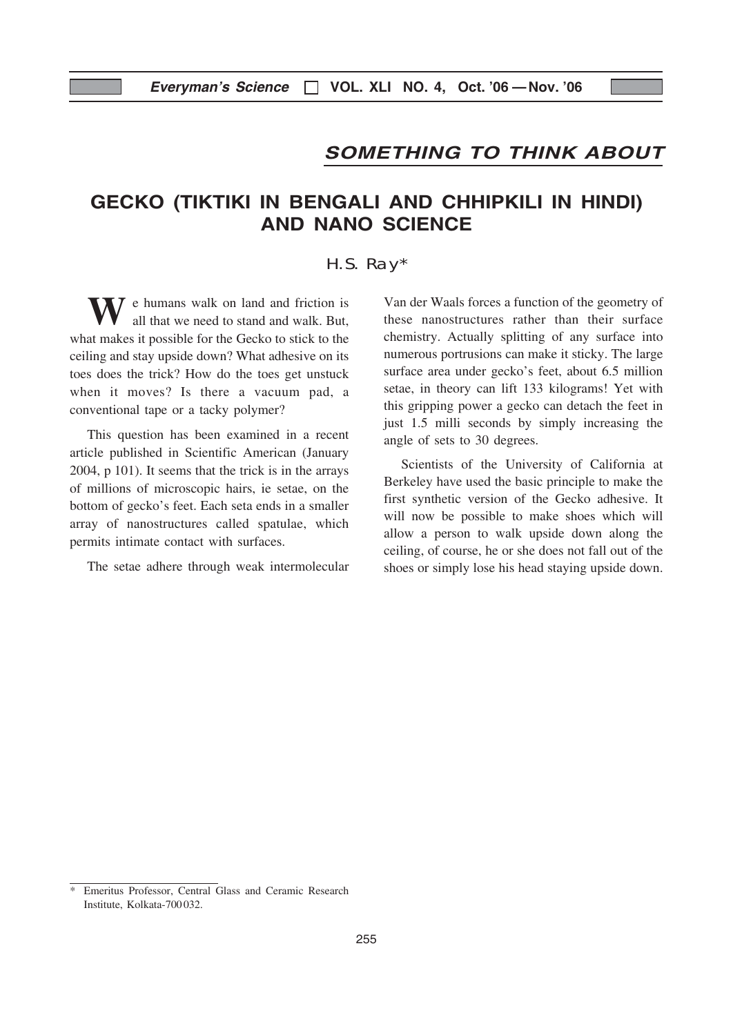# SOMETHING TO THINK ABOUT

# GECKO (TIKTIKI IN BENGALI AND CHHIPKILI IN HINDI) AND NANO SCIENCE

#### H.S. Ray\*

 $\tau$  e humans walk on land and friction is all that we need to stand and walk. But, what makes it possible for the Gecko to stick to the ceiling and stay upside down? What adhesive on its toes does the trick? How do the toes get unstuck when it moves? Is there a vacuum pad, a conventional tape or a tacky polymer?

This question has been examined in a recent article published in Scientific American (January 2004, p 101). It seems that the trick is in the arrays of millions of microscopic hairs, ie setae, on the bottom of gecko's feet. Each seta ends in a smaller array of nanostructures called spatulae, which permits intimate contact with surfaces.

The setae adhere through weak intermolecular

Van der Waals forces a function of the geometry of these nanostructures rather than their surface chemistry. Actually splitting of any surface into numerous portrusions can make it sticky. The large surface area under gecko's feet, about 6.5 million setae, in theory can lift 133 kilograms! Yet with this gripping power a gecko can detach the feet in just 1.5 milli seconds by simply increasing the angle of sets to 30 degrees.

Scientists of the University of California at Berkeley have used the basic principle to make the first synthetic version of the Gecko adhesive. It will now be possible to make shoes which will allow a person to walk upside down along the ceiling, of course, he or she does not fall out of the shoes or simply lose his head staying upside down.

Emeritus Professor, Central Glass and Ceramic Research Institute, Kolkata-700032.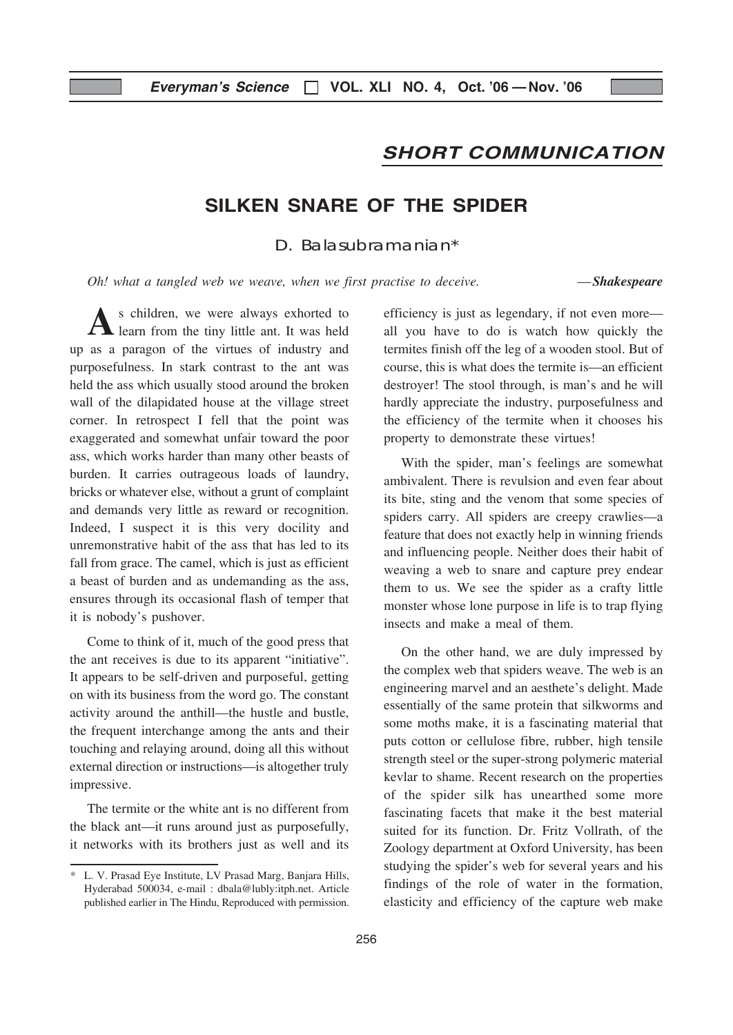# SHORT COMMUNICATION

# SILKEN SNARE OF THE SPIDER

D. Balasubramanian\*

Oh! what a tangled web we weave, when we first practise to deceive.  $\qquad \qquad -Shakes \textit{peace}$ 

s children, we were always exhorted to learn from the tiny little ant. It was held up as a paragon of the virtues of industry and purposefulness. In stark contrast to the ant was held the ass which usually stood around the broken wall of the dilapidated house at the village street corner. In retrospect I fell that the point was exaggerated and somewhat unfair toward the poor ass, which works harder than many other beasts of burden. It carries outrageous loads of laundry, bricks or whatever else, without a grunt of complaint and demands very little as reward or recognition. Indeed, I suspect it is this very docility and unremonstrative habit of the ass that has led to its fall from grace. The camel, which is just as efficient a beast of burden and as undemanding as the ass, ensures through its occasional flash of temper that it is nobody's pushover.

Come to think of it, much of the good press that the ant receives is due to its apparent "initiative". It appears to be self-driven and purposeful, getting on with its business from the word go. The constant activity around the anthill—the hustle and bustle, the frequent interchange among the ants and their touching and relaying around, doing all this without external direction or instructions—is altogether truly impressive.

The termite or the white ant is no different from the black ant—it runs around just as purposefully, it networks with its brothers just as well and its

efficiency is just as legendary, if not even more all you have to do is watch how quickly the termites finish off the leg of a wooden stool. But of course, this is what does the termite is—an efficient destroyer! The stool through, is man's and he will hardly appreciate the industry, purposefulness and the efficiency of the termite when it chooses his property to demonstrate these virtues!

With the spider, man's feelings are somewhat ambivalent. There is revulsion and even fear about its bite, sting and the venom that some species of spiders carry. All spiders are creepy crawlies—a feature that does not exactly help in winning friends and influencing people. Neither does their habit of weaving a web to snare and capture prey endear them to us. We see the spider as a crafty little monster whose lone purpose in life is to trap flying insects and make a meal of them.

On the other hand, we are duly impressed by the complex web that spiders weave. The web is an engineering marvel and an aesthete's delight. Made essentially of the same protein that silkworms and some moths make, it is a fascinating material that puts cotton or cellulose fibre, rubber, high tensile strength steel or the super-strong polymeric material kevlar to shame. Recent research on the properties of the spider silk has unearthed some more fascinating facets that make it the best material suited for its function. Dr. Fritz Vollrath, of the Zoology department at Oxford University, has been studying the spider's web for several years and his findings of the role of water in the formation, elasticity and efficiency of the capture web make

<sup>\*</sup> L. V. Prasad Eye Institute, LV Prasad Marg, Banjara Hills, Hyderabad 500034, e-mail : dbala@lubly:itph.net. Article published earlier in The Hindu, Reproduced with permission.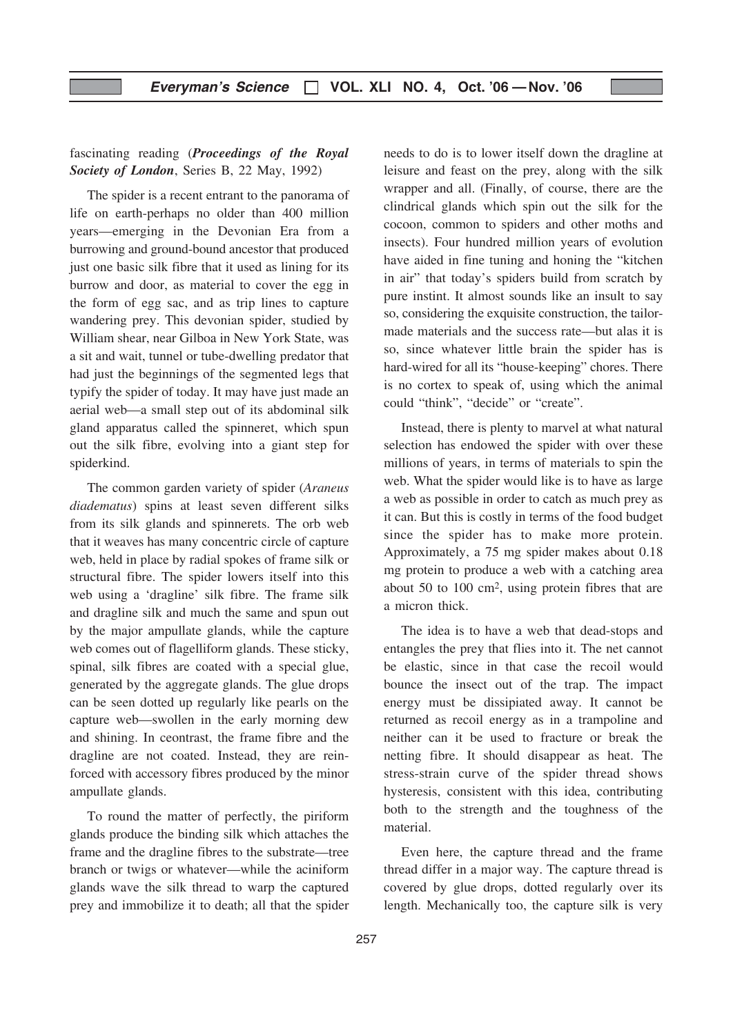# fascinating reading (Proceedings of the Royal Society of London, Series B, 22 May, 1992)

The spider is a recent entrant to the panorama of life on earth-perhaps no older than 400 million years—emerging in the Devonian Era from a burrowing and ground-bound ancestor that produced just one basic silk fibre that it used as lining for its burrow and door, as material to cover the egg in the form of egg sac, and as trip lines to capture wandering prey. This devonian spider, studied by William shear, near Gilboa in New York State, was a sit and wait, tunnel or tube-dwelling predator that had just the beginnings of the segmented legs that typify the spider of today. It may have just made an aerial web—a small step out of its abdominal silk gland apparatus called the spinneret, which spun out the silk fibre, evolving into a giant step for spiderkind.

The common garden variety of spider (Araneus diadematus) spins at least seven different silks from its silk glands and spinnerets. The orb web that it weaves has many concentric circle of capture web, held in place by radial spokes of frame silk or structural fibre. The spider lowers itself into this web using a 'dragline' silk fibre. The frame silk and dragline silk and much the same and spun out by the major ampullate glands, while the capture web comes out of flagelliform glands. These sticky, spinal, silk fibres are coated with a special glue, generated by the aggregate glands. The glue drops can be seen dotted up regularly like pearls on the capture web—swollen in the early morning dew and shining. In ceontrast, the frame fibre and the dragline are not coated. Instead, they are reinforced with accessory fibres produced by the minor ampullate glands.

To round the matter of perfectly, the piriform glands produce the binding silk which attaches the frame and the dragline fibres to the substrate—tree branch or twigs or whatever—while the aciniform glands wave the silk thread to warp the captured prey and immobilize it to death; all that the spider needs to do is to lower itself down the dragline at leisure and feast on the prey, along with the silk wrapper and all. (Finally, of course, there are the clindrical glands which spin out the silk for the cocoon, common to spiders and other moths and insects). Four hundred million years of evolution have aided in fine tuning and honing the "kitchen in air" that today's spiders build from scratch by pure instint. It almost sounds like an insult to say so, considering the exquisite construction, the tailormade materials and the success rate—but alas it is so, since whatever little brain the spider has is hard-wired for all its "house-keeping" chores. There is no cortex to speak of, using which the animal could "think", "decide" or "create".

Instead, there is plenty to marvel at what natural selection has endowed the spider with over these millions of years, in terms of materials to spin the web. What the spider would like is to have as large a web as possible in order to catch as much prey as it can. But this is costly in terms of the food budget since the spider has to make more protein. Approximately, a 75 mg spider makes about 0.18 mg protein to produce a web with a catching area about 50 to 100 cm2, using protein fibres that are a micron thick.

The idea is to have a web that dead-stops and entangles the prey that flies into it. The net cannot be elastic, since in that case the recoil would bounce the insect out of the trap. The impact energy must be dissipiated away. It cannot be returned as recoil energy as in a trampoline and neither can it be used to fracture or break the netting fibre. It should disappear as heat. The stress-strain curve of the spider thread shows hysteresis, consistent with this idea, contributing both to the strength and the toughness of the material.

Even here, the capture thread and the frame thread differ in a major way. The capture thread is covered by glue drops, dotted regularly over its length. Mechanically too, the capture silk is very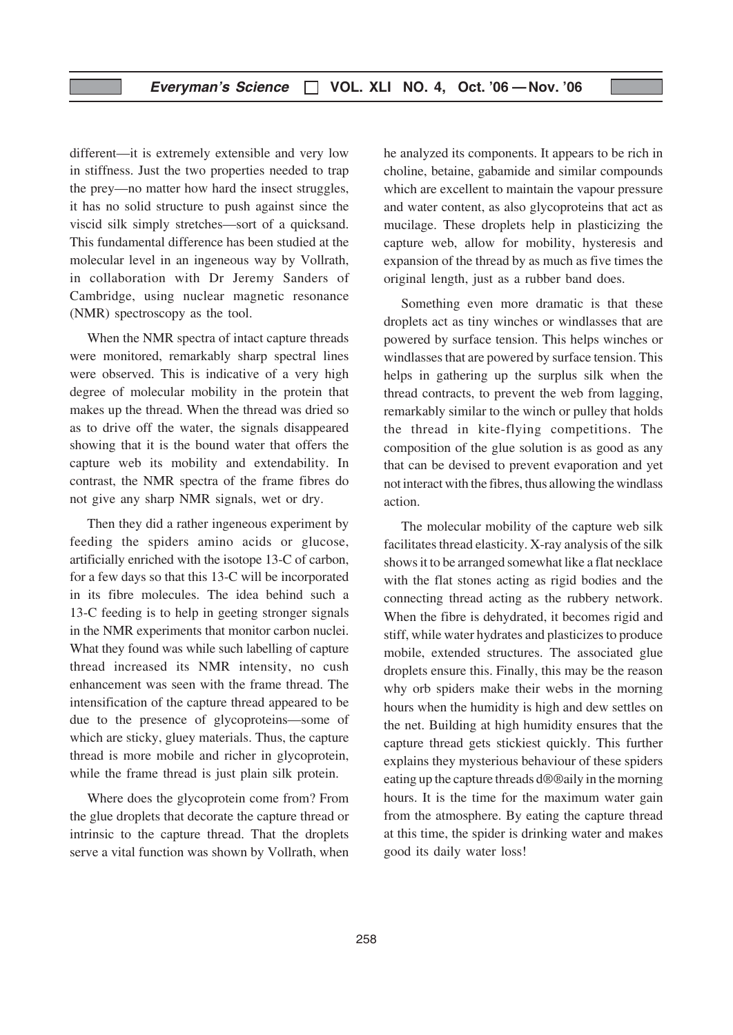different—it is extremely extensible and very low in stiffness. Just the two properties needed to trap the prey—no matter how hard the insect struggles, it has no solid structure to push against since the viscid silk simply stretches—sort of a quicksand. This fundamental difference has been studied at the molecular level in an ingeneous way by Vollrath, in collaboration with Dr Jeremy Sanders of Cambridge, using nuclear magnetic resonance (NMR) spectroscopy as the tool.

When the NMR spectra of intact capture threads were monitored, remarkably sharp spectral lines were observed. This is indicative of a very high degree of molecular mobility in the protein that makes up the thread. When the thread was dried so as to drive off the water, the signals disappeared showing that it is the bound water that offers the capture web its mobility and extendability. In contrast, the NMR spectra of the frame fibres do not give any sharp NMR signals, wet or dry.

Then they did a rather ingeneous experiment by feeding the spiders amino acids or glucose, artificially enriched with the isotope 13-C of carbon, for a few days so that this 13-C will be incorporated in its fibre molecules. The idea behind such a 13-C feeding is to help in geeting stronger signals in the NMR experiments that monitor carbon nuclei. What they found was while such labelling of capture thread increased its NMR intensity, no cush enhancement was seen with the frame thread. The intensification of the capture thread appeared to be due to the presence of glycoproteins—some of which are sticky, gluey materials. Thus, the capture thread is more mobile and richer in glycoprotein, while the frame thread is just plain silk protein.

Where does the glycoprotein come from? From the glue droplets that decorate the capture thread or intrinsic to the capture thread. That the droplets serve a vital function was shown by Vollrath, when

he analyzed its components. It appears to be rich in choline, betaine, gabamide and similar compounds which are excellent to maintain the vapour pressure and water content, as also glycoproteins that act as mucilage. These droplets help in plasticizing the capture web, allow for mobility, hysteresis and expansion of the thread by as much as five times the original length, just as a rubber band does.

Something even more dramatic is that these droplets act as tiny winches or windlasses that are powered by surface tension. This helps winches or windlasses that are powered by surface tension. This helps in gathering up the surplus silk when the thread contracts, to prevent the web from lagging, remarkably similar to the winch or pulley that holds the thread in kite-flying competitions. The composition of the glue solution is as good as any that can be devised to prevent evaporation and yet not interact with the fibres, thus allowing the windlass action.

The molecular mobility of the capture web silk facilitates thread elasticity. X-ray analysis of the silk shows it to be arranged somewhat like a flat necklace with the flat stones acting as rigid bodies and the connecting thread acting as the rubbery network. When the fibre is dehydrated, it becomes rigid and stiff, while water hydrates and plasticizes to produce mobile, extended structures. The associated glue droplets ensure this. Finally, this may be the reason why orb spiders make their webs in the morning hours when the humidity is high and dew settles on the net. Building at high humidity ensures that the capture thread gets stickiest quickly. This further explains they mysterious behaviour of these spiders eating up the capture threads d®®aily in the morning hours. It is the time for the maximum water gain from the atmosphere. By eating the capture thread at this time, the spider is drinking water and makes good its daily water loss!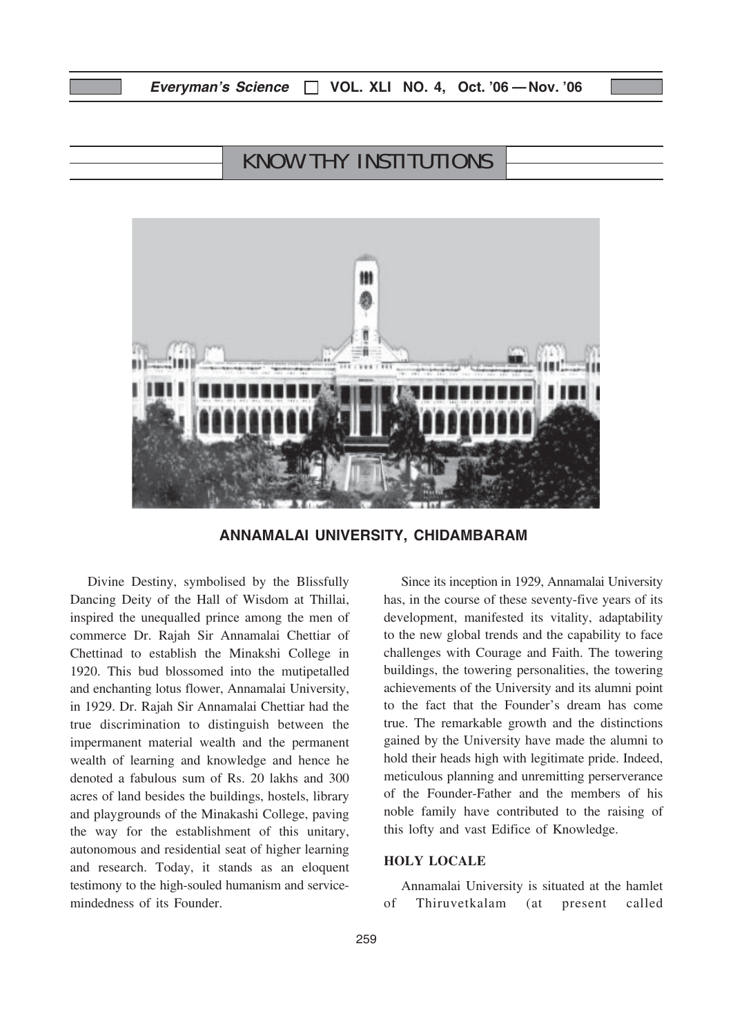# Everyman's Science  $\Box$  VOL. XLI NO. 4, Oct. '06 - Nov. '06

# KNOW THY INSTITUTIONS



ANNAMALAI UNIVERSITY, CHIDAMBARAM

Divine Destiny, symbolised by the Blissfully Dancing Deity of the Hall of Wisdom at Thillai, inspired the unequalled prince among the men of commerce Dr. Rajah Sir Annamalai Chettiar of Chettinad to establish the Minakshi College in 1920. This bud blossomed into the mutipetalled and enchanting lotus flower, Annamalai University, in 1929. Dr. Rajah Sir Annamalai Chettiar had the true discrimination to distinguish between the impermanent material wealth and the permanent wealth of learning and knowledge and hence he denoted a fabulous sum of Rs. 20 lakhs and 300 acres of land besides the buildings, hostels, library and playgrounds of the Minakashi College, paving the way for the establishment of this unitary, autonomous and residential seat of higher learning and research. Today, it stands as an eloquent testimony to the high-souled humanism and servicemindedness of its Founder.

Since its inception in 1929, Annamalai University has, in the course of these seventy-five years of its development, manifested its vitality, adaptability to the new global trends and the capability to face challenges with Courage and Faith. The towering buildings, the towering personalities, the towering achievements of the University and its alumni point to the fact that the Founder's dream has come true. The remarkable growth and the distinctions gained by the University have made the alumni to hold their heads high with legitimate pride. Indeed, meticulous planning and unremitting perserverance of the Founder-Father and the members of his noble family have contributed to the raising of this lofty and vast Edifice of Knowledge.

### HOLY LOCALE

Annamalai University is situated at the hamlet of Thiruvetkalam (at present called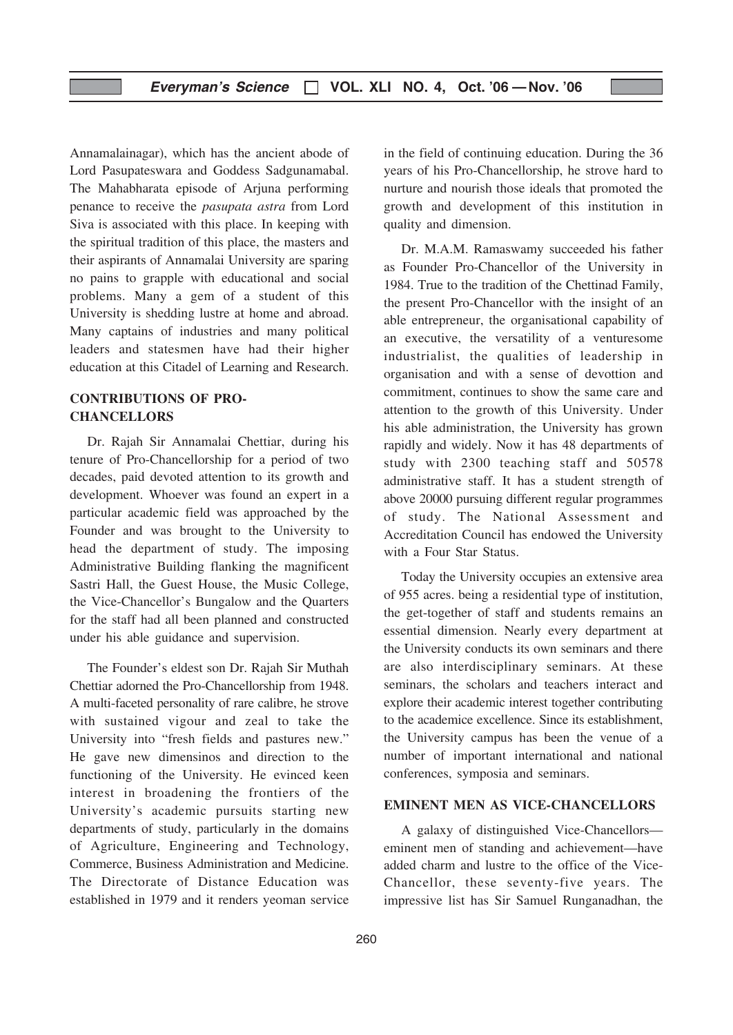Annamalainagar), which has the ancient abode of Lord Pasupateswara and Goddess Sadgunamabal. The Mahabharata episode of Arjuna performing penance to receive the pasupata astra from Lord Siva is associated with this place. In keeping with the spiritual tradition of this place, the masters and their aspirants of Annamalai University are sparing no pains to grapple with educational and social problems. Many a gem of a student of this University is shedding lustre at home and abroad. Many captains of industries and many political leaders and statesmen have had their higher education at this Citadel of Learning and Research.

# CONTRIBUTIONS OF PRO-**CHANCELLORS**

Dr. Rajah Sir Annamalai Chettiar, during his tenure of Pro-Chancellorship for a period of two decades, paid devoted attention to its growth and development. Whoever was found an expert in a particular academic field was approached by the Founder and was brought to the University to head the department of study. The imposing Administrative Building flanking the magnificent Sastri Hall, the Guest House, the Music College, the Vice-Chancellor's Bungalow and the Quarters for the staff had all been planned and constructed under his able guidance and supervision.

The Founder's eldest son Dr. Rajah Sir Muthah Chettiar adorned the Pro-Chancellorship from 1948. A multi-faceted personality of rare calibre, he strove with sustained vigour and zeal to take the University into "fresh fields and pastures new." He gave new dimensinos and direction to the functioning of the University. He evinced keen interest in broadening the frontiers of the University's academic pursuits starting new departments of study, particularly in the domains of Agriculture, Engineering and Technology, Commerce, Business Administration and Medicine. The Directorate of Distance Education was established in 1979 and it renders yeoman service

in the field of continuing education. During the 36 years of his Pro-Chancellorship, he strove hard to nurture and nourish those ideals that promoted the growth and development of this institution in quality and dimension.

Dr. M.A.M. Ramaswamy succeeded his father as Founder Pro-Chancellor of the University in 1984. True to the tradition of the Chettinad Family, the present Pro-Chancellor with the insight of an able entrepreneur, the organisational capability of an executive, the versatility of a venturesome industrialist, the qualities of leadership in organisation and with a sense of devottion and commitment, continues to show the same care and attention to the growth of this University. Under his able administration, the University has grown rapidly and widely. Now it has 48 departments of study with 2300 teaching staff and 50578 administrative staff. It has a student strength of above 20000 pursuing different regular programmes of study. The National Assessment and Accreditation Council has endowed the University with a Four Star Status.

Today the University occupies an extensive area of 955 acres. being a residential type of institution, the get-together of staff and students remains an essential dimension. Nearly every department at the University conducts its own seminars and there are also interdisciplinary seminars. At these seminars, the scholars and teachers interact and explore their academic interest together contributing to the academice excellence. Since its establishment, the University campus has been the venue of a number of important international and national conferences, symposia and seminars.

## EMINENT MEN AS VICE-CHANCELLORS

A galaxy of distinguished Vice-Chancellors eminent men of standing and achievement—have added charm and lustre to the office of the Vice-Chancellor, these seventy-five years. The impressive list has Sir Samuel Runganadhan, the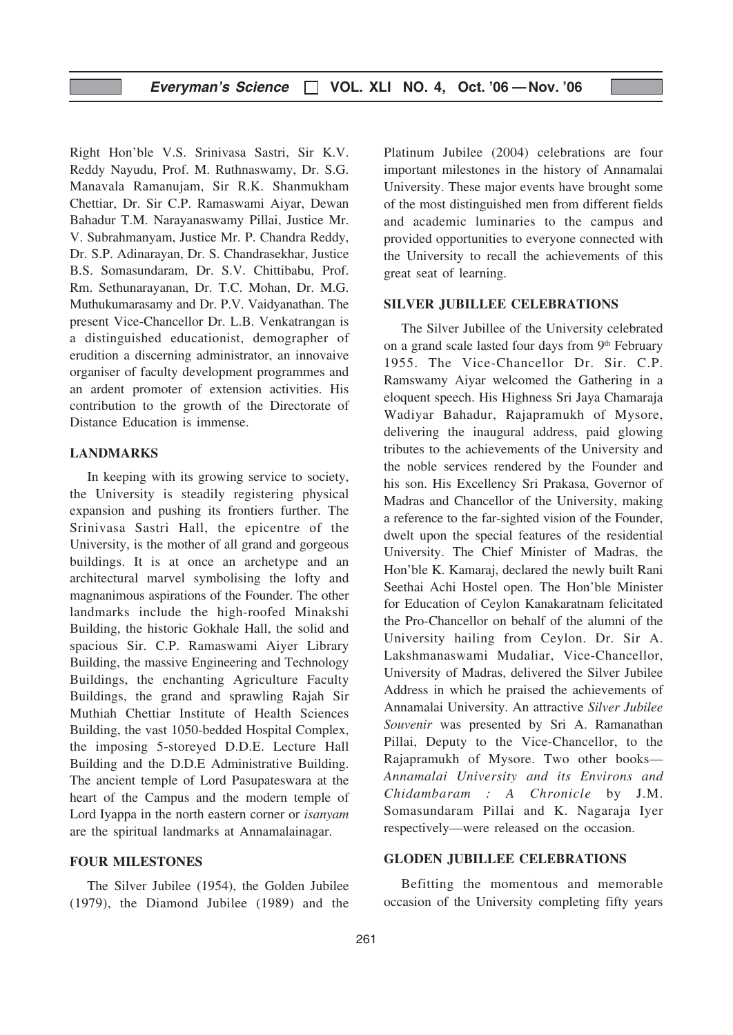Right Hon'ble V.S. Srinivasa Sastri, Sir K.V. Reddy Nayudu, Prof. M. Ruthnaswamy, Dr. S.G. Manavala Ramanujam, Sir R.K. Shanmukham Chettiar, Dr. Sir C.P. Ramaswami Aiyar, Dewan Bahadur T.M. Narayanaswamy Pillai, Justice Mr. V. Subrahmanyam, Justice Mr. P. Chandra Reddy, Dr. S.P. Adinarayan, Dr. S. Chandrasekhar, Justice B.S. Somasundaram, Dr. S.V. Chittibabu, Prof. Rm. Sethunarayanan, Dr. T.C. Mohan, Dr. M.G. Muthukumarasamy and Dr. P.V. Vaidyanathan. The present Vice-Chancellor Dr. L.B. Venkatrangan is a distinguished educationist, demographer of erudition a discerning administrator, an innovaive organiser of faculty development programmes and an ardent promoter of extension activities. His contribution to the growth of the Directorate of Distance Education is immense.

#### LANDMARKS

In keeping with its growing service to society, the University is steadily registering physical expansion and pushing its frontiers further. The Srinivasa Sastri Hall, the epicentre of the University, is the mother of all grand and gorgeous buildings. It is at once an archetype and an architectural marvel symbolising the lofty and magnanimous aspirations of the Founder. The other landmarks include the high-roofed Minakshi Building, the historic Gokhale Hall, the solid and spacious Sir. C.P. Ramaswami Aiyer Library Building, the massive Engineering and Technology Buildings, the enchanting Agriculture Faculty Buildings, the grand and sprawling Rajah Sir Muthiah Chettiar Institute of Health Sciences Building, the vast 1050-bedded Hospital Complex, the imposing 5-storeyed D.D.E. Lecture Hall Building and the D.D.E Administrative Building. The ancient temple of Lord Pasupateswara at the heart of the Campus and the modern temple of Lord Iyappa in the north eastern corner or isanyam are the spiritual landmarks at Annamalainagar.

#### FOUR MILESTONES

The Silver Jubilee (1954), the Golden Jubilee (1979), the Diamond Jubilee (1989) and the Platinum Jubilee (2004) celebrations are four important milestones in the history of Annamalai University. These major events have brought some of the most distinguished men from different fields and academic luminaries to the campus and provided opportunities to everyone connected with the University to recall the achievements of this great seat of learning.

#### SILVER JUBILLEE CELEBRATIONS

The Silver Jubillee of the University celebrated on a grand scale lasted four days from 9th February 1955. The Vice-Chancellor Dr. Sir. C.P. Ramswamy Aiyar welcomed the Gathering in a eloquent speech. His Highness Sri Jaya Chamaraja Wadiyar Bahadur, Rajapramukh of Mysore, delivering the inaugural address, paid glowing tributes to the achievements of the University and the noble services rendered by the Founder and his son. His Excellency Sri Prakasa, Governor of Madras and Chancellor of the University, making a reference to the far-sighted vision of the Founder, dwelt upon the special features of the residential University. The Chief Minister of Madras, the Hon'ble K. Kamaraj, declared the newly built Rani Seethai Achi Hostel open. The Hon'ble Minister for Education of Ceylon Kanakaratnam felicitated the Pro-Chancellor on behalf of the alumni of the University hailing from Ceylon. Dr. Sir A. Lakshmanaswami Mudaliar, Vice-Chancellor, University of Madras, delivered the Silver Jubilee Address in which he praised the achievements of Annamalai University. An attractive Silver Jubilee Souvenir was presented by Sri A. Ramanathan Pillai, Deputy to the Vice-Chancellor, to the Rajapramukh of Mysore. Two other books— Annamalai University and its Environs and Chidambaram : A Chronicle by J.M. Somasundaram Pillai and K. Nagaraja Iyer respectively—were released on the occasion.

#### GLODEN JUBILLEE CELEBRATIONS

Befitting the momentous and memorable occasion of the University completing fifty years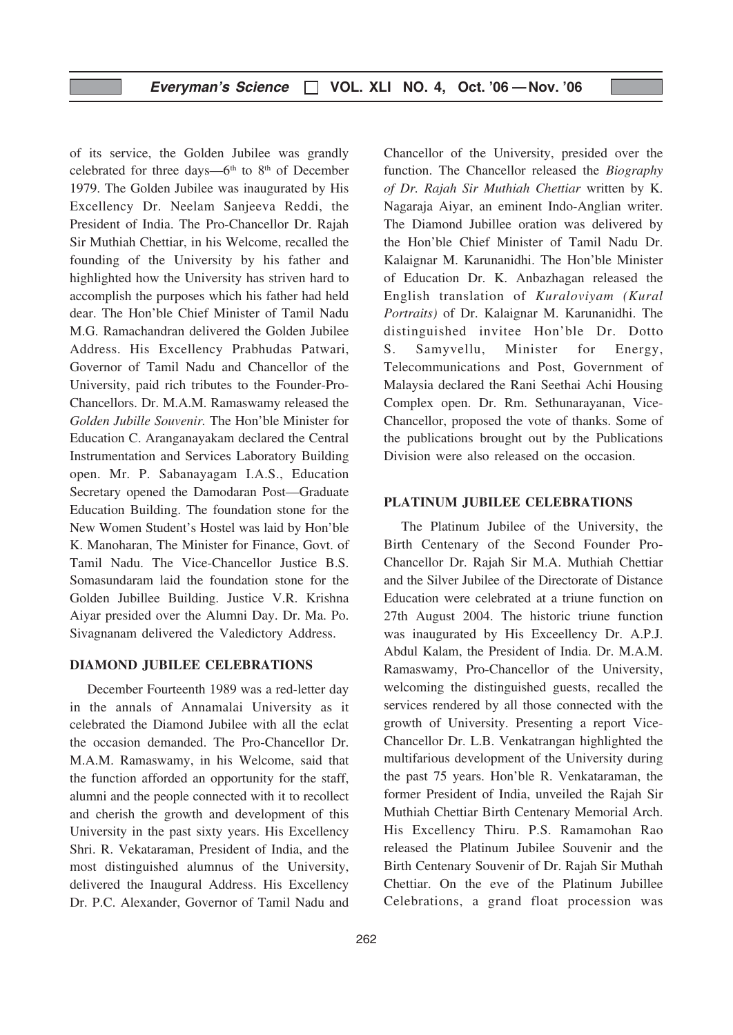of its service, the Golden Jubilee was grandly celebrated for three days— $6<sup>th</sup>$  to  $8<sup>th</sup>$  of December 1979. The Golden Jubilee was inaugurated by His Excellency Dr. Neelam Sanjeeva Reddi, the President of India. The Pro-Chancellor Dr. Rajah Sir Muthiah Chettiar, in his Welcome, recalled the founding of the University by his father and highlighted how the University has striven hard to accomplish the purposes which his father had held dear. The Hon'ble Chief Minister of Tamil Nadu M.G. Ramachandran delivered the Golden Jubilee Address. His Excellency Prabhudas Patwari, Governor of Tamil Nadu and Chancellor of the University, paid rich tributes to the Founder-Pro-Chancellors. Dr. M.A.M. Ramaswamy released the Golden Jubille Souvenir. The Hon'ble Minister for Education C. Aranganayakam declared the Central Instrumentation and Services Laboratory Building open. Mr. P. Sabanayagam I.A.S., Education Secretary opened the Damodaran Post—Graduate Education Building. The foundation stone for the New Women Student's Hostel was laid by Hon'ble K. Manoharan, The Minister for Finance, Govt. of Tamil Nadu. The Vice-Chancellor Justice B.S. Somasundaram laid the foundation stone for the Golden Jubillee Building. Justice V.R. Krishna Aiyar presided over the Alumni Day. Dr. Ma. Po. Sivagnanam delivered the Valedictory Address.

#### DIAMOND JUBILEE CELEBRATIONS

December Fourteenth 1989 was a red-letter day in the annals of Annamalai University as it celebrated the Diamond Jubilee with all the eclat the occasion demanded. The Pro-Chancellor Dr. M.A.M. Ramaswamy, in his Welcome, said that the function afforded an opportunity for the staff, alumni and the people connected with it to recollect and cherish the growth and development of this University in the past sixty years. His Excellency Shri. R. Vekataraman, President of India, and the most distinguished alumnus of the University, delivered the Inaugural Address. His Excellency Dr. P.C. Alexander, Governor of Tamil Nadu and

Chancellor of the University, presided over the function. The Chancellor released the Biography of Dr. Rajah Sir Muthiah Chettiar written by K. Nagaraja Aiyar, an eminent Indo-Anglian writer. The Diamond Jubillee oration was delivered by the Hon'ble Chief Minister of Tamil Nadu Dr. Kalaignar M. Karunanidhi. The Hon'ble Minister of Education Dr. K. Anbazhagan released the English translation of Kuraloviyam (Kural Portraits) of Dr. Kalaignar M. Karunanidhi. The distinguished invitee Hon'ble Dr. Dotto S. Samyvellu, Minister for Energy, Telecommunications and Post, Government of Malaysia declared the Rani Seethai Achi Housing Complex open. Dr. Rm. Sethunarayanan, Vice-Chancellor, proposed the vote of thanks. Some of the publications brought out by the Publications Division were also released on the occasion.

#### PLATINUM JUBILEE CELEBRATIONS

The Platinum Jubilee of the University, the Birth Centenary of the Second Founder Pro-Chancellor Dr. Rajah Sir M.A. Muthiah Chettiar and the Silver Jubilee of the Directorate of Distance Education were celebrated at a triune function on 27th August 2004. The historic triune function was inaugurated by His Exceellency Dr. A.P.J. Abdul Kalam, the President of India. Dr. M.A.M. Ramaswamy, Pro-Chancellor of the University, welcoming the distinguished guests, recalled the services rendered by all those connected with the growth of University. Presenting a report Vice-Chancellor Dr. L.B. Venkatrangan highlighted the multifarious development of the University during the past 75 years. Hon'ble R. Venkataraman, the former President of India, unveiled the Rajah Sir Muthiah Chettiar Birth Centenary Memorial Arch. His Excellency Thiru. P.S. Ramamohan Rao released the Platinum Jubilee Souvenir and the Birth Centenary Souvenir of Dr. Rajah Sir Muthah Chettiar. On the eve of the Platinum Jubillee Celebrations, a grand float procession was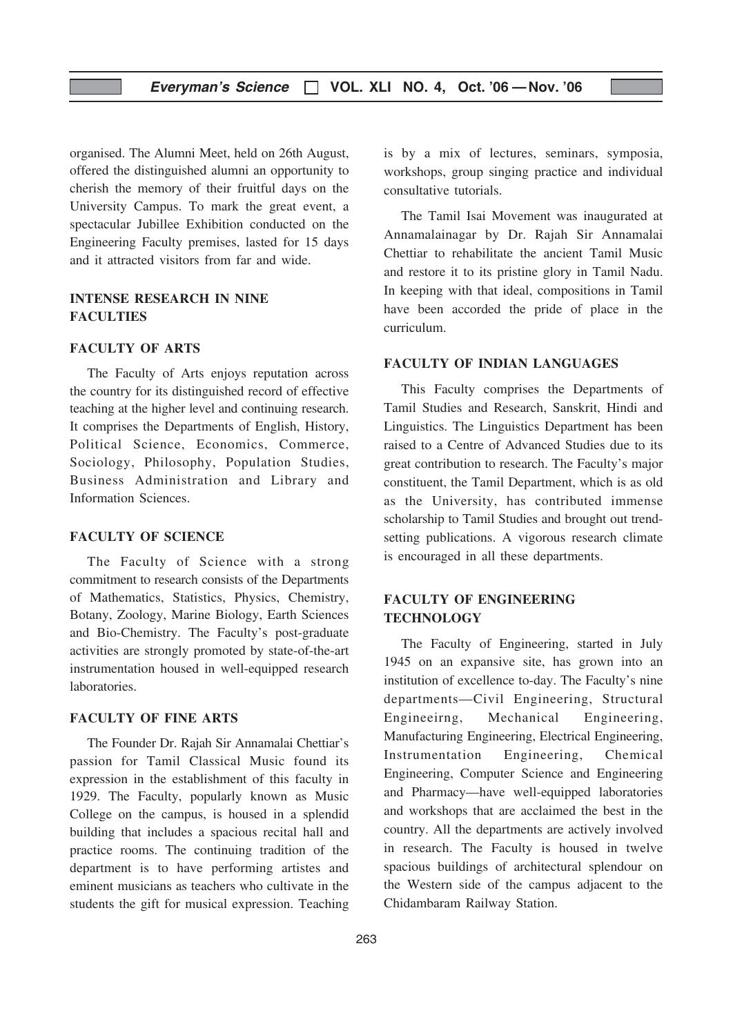organised. The Alumni Meet, held on 26th August, offered the distinguished alumni an opportunity to cherish the memory of their fruitful days on the University Campus. To mark the great event, a spectacular Jubillee Exhibition conducted on the Engineering Faculty premises, lasted for 15 days and it attracted visitors from far and wide.

# INTENSE RESEARCH IN NINE **FACULTIES**

#### FACULTY OF ARTS

The Faculty of Arts enjoys reputation across the country for its distinguished record of effective teaching at the higher level and continuing research. It comprises the Departments of English, History, Political Science, Economics, Commerce, Sociology, Philosophy, Population Studies, Business Administration and Library and Information Sciences.

#### FACULTY OF SCIENCE

The Faculty of Science with a strong commitment to research consists of the Departments of Mathematics, Statistics, Physics, Chemistry, Botany, Zoology, Marine Biology, Earth Sciences and Bio-Chemistry. The Faculty's post-graduate activities are strongly promoted by state-of-the-art instrumentation housed in well-equipped research laboratories.

#### FACULTY OF FINE ARTS

The Founder Dr. Rajah Sir Annamalai Chettiar's passion for Tamil Classical Music found its expression in the establishment of this faculty in 1929. The Faculty, popularly known as Music College on the campus, is housed in a splendid building that includes a spacious recital hall and practice rooms. The continuing tradition of the department is to have performing artistes and eminent musicians as teachers who cultivate in the students the gift for musical expression. Teaching

is by a mix of lectures, seminars, symposia, workshops, group singing practice and individual consultative tutorials.

The Tamil Isai Movement was inaugurated at Annamalainagar by Dr. Rajah Sir Annamalai Chettiar to rehabilitate the ancient Tamil Music and restore it to its pristine glory in Tamil Nadu. In keeping with that ideal, compositions in Tamil have been accorded the pride of place in the curriculum.

#### FACULTY OF INDIAN LANGUAGES

This Faculty comprises the Departments of Tamil Studies and Research, Sanskrit, Hindi and Linguistics. The Linguistics Department has been raised to a Centre of Advanced Studies due to its great contribution to research. The Faculty's major constituent, the Tamil Department, which is as old as the University, has contributed immense scholarship to Tamil Studies and brought out trendsetting publications. A vigorous research climate is encouraged in all these departments.

# FACULTY OF ENGINEERING **TECHNOLOGY**

The Faculty of Engineering, started in July 1945 on an expansive site, has grown into an institution of excellence to-day. The Faculty's nine departments—Civil Engineering, Structural Engineeirng, Mechanical Engineering, Manufacturing Engineering, Electrical Engineering, Instrumentation Engineering, Chemical Engineering, Computer Science and Engineering and Pharmacy—have well-equipped laboratories and workshops that are acclaimed the best in the country. All the departments are actively involved in research. The Faculty is housed in twelve spacious buildings of architectural splendour on the Western side of the campus adjacent to the Chidambaram Railway Station.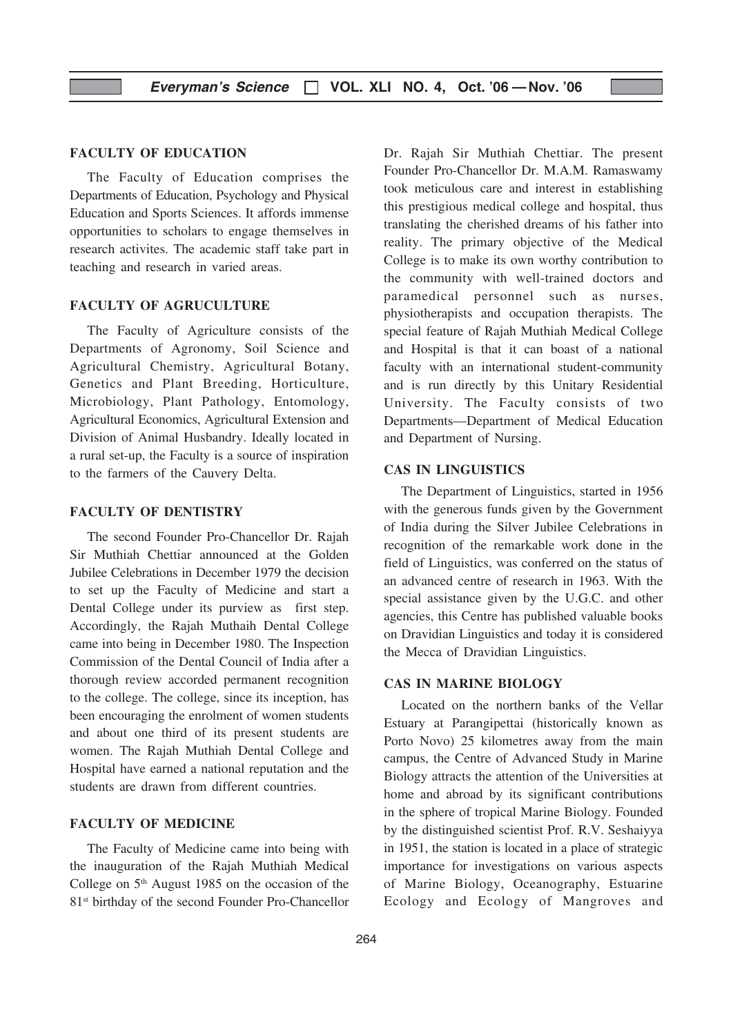#### FACULTY OF EDUCATION

The Faculty of Education comprises the Departments of Education, Psychology and Physical Education and Sports Sciences. It affords immense opportunities to scholars to engage themselves in research activites. The academic staff take part in teaching and research in varied areas.

#### FACULTY OF AGRUCULTURE

The Faculty of Agriculture consists of the Departments of Agronomy, Soil Science and Agricultural Chemistry, Agricultural Botany, Genetics and Plant Breeding, Horticulture, Microbiology, Plant Pathology, Entomology, Agricultural Economics, Agricultural Extension and Division of Animal Husbandry. Ideally located in a rural set-up, the Faculty is a source of inspiration to the farmers of the Cauvery Delta.

#### FACULTY OF DENTISTRY

The second Founder Pro-Chancellor Dr. Rajah Sir Muthiah Chettiar announced at the Golden Jubilee Celebrations in December 1979 the decision to set up the Faculty of Medicine and start a Dental College under its purview as first step. Accordingly, the Rajah Muthaih Dental College came into being in December 1980. The Inspection Commission of the Dental Council of India after a thorough review accorded permanent recognition to the college. The college, since its inception, has been encouraging the enrolment of women students and about one third of its present students are women. The Rajah Muthiah Dental College and Hospital have earned a national reputation and the students are drawn from different countries.

#### FACULTY OF MEDICINE

The Faculty of Medicine came into being with the inauguration of the Rajah Muthiah Medical College on  $5<sup>th</sup>$  August 1985 on the occasion of the 81st birthday of the second Founder Pro-Chancellor Dr. Rajah Sir Muthiah Chettiar. The present Founder Pro-Chancellor Dr. M.A.M. Ramaswamy took meticulous care and interest in establishing this prestigious medical college and hospital, thus translating the cherished dreams of his father into reality. The primary objective of the Medical College is to make its own worthy contribution to the community with well-trained doctors and paramedical personnel such as nurses, physiotherapists and occupation therapists. The special feature of Rajah Muthiah Medical College and Hospital is that it can boast of a national faculty with an international student-community and is run directly by this Unitary Residential University. The Faculty consists of two Departments—Department of Medical Education and Department of Nursing.

#### CAS IN LINGUISTICS

The Department of Linguistics, started in 1956 with the generous funds given by the Government of India during the Silver Jubilee Celebrations in recognition of the remarkable work done in the field of Linguistics, was conferred on the status of an advanced centre of research in 1963. With the special assistance given by the U.G.C. and other agencies, this Centre has published valuable books on Dravidian Linguistics and today it is considered the Mecca of Dravidian Linguistics.

## CAS IN MARINE BIOLOGY

Located on the northern banks of the Vellar Estuary at Parangipettai (historically known as Porto Novo) 25 kilometres away from the main campus, the Centre of Advanced Study in Marine Biology attracts the attention of the Universities at home and abroad by its significant contributions in the sphere of tropical Marine Biology. Founded by the distinguished scientist Prof. R.V. Seshaiyya in 1951, the station is located in a place of strategic importance for investigations on various aspects of Marine Biology, Oceanography, Estuarine Ecology and Ecology of Mangroves and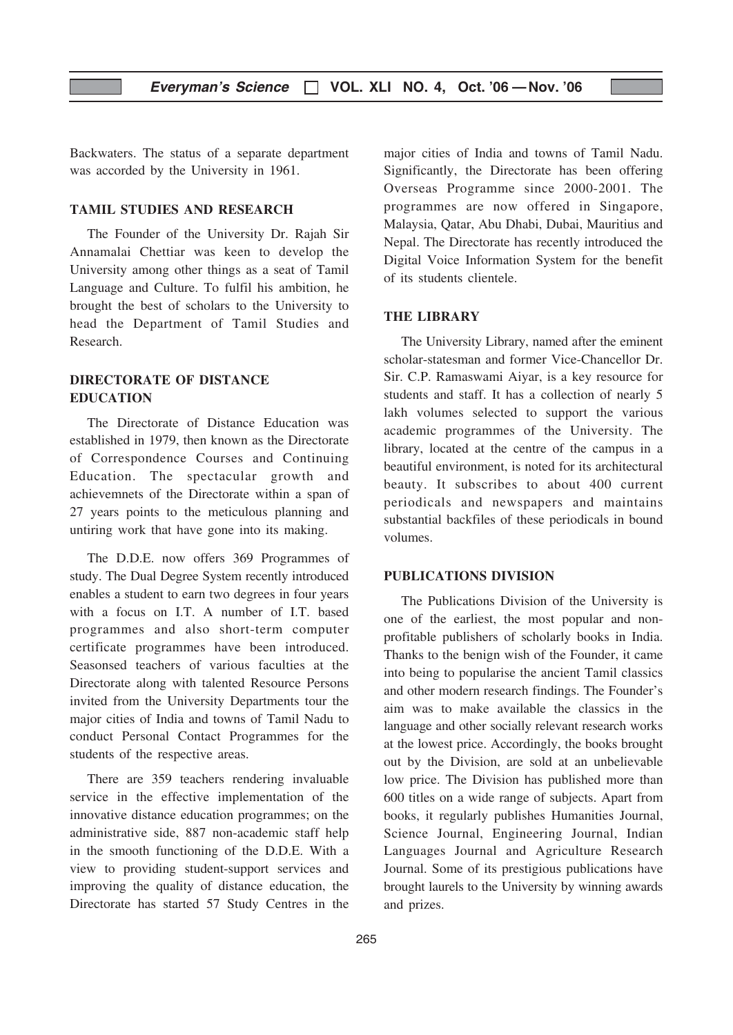Backwaters. The status of a separate department was accorded by the University in 1961.

# TAMIL STUDIES AND RESEARCH

The Founder of the University Dr. Rajah Sir Annamalai Chettiar was keen to develop the University among other things as a seat of Tamil Language and Culture. To fulfil his ambition, he brought the best of scholars to the University to head the Department of Tamil Studies and Research.

# DIRECTORATE OF DISTANCE EDUCATION

The Directorate of Distance Education was established in 1979, then known as the Directorate of Correspondence Courses and Continuing Education. The spectacular growth and achievemnets of the Directorate within a span of 27 years points to the meticulous planning and untiring work that have gone into its making.

The D.D.E. now offers 369 Programmes of study. The Dual Degree System recently introduced enables a student to earn two degrees in four years with a focus on I.T. A number of I.T. based programmes and also short-term computer certificate programmes have been introduced. Seasonsed teachers of various faculties at the Directorate along with talented Resource Persons invited from the University Departments tour the major cities of India and towns of Tamil Nadu to conduct Personal Contact Programmes for the students of the respective areas.

There are 359 teachers rendering invaluable service in the effective implementation of the innovative distance education programmes; on the administrative side, 887 non-academic staff help in the smooth functioning of the D.D.E. With a view to providing student-support services and improving the quality of distance education, the Directorate has started 57 Study Centres in the

major cities of India and towns of Tamil Nadu. Significantly, the Directorate has been offering Overseas Programme since 2000-2001. The programmes are now offered in Singapore, Malaysia, Qatar, Abu Dhabi, Dubai, Mauritius and Nepal. The Directorate has recently introduced the Digital Voice Information System for the benefit of its students clientele.

#### THE LIBRARY

The University Library, named after the eminent scholar-statesman and former Vice-Chancellor Dr. Sir. C.P. Ramaswami Aiyar, is a key resource for students and staff. It has a collection of nearly 5 lakh volumes selected to support the various academic programmes of the University. The library, located at the centre of the campus in a beautiful environment, is noted for its architectural beauty. It subscribes to about 400 current periodicals and newspapers and maintains substantial backfiles of these periodicals in bound volumes.

#### PUBLICATIONS DIVISION

The Publications Division of the University is one of the earliest, the most popular and nonprofitable publishers of scholarly books in India. Thanks to the benign wish of the Founder, it came into being to popularise the ancient Tamil classics and other modern research findings. The Founder's aim was to make available the classics in the language and other socially relevant research works at the lowest price. Accordingly, the books brought out by the Division, are sold at an unbelievable low price. The Division has published more than 600 titles on a wide range of subjects. Apart from books, it regularly publishes Humanities Journal, Science Journal, Engineering Journal, Indian Languages Journal and Agriculture Research Journal. Some of its prestigious publications have brought laurels to the University by winning awards and prizes.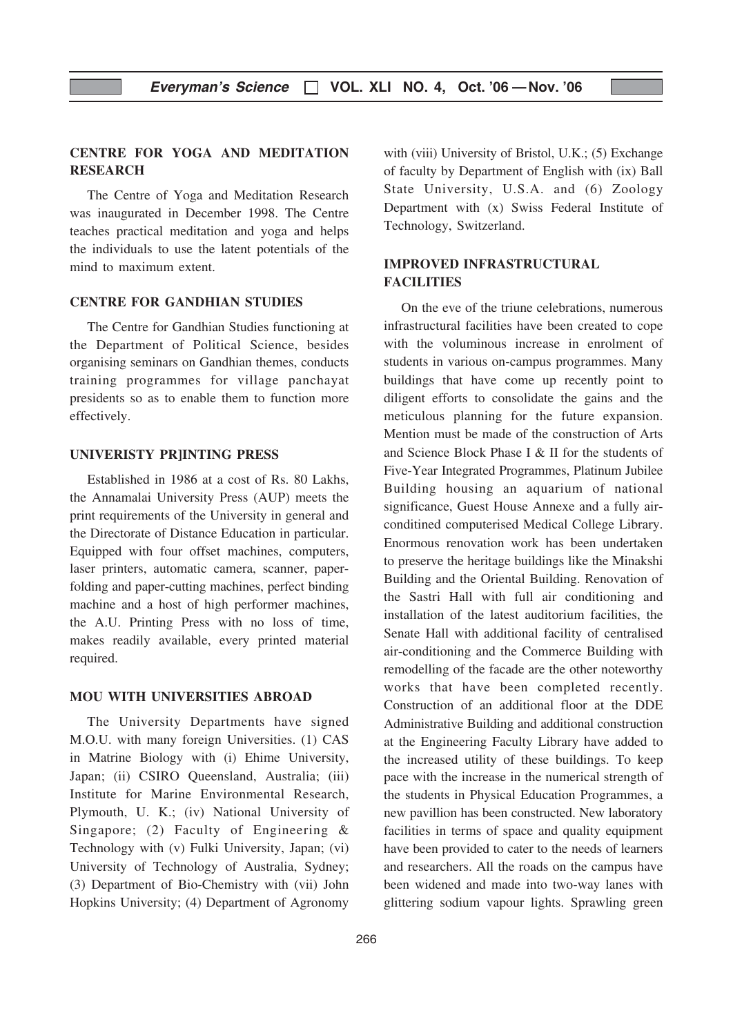# CENTRE FOR YOGA AND MEDITATION **RESEARCH**

The Centre of Yoga and Meditation Research was inaugurated in December 1998. The Centre teaches practical meditation and yoga and helps the individuals to use the latent potentials of the mind to maximum extent.

# CENTRE FOR GANDHIAN STUDIES

The Centre for Gandhian Studies functioning at the Department of Political Science, besides organising seminars on Gandhian themes, conducts training programmes for village panchayat presidents so as to enable them to function more effectively.

#### UNIVERISTY PR]INTING PRESS

Established in 1986 at a cost of Rs. 80 Lakhs, the Annamalai University Press (AUP) meets the print requirements of the University in general and the Directorate of Distance Education in particular. Equipped with four offset machines, computers, laser printers, automatic camera, scanner, paperfolding and paper-cutting machines, perfect binding machine and a host of high performer machines, the A.U. Printing Press with no loss of time, makes readily available, every printed material required.

#### MOU WITH UNIVERSITIES ABROAD

The University Departments have signed M.O.U. with many foreign Universities. (1) CAS in Matrine Biology with (i) Ehime University, Japan; (ii) CSIRO Queensland, Australia; (iii) Institute for Marine Environmental Research, Plymouth, U. K.; (iv) National University of Singapore; (2) Faculty of Engineering & Technology with (v) Fulki University, Japan; (vi) University of Technology of Australia, Sydney; (3) Department of Bio-Chemistry with (vii) John Hopkins University; (4) Department of Agronomy

with (viii) University of Bristol, U.K.; (5) Exchange of faculty by Department of English with (ix) Ball State University, U.S.A. and (6) Zoology Department with (x) Swiss Federal Institute of Technology, Switzerland.

# IMPROVED INFRASTRUCTURAL **FACILITIES**

On the eve of the triune celebrations, numerous infrastructural facilities have been created to cope with the voluminous increase in enrolment of students in various on-campus programmes. Many buildings that have come up recently point to diligent efforts to consolidate the gains and the meticulous planning for the future expansion. Mention must be made of the construction of Arts and Science Block Phase I & II for the students of Five-Year Integrated Programmes, Platinum Jubilee Building housing an aquarium of national significance, Guest House Annexe and a fully airconditined computerised Medical College Library. Enormous renovation work has been undertaken to preserve the heritage buildings like the Minakshi Building and the Oriental Building. Renovation of the Sastri Hall with full air conditioning and installation of the latest auditorium facilities, the Senate Hall with additional facility of centralised air-conditioning and the Commerce Building with remodelling of the facade are the other noteworthy works that have been completed recently. Construction of an additional floor at the DDE Administrative Building and additional construction at the Engineering Faculty Library have added to the increased utility of these buildings. To keep pace with the increase in the numerical strength of the students in Physical Education Programmes, a new pavillion has been constructed. New laboratory facilities in terms of space and quality equipment have been provided to cater to the needs of learners and researchers. All the roads on the campus have been widened and made into two-way lanes with glittering sodium vapour lights. Sprawling green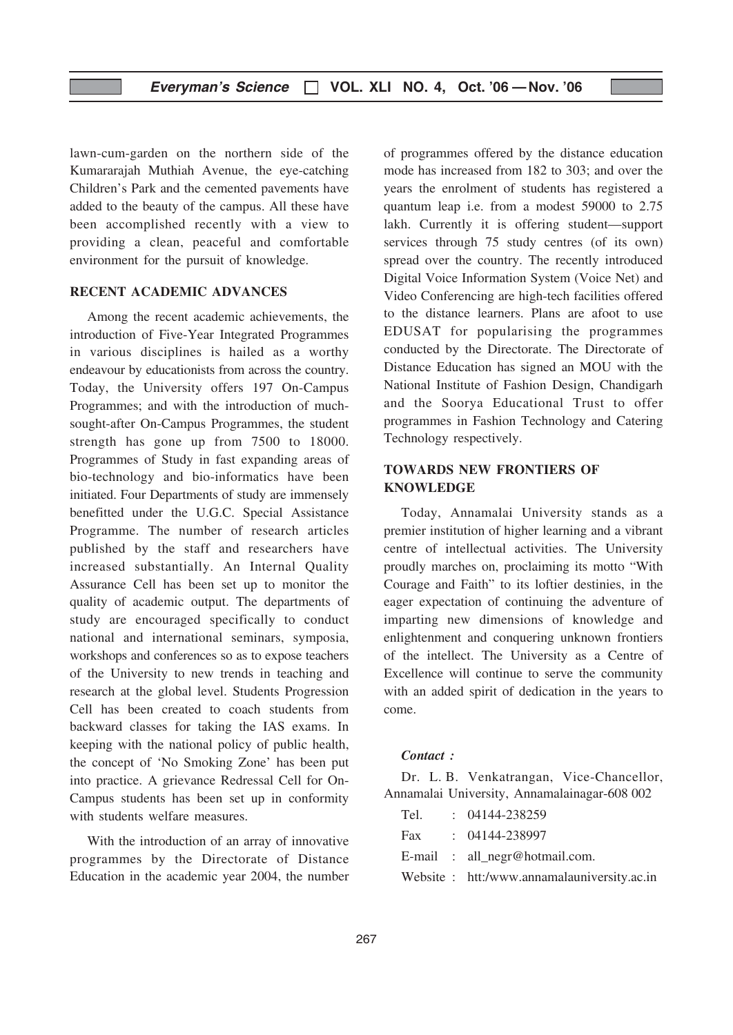lawn-cum-garden on the northern side of the Kumararajah Muthiah Avenue, the eye-catching Children's Park and the cemented pavements have added to the beauty of the campus. All these have been accomplished recently with a view to providing a clean, peaceful and comfortable environment for the pursuit of knowledge.

#### RECENT ACADEMIC ADVANCES

Among the recent academic achievements, the introduction of Five-Year Integrated Programmes in various disciplines is hailed as a worthy endeavour by educationists from across the country. Today, the University offers 197 On-Campus Programmes; and with the introduction of muchsought-after On-Campus Programmes, the student strength has gone up from 7500 to 18000. Programmes of Study in fast expanding areas of bio-technology and bio-informatics have been initiated. Four Departments of study are immensely benefitted under the U.G.C. Special Assistance Programme. The number of research articles published by the staff and researchers have increased substantially. An Internal Quality Assurance Cell has been set up to monitor the quality of academic output. The departments of study are encouraged specifically to conduct national and international seminars, symposia, workshops and conferences so as to expose teachers of the University to new trends in teaching and research at the global level. Students Progression Cell has been created to coach students from backward classes for taking the IAS exams. In keeping with the national policy of public health, the concept of 'No Smoking Zone' has been put into practice. A grievance Redressal Cell for On-Campus students has been set up in conformity with students welfare measures.

With the introduction of an array of innovative programmes by the Directorate of Distance Education in the academic year 2004, the number of programmes offered by the distance education mode has increased from 182 to 303; and over the years the enrolment of students has registered a quantum leap i.e. from a modest 59000 to 2.75 lakh. Currently it is offering student—support services through 75 study centres (of its own) spread over the country. The recently introduced Digital Voice Information System (Voice Net) and Video Conferencing are high-tech facilities offered to the distance learners. Plans are afoot to use EDUSAT for popularising the programmes conducted by the Directorate. The Directorate of Distance Education has signed an MOU with the National Institute of Fashion Design, Chandigarh and the Soorya Educational Trust to offer programmes in Fashion Technology and Catering Technology respectively.

# TOWARDS NEW FRONTIERS OF **KNOWLEDGE**

Today, Annamalai University stands as a premier institution of higher learning and a vibrant centre of intellectual activities. The University proudly marches on, proclaiming its motto "With Courage and Faith" to its loftier destinies, in the eager expectation of continuing the adventure of imparting new dimensions of knowledge and enlightenment and conquering unknown frontiers of the intellect. The University as a Centre of Excellence will continue to serve the community with an added spirit of dedication in the years to come.

#### Contact :

Dr. L. B. Venkatrangan, Vice-Chancellor, Annamalai University, Annamalainagar-608 002

| Tel. | $: 04144 - 238259$                         |
|------|--------------------------------------------|
|      | Fax : 04144-238997                         |
|      | E-mail : all_negr@hotmail.com.             |
|      | Website: htt:/www.annamalauniversity.ac.in |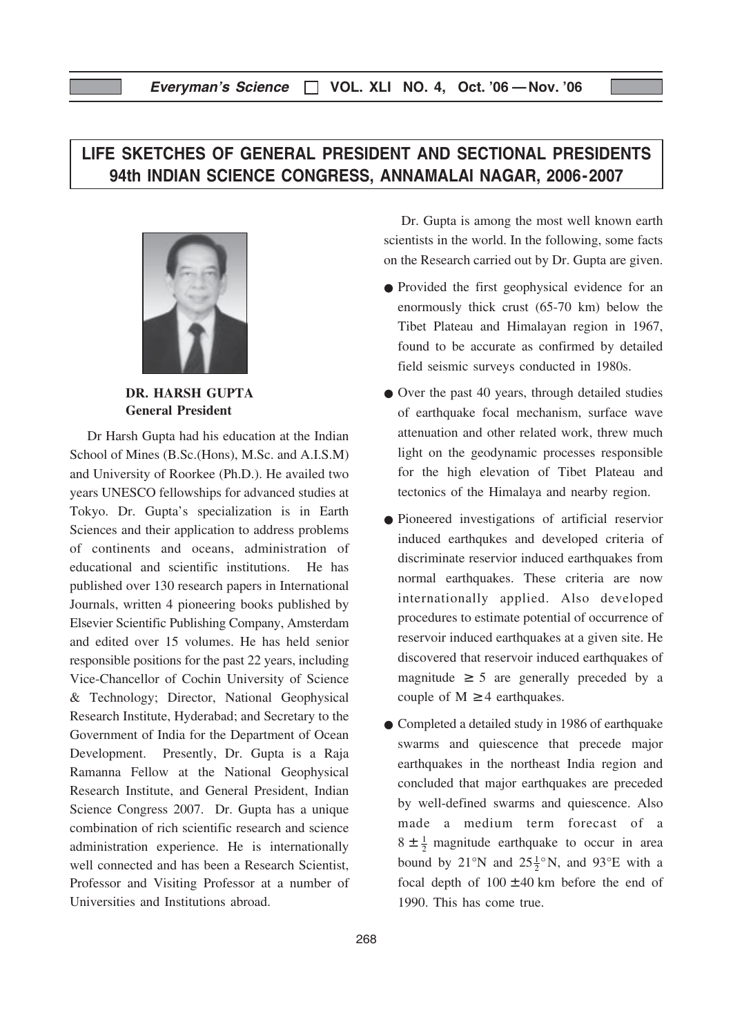# Everyman's Science  $\Box$  VOL. XLI NO. 4, Oct. '06 - Nov. '06

# LIFE SKETCHES OF GENERAL PRESIDENT AND SECTIONAL PRESIDENTS 94th INDIAN SCIENCE CONGRESS, ANNAMALAI NAGAR, 2006-2007



DR. HARSH GUPTA General President

Dr Harsh Gupta had his education at the Indian School of Mines (B.Sc.(Hons), M.Sc. and A.I.S.M) and University of Roorkee (Ph.D.). He availed two years UNESCO fellowships for advanced studies at Tokyo. Dr. Gupta's specialization is in Earth Sciences and their application to address problems of continents and oceans, administration of educational and scientific institutions. He has published over 130 research papers in International Journals, written 4 pioneering books published by Elsevier Scientific Publishing Company, Amsterdam and edited over 15 volumes. He has held senior responsible positions for the past 22 years, including Vice-Chancellor of Cochin University of Science & Technology; Director, National Geophysical Research Institute, Hyderabad; and Secretary to the Government of India for the Department of Ocean Development. Presently, Dr. Gupta is a Raja Ramanna Fellow at the National Geophysical Research Institute, and General President, Indian Science Congress 2007. Dr. Gupta has a unique combination of rich scientific research and science administration experience. He is internationally well connected and has been a Research Scientist, Professor and Visiting Professor at a number of Universities and Institutions abroad.

Dr. Gupta is among the most well known earth scientists in the world. In the following, some facts on the Research carried out by Dr. Gupta are given.

- Provided the first geophysical evidence for an enormously thick crust (65-70 km) below the Tibet Plateau and Himalayan region in 1967, found to be accurate as confirmed by detailed field seismic surveys conducted in 1980s.
- Over the past 40 years, through detailed studies of earthquake focal mechanism, surface wave attenuation and other related work, threw much light on the geodynamic processes responsible for the high elevation of Tibet Plateau and tectonics of the Himalaya and nearby region.
- Pioneered investigations of artificial reservior induced earthqukes and developed criteria of discriminate reservior induced earthquakes from normal earthquakes. These criteria are now internationally applied. Also developed procedures to estimate potential of occurrence of reservoir induced earthquakes at a given site. He discovered that reservoir induced earthquakes of magnitude  $\geq$  5 are generally preceded by a couple of  $M \geq 4$  earthquakes.
- Completed a detailed study in 1986 of earthquake swarms and quiescence that precede major earthquakes in the northeast India region and concluded that major earthquakes are preceded by well-defined swarms and quiescence. Also made a medium term forecast of a  $8 \pm \frac{1}{2}$  magnitude earthquake to occur in area bound by 21°N and 25 $\frac{1}{2}$ °N, and 93°E with a focal depth of  $100 \pm 40$  km before the end of 1990. This has come true.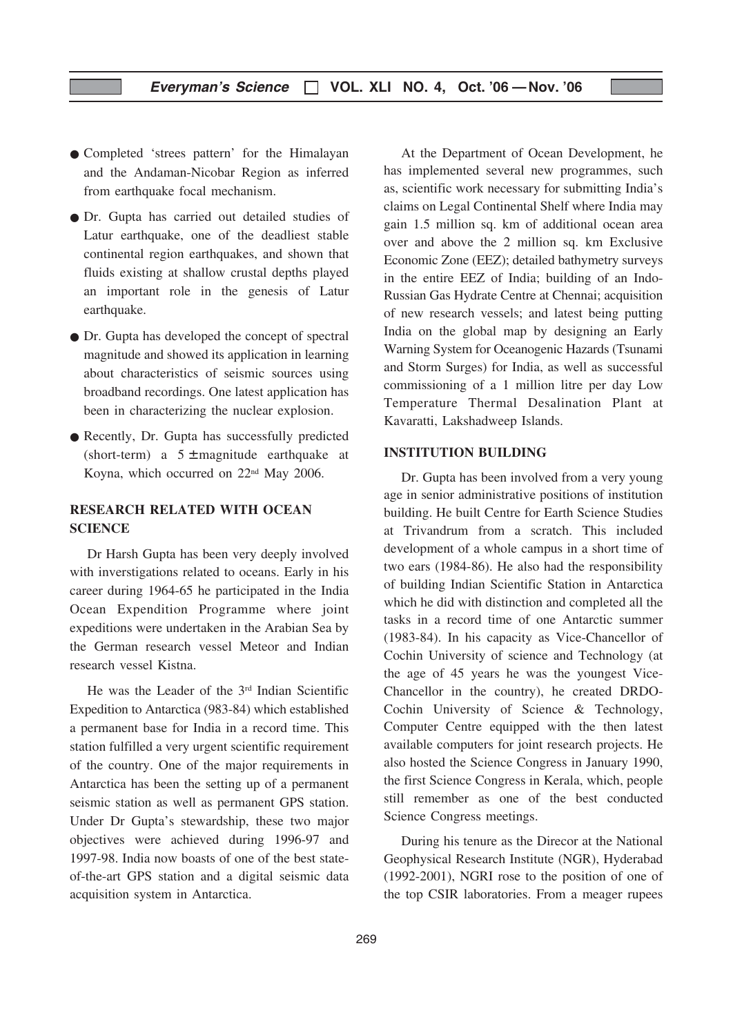- Completed 'strees pattern' for the Himalayan and the Andaman-Nicobar Region as inferred from earthquake focal mechanism.
- Dr. Gupta has carried out detailed studies of Latur earthquake, one of the deadliest stable continental region earthquakes, and shown that fluids existing at shallow crustal depths played an important role in the genesis of Latur earthquake.
- Dr. Gupta has developed the concept of spectral magnitude and showed its application in learning about characteristics of seismic sources using broadband recordings. One latest application has been in characterizing the nuclear explosion.
- Recently, Dr. Gupta has successfully predicted (short-term) a  $5 \pm$  magnitude earthquake at Koyna, which occurred on 22nd May 2006.

# RESEARCH RELATED WITH OCEAN **SCIENCE**

Dr Harsh Gupta has been very deeply involved with inverstigations related to oceans. Early in his career during 1964-65 he participated in the India Ocean Expendition Programme where joint expeditions were undertaken in the Arabian Sea by the German research vessel Meteor and Indian research vessel Kistna.

He was the Leader of the 3rd Indian Scientific Expedition to Antarctica (983-84) which established a permanent base for India in a record time. This station fulfilled a very urgent scientific requirement of the country. One of the major requirements in Antarctica has been the setting up of a permanent seismic station as well as permanent GPS station. Under Dr Gupta's stewardship, these two major objectives were achieved during 1996-97 and 1997-98. India now boasts of one of the best stateof-the-art GPS station and a digital seismic data acquisition system in Antarctica.

At the Department of Ocean Development, he has implemented several new programmes, such as, scientific work necessary for submitting India's claims on Legal Continental Shelf where India may gain 1.5 million sq. km of additional ocean area over and above the 2 million sq. km Exclusive Economic Zone (EEZ); detailed bathymetry surveys in the entire EEZ of India; building of an Indo-Russian Gas Hydrate Centre at Chennai; acquisition of new research vessels; and latest being putting India on the global map by designing an Early Warning System for Oceanogenic Hazards (Tsunami and Storm Surges) for India, as well as successful commissioning of a 1 million litre per day Low Temperature Thermal Desalination Plant at Kavaratti, Lakshadweep Islands.

#### INSTITUTION BUILDING

Dr. Gupta has been involved from a very young age in senior administrative positions of institution building. He built Centre for Earth Science Studies at Trivandrum from a scratch. This included development of a whole campus in a short time of two ears (1984-86). He also had the responsibility of building Indian Scientific Station in Antarctica which he did with distinction and completed all the tasks in a record time of one Antarctic summer (1983-84). In his capacity as Vice-Chancellor of Cochin University of science and Technology (at the age of 45 years he was the youngest Vice-Chancellor in the country), he created DRDO-Cochin University of Science & Technology, Computer Centre equipped with the then latest available computers for joint research projects. He also hosted the Science Congress in January 1990, the first Science Congress in Kerala, which, people still remember as one of the best conducted Science Congress meetings.

During his tenure as the Direcor at the National Geophysical Research Institute (NGR), Hyderabad (1992-2001), NGRI rose to the position of one of the top CSIR laboratories. From a meager rupees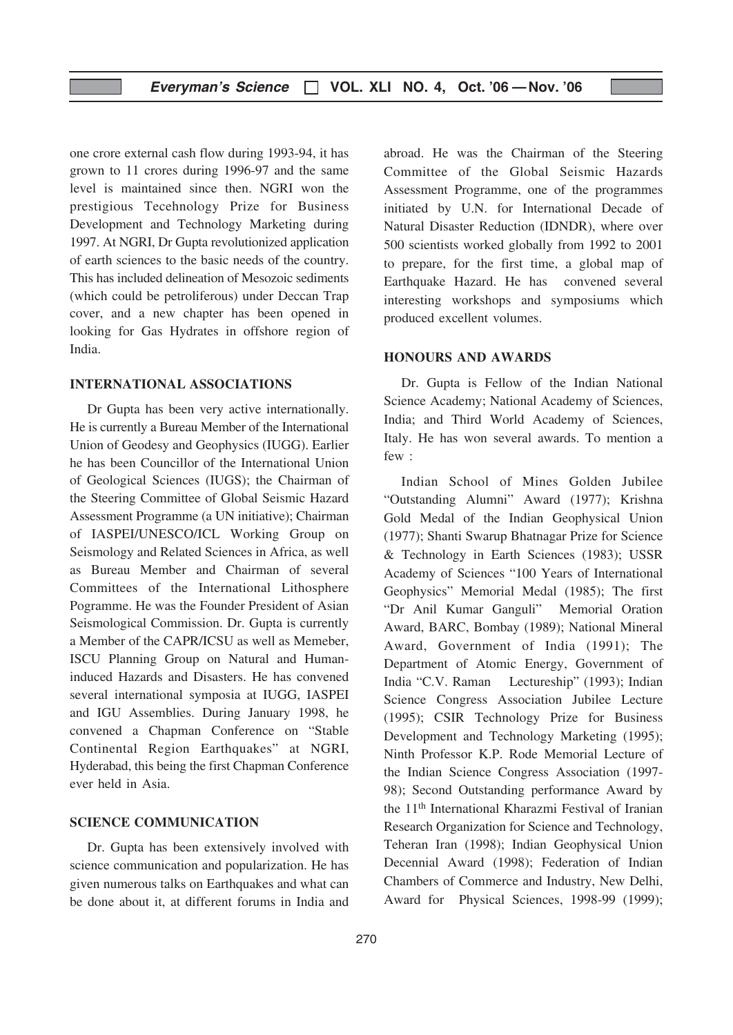one crore external cash flow during 1993-94, it has grown to 11 crores during 1996-97 and the same level is maintained since then. NGRI won the prestigious Tecehnology Prize for Business Development and Technology Marketing during 1997. At NGRI, Dr Gupta revolutionized application of earth sciences to the basic needs of the country. This has included delineation of Mesozoic sediments (which could be petroliferous) under Deccan Trap cover, and a new chapter has been opened in looking for Gas Hydrates in offshore region of India.

#### INTERNATIONAL ASSOCIATIONS

Dr Gupta has been very active internationally. He is currently a Bureau Member of the International Union of Geodesy and Geophysics (IUGG). Earlier he has been Councillor of the International Union of Geological Sciences (IUGS); the Chairman of the Steering Committee of Global Seismic Hazard Assessment Programme (a UN initiative); Chairman of IASPEI/UNESCO/ICL Working Group on Seismology and Related Sciences in Africa, as well as Bureau Member and Chairman of several Committees of the International Lithosphere Pogramme. He was the Founder President of Asian Seismological Commission. Dr. Gupta is currently a Member of the CAPR/ICSU as well as Memeber, ISCU Planning Group on Natural and Humaninduced Hazards and Disasters. He has convened several international symposia at IUGG, IASPEI and IGU Assemblies. During January 1998, he convened a Chapman Conference on "Stable Continental Region Earthquakes" at NGRI, Hyderabad, this being the first Chapman Conference ever held in Asia.

# SCIENCE COMMUNICATION

Dr. Gupta has been extensively involved with science communication and popularization. He has given numerous talks on Earthquakes and what can be done about it, at different forums in India and

abroad. He was the Chairman of the Steering Committee of the Global Seismic Hazards Assessment Programme, one of the programmes initiated by U.N. for International Decade of Natural Disaster Reduction (IDNDR), where over 500 scientists worked globally from 1992 to 2001 to prepare, for the first time, a global map of Earthquake Hazard. He has convened several interesting workshops and symposiums which produced excellent volumes.

#### HONOURS AND AWARDS

Dr. Gupta is Fellow of the Indian National Science Academy; National Academy of Sciences, India; and Third World Academy of Sciences, Italy. He has won several awards. To mention a few :

Indian School of Mines Golden Jubilee "Outstanding Alumni" Award (1977); Krishna Gold Medal of the Indian Geophysical Union (1977); Shanti Swarup Bhatnagar Prize for Science & Technology in Earth Sciences (1983); USSR Academy of Sciences "100 Years of International Geophysics" Memorial Medal (1985); The first "Dr Anil Kumar Ganguli" Memorial Oration Award, BARC, Bombay (1989); National Mineral Award, Government of India (1991); The Department of Atomic Energy, Government of India "C.V. Raman Lectureship" (1993); Indian Science Congress Association Jubilee Lecture (1995); CSIR Technology Prize for Business Development and Technology Marketing (1995); Ninth Professor K.P. Rode Memorial Lecture of the Indian Science Congress Association (1997- 98); Second Outstanding performance Award by the 11th International Kharazmi Festival of Iranian Research Organization for Science and Technology, Teheran Iran (1998); Indian Geophysical Union Decennial Award (1998); Federation of Indian Chambers of Commerce and Industry, New Delhi, Award for Physical Sciences, 1998-99 (1999);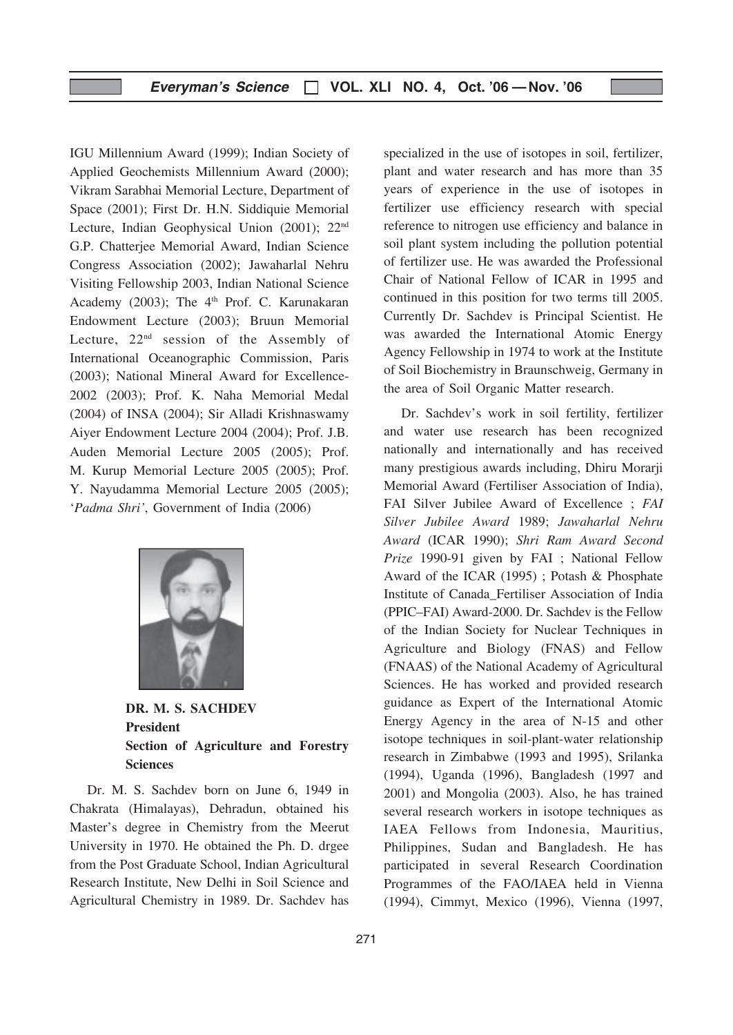IGU Millennium Award (1999); Indian Society of Applied Geochemists Millennium Award (2000); Vikram Sarabhai Memorial Lecture, Department of Space (2001); First Dr. H.N. Siddiquie Memorial Lecture, Indian Geophysical Union (2001); 22nd G.P. Chatterjee Memorial Award, Indian Science Congress Association (2002); Jawaharlal Nehru Visiting Fellowship 2003, Indian National Science Academy (2003); The  $4<sup>th</sup>$  Prof. C. Karunakaran Endowment Lecture (2003); Bruun Memorial Lecture,  $22<sup>nd</sup>$  session of the Assembly of International Oceanographic Commission, Paris (2003); National Mineral Award for Excellence-2002 (2003); Prof. K. Naha Memorial Medal (2004) of INSA (2004); Sir Alladi Krishnaswamy Aiyer Endowment Lecture 2004 (2004); Prof. J.B. Auden Memorial Lecture 2005 (2005); Prof. M. Kurup Memorial Lecture 2005 (2005); Prof. Y. Nayudamma Memorial Lecture 2005 (2005); 'Padma Shri', Government of India (2006)



DR. M. S. SACHDEV President Section of Agriculture and Forestry Sciences

Dr. M. S. Sachdev born on June 6, 1949 in Chakrata (Himalayas), Dehradun, obtained his Master's degree in Chemistry from the Meerut University in 1970. He obtained the Ph. D. drgee from the Post Graduate School, Indian Agricultural Research Institute, New Delhi in Soil Science and Agricultural Chemistry in 1989. Dr. Sachdev has

specialized in the use of isotopes in soil, fertilizer, plant and water research and has more than 35 years of experience in the use of isotopes in fertilizer use efficiency research with special reference to nitrogen use efficiency and balance in soil plant system including the pollution potential of fertilizer use. He was awarded the Professional Chair of National Fellow of ICAR in 1995 and continued in this position for two terms till 2005. Currently Dr. Sachdev is Principal Scientist. He was awarded the International Atomic Energy Agency Fellowship in 1974 to work at the Institute of Soil Biochemistry in Braunschweig, Germany in the area of Soil Organic Matter research.

Dr. Sachdev's work in soil fertility, fertilizer and water use research has been recognized nationally and internationally and has received many prestigious awards including, Dhiru Morarji Memorial Award (Fertiliser Association of India), FAI Silver Jubilee Award of Excellence ; FAI Silver Jubilee Award 1989; Jawaharlal Nehru Award (ICAR 1990); Shri Ram Award Second Prize 1990-91 given by FAI ; National Fellow Award of the ICAR (1995) ; Potash & Phosphate Institute of Canada\_Fertiliser Association of India (PPIC–FAI) Award-2000. Dr. Sachdev is the Fellow of the Indian Society for Nuclear Techniques in Agriculture and Biology (FNAS) and Fellow (FNAAS) of the National Academy of Agricultural Sciences. He has worked and provided research guidance as Expert of the International Atomic Energy Agency in the area of N-15 and other isotope techniques in soil-plant-water relationship research in Zimbabwe (1993 and 1995), Srilanka (1994), Uganda (1996), Bangladesh (1997 and 2001) and Mongolia (2003). Also, he has trained several research workers in isotope techniques as IAEA Fellows from Indonesia, Mauritius, Philippines, Sudan and Bangladesh. He has participated in several Research Coordination Programmes of the FAO/IAEA held in Vienna (1994), Cimmyt, Mexico (1996), Vienna (1997,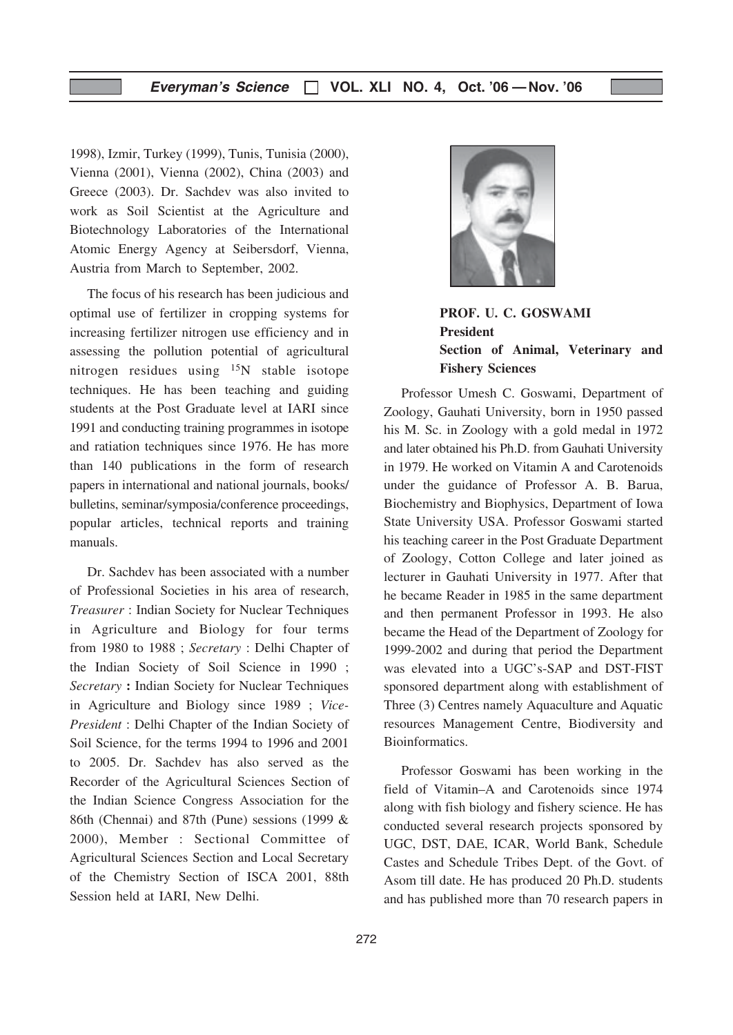# Everyman's Science  $\Box$  VOL. XLI NO. 4, Oct. '06 - Nov. '06

1998), Izmir, Turkey (1999), Tunis, Tunisia (2000), Vienna (2001), Vienna (2002), China (2003) and Greece (2003). Dr. Sachdev was also invited to work as Soil Scientist at the Agriculture and Biotechnology Laboratories of the International Atomic Energy Agency at Seibersdorf, Vienna, Austria from March to September, 2002.

The focus of his research has been judicious and optimal use of fertilizer in cropping systems for increasing fertilizer nitrogen use efficiency and in assessing the pollution potential of agricultural nitrogen residues using 15N stable isotope techniques. He has been teaching and guiding students at the Post Graduate level at IARI since 1991 and conducting training programmes in isotope and ratiation techniques since 1976. He has more than 140 publications in the form of research papers in international and national journals, books/ bulletins, seminar/symposia/conference proceedings, popular articles, technical reports and training manuals.

Dr. Sachdev has been associated with a number of Professional Societies in his area of research, Treasurer : Indian Society for Nuclear Techniques in Agriculture and Biology for four terms from 1980 to 1988 ; Secretary : Delhi Chapter of the Indian Society of Soil Science in 1990 ; Secretary : Indian Society for Nuclear Techniques in Agriculture and Biology since 1989 ; Vice-President : Delhi Chapter of the Indian Society of Soil Science, for the terms 1994 to 1996 and 2001 to 2005. Dr. Sachdev has also served as the Recorder of the Agricultural Sciences Section of the Indian Science Congress Association for the 86th (Chennai) and 87th (Pune) sessions (1999 & 2000), Member : Sectional Committee of Agricultural Sciences Section and Local Secretary of the Chemistry Section of ISCA 2001, 88th Session held at IARI, New Delhi.



PROF. U. C. GOSWAMI President Section of Animal, Veterinary and Fishery Sciences

Professor Umesh C. Goswami, Department of Zoology, Gauhati University, born in 1950 passed his M. Sc. in Zoology with a gold medal in 1972 and later obtained his Ph.D. from Gauhati University in 1979. He worked on Vitamin A and Carotenoids under the guidance of Professor A. B. Barua, Biochemistry and Biophysics, Department of Iowa State University USA. Professor Goswami started his teaching career in the Post Graduate Department of Zoology, Cotton College and later joined as lecturer in Gauhati University in 1977. After that he became Reader in 1985 in the same department and then permanent Professor in 1993. He also became the Head of the Department of Zoology for 1999-2002 and during that period the Department was elevated into a UGC's-SAP and DST-FIST sponsored department along with establishment of Three (3) Centres namely Aquaculture and Aquatic resources Management Centre, Biodiversity and Bioinformatics.

Professor Goswami has been working in the field of Vitamin–A and Carotenoids since 1974 along with fish biology and fishery science. He has conducted several research projects sponsored by UGC, DST, DAE, ICAR, World Bank, Schedule Castes and Schedule Tribes Dept. of the Govt. of Asom till date. He has produced 20 Ph.D. students and has published more than 70 research papers in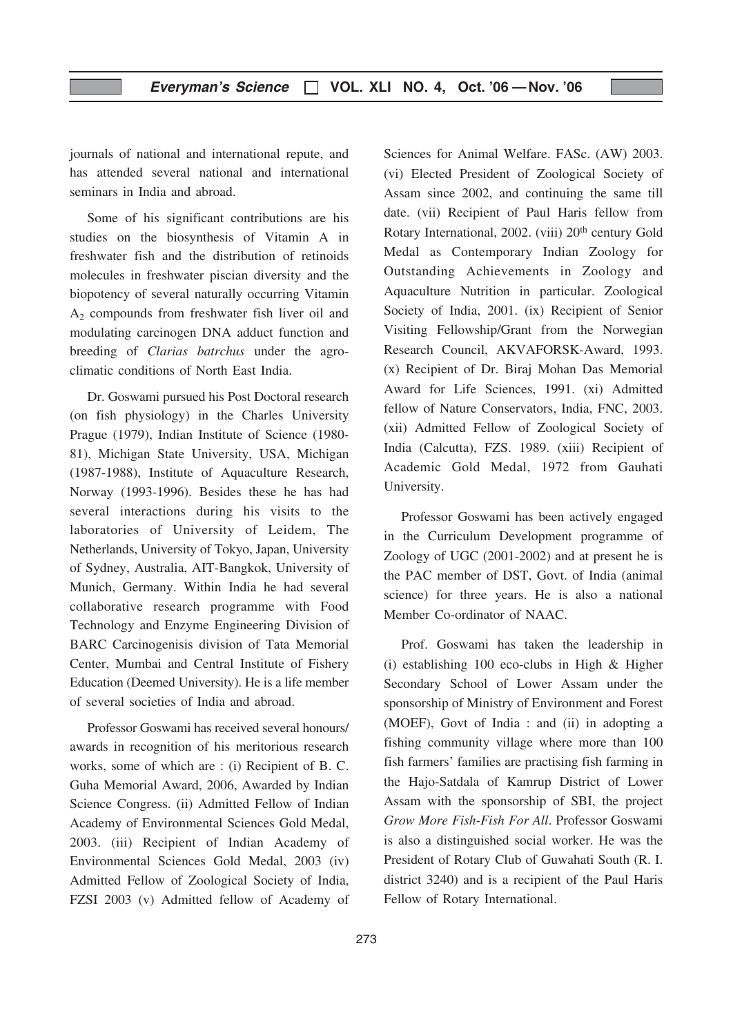journals of national and international repute, and has attended several national and international seminars in India and abroad.

Some of his significant contributions are his studies on the biosynthesis of Vitamin A in freshwater fish and the distribution of retinoids molecules in freshwater piscian diversity and the biopotency of several naturally occurring Vitamin  $A<sub>2</sub>$  compounds from freshwater fish liver oil and modulating carcinogen DNA adduct function and breeding of Clarias batrchus under the agroclimatic conditions of North East India.

Dr. Goswami pursued his Post Doctoral research (on fish physiology) in the Charles University Prague (1979), Indian Institute of Science (1980- 81), Michigan State University, USA, Michigan (1987-1988), Institute of Aquaculture Research, Norway (1993-1996). Besides these he has had several interactions during his visits to the laboratories of University of Leidem, The Netherlands, University of Tokyo, Japan, University of Sydney, Australia, AIT-Bangkok, University of Munich, Germany. Within India he had several collaborative research programme with Food Technology and Enzyme Engineering Division of BARC Carcinogenisis division of Tata Memorial Center, Mumbai and Central Institute of Fishery Education (Deemed University). He is a life member of several societies of India and abroad.

Professor Goswami has received several honours/ awards in recognition of his meritorious research works, some of which are : (i) Recipient of B. C. Guha Memorial Award, 2006, Awarded by Indian Science Congress. (ii) Admitted Fellow of Indian Academy of Environmental Sciences Gold Medal, 2003. (iii) Recipient of Indian Academy of Environmental Sciences Gold Medal, 2003 (iv) Admitted Fellow of Zoological Society of India, FZSI 2003 (v) Admitted fellow of Academy of Sciences for Animal Welfare. FASc. (AW) 2003. (vi) Elected President of Zoological Society of Assam since 2002, and continuing the same till date. (vii) Recipient of Paul Haris fellow from Rotary International, 2002. (viii) 20th century Gold Medal as Contemporary Indian Zoology for Outstanding Achievements in Zoology and Aquaculture Nutrition in particular. Zoological Society of India, 2001. (ix) Recipient of Senior Visiting Fellowship/Grant from the Norwegian Research Council, AKVAFORSK-Award, 1993. (x) Recipient of Dr. Biraj Mohan Das Memorial Award for Life Sciences, 1991. (xi) Admitted fellow of Nature Conservators, India, FNC, 2003. (xii) Admitted Fellow of Zoological Society of India (Calcutta), FZS. 1989. (xiii) Recipient of Academic Gold Medal, 1972 from Gauhati University.

Professor Goswami has been actively engaged in the Curriculum Development programme of Zoology of UGC (2001-2002) and at present he is the PAC member of DST, Govt. of India (animal science) for three years. He is also a national Member Co-ordinator of NAAC.

Prof. Goswami has taken the leadership in (i) establishing 100 eco-clubs in High & Higher Secondary School of Lower Assam under the sponsorship of Ministry of Environment and Forest (MOEF), Govt of India : and (ii) in adopting a fishing community village where more than 100 fish farmers' families are practising fish farming in the Hajo-Satdala of Kamrup District of Lower Assam with the sponsorship of SBI, the project Grow More Fish-Fish For All. Professor Goswami is also a distinguished social worker. He was the President of Rotary Club of Guwahati South (R. I. district 3240) and is a recipient of the Paul Haris Fellow of Rotary International.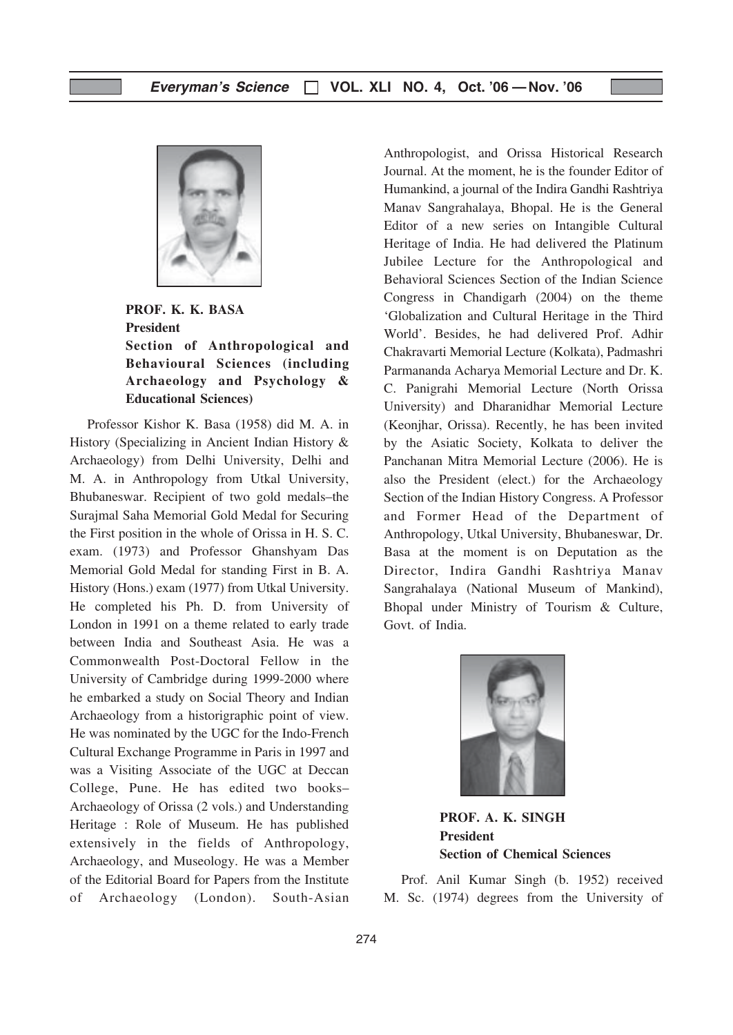

PROF. K. K. BASA President Section of Anthropological and Behavioural Sciences (including Archaeology and Psychology & Educational Sciences)

Professor Kishor K. Basa (1958) did M. A. in History (Specializing in Ancient Indian History & Archaeology) from Delhi University, Delhi and M. A. in Anthropology from Utkal University, Bhubaneswar. Recipient of two gold medals–the Surajmal Saha Memorial Gold Medal for Securing the First position in the whole of Orissa in H. S. C. exam. (1973) and Professor Ghanshyam Das Memorial Gold Medal for standing First in B. A. History (Hons.) exam (1977) from Utkal University. He completed his Ph. D. from University of London in 1991 on a theme related to early trade between India and Southeast Asia. He was a Commonwealth Post-Doctoral Fellow in the University of Cambridge during 1999-2000 where he embarked a study on Social Theory and Indian Archaeology from a historigraphic point of view. He was nominated by the UGC for the Indo-French Cultural Exchange Programme in Paris in 1997 and was a Visiting Associate of the UGC at Deccan College, Pune. He has edited two books– Archaeology of Orissa (2 vols.) and Understanding Heritage : Role of Museum. He has published extensively in the fields of Anthropology, Archaeology, and Museology. He was a Member of the Editorial Board for Papers from the Institute of Archaeology (London). South-Asian Anthropologist, and Orissa Historical Research Journal. At the moment, he is the founder Editor of Humankind, a journal of the Indira Gandhi Rashtriya Manav Sangrahalaya, Bhopal. He is the General Editor of a new series on Intangible Cultural Heritage of India. He had delivered the Platinum Jubilee Lecture for the Anthropological and Behavioral Sciences Section of the Indian Science Congress in Chandigarh (2004) on the theme 'Globalization and Cultural Heritage in the Third World'. Besides, he had delivered Prof. Adhir Chakravarti Memorial Lecture (Kolkata), Padmashri Parmananda Acharya Memorial Lecture and Dr. K. C. Panigrahi Memorial Lecture (North Orissa University) and Dharanidhar Memorial Lecture (Keonjhar, Orissa). Recently, he has been invited by the Asiatic Society, Kolkata to deliver the Panchanan Mitra Memorial Lecture (2006). He is also the President (elect.) for the Archaeology Section of the Indian History Congress. A Professor and Former Head of the Department of Anthropology, Utkal University, Bhubaneswar, Dr. Basa at the moment is on Deputation as the Director, Indira Gandhi Rashtriya Manav Sangrahalaya (National Museum of Mankind), Bhopal under Ministry of Tourism & Culture, Govt. of India.



PROF. A. K. SINGH President Section of Chemical Sciences

Prof. Anil Kumar Singh (b. 1952) received M. Sc. (1974) degrees from the University of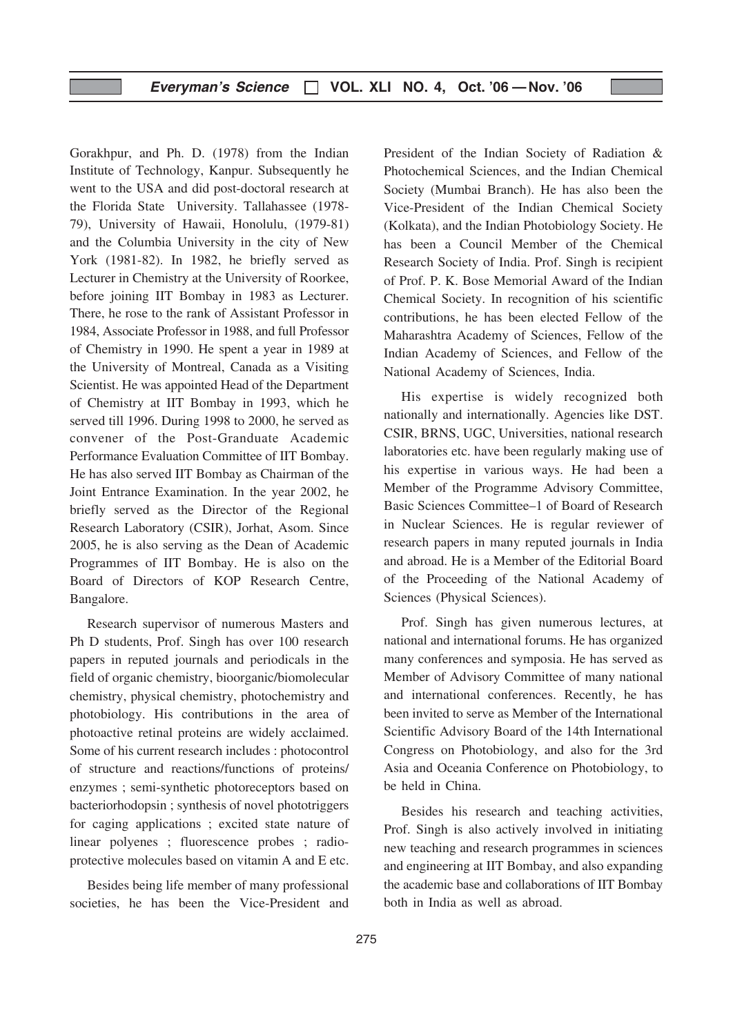Gorakhpur, and Ph. D. (1978) from the Indian Institute of Technology, Kanpur. Subsequently he went to the USA and did post-doctoral research at the Florida State University. Tallahassee (1978- 79), University of Hawaii, Honolulu, (1979-81) and the Columbia University in the city of New York (1981-82). In 1982, he briefly served as Lecturer in Chemistry at the University of Roorkee, before joining IIT Bombay in 1983 as Lecturer. There, he rose to the rank of Assistant Professor in 1984, Associate Professor in 1988, and full Professor of Chemistry in 1990. He spent a year in 1989 at the University of Montreal, Canada as a Visiting Scientist. He was appointed Head of the Department of Chemistry at IIT Bombay in 1993, which he served till 1996. During 1998 to 2000, he served as convener of the Post-Granduate Academic Performance Evaluation Committee of IIT Bombay. He has also served IIT Bombay as Chairman of the Joint Entrance Examination. In the year 2002, he briefly served as the Director of the Regional Research Laboratory (CSIR), Jorhat, Asom. Since 2005, he is also serving as the Dean of Academic Programmes of IIT Bombay. He is also on the Board of Directors of KOP Research Centre, Bangalore.

Research supervisor of numerous Masters and Ph D students, Prof. Singh has over 100 research papers in reputed journals and periodicals in the field of organic chemistry, bioorganic/biomolecular chemistry, physical chemistry, photochemistry and photobiology. His contributions in the area of photoactive retinal proteins are widely acclaimed. Some of his current research includes : photocontrol of structure and reactions/functions of proteins/ enzymes ; semi-synthetic photoreceptors based on bacteriorhodopsin ; synthesis of novel phototriggers for caging applications ; excited state nature of linear polyenes ; fluorescence probes ; radioprotective molecules based on vitamin A and E etc.

Besides being life member of many professional societies, he has been the Vice-President and President of the Indian Society of Radiation & Photochemical Sciences, and the Indian Chemical Society (Mumbai Branch). He has also been the Vice-President of the Indian Chemical Society (Kolkata), and the Indian Photobiology Society. He has been a Council Member of the Chemical Research Society of India. Prof. Singh is recipient of Prof. P. K. Bose Memorial Award of the Indian Chemical Society. In recognition of his scientific contributions, he has been elected Fellow of the Maharashtra Academy of Sciences, Fellow of the Indian Academy of Sciences, and Fellow of the National Academy of Sciences, India.

His expertise is widely recognized both nationally and internationally. Agencies like DST. CSIR, BRNS, UGC, Universities, national research laboratories etc. have been regularly making use of his expertise in various ways. He had been a Member of the Programme Advisory Committee, Basic Sciences Committee–1 of Board of Research in Nuclear Sciences. He is regular reviewer of research papers in many reputed journals in India and abroad. He is a Member of the Editorial Board of the Proceeding of the National Academy of Sciences (Physical Sciences).

Prof. Singh has given numerous lectures, at national and international forums. He has organized many conferences and symposia. He has served as Member of Advisory Committee of many national and international conferences. Recently, he has been invited to serve as Member of the International Scientific Advisory Board of the 14th International Congress on Photobiology, and also for the 3rd Asia and Oceania Conference on Photobiology, to be held in China.

Besides his research and teaching activities, Prof. Singh is also actively involved in initiating new teaching and research programmes in sciences and engineering at IIT Bombay, and also expanding the academic base and collaborations of IIT Bombay both in India as well as abroad.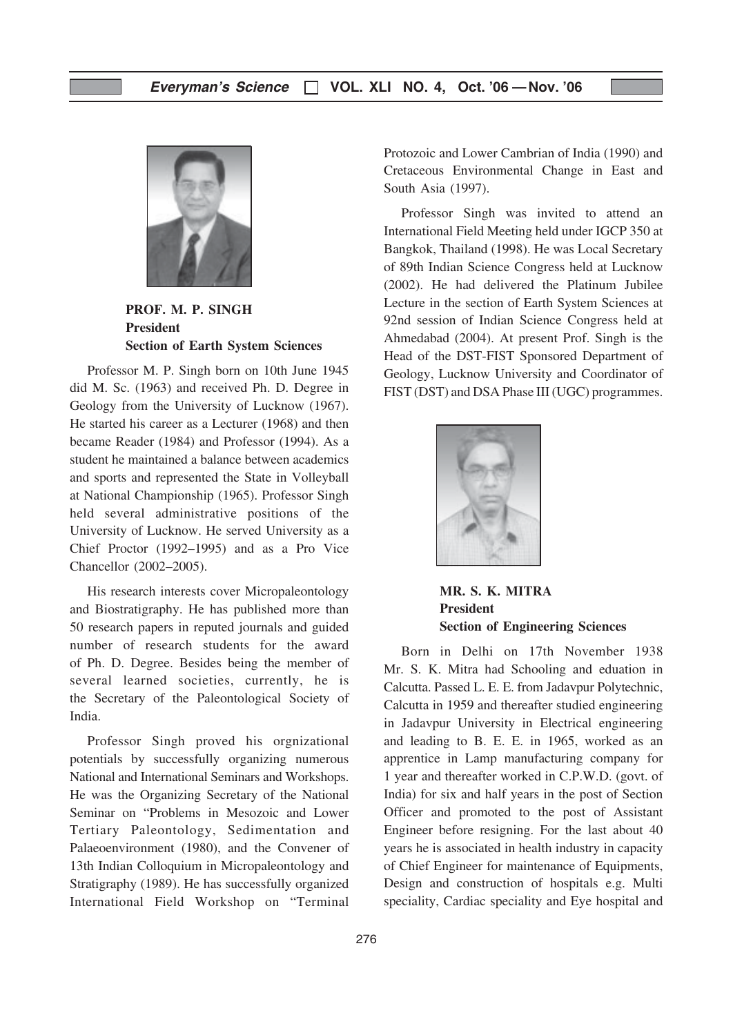

PROF. M. P. SINGH President Section of Earth System Sciences

Professor M. P. Singh born on 10th June 1945 did M. Sc. (1963) and received Ph. D. Degree in Geology from the University of Lucknow (1967). He started his career as a Lecturer (1968) and then became Reader (1984) and Professor (1994). As a student he maintained a balance between academics and sports and represented the State in Volleyball at National Championship (1965). Professor Singh held several administrative positions of the University of Lucknow. He served University as a Chief Proctor (1992–1995) and as a Pro Vice Chancellor (2002–2005).

His research interests cover Micropaleontology and Biostratigraphy. He has published more than 50 research papers in reputed journals and guided number of research students for the award of Ph. D. Degree. Besides being the member of several learned societies, currently, he is the Secretary of the Paleontological Society of India.

Professor Singh proved his orgnizational potentials by successfully organizing numerous National and International Seminars and Workshops. He was the Organizing Secretary of the National Seminar on "Problems in Mesozoic and Lower Tertiary Paleontology, Sedimentation and Palaeoenvironment (1980), and the Convener of 13th Indian Colloquium in Micropaleontology and Stratigraphy (1989). He has successfully organized International Field Workshop on "Terminal

Protozoic and Lower Cambrian of India (1990) and Cretaceous Environmental Change in East and South Asia (1997).

Professor Singh was invited to attend an International Field Meeting held under IGCP 350 at Bangkok, Thailand (1998). He was Local Secretary of 89th Indian Science Congress held at Lucknow (2002). He had delivered the Platinum Jubilee Lecture in the section of Earth System Sciences at 92nd session of Indian Science Congress held at Ahmedabad (2004). At present Prof. Singh is the Head of the DST-FIST Sponsored Department of Geology, Lucknow University and Coordinator of FIST (DST) and DSA Phase III (UGC) programmes.



MR. S. K. MITRA President Section of Engineering Sciences

Born in Delhi on 17th November 1938 Mr. S. K. Mitra had Schooling and eduation in Calcutta. Passed L. E. E. from Jadavpur Polytechnic, Calcutta in 1959 and thereafter studied engineering in Jadavpur University in Electrical engineering and leading to B. E. E. in 1965, worked as an apprentice in Lamp manufacturing company for 1 year and thereafter worked in C.P.W.D. (govt. of India) for six and half years in the post of Section Officer and promoted to the post of Assistant Engineer before resigning. For the last about 40 years he is associated in health industry in capacity of Chief Engineer for maintenance of Equipments, Design and construction of hospitals e.g. Multi speciality, Cardiac speciality and Eye hospital and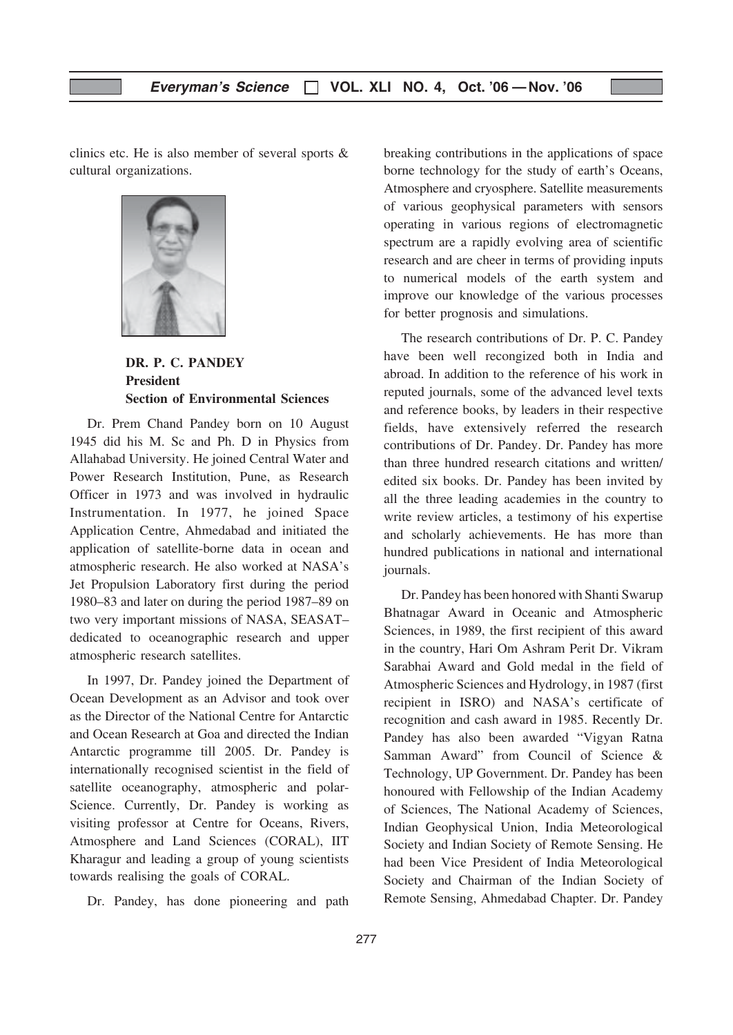clinics etc. He is also member of several sports & cultural organizations.



DR. P. C. PANDEY President Section of Environmental Sciences

Dr. Prem Chand Pandey born on 10 August 1945 did his M. Sc and Ph. D in Physics from Allahabad University. He joined Central Water and Power Research Institution, Pune, as Research Officer in 1973 and was involved in hydraulic Instrumentation. In 1977, he joined Space Application Centre, Ahmedabad and initiated the application of satellite-borne data in ocean and atmospheric research. He also worked at NASA's Jet Propulsion Laboratory first during the period 1980–83 and later on during the period 1987–89 on two very important missions of NASA, SEASAT– dedicated to oceanographic research and upper atmospheric research satellites.

In 1997, Dr. Pandey joined the Department of Ocean Development as an Advisor and took over as the Director of the National Centre for Antarctic and Ocean Research at Goa and directed the Indian Antarctic programme till 2005. Dr. Pandey is internationally recognised scientist in the field of satellite oceanography, atmospheric and polar-Science. Currently, Dr. Pandey is working as visiting professor at Centre for Oceans, Rivers, Atmosphere and Land Sciences (CORAL), IIT Kharagur and leading a group of young scientists towards realising the goals of CORAL.

Dr. Pandey, has done pioneering and path

breaking contributions in the applications of space borne technology for the study of earth's Oceans, Atmosphere and cryosphere. Satellite measurements of various geophysical parameters with sensors operating in various regions of electromagnetic spectrum are a rapidly evolving area of scientific research and are cheer in terms of providing inputs to numerical models of the earth system and improve our knowledge of the various processes for better prognosis and simulations.

The research contributions of Dr. P. C. Pandey have been well recongized both in India and abroad. In addition to the reference of his work in reputed journals, some of the advanced level texts and reference books, by leaders in their respective fields, have extensively referred the research contributions of Dr. Pandey. Dr. Pandey has more than three hundred research citations and written/ edited six books. Dr. Pandey has been invited by all the three leading academies in the country to write review articles, a testimony of his expertise and scholarly achievements. He has more than hundred publications in national and international journals.

Dr. Pandey has been honored with Shanti Swarup Bhatnagar Award in Oceanic and Atmospheric Sciences, in 1989, the first recipient of this award in the country, Hari Om Ashram Perit Dr. Vikram Sarabhai Award and Gold medal in the field of Atmospheric Sciences and Hydrology, in 1987 (first recipient in ISRO) and NASA's certificate of recognition and cash award in 1985. Recently Dr. Pandey has also been awarded "Vigyan Ratna Samman Award" from Council of Science & Technology, UP Government. Dr. Pandey has been honoured with Fellowship of the Indian Academy of Sciences, The National Academy of Sciences, Indian Geophysical Union, India Meteorological Society and Indian Society of Remote Sensing. He had been Vice President of India Meteorological Society and Chairman of the Indian Society of Remote Sensing, Ahmedabad Chapter. Dr. Pandey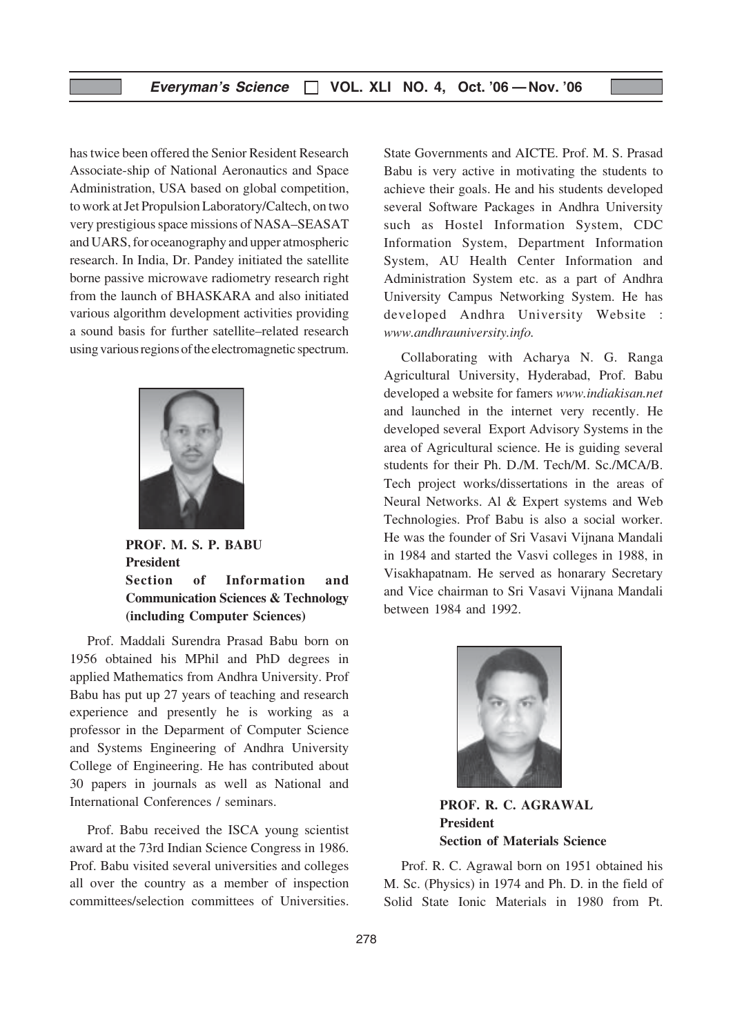has twice been offered the Senior Resident Research Associate-ship of National Aeronautics and Space Administration, USA based on global competition, to work at Jet Propulsion Laboratory/Caltech, on two very prestigious space missions of NASA–SEASAT and UARS, for oceanography and upper atmospheric research. In India, Dr. Pandey initiated the satellite borne passive microwave radiometry research right from the launch of BHASKARA and also initiated various algorithm development activities providing a sound basis for further satellite–related research using various regions of the electromagnetic spectrum.



PROF. M. S. P. BABU President Section of Information and Communication Sciences & Technology (including Computer Sciences)

Prof. Maddali Surendra Prasad Babu born on 1956 obtained his MPhil and PhD degrees in applied Mathematics from Andhra University. Prof Babu has put up 27 years of teaching and research experience and presently he is working as a professor in the Deparment of Computer Science and Systems Engineering of Andhra University College of Engineering. He has contributed about 30 papers in journals as well as National and International Conferences / seminars.

Prof. Babu received the ISCA young scientist award at the 73rd Indian Science Congress in 1986. Prof. Babu visited several universities and colleges all over the country as a member of inspection committees/selection committees of Universities.

State Governments and AICTE. Prof. M. S. Prasad Babu is very active in motivating the students to achieve their goals. He and his students developed several Software Packages in Andhra University such as Hostel Information System, CDC Information System, Department Information System, AU Health Center Information and Administration System etc. as a part of Andhra University Campus Networking System. He has developed Andhra University Website : www.andhrauniversity.info.

Collaborating with Acharya N. G. Ranga Agricultural University, Hyderabad, Prof. Babu developed a website for famers www.indiakisan.net and launched in the internet very recently. He developed several Export Advisory Systems in the area of Agricultural science. He is guiding several students for their Ph. D./M. Tech/M. Sc./MCA/B. Tech project works/dissertations in the areas of Neural Networks. Al & Expert systems and Web Technologies. Prof Babu is also a social worker. He was the founder of Sri Vasavi Vijnana Mandali in 1984 and started the Vasvi colleges in 1988, in Visakhapatnam. He served as honarary Secretary and Vice chairman to Sri Vasavi Vijnana Mandali between 1984 and 1992.



PROF. R. C. AGRAWAL President Section of Materials Science

Prof. R. C. Agrawal born on 1951 obtained his M. Sc. (Physics) in 1974 and Ph. D. in the field of Solid State Ionic Materials in 1980 from Pt.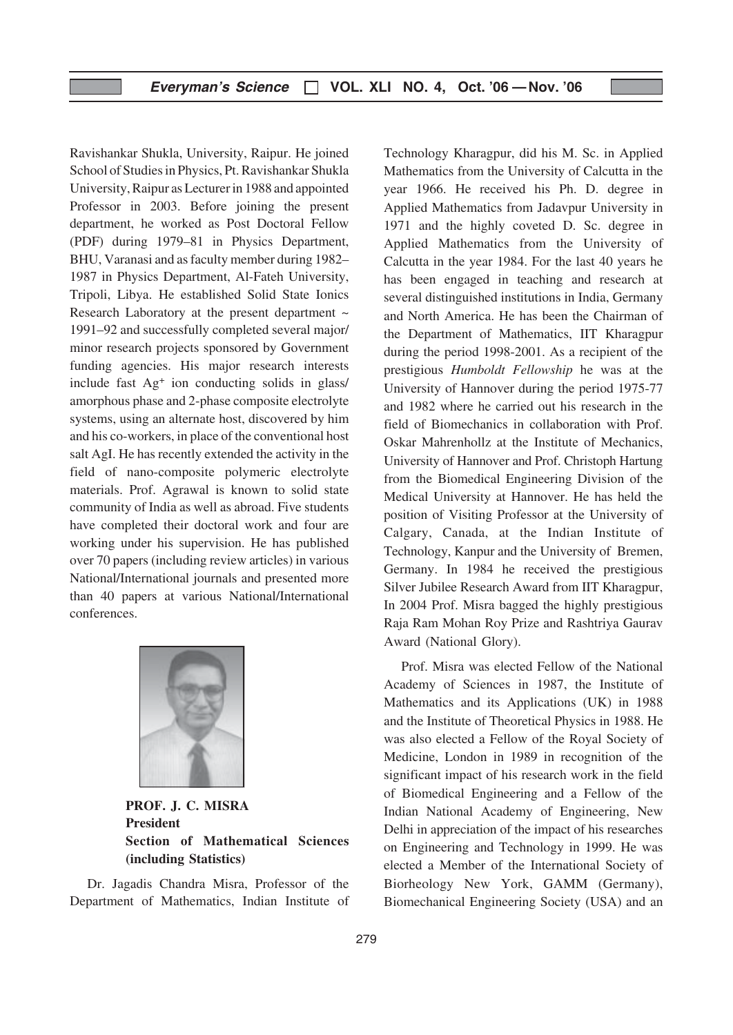Ravishankar Shukla, University, Raipur. He joined School of Studies in Physics, Pt. Ravishankar Shukla University, Raipur as Lecturer in 1988 and appointed Professor in 2003. Before joining the present department, he worked as Post Doctoral Fellow (PDF) during 1979–81 in Physics Department, BHU, Varanasi and as faculty member during 1982– 1987 in Physics Department, Al-Fateh University, Tripoli, Libya. He established Solid State Ionics Research Laboratory at the present department  $\sim$ 1991–92 and successfully completed several major/ minor research projects sponsored by Government funding agencies. His major research interests include fast Ag+ ion conducting solids in glass/ amorphous phase and 2-phase composite electrolyte systems, using an alternate host, discovered by him and his co-workers, in place of the conventional host salt AgI. He has recently extended the activity in the field of nano-composite polymeric electrolyte materials. Prof. Agrawal is known to solid state community of India as well as abroad. Five students have completed their doctoral work and four are working under his supervision. He has published over 70 papers (including review articles) in various National/International journals and presented more than 40 papers at various National/International conferences.



PROF. J. C. MISRA President Section of Mathematical Sciences (including Statistics)

Dr. Jagadis Chandra Misra, Professor of the Department of Mathematics, Indian Institute of Technology Kharagpur, did his M. Sc. in Applied Mathematics from the University of Calcutta in the year 1966. He received his Ph. D. degree in Applied Mathematics from Jadavpur University in 1971 and the highly coveted D. Sc. degree in Applied Mathematics from the University of Calcutta in the year 1984. For the last 40 years he has been engaged in teaching and research at several distinguished institutions in India, Germany and North America. He has been the Chairman of the Department of Mathematics, IIT Kharagpur during the period 1998-2001. As a recipient of the prestigious Humboldt Fellowship he was at the University of Hannover during the period 1975-77 and 1982 where he carried out his research in the field of Biomechanics in collaboration with Prof. Oskar Mahrenhollz at the Institute of Mechanics, University of Hannover and Prof. Christoph Hartung from the Biomedical Engineering Division of the Medical University at Hannover. He has held the position of Visiting Professor at the University of Calgary, Canada, at the Indian Institute of Technology, Kanpur and the University of Bremen, Germany. In 1984 he received the prestigious Silver Jubilee Research Award from IIT Kharagpur, In 2004 Prof. Misra bagged the highly prestigious Raja Ram Mohan Roy Prize and Rashtriya Gaurav Award (National Glory).

Prof. Misra was elected Fellow of the National Academy of Sciences in 1987, the Institute of Mathematics and its Applications (UK) in 1988 and the Institute of Theoretical Physics in 1988. He was also elected a Fellow of the Royal Society of Medicine, London in 1989 in recognition of the significant impact of his research work in the field of Biomedical Engineering and a Fellow of the Indian National Academy of Engineering, New Delhi in appreciation of the impact of his researches on Engineering and Technology in 1999. He was elected a Member of the International Society of Biorheology New York, GAMM (Germany), Biomechanical Engineering Society (USA) and an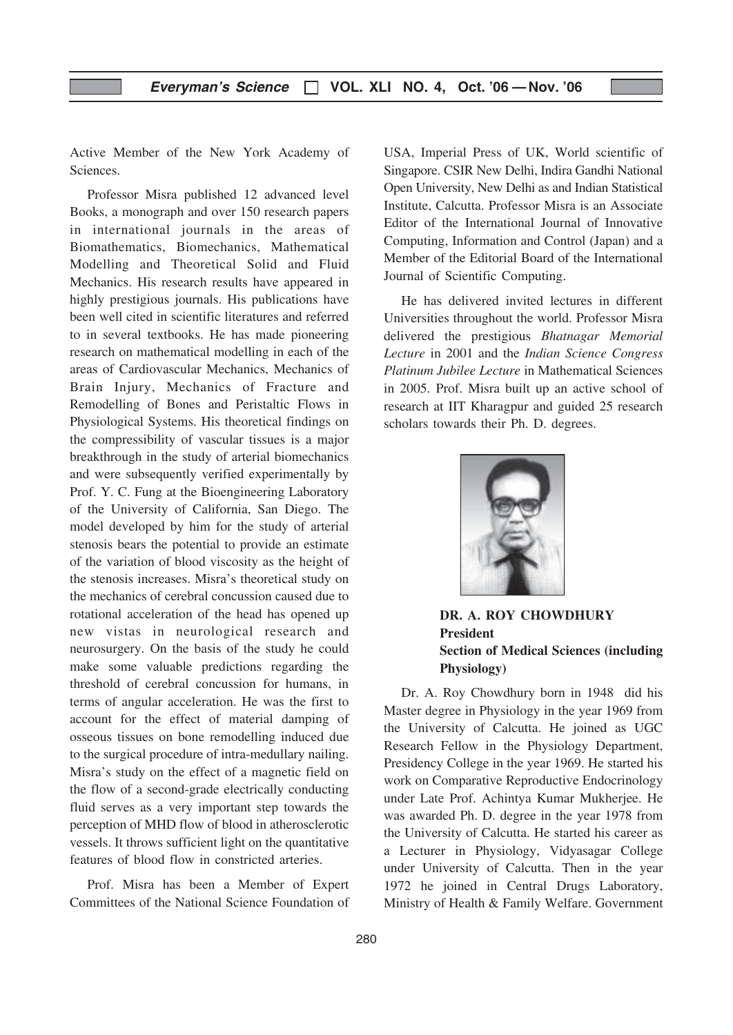Active Member of the New York Academy of **Sciences** 

Professor Misra published 12 advanced level Books, a monograph and over 150 research papers in international journals in the areas of Biomathematics, Biomechanics, Mathematical Modelling and Theoretical Solid and Fluid Mechanics. His research results have appeared in highly prestigious journals. His publications have been well cited in scientific literatures and referred to in several textbooks. He has made pioneering research on mathematical modelling in each of the areas of Cardiovascular Mechanics, Mechanics of Brain Injury, Mechanics of Fracture and Remodelling of Bones and Peristaltic Flows in Physiological Systems. His theoretical findings on the compressibility of vascular tissues is a major breakthrough in the study of arterial biomechanics and were subsequently verified experimentally by Prof. Y. C. Fung at the Bioengineering Laboratory of the University of California, San Diego. The model developed by him for the study of arterial stenosis bears the potential to provide an estimate of the variation of blood viscosity as the height of the stenosis increases. Misra's theoretical study on the mechanics of cerebral concussion caused due to rotational acceleration of the head has opened up new vistas in neurological research and neurosurgery. On the basis of the study he could make some valuable predictions regarding the threshold of cerebral concussion for humans, in terms of angular acceleration. He was the first to account for the effect of material damping of osseous tissues on bone remodelling induced due to the surgical procedure of intra-medullary nailing. Misra's study on the effect of a magnetic field on the flow of a second-grade electrically conducting fluid serves as a very important step towards the perception of MHD flow of blood in atherosclerotic vessels. It throws sufficient light on the quantitative features of blood flow in constricted arteries.

Prof. Misra has been a Member of Expert Committees of the National Science Foundation of USA, Imperial Press of UK, World scientific of Singapore. CSIR New Delhi, Indira Gandhi National Open University, New Delhi as and Indian Statistical Institute, Calcutta. Professor Misra is an Associate Editor of the International Journal of Innovative Computing, Information and Control (Japan) and a Member of the Editorial Board of the International Journal of Scientific Computing.

He has delivered invited lectures in different Universities throughout the world. Professor Misra delivered the prestigious Bhatnagar Memorial Lecture in 2001 and the Indian Science Congress Platinum Jubilee Lecture in Mathematical Sciences in 2005. Prof. Misra built up an active school of research at IIT Kharagpur and guided 25 research scholars towards their Ph. D. degrees.



DR. A. ROY CHOWDHURY President Section of Medical Sciences (including Physiology)

Dr. A. Roy Chowdhury born in 1948 did his Master degree in Physiology in the year 1969 from the University of Calcutta. He joined as UGC Research Fellow in the Physiology Department, Presidency College in the year 1969. He started his work on Comparative Reproductive Endocrinology under Late Prof. Achintya Kumar Mukherjee. He was awarded Ph. D. degree in the year 1978 from the University of Calcutta. He started his career as a Lecturer in Physiology, Vidyasagar College under University of Calcutta. Then in the year 1972 he joined in Central Drugs Laboratory, Ministry of Health & Family Welfare. Government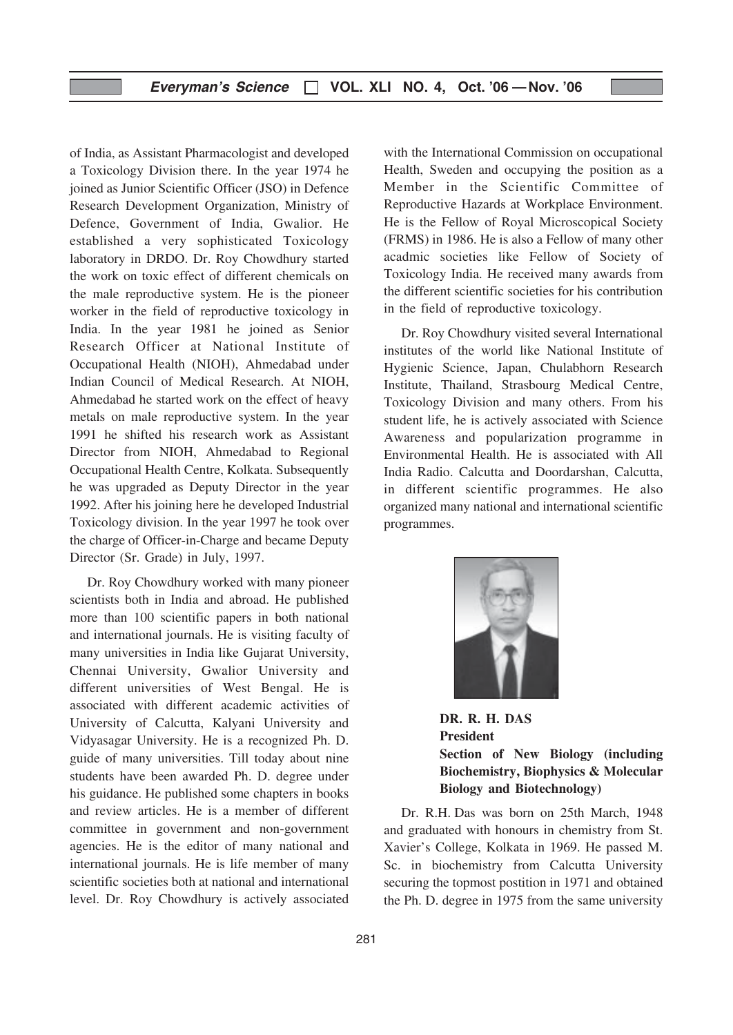of India, as Assistant Pharmacologist and developed a Toxicology Division there. In the year 1974 he joined as Junior Scientific Officer (JSO) in Defence Research Development Organization, Ministry of Defence, Government of India, Gwalior. He established a very sophisticated Toxicology laboratory in DRDO. Dr. Roy Chowdhury started the work on toxic effect of different chemicals on the male reproductive system. He is the pioneer worker in the field of reproductive toxicology in India. In the year 1981 he joined as Senior Research Officer at National Institute of Occupational Health (NIOH), Ahmedabad under Indian Council of Medical Research. At NIOH, Ahmedabad he started work on the effect of heavy metals on male reproductive system. In the year 1991 he shifted his research work as Assistant Director from NIOH, Ahmedabad to Regional Occupational Health Centre, Kolkata. Subsequently he was upgraded as Deputy Director in the year 1992. After his joining here he developed Industrial Toxicology division. In the year 1997 he took over the charge of Officer-in-Charge and became Deputy Director (Sr. Grade) in July, 1997.

Dr. Roy Chowdhury worked with many pioneer scientists both in India and abroad. He published more than 100 scientific papers in both national and international journals. He is visiting faculty of many universities in India like Gujarat University, Chennai University, Gwalior University and different universities of West Bengal. He is associated with different academic activities of University of Calcutta, Kalyani University and Vidyasagar University. He is a recognized Ph. D. guide of many universities. Till today about nine students have been awarded Ph. D. degree under his guidance. He published some chapters in books and review articles. He is a member of different committee in government and non-government agencies. He is the editor of many national and international journals. He is life member of many scientific societies both at national and international level. Dr. Roy Chowdhury is actively associated

with the International Commission on occupational Health, Sweden and occupying the position as a Member in the Scientific Committee of Reproductive Hazards at Workplace Environment. He is the Fellow of Royal Microscopical Society (FRMS) in 1986. He is also a Fellow of many other acadmic societies like Fellow of Society of Toxicology India. He received many awards from the different scientific societies for his contribution in the field of reproductive toxicology.

Dr. Roy Chowdhury visited several International institutes of the world like National Institute of Hygienic Science, Japan, Chulabhorn Research Institute, Thailand, Strasbourg Medical Centre, Toxicology Division and many others. From his student life, he is actively associated with Science Awareness and popularization programme in Environmental Health. He is associated with All India Radio. Calcutta and Doordarshan, Calcutta, in different scientific programmes. He also organized many national and international scientific programmes.



DR. R. H. DAS President Section of New Biology (including Biochemistry, Biophysics & Molecular Biology and Biotechnology)

Dr. R.H. Das was born on 25th March, 1948 and graduated with honours in chemistry from St. Xavier's College, Kolkata in 1969. He passed M. Sc. in biochemistry from Calcutta University securing the topmost postition in 1971 and obtained the Ph. D. degree in 1975 from the same university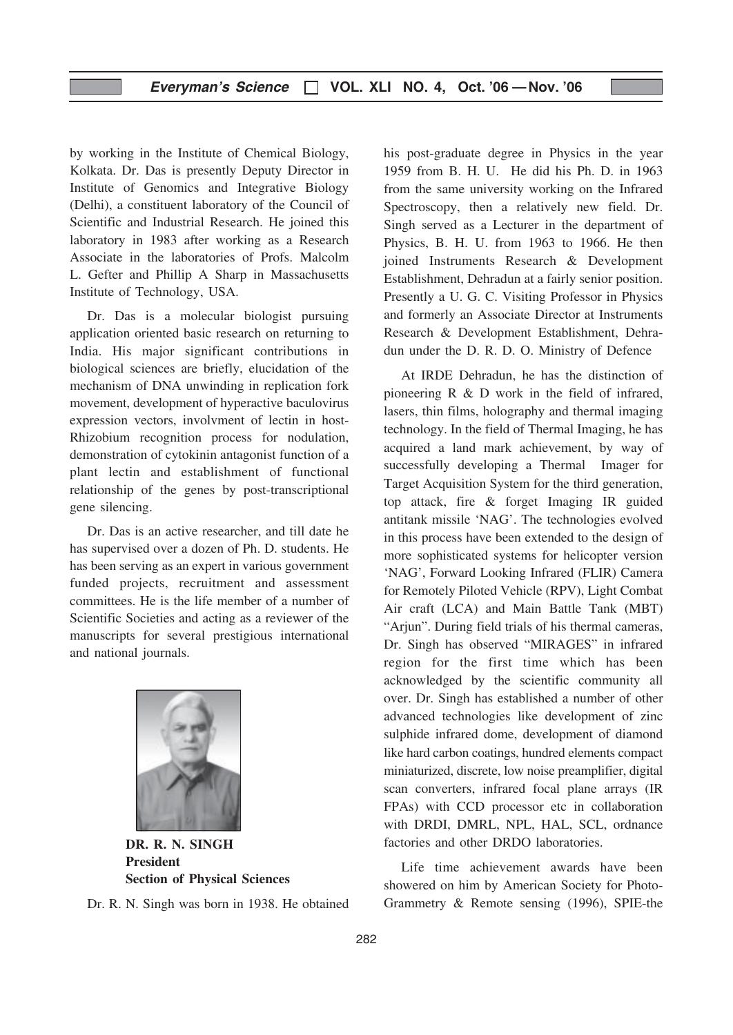by working in the Institute of Chemical Biology, Kolkata. Dr. Das is presently Deputy Director in Institute of Genomics and Integrative Biology (Delhi), a constituent laboratory of the Council of Scientific and Industrial Research. He joined this laboratory in 1983 after working as a Research Associate in the laboratories of Profs. Malcolm L. Gefter and Phillip A Sharp in Massachusetts Institute of Technology, USA.

Dr. Das is a molecular biologist pursuing application oriented basic research on returning to India. His major significant contributions in biological sciences are briefly, elucidation of the mechanism of DNA unwinding in replication fork movement, development of hyperactive baculovirus expression vectors, involvment of lectin in host-Rhizobium recognition process for nodulation, demonstration of cytokinin antagonist function of a plant lectin and establishment of functional relationship of the genes by post-transcriptional gene silencing.

Dr. Das is an active researcher, and till date he has supervised over a dozen of Ph. D. students. He has been serving as an expert in various government funded projects, recruitment and assessment committees. He is the life member of a number of Scientific Societies and acting as a reviewer of the manuscripts for several prestigious international and national journals.



DR. R. N. SINGH President Section of Physical Sciences

Dr. R. N. Singh was born in 1938. He obtained

his post-graduate degree in Physics in the year 1959 from B. H. U. He did his Ph. D. in 1963 from the same university working on the Infrared Spectroscopy, then a relatively new field. Dr. Singh served as a Lecturer in the department of Physics, B. H. U. from 1963 to 1966. He then joined Instruments Research & Development Establishment, Dehradun at a fairly senior position. Presently a U. G. C. Visiting Professor in Physics and formerly an Associate Director at Instruments Research & Development Establishment, Dehradun under the D. R. D. O. Ministry of Defence

At IRDE Dehradun, he has the distinction of pioneering R & D work in the field of infrared, lasers, thin films, holography and thermal imaging technology. In the field of Thermal Imaging, he has acquired a land mark achievement, by way of successfully developing a Thermal Imager for Target Acquisition System for the third generation, top attack, fire & forget Imaging IR guided antitank missile 'NAG'. The technologies evolved in this process have been extended to the design of more sophisticated systems for helicopter version 'NAG', Forward Looking Infrared (FLIR) Camera for Remotely Piloted Vehicle (RPV), Light Combat Air craft (LCA) and Main Battle Tank (MBT) "Arjun". During field trials of his thermal cameras, Dr. Singh has observed "MIRAGES" in infrared region for the first time which has been acknowledged by the scientific community all over. Dr. Singh has established a number of other advanced technologies like development of zinc sulphide infrared dome, development of diamond like hard carbon coatings, hundred elements compact miniaturized, discrete, low noise preamplifier, digital scan converters, infrared focal plane arrays (IR FPAs) with CCD processor etc in collaboration with DRDI, DMRL, NPL, HAL, SCL, ordnance factories and other DRDO laboratories.

Life time achievement awards have been showered on him by American Society for Photo-Grammetry & Remote sensing (1996), SPIE-the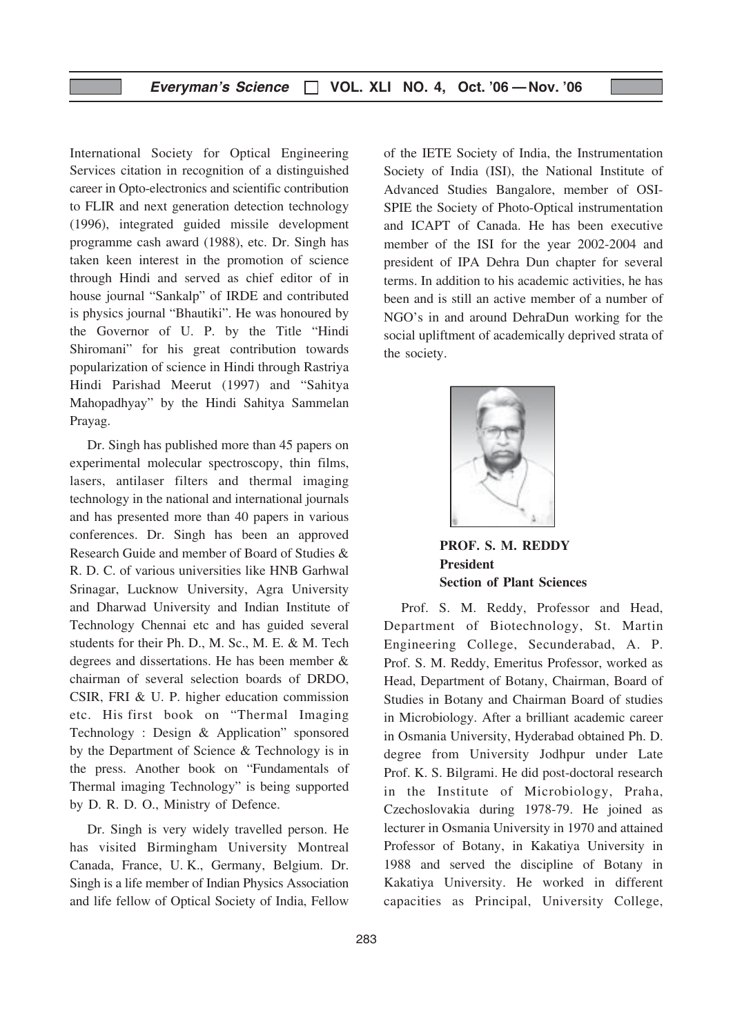International Society for Optical Engineering Services citation in recognition of a distinguished career in Opto-electronics and scientific contribution to FLIR and next generation detection technology (1996), integrated guided missile development programme cash award (1988), etc. Dr. Singh has taken keen interest in the promotion of science through Hindi and served as chief editor of in house journal "Sankalp" of IRDE and contributed is physics journal "Bhautiki". He was honoured by the Governor of U. P. by the Title "Hindi Shiromani" for his great contribution towards popularization of science in Hindi through Rastriya Hindi Parishad Meerut (1997) and "Sahitya Mahopadhyay" by the Hindi Sahitya Sammelan Prayag.

Dr. Singh has published more than 45 papers on experimental molecular spectroscopy, thin films, lasers, antilaser filters and thermal imaging technology in the national and international journals and has presented more than 40 papers in various conferences. Dr. Singh has been an approved Research Guide and member of Board of Studies & R. D. C. of various universities like HNB Garhwal Srinagar, Lucknow University, Agra University and Dharwad University and Indian Institute of Technology Chennai etc and has guided several students for their Ph. D., M. Sc., M. E. & M. Tech degrees and dissertations. He has been member & chairman of several selection boards of DRDO, CSIR, FRI & U. P. higher education commission etc. His first book on "Thermal Imaging Technology : Design & Application" sponsored by the Department of Science & Technology is in the press. Another book on "Fundamentals of Thermal imaging Technology" is being supported by D. R. D. O., Ministry of Defence.

Dr. Singh is very widely travelled person. He has visited Birmingham University Montreal Canada, France, U. K., Germany, Belgium. Dr. Singh is a life member of Indian Physics Association and life fellow of Optical Society of India, Fellow

of the IETE Society of India, the Instrumentation Society of India (ISI), the National Institute of Advanced Studies Bangalore, member of OSI-SPIE the Society of Photo-Optical instrumentation and ICAPT of Canada. He has been executive member of the ISI for the year 2002-2004 and president of IPA Dehra Dun chapter for several terms. In addition to his academic activities, he has been and is still an active member of a number of NGO's in and around DehraDun working for the social upliftment of academically deprived strata of the society.



PROF. S. M. REDDY President Section of Plant Sciences

Prof. S. M. Reddy, Professor and Head, Department of Biotechnology, St. Martin Engineering College, Secunderabad, A. P. Prof. S. M. Reddy, Emeritus Professor, worked as Head, Department of Botany, Chairman, Board of Studies in Botany and Chairman Board of studies in Microbiology. After a brilliant academic career in Osmania University, Hyderabad obtained Ph. D. degree from University Jodhpur under Late Prof. K. S. Bilgrami. He did post-doctoral research in the Institute of Microbiology, Praha, Czechoslovakia during 1978-79. He joined as lecturer in Osmania University in 1970 and attained Professor of Botany, in Kakatiya University in 1988 and served the discipline of Botany in Kakatiya University. He worked in different capacities as Principal, University College,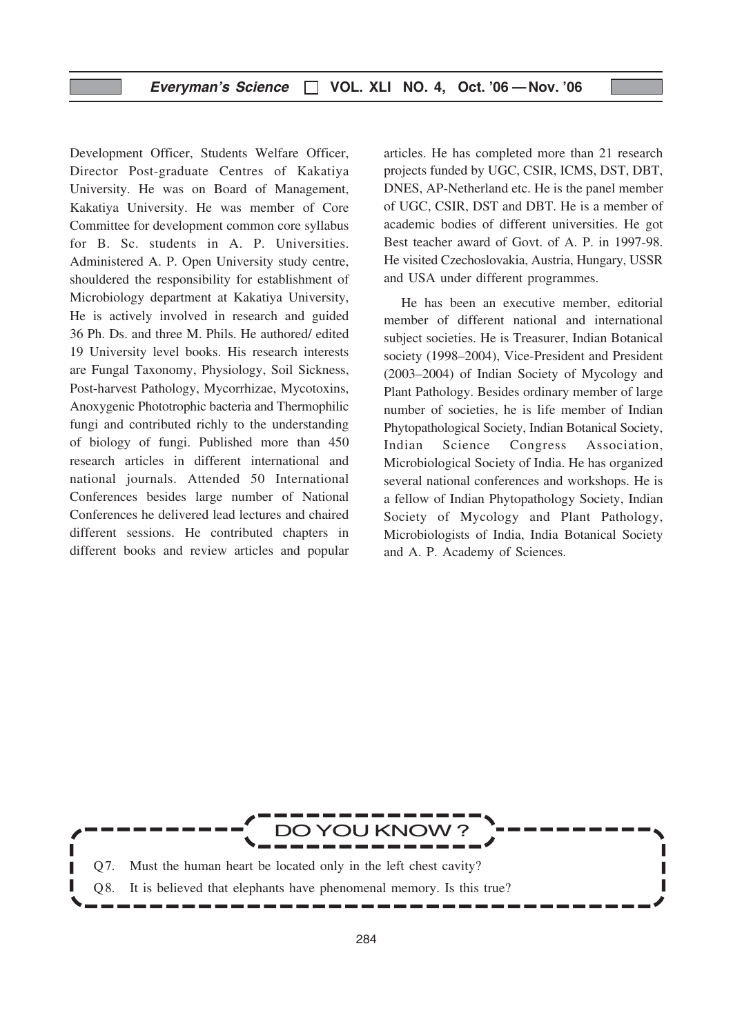Development Officer, Students Welfare Officer, Director Post-graduate Centres of Kakatiya University. He was on Board of Management, Kakatiya University. He was member of Core Committee for development common core syllabus for B. Sc. students in A. P. Universities. Administered A. P. Open University study centre, shouldered the responsibility for establishment of Microbiology department at Kakatiya University, He is actively involved in research and guided 36 Ph. Ds. and three M. Phils. He authored/ edited 19 University level books. His research interests are Fungal Taxonomy, Physiology, Soil Sickness, Post-harvest Pathology, Mycorrhizae, Mycotoxins, Anoxygenic Phototrophic bacteria and Thermophilic fungi and contributed richly to the understanding of biology of fungi. Published more than 450 research articles in different international and national journals. Attended 50 International Conferences besides large number of National Conferences he delivered lead lectures and chaired different sessions. He contributed chapters in different books and review articles and popular articles. He has completed more than 21 research projects funded by UGC, CSIR, ICMS, DST, DBT, DNES, AP-Netherland etc. He is the panel member of UGC, CSIR, DST and DBT. He is a member of academic bodies of different universities. He got Best teacher award of Govt. of A. P. in 1997-98. He visited Czechoslovakia, Austria, Hungary, USSR and USA under different programmes.

He has been an executive member, editorial member of different national and international subject societies. He is Treasurer, Indian Botanical society (1998–2004), Vice-President and President (2003–2004) of Indian Society of Mycology and Plant Pathology. Besides ordinary member of large number of societies, he is life member of Indian Phytopathological Society, Indian Botanical Society, Indian Science Congress Association, Microbiological Society of India. He has organized several national conferences and workshops. He is a fellow of Indian Phytopathology Society, Indian Society of Mycology and Plant Pathology, Microbiologists of India, India Botanical Society and A. P. Academy of Sciences.

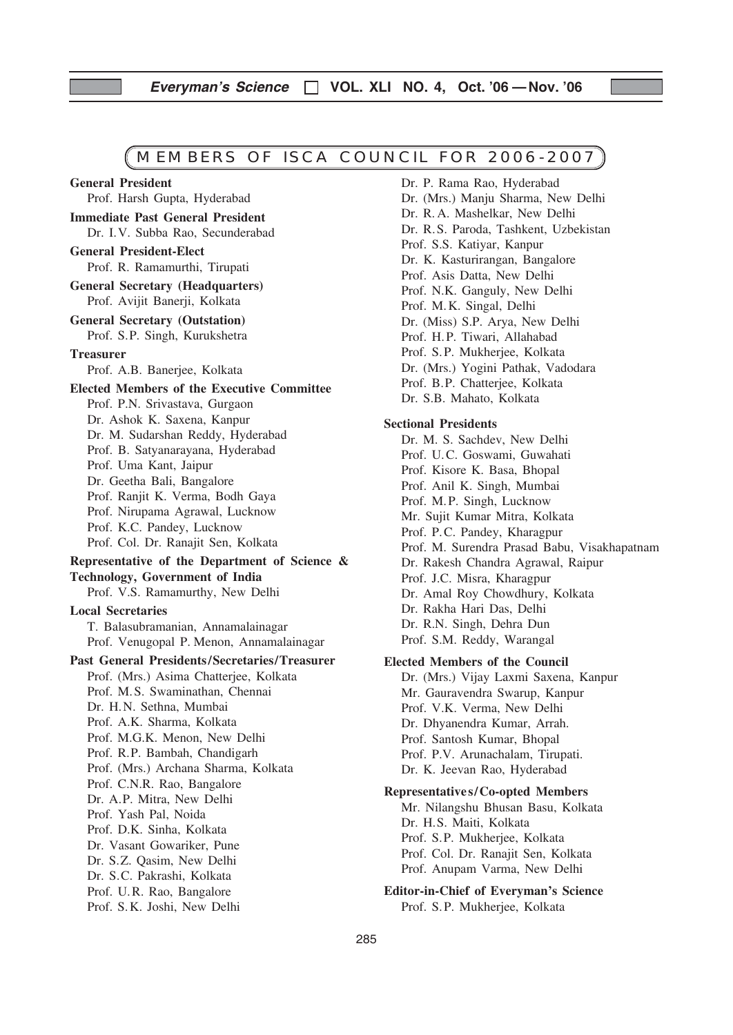# MEMBERS OF ISCA COUNCIL FOR 2006-2007

Prof. Harsh Gupta, Hyderabad Immediate Past General President Dr. I.V. Subba Rao, Secunderabad General President-Elect Prof. R. Ramamurthi, Tirupati General Secretary (Headquarters) Prof. Avijit Banerji, Kolkata General Secretary (Outstation) Prof. S.P. Singh, Kurukshetra **Treasurer** Prof. A.B. Banerjee, Kolkata Elected Members of the Executive Committee Prof. P.N. Srivastava, Gurgaon Dr. Ashok K. Saxena, Kanpur Dr. M. Sudarshan Reddy, Hyderabad Prof. B. Satyanarayana, Hyderabad Prof. Uma Kant, Jaipur Dr. Geetha Bali, Bangalore Prof. Ranjit K. Verma, Bodh Gaya Prof. Nirupama Agrawal, Lucknow Prof. K.C. Pandey, Lucknow Prof. Col. Dr. Ranajit Sen, Kolkata Representative of the Department of Science & Technology, Government of India Prof. V.S. Ramamurthy, New Delhi Local Secretaries T. Balasubramanian, Annamalainagar Prof. Venugopal P. Menon, Annamalainagar Past General Presidents /Secretaries/Treasurer Prof. (Mrs.) Asima Chatterjee, Kolkata Prof. M.S. Swaminathan, Chennai Dr. H.N. Sethna, Mumbai Prof. A.K. Sharma, Kolkata Prof. M.G.K. Menon, New Delhi Prof. R.P. Bambah, Chandigarh Prof. (Mrs.) Archana Sharma, Kolkata Prof. C.N.R. Rao, Bangalore Dr. A.P. Mitra, New Delhi Prof. Yash Pal, Noida Prof. D.K. Sinha, Kolkata Dr. Vasant Gowariker, Pune Dr. S.Z. Qasim, New Delhi Dr. S.C. Pakrashi, Kolkata Prof. U.R. Rao, Bangalore Prof. S.K. Joshi, New Delhi

General President

Dr. P. Rama Rao, Hyderabad Dr. (Mrs.) Manju Sharma, New Delhi Dr. R. A. Mashelkar, New Delhi Dr. R.S. Paroda, Tashkent, Uzbekistan Prof. S.S. Katiyar, Kanpur Dr. K. Kasturirangan, Bangalore Prof. Asis Datta, New Delhi Prof. N.K. Ganguly, New Delhi Prof. M.K. Singal, Delhi Dr. (Miss) S.P. Arya, New Delhi Prof. H.P. Tiwari, Allahabad Prof. S.P. Mukherjee, Kolkata Dr. (Mrs.) Yogini Pathak, Vadodara Prof. B.P. Chatterjee, Kolkata Dr. S.B. Mahato, Kolkata

### Sectional Presidents

Dr. M. S. Sachdev, New Delhi Prof. U.C. Goswami, Guwahati Prof. Kisore K. Basa, Bhopal Prof. Anil K. Singh, Mumbai Prof. M.P. Singh, Lucknow Mr. Sujit Kumar Mitra, Kolkata Prof. P.C. Pandey, Kharagpur Prof. M. Surendra Prasad Babu, Visakhapatnam Dr. Rakesh Chandra Agrawal, Raipur Prof. J.C. Misra, Kharagpur Dr. Amal Roy Chowdhury, Kolkata Dr. Rakha Hari Das, Delhi Dr. R.N. Singh, Dehra Dun Prof. S.M. Reddy, Warangal

#### Elected Members of the Council

Dr. (Mrs.) Vijay Laxmi Saxena, Kanpur Mr. Gauravendra Swarup, Kanpur Prof. V.K. Verma, New Delhi Dr. Dhyanendra Kumar, Arrah. Prof. Santosh Kumar, Bhopal Prof. P.V. Arunachalam, Tirupati. Dr. K. Jeevan Rao, Hyderabad

### Representatives/Co-opted Members

Mr. Nilangshu Bhusan Basu, Kolkata Dr. H.S. Maiti, Kolkata Prof. S.P. Mukherjee, Kolkata Prof. Col. Dr. Ranajit Sen, Kolkata Prof. Anupam Varma, New Delhi

Editor-in-Chief of Everyman's Science Prof. S.P. Mukherjee, Kolkata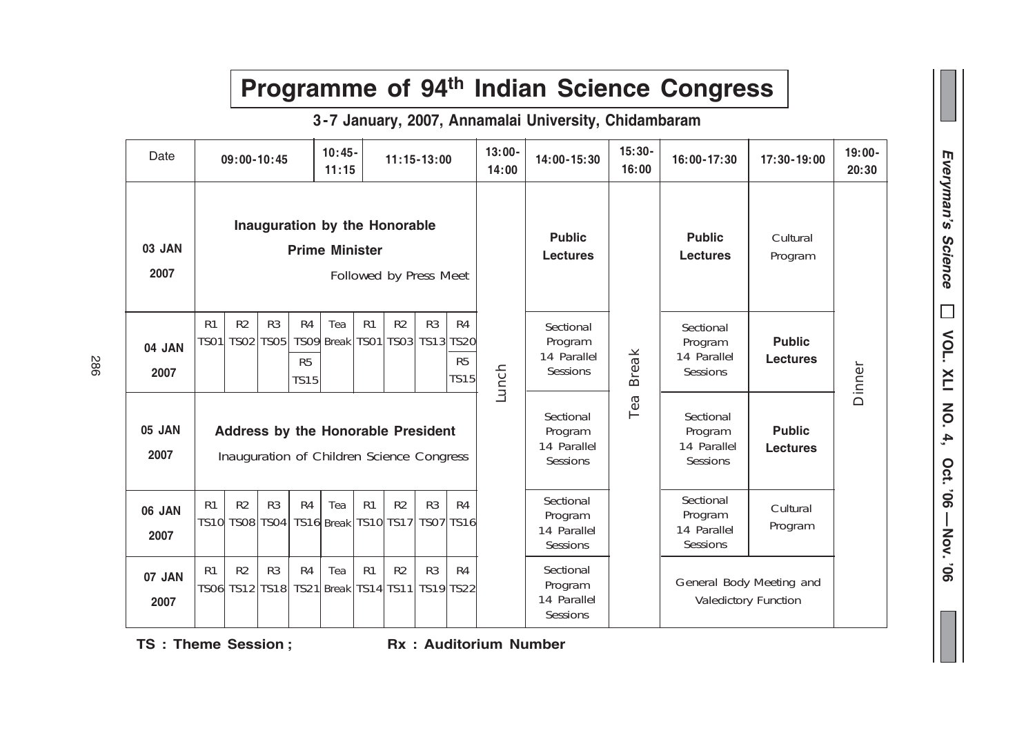|                |                                                                                        |                               |                               |                                     |                   |                   |                      |                             |                                     |                                                 |                                                        |                                                 | Programme of 94th Indian Science Congress        |                                  |                    |
|----------------|----------------------------------------------------------------------------------------|-------------------------------|-------------------------------|-------------------------------------|-------------------|-------------------|----------------------|-----------------------------|-------------------------------------|-------------------------------------------------|--------------------------------------------------------|-------------------------------------------------|--------------------------------------------------|----------------------------------|--------------------|
|                |                                                                                        |                               |                               |                                     |                   |                   |                      |                             |                                     |                                                 | 3-7 January, 2007, Annamalai University, Chidambaram   |                                                 |                                                  |                                  |                    |
| Date           |                                                                                        | $09:00 - 10:45$               |                               |                                     | $10:45-$<br>11:15 |                   | $11:15 - 13:00$      |                             |                                     | $13:00 -$<br>14:00                              | 14:00-15:30                                            | $15:30 -$<br>16:00                              | 16:00-17:30                                      | 17:30-19:00                      | $19:00 -$<br>20:30 |
| 03 JAN<br>2007 | Inauguration by the Honorable<br><b>Prime Minister</b><br>Followed by Press Meet       |                               |                               |                                     |                   |                   |                      |                             | <b>Public</b><br><b>Lectures</b>    |                                                 | <b>Public</b><br><b>Lectures</b>                       | Cultural<br>Program                             |                                                  |                                  |                    |
| 04 JAN<br>2007 | R <sub>1</sub><br><b>TS01</b>                                                          | R <sub>2</sub><br><b>TS02</b> | R <sub>3</sub><br><b>TS05</b> | R4<br>R <sub>5</sub><br><b>TS15</b> | Tea<br>TSO9 Break | R1<br><b>TS01</b> | R2<br>TS03 TS13 TS20 | R3                          | R4<br>R <sub>5</sub><br><b>TS15</b> | Lunch                                           | Sectional<br>Program<br>14 Parallel<br><b>Sessions</b> | <b>Break</b>                                    | Sectional<br>Program<br>14 Parallel<br>Sessions  | <b>Public</b><br><b>Lectures</b> | Dinner             |
| 05 JAN<br>2007 | <b>Address by the Honorable President</b><br>Inauguration of Children Science Congress |                               |                               |                                     |                   |                   |                      |                             |                                     | Sectional<br>Program<br>14 Parallel<br>Sessions | Tea                                                    | Sectional<br>Program<br>14 Parallel<br>Sessions | <b>Public</b><br><b>Lectures</b>                 |                                  |                    |
| 06 JAN<br>2007 | R <sub>1</sub><br>TS10 TS08   TS04   TS16   Break   TS10   TS17                        | R <sub>2</sub>                | R <sub>3</sub>                | R4                                  | Tea               | R <sub>1</sub>    | R <sub>2</sub>       | R <sub>3</sub><br>TS07 TS16 | R4                                  |                                                 | Sectional<br>Program<br>14 Parallel<br>Sessions        |                                                 | Sectional<br>Program<br>14 Parallel<br>Sessions  | Cultural<br>Program              |                    |
| 07 JAN<br>2007 | R <sub>1</sub><br>TS06 TS12 TS18                                                       | R2                            | R <sub>3</sub>                | R4                                  | Tea<br>TS21 Break | R <sub>1</sub>    | R2<br>TS14 TS11      | R3<br>TS19 TS22             | R4                                  |                                                 | Sectional<br>Program<br>14 Parallel<br>Sessions        |                                                 | General Body Meeting and<br>Valedictory Function |                                  |                    |

# 286

TS : Theme Session ; Rx : Auditorium Number

# Everyman's Science Everyman's Science $\Box$  VOL. XLI NO. 4, Oct. '06 - Nov. '06  $\Box$ VOL. XLI NO.  $\mathbf{4}$ Oct. '06 - Nov. '06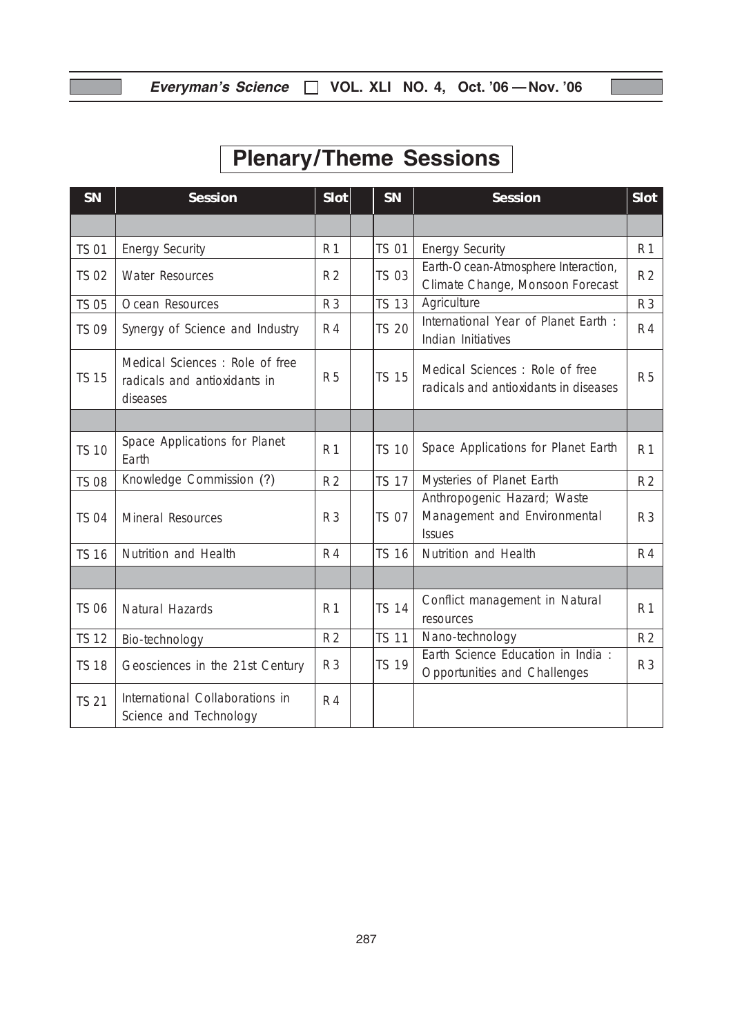ſ

# Plenary/Theme Sessions

| <b>SN</b>    | <b>Session</b>                                                             |                | $S$ lot<br>SN |              | Session                                                                      | <b>Slot</b>    |
|--------------|----------------------------------------------------------------------------|----------------|---------------|--------------|------------------------------------------------------------------------------|----------------|
|              |                                                                            |                |               |              |                                                                              |                |
| <b>TS 01</b> | <b>Energy Security</b>                                                     | R 1            |               | <b>TS 01</b> | <b>Energy Security</b>                                                       | <b>R</b> 1     |
| <b>TS 02</b> | <b>Water Resources</b>                                                     | R <sub>2</sub> |               | <b>TS 03</b> | Earth-Ocean-Atmosphere Interaction,<br>Climate Change, Monsoon Forecast      | R <sub>2</sub> |
| <b>TS 05</b> | Ocean Resources                                                            | <b>R3</b>      |               | <b>TS 13</b> | Agriculture                                                                  | R 3            |
| <b>TS 09</b> | Synergy of Science and Industry                                            | <b>R4</b>      |               | <b>TS 20</b> | International Year of Planet Earth :<br>Indian Initiatives                   | R 4            |
| <b>TS 15</b> | Medical Sciences: Role of free<br>radicals and antioxidants in<br>diseases | <b>R5</b>      |               | <b>TS 15</b> | Medical Sciences: Role of free<br>radicals and antioxidants in diseases      | <b>R5</b>      |
|              |                                                                            |                |               |              |                                                                              |                |
| <b>TS 10</b> | Space Applications for Planet<br>Earth                                     | R <sub>1</sub> |               | <b>TS 10</b> | Space Applications for Planet Earth                                          | R 1            |
| <b>TS 08</b> | Knowledge Commission (?)                                                   | R <sub>2</sub> |               | <b>TS 17</b> | Mysteries of Planet Earth                                                    | R <sub>2</sub> |
| <b>TS 04</b> | Mineral Resources                                                          | R 3            |               | <b>TS 07</b> | Anthropogenic Hazard; Waste<br>Management and Environmental<br><b>Issues</b> | R <sub>3</sub> |
| <b>TS 16</b> | Nutrition and Health                                                       | <b>R4</b>      |               | <b>TS 16</b> | Nutrition and Health                                                         | R 4            |
|              |                                                                            |                |               |              |                                                                              |                |
| <b>TS 06</b> | Natural Hazards                                                            | <b>R1</b>      |               | <b>TS 14</b> | Conflict management in Natural<br>resources                                  | R <sub>1</sub> |
| <b>TS 12</b> | Bio-technology                                                             | R <sub>2</sub> |               | <b>TS 11</b> | Nano-technology                                                              | R <sub>2</sub> |
| <b>TS 18</b> | Geosciences in the 21st Century                                            | R <sub>3</sub> |               | <b>TS 19</b> | Earth Science Education in India :<br>Opportunities and Challenges           | R <sub>3</sub> |
| <b>TS 21</b> | International Collaborations in<br>Science and Technology                  | R 4            |               |              |                                                                              |                |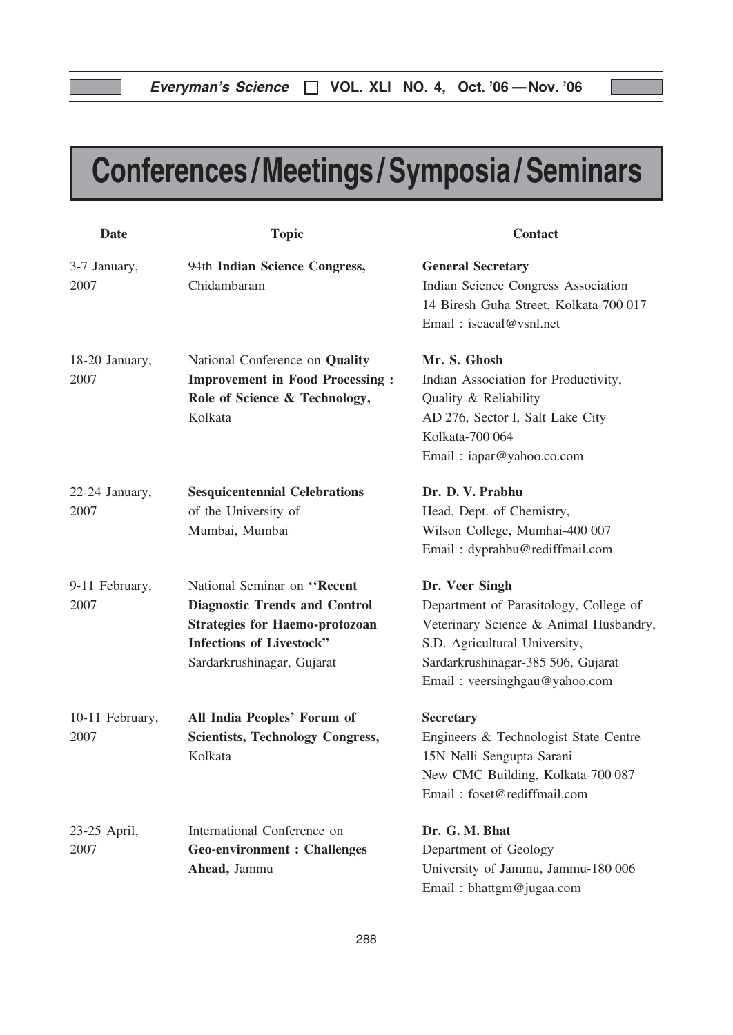# Conferences /Meetings / Symposia / Seminars

| <b>Date</b>             | <b>Topic</b>                                                                                                                                                                  | <b>Contact</b>                                                                                                                                                                                             |
|-------------------------|-------------------------------------------------------------------------------------------------------------------------------------------------------------------------------|------------------------------------------------------------------------------------------------------------------------------------------------------------------------------------------------------------|
| 3-7 January,<br>2007    | 94th Indian Science Congress,<br>Chidambaram                                                                                                                                  | <b>General Secretary</b><br>Indian Science Congress Association<br>14 Biresh Guha Street, Kolkata-700 017<br>Email: iscacal@vsnl.net                                                                       |
| 18-20 January,<br>2007  | National Conference on Quality<br><b>Improvement in Food Processing:</b><br>Role of Science & Technology,<br>Kolkata                                                          | Mr. S. Ghosh<br>Indian Association for Productivity,<br>Quality & Reliability<br>AD 276, Sector I, Salt Lake City<br>Kolkata-700 064<br>Email: iapar@yahoo.co.com                                          |
| 22-24 January,<br>2007  | <b>Sesquicentennial Celebrations</b><br>of the University of<br>Mumbai, Mumbai                                                                                                | Dr. D. V. Prabhu<br>Head, Dept. of Chemistry,<br>Wilson College, Mumhai-400 007<br>Email: dyprahbu@rediffmail.com                                                                                          |
| 9-11 February,<br>2007  | National Seminar on "Recent<br><b>Diagnostic Trends and Control</b><br><b>Strategies for Haemo-protozoan</b><br><b>Infections of Livestock"</b><br>Sardarkrushinagar, Gujarat | Dr. Veer Singh<br>Department of Parasitology, College of<br>Veterinary Science & Animal Husbandry,<br>S.D. Agricultural University,<br>Sardarkrushinagar-385 506, Gujarat<br>Email: veersinghgau@yahoo.com |
| 10-11 February,<br>2007 | All India Peoples' Forum of<br><b>Scientists, Technology Congress,</b><br>Kolkata                                                                                             | <b>Secretary</b><br>Engineers & Technologist State Centre<br>15N Nelli Sengupta Sarani<br>New CMC Building, Kolkata-700 087<br>Email: foset@rediffmail.com                                                 |
| 23-25 April,<br>2007    | International Conference on<br><b>Geo-environment : Challenges</b><br>Ahead, Jammu                                                                                            | Dr. G. M. Bhat<br>Department of Geology<br>University of Jammu, Jammu-180 006<br>Email: bhattgm@jugaa.com                                                                                                  |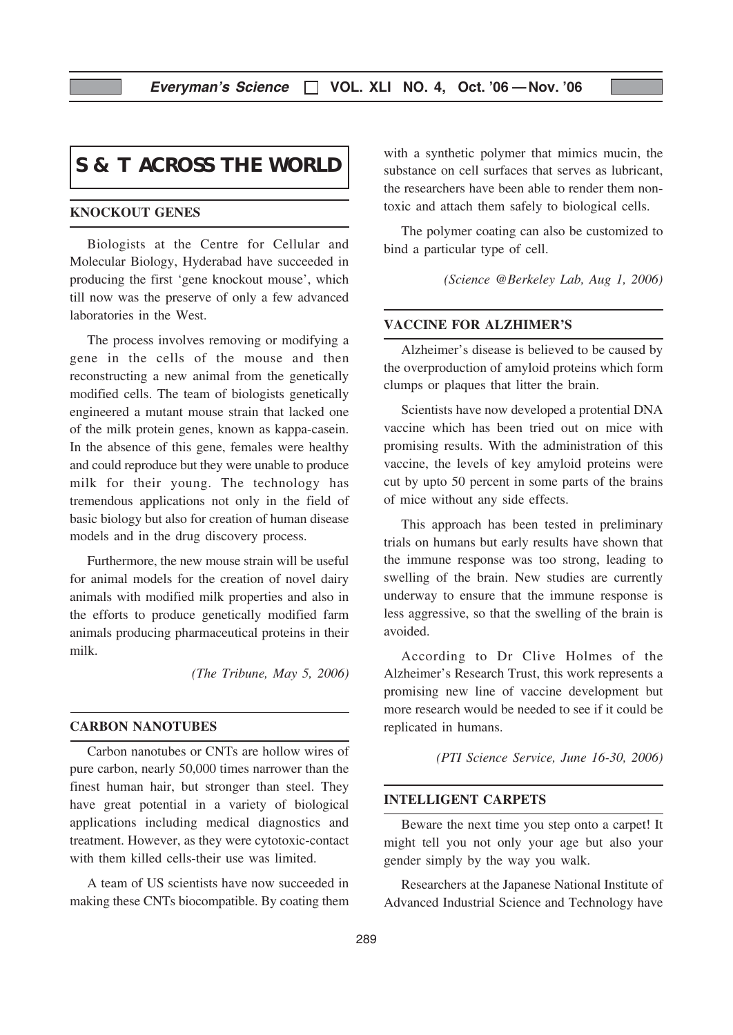# **S & T ACROSS THE WORLD**

# KNOCKOUT GENES

Biologists at the Centre for Cellular and Molecular Biology, Hyderabad have succeeded in producing the first 'gene knockout mouse', which till now was the preserve of only a few advanced laboratories in the West.

The process involves removing or modifying a gene in the cells of the mouse and then reconstructing a new animal from the genetically modified cells. The team of biologists genetically engineered a mutant mouse strain that lacked one of the milk protein genes, known as kappa-casein. In the absence of this gene, females were healthy and could reproduce but they were unable to produce milk for their young. The technology has tremendous applications not only in the field of basic biology but also for creation of human disease models and in the drug discovery process.

Furthermore, the new mouse strain will be useful for animal models for the creation of novel dairy animals with modified milk properties and also in the efforts to produce genetically modified farm animals producing pharmaceutical proteins in their milk.

(The Tribune, May 5, 2006)

### CARBON NANOTUBES

Carbon nanotubes or CNTs are hollow wires of pure carbon, nearly 50,000 times narrower than the finest human hair, but stronger than steel. They have great potential in a variety of biological applications including medical diagnostics and treatment. However, as they were cytotoxic-contact with them killed cells-their use was limited.

A team of US scientists have now succeeded in making these CNTs biocompatible. By coating them with a synthetic polymer that mimics mucin, the substance on cell surfaces that serves as lubricant, the researchers have been able to render them nontoxic and attach them safely to biological cells.

The polymer coating can also be customized to bind a particular type of cell.

(Science @Berkeley Lab, Aug 1, 2006)

# VACCINE FOR ALZHIMER'S

Alzheimer's disease is believed to be caused by the overproduction of amyloid proteins which form clumps or plaques that litter the brain.

Scientists have now developed a protential DNA vaccine which has been tried out on mice with promising results. With the administration of this vaccine, the levels of key amyloid proteins were cut by upto 50 percent in some parts of the brains of mice without any side effects.

This approach has been tested in preliminary trials on humans but early results have shown that the immune response was too strong, leading to swelling of the brain. New studies are currently underway to ensure that the immune response is less aggressive, so that the swelling of the brain is avoided.

According to Dr Clive Holmes of the Alzheimer's Research Trust, this work represents a promising new line of vaccine development but more research would be needed to see if it could be replicated in humans.

(PTI Science Service, June 16-30, 2006)

#### INTELLIGENT CARPETS

Beware the next time you step onto a carpet! It might tell you not only your age but also your gender simply by the way you walk.

Researchers at the Japanese National Institute of Advanced Industrial Science and Technology have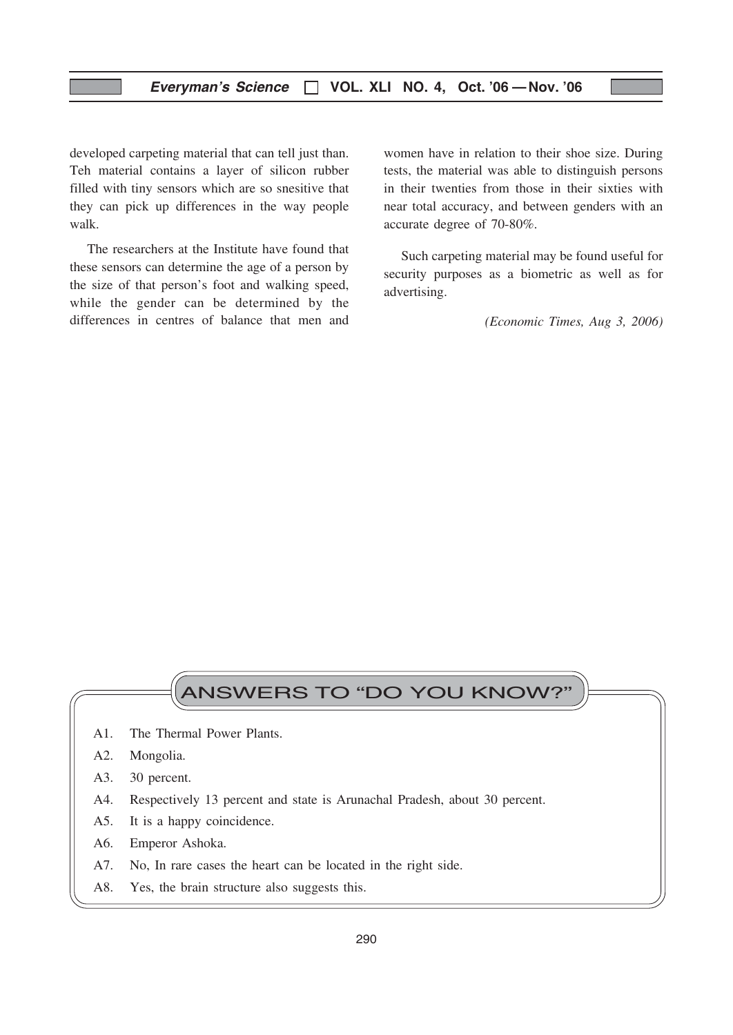developed carpeting material that can tell just than. Teh material contains a layer of silicon rubber filled with tiny sensors which are so snesitive that they can pick up differences in the way people walk.

The researchers at the Institute have found that these sensors can determine the age of a person by the size of that person's foot and walking speed, while the gender can be determined by the differences in centres of balance that men and

women have in relation to their shoe size. During tests, the material was able to distinguish persons in their twenties from those in their sixties with near total accuracy, and between genders with an accurate degree of 70-80%.

Such carpeting material may be found useful for security purposes as a biometric as well as for advertising.

(Economic Times, Aug 3, 2006)

# ANSWERS TO "DO YOU KNOW?"

- A1. The Thermal Power Plants.
- A2. Mongolia.
- A3. 30 percent.
- A4. Respectively 13 percent and state is Arunachal Pradesh, about 30 percent.
- A5. It is a happy coincidence.
- A6. Emperor Ashoka.
- A7. No, In rare cases the heart can be located in the right side.
- A8. Yes, the brain structure also suggests this.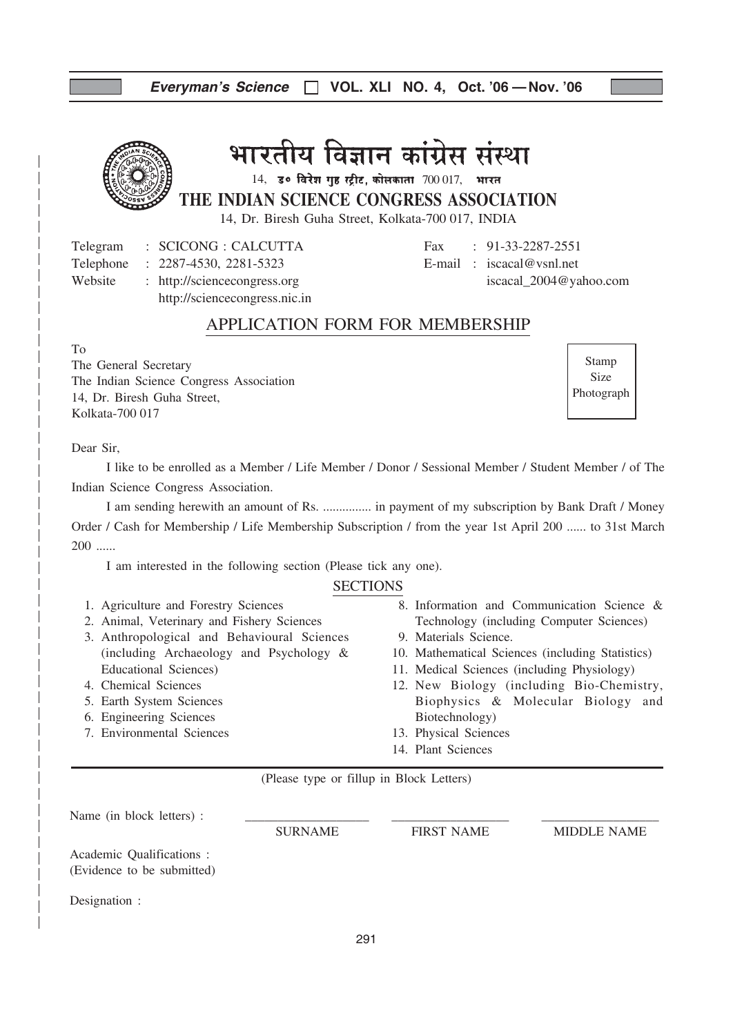# भारतीय विज्ञान कांग्रेस संस्था

 $14$ , ड॰ विरेश गुह स्ट्रीट, कोलकाता  $700017$ , भारत

THE INDIAN SCIENCE CONGRESS ASSOCIATION

14, Dr. Biresh Guha Street, Kolkata-700 017, INDIA

Telegram : SCICONG : CALCUTTA Fax : 91-33-2287-2551 Telephone : 2287-4530, 2281-5323 E-mail : iscacal@vsnl.net

Website : http://sciencecongress.org iscacal\_2004@yahoo.com

http://sciencecongress.nic.in

# APPLICATION FORM FOR MEMBERSHIP

To

The General Secretary The Indian Science Congress Association 14, Dr. Biresh Guha Street, Kolkata-700 017

Stamp Size Photograph

# Dear Sir,

I like to be enrolled as a Member / Life Member / Donor / Sessional Member / Student Member / of The Indian Science Congress Association.

I am sending herewith an amount of Rs. ............... in payment of my subscription by Bank Draft / Money Order / Cash for Membership / Life Membership Subscription / from the year 1st April 200 ...... to 31st March 200 ......

I am interested in the following section (Please tick any one).

# **SECTIONS**

- 1. Agriculture and Forestry Sciences
- 2. Animal, Veterinary and Fishery Sciences
- 3. Anthropological and Behavioural Sciences (including Archaeology and Psychology & Educational Sciences)
- 4. Chemical Sciences
- 5. Earth System Sciences
- 6. Engineering Sciences
- 7. Environmental Sciences
- 8. Information and Communication Science & Technology (including Computer Sciences)
- 9. Materials Science.
- 10. Mathematical Sciences (including Statistics)
- 11. Medical Sciences (including Physiology)
- 12. New Biology (including Bio-Chemistry, Biophysics & Molecular Biology and Biotechnology)
- 13. Physical Sciences
- 14. Plant Sciences

(Please type or fillup in Block Letters)

Name (in block letters) : SURNAME FIRST NAME MIDDLE NAME Academic Qualifications : (Evidence to be submitted) Designation :